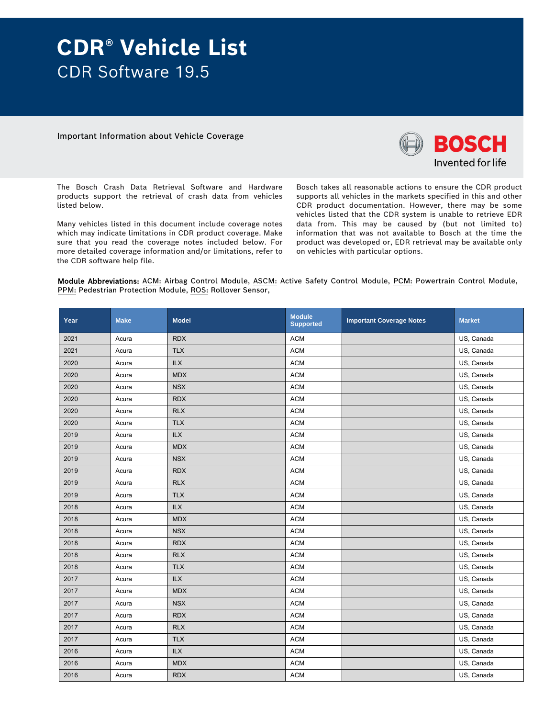# **CDR® Vehicle List**  CDR Software 19.5

Important Information about Vehicle Coverage



The Bosch Crash Data Retrieval Software and Hardware products support the retrieval of crash data from vehicles listed below.

Many vehicles listed in this document include coverage notes which may indicate limitations in CDR product coverage. Make sure that you read the coverage notes included below. For more detailed coverage information and/or limitations, refer to the CDR software help file.

Bosch takes all reasonable actions to ensure the CDR product supports all vehicles in the markets specified in this and other CDR product documentation. However, there may be some vehicles listed that the CDR system is unable to retrieve EDR data from. This may be caused by (but not limited to) information that was not available to Bosch at the time the product was developed or, EDR retrieval may be available only on vehicles with particular options.

Module Abbreviations: ACM: Airbag Control Module, ASCM: Active Safety Control Module, PCM: Powertrain Control Module, PPM: Pedestrian Protection Module, ROS: Rollover Sensor,

| Year | <b>Make</b> | <b>Model</b> | <b>Module</b><br><b>Supported</b> | <b>Important Coverage Notes</b> | <b>Market</b> |
|------|-------------|--------------|-----------------------------------|---------------------------------|---------------|
| 2021 | Acura       | <b>RDX</b>   | <b>ACM</b>                        |                                 | US, Canada    |
| 2021 | Acura       | <b>TLX</b>   | <b>ACM</b>                        |                                 | US, Canada    |
| 2020 | Acura       | <b>ILX</b>   | <b>ACM</b>                        |                                 | US, Canada    |
| 2020 | Acura       | <b>MDX</b>   | <b>ACM</b>                        |                                 | US, Canada    |
| 2020 | Acura       | <b>NSX</b>   | <b>ACM</b>                        |                                 | US, Canada    |
| 2020 | Acura       | <b>RDX</b>   | <b>ACM</b>                        |                                 | US, Canada    |
| 2020 | Acura       | <b>RLX</b>   | <b>ACM</b>                        |                                 | US, Canada    |
| 2020 | Acura       | <b>TLX</b>   | <b>ACM</b>                        |                                 | US, Canada    |
| 2019 | Acura       | ILX          | <b>ACM</b>                        |                                 | US, Canada    |
| 2019 | Acura       | <b>MDX</b>   | <b>ACM</b>                        |                                 | US, Canada    |
| 2019 | Acura       | <b>NSX</b>   | <b>ACM</b>                        |                                 | US, Canada    |
| 2019 | Acura       | <b>RDX</b>   | <b>ACM</b>                        |                                 | US, Canada    |
| 2019 | Acura       | <b>RLX</b>   | <b>ACM</b>                        |                                 | US, Canada    |
| 2019 | Acura       | <b>TLX</b>   | <b>ACM</b>                        |                                 | US, Canada    |
| 2018 | Acura       | <b>ILX</b>   | <b>ACM</b>                        |                                 | US, Canada    |
| 2018 | Acura       | <b>MDX</b>   | <b>ACM</b>                        |                                 | US, Canada    |
| 2018 | Acura       | <b>NSX</b>   | <b>ACM</b>                        |                                 | US, Canada    |
| 2018 | Acura       | <b>RDX</b>   | <b>ACM</b>                        |                                 | US, Canada    |
| 2018 | Acura       | <b>RLX</b>   | <b>ACM</b>                        |                                 | US, Canada    |
| 2018 | Acura       | <b>TLX</b>   | <b>ACM</b>                        |                                 | US, Canada    |
| 2017 | Acura       | <b>ILX</b>   | <b>ACM</b>                        |                                 | US, Canada    |
| 2017 | Acura       | <b>MDX</b>   | <b>ACM</b>                        |                                 | US, Canada    |
| 2017 | Acura       | <b>NSX</b>   | <b>ACM</b>                        |                                 | US, Canada    |
| 2017 | Acura       | <b>RDX</b>   | <b>ACM</b>                        |                                 | US, Canada    |
| 2017 | Acura       | <b>RLX</b>   | <b>ACM</b>                        |                                 | US, Canada    |
| 2017 | Acura       | <b>TLX</b>   | <b>ACM</b>                        |                                 | US, Canada    |
| 2016 | Acura       | <b>ILX</b>   | <b>ACM</b>                        |                                 | US, Canada    |
| 2016 | Acura       | <b>MDX</b>   | <b>ACM</b>                        |                                 | US, Canada    |
| 2016 | Acura       | <b>RDX</b>   | <b>ACM</b>                        |                                 | US, Canada    |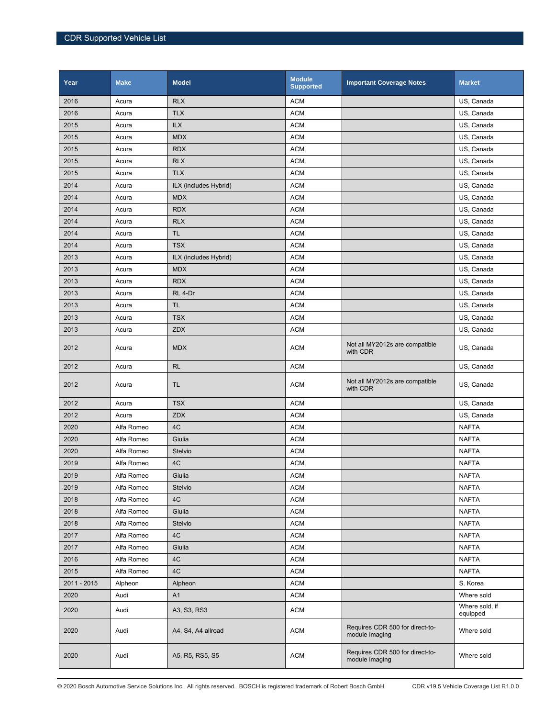| Year        | <b>Make</b> | <b>Model</b>          | <b>Module</b><br><b>Supported</b> | <b>Important Coverage Notes</b>                   | <b>Market</b>              |
|-------------|-------------|-----------------------|-----------------------------------|---------------------------------------------------|----------------------------|
| 2016        | Acura       | <b>RLX</b>            | <b>ACM</b>                        |                                                   | US, Canada                 |
| 2016        | Acura       | <b>TLX</b>            | <b>ACM</b>                        |                                                   | US, Canada                 |
| 2015        | Acura       | <b>ILX</b>            | <b>ACM</b>                        |                                                   | US, Canada                 |
| 2015        | Acura       | <b>MDX</b>            | <b>ACM</b>                        |                                                   | US, Canada                 |
| 2015        | Acura       | <b>RDX</b>            | <b>ACM</b>                        |                                                   | US, Canada                 |
| 2015        | Acura       | <b>RLX</b>            | <b>ACM</b>                        |                                                   | US, Canada                 |
| 2015        | Acura       | <b>TLX</b>            | <b>ACM</b>                        |                                                   | US, Canada                 |
| 2014        | Acura       | ILX (includes Hybrid) | <b>ACM</b>                        |                                                   | US, Canada                 |
| 2014        | Acura       | <b>MDX</b>            | <b>ACM</b>                        |                                                   | US, Canada                 |
| 2014        | Acura       | <b>RDX</b>            | <b>ACM</b>                        |                                                   | US, Canada                 |
| 2014        | Acura       | <b>RLX</b>            | <b>ACM</b>                        |                                                   | US, Canada                 |
| 2014        | Acura       | <b>TL</b>             | <b>ACM</b>                        |                                                   | US, Canada                 |
| 2014        | Acura       | <b>TSX</b>            | <b>ACM</b>                        |                                                   | US, Canada                 |
| 2013        | Acura       | ILX (includes Hybrid) | <b>ACM</b>                        |                                                   | US, Canada                 |
| 2013        | Acura       | <b>MDX</b>            | <b>ACM</b>                        |                                                   | US, Canada                 |
| 2013        | Acura       | <b>RDX</b>            | <b>ACM</b>                        |                                                   | US, Canada                 |
| 2013        | Acura       | RL 4-Dr               | <b>ACM</b>                        |                                                   | US, Canada                 |
| 2013        | Acura       | <b>TL</b>             | <b>ACM</b>                        |                                                   | US, Canada                 |
| 2013        | Acura       | <b>TSX</b>            | <b>ACM</b>                        |                                                   | US, Canada                 |
| 2013        | Acura       | ZDX                   | <b>ACM</b>                        |                                                   | US, Canada                 |
| 2012        | Acura       | <b>MDX</b>            | <b>ACM</b>                        | Not all MY2012s are compatible<br>with CDR        | US, Canada                 |
| 2012        | Acura       | <b>RL</b>             | <b>ACM</b>                        |                                                   | US, Canada                 |
| 2012        | Acura       | <b>TL</b>             | <b>ACM</b>                        | Not all MY2012s are compatible<br>with CDR        | US, Canada                 |
| 2012        | Acura       | <b>TSX</b>            | <b>ACM</b>                        |                                                   | US, Canada                 |
| 2012        | Acura       | <b>ZDX</b>            | <b>ACM</b>                        |                                                   | US, Canada                 |
| 2020        | Alfa Romeo  | 4C                    | <b>ACM</b>                        |                                                   | <b>NAFTA</b>               |
| 2020        | Alfa Romeo  | Giulia                | <b>ACM</b>                        |                                                   | <b>NAFTA</b>               |
| 2020        | Alfa Romeo  | Stelvio               | <b>ACM</b>                        |                                                   | <b>NAFTA</b>               |
| 2019        | Alfa Romeo  | 4C                    | <b>ACM</b>                        |                                                   | <b>NAFTA</b>               |
| 2019        | Alfa Romeo  | Giulia                | ACM                               |                                                   | <b>NAFTA</b>               |
| 2019        | Alfa Romeo  | Stelvio               | <b>ACM</b>                        |                                                   | <b>NAFTA</b>               |
| 2018        | Alfa Romeo  | 4C                    | <b>ACM</b>                        |                                                   | <b>NAFTA</b>               |
| 2018        | Alfa Romeo  | Giulia                | <b>ACM</b>                        |                                                   | <b>NAFTA</b>               |
| 2018        | Alfa Romeo  | Stelvio               | <b>ACM</b>                        |                                                   | <b>NAFTA</b>               |
| 2017        | Alfa Romeo  | 4C                    | <b>ACM</b>                        |                                                   | <b>NAFTA</b>               |
| 2017        | Alfa Romeo  | Giulia                | <b>ACM</b>                        |                                                   | <b>NAFTA</b>               |
| 2016        | Alfa Romeo  | 4C                    | <b>ACM</b>                        |                                                   | <b>NAFTA</b>               |
| 2015        | Alfa Romeo  | 4C                    | <b>ACM</b>                        |                                                   | <b>NAFTA</b>               |
| 2011 - 2015 | Alpheon     | Alpheon               | <b>ACM</b>                        |                                                   | S. Korea                   |
| 2020        | Audi        | A <sub>1</sub>        | <b>ACM</b>                        |                                                   | Where sold                 |
| 2020        | Audi        | A3, S3, RS3           | <b>ACM</b>                        |                                                   | Where sold, if<br>equipped |
| 2020        | Audi        | A4, S4, A4 allroad    | <b>ACM</b>                        | Requires CDR 500 for direct-to-<br>module imaging | Where sold                 |
| 2020        | Audi        | A5, R5, RS5, S5       | <b>ACM</b>                        | Requires CDR 500 for direct-to-<br>module imaging | Where sold                 |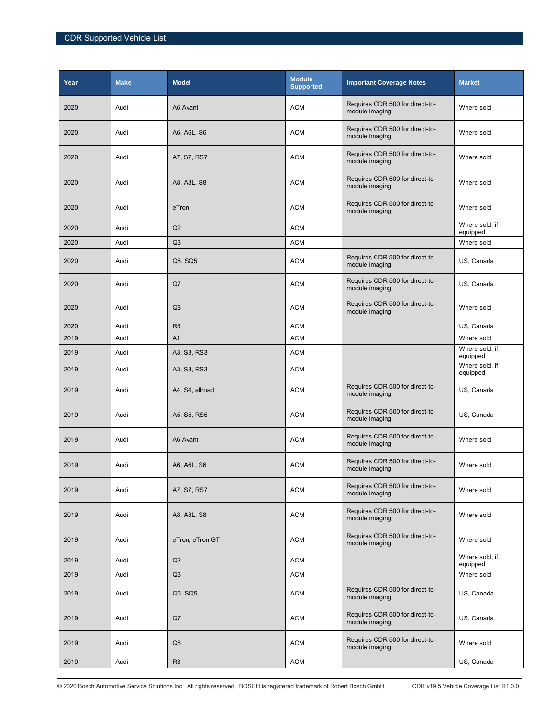| Year | <b>Make</b> | <b>Model</b>    | <b>Module</b><br><b>Supported</b> | <b>Important Coverage Notes</b>                   | <b>Market</b>              |
|------|-------------|-----------------|-----------------------------------|---------------------------------------------------|----------------------------|
| 2020 | Audi        | A6 Avant        | <b>ACM</b>                        | Requires CDR 500 for direct-to-<br>module imaging | Where sold                 |
| 2020 | Audi        | A6, A6L, S6     | <b>ACM</b>                        | Requires CDR 500 for direct-to-<br>module imaging | Where sold                 |
| 2020 | Audi        | A7, S7, RS7     | <b>ACM</b>                        | Requires CDR 500 for direct-to-<br>module imaging | Where sold                 |
| 2020 | Audi        | A8, A8L, S8     | <b>ACM</b>                        | Requires CDR 500 for direct-to-<br>module imaging | Where sold                 |
| 2020 | Audi        | eTron           | <b>ACM</b>                        | Requires CDR 500 for direct-to-<br>module imaging | Where sold                 |
| 2020 | Audi        | Q2              | <b>ACM</b>                        |                                                   | Where sold, if<br>equipped |
| 2020 | Audi        | Q <sub>3</sub>  | <b>ACM</b>                        |                                                   | Where sold                 |
| 2020 | Audi        | Q5, SQ5         | <b>ACM</b>                        | Requires CDR 500 for direct-to-<br>module imaging | US, Canada                 |
| 2020 | Audi        | Q7              | <b>ACM</b>                        | Requires CDR 500 for direct-to-<br>module imaging | US, Canada                 |
| 2020 | Audi        | Q8              | <b>ACM</b>                        | Requires CDR 500 for direct-to-<br>module imaging | Where sold                 |
| 2020 | Audi        | R <sub>8</sub>  | <b>ACM</b>                        |                                                   | US, Canada                 |
| 2019 | Audi        | A <sub>1</sub>  | <b>ACM</b>                        |                                                   | Where sold                 |
| 2019 | Audi        | A3, S3, RS3     | <b>ACM</b>                        |                                                   | Where sold, if<br>equipped |
| 2019 | Audi        | A3, S3, RS3     | <b>ACM</b>                        |                                                   | Where sold, if<br>equipped |
| 2019 | Audi        | A4, S4, allroad | <b>ACM</b>                        | Requires CDR 500 for direct-to-<br>module imaging | US, Canada                 |
| 2019 | Audi        | A5, S5, RS5     | <b>ACM</b>                        | Requires CDR 500 for direct-to-<br>module imaging | US, Canada                 |
| 2019 | Audi        | A6 Avant        | <b>ACM</b>                        | Requires CDR 500 for direct-to-<br>module imaging | Where sold                 |
| 2019 | Audi        | A6, A6L, S6     | <b>ACM</b>                        | Requires CDR 500 for direct-to-<br>module imaging | Where sold                 |
| 2019 | Audi        | A7, S7, RS7     | <b>ACM</b>                        | Requires CDR 500 for direct-to-<br>module imaging | Where sold                 |
| 2019 | Audi        | A8, A8L, S8     | <b>ACM</b>                        | Requires CDR 500 for direct-to-<br>module imaging | Where sold                 |
| 2019 | Audi        | eTron, eTron GT | <b>ACM</b>                        | Requires CDR 500 for direct-to-<br>module imaging | Where sold                 |
| 2019 | Audi        | Q2              | <b>ACM</b>                        |                                                   | Where sold, if<br>equipped |
| 2019 | Audi        | Q3              | <b>ACM</b>                        |                                                   | Where sold                 |
| 2019 | Audi        | Q5, SQ5         | <b>ACM</b>                        | Requires CDR 500 for direct-to-<br>module imaging | US, Canada                 |
| 2019 | Audi        | Q7              | <b>ACM</b>                        | Requires CDR 500 for direct-to-<br>module imaging | US, Canada                 |
| 2019 | Audi        | Q8              | <b>ACM</b>                        | Requires CDR 500 for direct-to-<br>module imaging | Where sold                 |
| 2019 | Audi        | R <sub>8</sub>  | <b>ACM</b>                        |                                                   | US, Canada                 |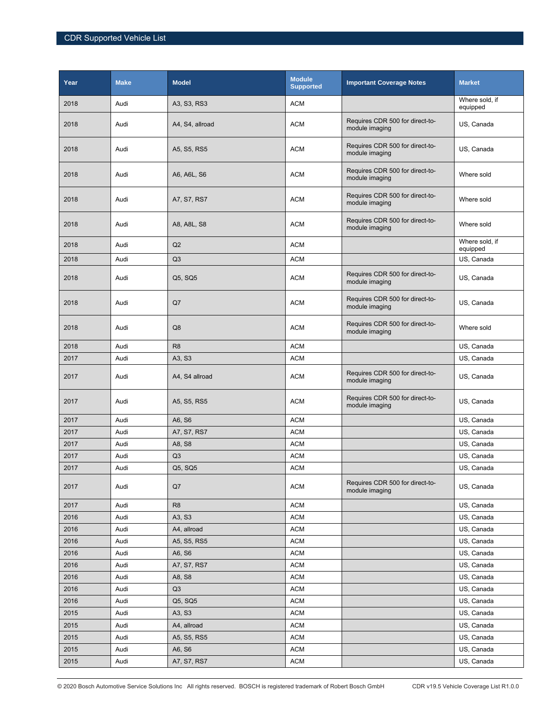| Year | <b>Make</b> | <b>Model</b>    | <b>Module</b><br><b>Supported</b> | <b>Important Coverage Notes</b>                   | <b>Market</b>              |
|------|-------------|-----------------|-----------------------------------|---------------------------------------------------|----------------------------|
| 2018 | Audi        | A3, S3, RS3     | <b>ACM</b>                        |                                                   | Where sold, if<br>equipped |
| 2018 | Audi        | A4, S4, allroad | <b>ACM</b>                        | Requires CDR 500 for direct-to-<br>module imaging | US, Canada                 |
| 2018 | Audi        | A5, S5, RS5     | <b>ACM</b>                        | Requires CDR 500 for direct-to-<br>module imaging | US, Canada                 |
| 2018 | Audi        | A6, A6L, S6     | <b>ACM</b>                        | Requires CDR 500 for direct-to-<br>module imaging | Where sold                 |
| 2018 | Audi        | A7, S7, RS7     | <b>ACM</b>                        | Requires CDR 500 for direct-to-<br>module imaging | Where sold                 |
| 2018 | Audi        | A8, A8L, S8     | <b>ACM</b>                        | Requires CDR 500 for direct-to-<br>module imaging | Where sold                 |
| 2018 | Audi        | Q2              | <b>ACM</b>                        |                                                   | Where sold, if<br>equipped |
| 2018 | Audi        | Q <sub>3</sub>  | <b>ACM</b>                        |                                                   | US, Canada                 |
| 2018 | Audi        | Q5, SQ5         | <b>ACM</b>                        | Requires CDR 500 for direct-to-<br>module imaging | US, Canada                 |
| 2018 | Audi        | Q7              | <b>ACM</b>                        | Requires CDR 500 for direct-to-<br>module imaging | US, Canada                 |
| 2018 | Audi        | Q8              | <b>ACM</b>                        | Requires CDR 500 for direct-to-<br>module imaging | Where sold                 |
| 2018 | Audi        | R <sub>8</sub>  | <b>ACM</b>                        |                                                   | US, Canada                 |
| 2017 | Audi        | A3, S3          | <b>ACM</b>                        |                                                   | US, Canada                 |
| 2017 | Audi        | A4, S4 allroad  | <b>ACM</b>                        | Requires CDR 500 for direct-to-<br>module imaging | US, Canada                 |
| 2017 | Audi        | A5, S5, RS5     | <b>ACM</b>                        | Requires CDR 500 for direct-to-<br>module imaging | US, Canada                 |
| 2017 | Audi        | A6, S6          | <b>ACM</b>                        |                                                   | US, Canada                 |
| 2017 | Audi        | A7, S7, RS7     | <b>ACM</b>                        |                                                   | US, Canada                 |
| 2017 | Audi        | A8, S8          | <b>ACM</b>                        |                                                   | US, Canada                 |
| 2017 | Audi        | Q3              | <b>ACM</b>                        |                                                   | US, Canada                 |
| 2017 | Audi        | Q5, SQ5         | ACM                               |                                                   | US, Canada                 |
| 2017 | Audi        | Q7              | <b>ACM</b>                        | Requires CDR 500 for direct-to-<br>module imaging | US, Canada                 |
| 2017 | Audi        | R <sub>8</sub>  | <b>ACM</b>                        |                                                   | US, Canada                 |
| 2016 | Audi        | A3, S3          | ACM                               |                                                   | US, Canada                 |
| 2016 | Audi        | A4, allroad     | <b>ACM</b>                        |                                                   | US, Canada                 |
| 2016 | Audi        | A5, S5, RS5     | <b>ACM</b>                        |                                                   | US, Canada                 |
| 2016 | Audi        | A6, S6          | <b>ACM</b>                        |                                                   | US, Canada                 |
| 2016 | Audi        | A7, S7, RS7     | <b>ACM</b>                        |                                                   | US, Canada                 |
| 2016 | Audi        | A8, S8          | <b>ACM</b>                        |                                                   | US, Canada                 |
| 2016 | Audi        | Q3              | <b>ACM</b>                        |                                                   | US, Canada                 |
| 2016 | Audi        | Q5, SQ5         | <b>ACM</b>                        |                                                   | US, Canada                 |
| 2015 | Audi        | A3, S3          | <b>ACM</b>                        |                                                   | US, Canada                 |
| 2015 | Audi        | A4, allroad     | <b>ACM</b>                        |                                                   | US, Canada                 |
| 2015 | Audi        | A5, S5, RS5     | <b>ACM</b>                        |                                                   | US, Canada                 |
| 2015 | Audi        | A6, S6          | <b>ACM</b>                        |                                                   | US, Canada                 |
| 2015 | Audi        | A7, S7, RS7     | <b>ACM</b>                        |                                                   | US, Canada                 |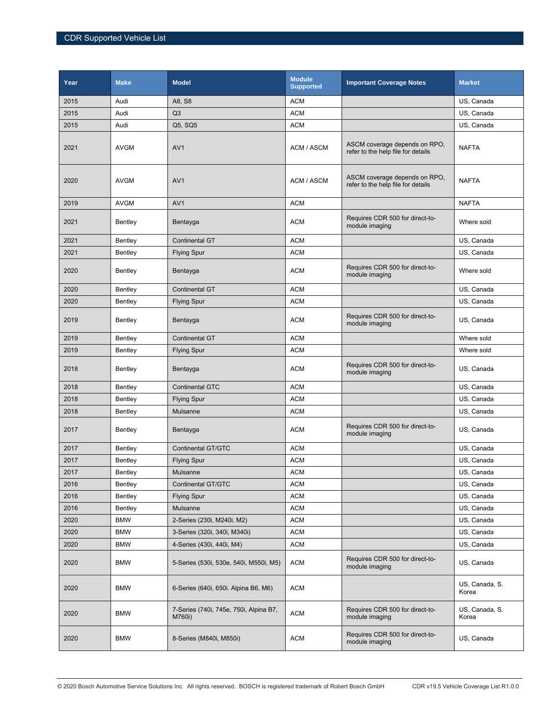| Year | <b>Make</b> | <b>Model</b>                                     | <b>Module</b><br><b>Supported</b> | <b>Important Coverage Notes</b>                                     | <b>Market</b>           |
|------|-------------|--------------------------------------------------|-----------------------------------|---------------------------------------------------------------------|-------------------------|
| 2015 | Audi        | A8, S8                                           | <b>ACM</b>                        |                                                                     | US. Canada              |
| 2015 | Audi        | Q <sub>3</sub>                                   | <b>ACM</b>                        |                                                                     | US, Canada              |
| 2015 | Audi        | Q5, SQ5                                          | <b>ACM</b>                        |                                                                     | US, Canada              |
| 2021 | <b>AVGM</b> | AV <sub>1</sub>                                  | ACM / ASCM                        | ASCM coverage depends on RPO,<br>refer to the help file for details | <b>NAFTA</b>            |
| 2020 | <b>AVGM</b> | AV <sub>1</sub>                                  | ACM / ASCM                        | ASCM coverage depends on RPO,<br>refer to the help file for details | <b>NAFTA</b>            |
| 2019 | <b>AVGM</b> | AV <sub>1</sub>                                  | <b>ACM</b>                        |                                                                     | <b>NAFTA</b>            |
| 2021 | Bentley     | Bentayga                                         | <b>ACM</b>                        | Requires CDR 500 for direct-to-<br>module imaging                   | Where soid              |
| 2021 | Bentley     | <b>Continental GT</b>                            | <b>ACM</b>                        |                                                                     | US, Canada              |
| 2021 | Bentley     | <b>Flying Spur</b>                               | <b>ACM</b>                        |                                                                     | US, Canada              |
| 2020 | Bentley     | Bentayga                                         | <b>ACM</b>                        | Requires CDR 500 for direct-to-<br>module imaging                   | Where sold              |
| 2020 | Bentley     | <b>Continental GT</b>                            | <b>ACM</b>                        |                                                                     | US, Canada              |
| 2020 | Bentley     | <b>Flying Spur</b>                               | <b>ACM</b>                        |                                                                     | US, Canada              |
| 2019 | Bentley     | Bentayga                                         | <b>ACM</b>                        | Requires CDR 500 for direct-to-<br>module imaging                   | US, Canada              |
| 2019 | Bentley     | <b>Continental GT</b>                            | <b>ACM</b>                        |                                                                     | Where sold              |
| 2019 | Bentley     | <b>Flying Spur</b>                               | <b>ACM</b>                        |                                                                     | Where sold              |
| 2018 | Bentley     | Bentayga                                         | <b>ACM</b>                        | Requires CDR 500 for direct-to-<br>module imaging                   | US, Canada              |
| 2018 | Bentley     | <b>Continental GTC</b>                           | <b>ACM</b>                        |                                                                     | US, Canada              |
| 2018 | Bentley     | <b>Flying Spur</b>                               | <b>ACM</b>                        |                                                                     | US, Canada              |
| 2018 | Bentley     | Mulsanne                                         | <b>ACM</b>                        |                                                                     | US, Canada              |
| 2017 | Bentley     | Bentayga                                         | <b>ACM</b>                        | Requires CDR 500 for direct-to-<br>module imaging                   | US, Canada              |
| 2017 | Bentley     | <b>Continental GT/GTC</b>                        | <b>ACM</b>                        |                                                                     | US, Canada              |
| 2017 | Bentley     | <b>Flying Spur</b>                               | <b>ACM</b>                        |                                                                     | US, Canada              |
| 2017 | Bentley     | Mulsanne                                         | <b>ACM</b>                        |                                                                     | US, Canada              |
| 2016 | Bentley     | <b>Continental GT/GTC</b>                        | <b>ACM</b>                        |                                                                     | US, Canada              |
| 2016 | Bentley     | Flying Spur                                      | <b>ACM</b>                        |                                                                     | US, Canada              |
| 2016 | Bentley     | Mulsanne                                         | <b>ACM</b>                        |                                                                     | US, Canada              |
| 2020 | <b>BMW</b>  | 2-Series (230i, M240i, M2)                       | <b>ACM</b>                        |                                                                     | US, Canada              |
| 2020 | <b>BMW</b>  | 3-Series (320i, 340i, M340i)                     | <b>ACM</b>                        |                                                                     | US, Canada              |
| 2020 | <b>BMW</b>  | 4-Series (430i, 440i, M4)                        | <b>ACM</b>                        |                                                                     | US, Canada              |
| 2020 | <b>BMW</b>  | 5-Series (530i, 530e, 540i, M550i, M5)           | <b>ACM</b>                        | Requires CDR 500 for direct-to-<br>module imaging                   | US, Canada              |
| 2020 | <b>BMW</b>  | 6-Series (640i, 650i. Alpina B6, M6)             | <b>ACM</b>                        |                                                                     | US, Canada, S.<br>Korea |
| 2020 | <b>BMW</b>  | 7-Series (740i, 745e, 750i, Alpina B7,<br>M760i) | <b>ACM</b>                        | Requires CDR 500 for direct-to-<br>module imaging                   | US, Canada, S.<br>Korea |
| 2020 | <b>BMW</b>  | 8-Series (M840i, M850i)                          | <b>ACM</b>                        | Requires CDR 500 for direct-to-<br>module imaging                   | US, Canada              |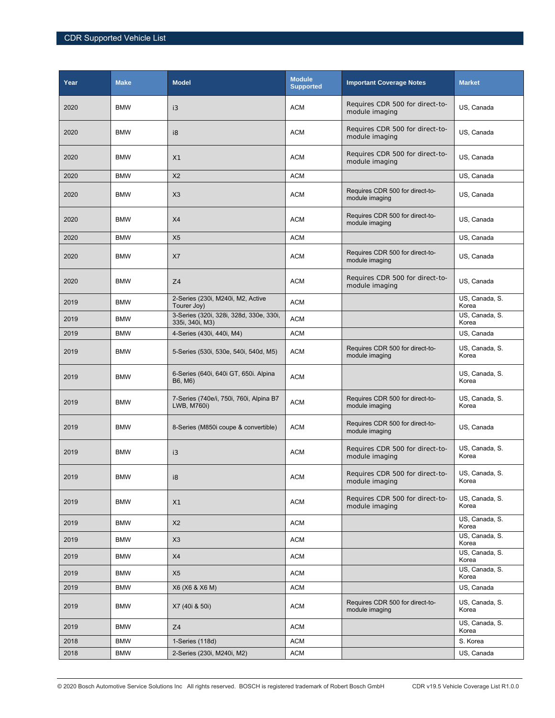| Year | <b>Make</b> | <b>Model</b>                                               | <b>Module</b><br><b>Supported</b> | <b>Important Coverage Notes</b>                   | <b>Market</b>           |
|------|-------------|------------------------------------------------------------|-----------------------------------|---------------------------------------------------|-------------------------|
| 2020 | <b>BMW</b>  | i3                                                         | <b>ACM</b>                        | Requires CDR 500 for direct-to-<br>module imaging | US, Canada              |
| 2020 | <b>BMW</b>  | i8                                                         | <b>ACM</b>                        | Requires CDR 500 for direct-to-<br>module imaging | US, Canada              |
| 2020 | <b>BMW</b>  | X1                                                         | <b>ACM</b>                        | Requires CDR 500 for direct-to-<br>module imaging | US, Canada              |
| 2020 | <b>BMW</b>  | X <sub>2</sub>                                             | <b>ACM</b>                        |                                                   | US, Canada              |
| 2020 | <b>BMW</b>  | X3                                                         | <b>ACM</b>                        | Requires CDR 500 for direct-to-<br>module imaging | US, Canada              |
| 2020 | <b>BMW</b>  | X4                                                         | <b>ACM</b>                        | Requires CDR 500 for direct-to-<br>module imaging | US, Canada              |
| 2020 | <b>BMW</b>  | X <sub>5</sub>                                             | <b>ACM</b>                        |                                                   | US, Canada              |
| 2020 | <b>BMW</b>  | X7                                                         | <b>ACM</b>                        | Requires CDR 500 for direct-to-<br>module imaging | US, Canada              |
| 2020 | <b>BMW</b>  | Z4                                                         | <b>ACM</b>                        | Requires CDR 500 for direct-to-<br>module imaging | US, Canada              |
| 2019 | <b>BMW</b>  | 2-Series (230i, M240i, M2, Active<br>Tourer Joy)           | <b>ACM</b>                        |                                                   | US, Canada, S.<br>Korea |
| 2019 | <b>BMW</b>  | 3-Series (320i, 328i, 328d, 330e, 330i,<br>335i, 340i, M3) | <b>ACM</b>                        |                                                   | US, Canada, S.<br>Korea |
| 2019 | <b>BMW</b>  | 4-Series (430i, 440i, M4)                                  | <b>ACM</b>                        |                                                   | US, Canada              |
| 2019 | <b>BMW</b>  | 5-Series (530i, 530e, 540i, 540d, M5)                      | <b>ACM</b>                        | Requires CDR 500 for direct-to-<br>module imaging | US, Canada, S.<br>Korea |
| 2019 | <b>BMW</b>  | 6-Series (640i, 640i GT, 650i. Alpina<br>B6, M6)           | <b>ACM</b>                        |                                                   | US, Canada, S.<br>Korea |
| 2019 | <b>BMW</b>  | 7-Series (740e/i, 750i, 760i, Alpina B7<br>LWB, M760i)     | <b>ACM</b>                        | Requires CDR 500 for direct-to-<br>module imaging | US, Canada, S.<br>Korea |
| 2019 | <b>BMW</b>  | 8-Series (M850i coupe & convertible)                       | <b>ACM</b>                        | Requires CDR 500 for direct-to-<br>module imaging | US, Canada              |
| 2019 | <b>BMW</b>  | i3                                                         | <b>ACM</b>                        | Requires CDR 500 for direct-to-<br>module imaging | US, Canada, S.<br>Korea |
| 2019 | <b>BMW</b>  | i8                                                         | <b>ACM</b>                        | Requires CDR 500 for direct-to-<br>module imaging | US, Canada, S.<br>Korea |
| 2019 | <b>BMW</b>  | X1                                                         | <b>ACM</b>                        | Requires CDR 500 for direct-to-<br>module imaging | US, Canada, S.<br>Korea |
| 2019 | <b>BMW</b>  | X2                                                         | ACM                               |                                                   | US, Canada, S.<br>Korea |
| 2019 | <b>BMW</b>  | X <sub>3</sub>                                             | <b>ACM</b>                        |                                                   | US, Canada, S.<br>Korea |
| 2019 | <b>BMW</b>  | X4                                                         | <b>ACM</b>                        |                                                   | US, Canada, S.<br>Korea |
| 2019 | <b>BMW</b>  | X <sub>5</sub>                                             | <b>ACM</b>                        |                                                   | US, Canada, S.<br>Korea |
| 2019 | BMW         | X6 (X6 & X6 M)                                             | ACM                               |                                                   | US, Canada              |
| 2019 | <b>BMW</b>  | X7 (40i & 50i)                                             | <b>ACM</b>                        | Requires CDR 500 for direct-to-<br>module imaging | US, Canada, S.<br>Korea |
| 2019 | <b>BMW</b>  | Z4                                                         | <b>ACM</b>                        |                                                   | US, Canada, S.<br>Korea |
| 2018 | <b>BMW</b>  | 1-Series (118d)                                            | ACM                               |                                                   | S. Korea                |
| 2018 | <b>BMW</b>  | 2-Series (230i, M240i, M2)                                 | ACM                               |                                                   | US, Canada              |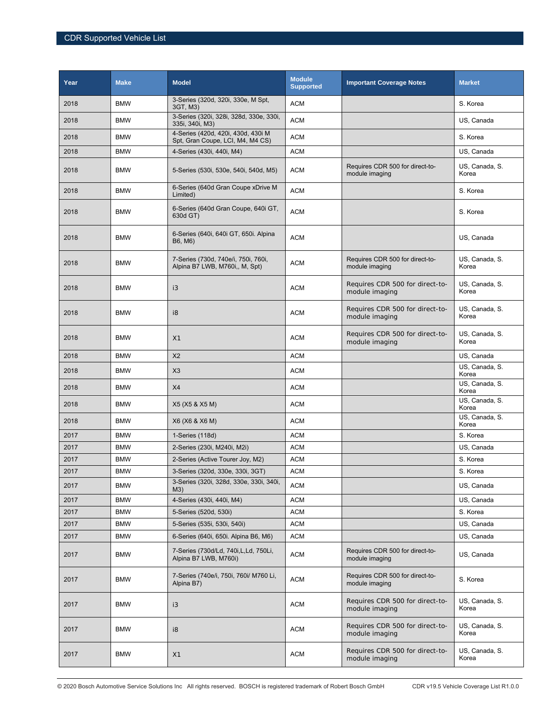| Year | <b>Make</b> | <b>Model</b>                                                           | <b>Module</b><br><b>Supported</b> | <b>Important Coverage Notes</b>                   | <b>Market</b>           |
|------|-------------|------------------------------------------------------------------------|-----------------------------------|---------------------------------------------------|-------------------------|
| 2018 | <b>BMW</b>  | 3-Series (320d, 320i, 330e, M Spt,<br>3GT, M3)                         | ACM                               |                                                   | S. Korea                |
| 2018 | <b>BMW</b>  | 3-Series (320i, 328i, 328d, 330e, 330i,<br>335i, 340i, M3)             | <b>ACM</b>                        |                                                   | US, Canada              |
| 2018 | <b>BMW</b>  | 4-Series (420d, 420i, 430d, 430i M<br>Spt, Gran Coupe, LCI, M4, M4 CS) | ACM                               |                                                   | S. Korea                |
| 2018 | <b>BMW</b>  | 4-Series (430i, 440i, M4)                                              | <b>ACM</b>                        |                                                   | US, Canada              |
| 2018 | <b>BMW</b>  | 5-Series (530i, 530e, 540i, 540d, M5)                                  | <b>ACM</b>                        | Requires CDR 500 for direct-to-<br>module imaging | US, Canada, S.<br>Korea |
| 2018 | <b>BMW</b>  | 6-Series (640d Gran Coupe xDrive M<br>Limited)                         | <b>ACM</b>                        |                                                   | S. Korea                |
| 2018 | <b>BMW</b>  | 6-Series (640d Gran Coupe, 640i GT,<br>630d GT)                        | <b>ACM</b>                        |                                                   | S. Korea                |
| 2018 | <b>BMW</b>  | 6-Series (640i, 640i GT, 650i. Alpina<br>B6, M6)                       | <b>ACM</b>                        |                                                   | US, Canada              |
| 2018 | <b>BMW</b>  | 7-Series (730d, 740e/i, 750i, 760i,<br>Alpina B7 LWB, M760i,, M, Spt)  | <b>ACM</b>                        | Requires CDR 500 for direct-to-<br>module imaging | US, Canada, S.<br>Korea |
| 2018 | <b>BMW</b>  | i3                                                                     | <b>ACM</b>                        | Requires CDR 500 for direct-to-<br>module imaging | US, Canada, S.<br>Korea |
| 2018 | <b>BMW</b>  | i8                                                                     | <b>ACM</b>                        | Requires CDR 500 for direct-to-<br>module imaging | US, Canada, S.<br>Korea |
| 2018 | <b>BMW</b>  | X1                                                                     | ACM                               | Requires CDR 500 for direct-to-<br>module imaging | US, Canada, S.<br>Korea |
| 2018 | <b>BMW</b>  | X <sub>2</sub>                                                         | <b>ACM</b>                        |                                                   | US, Canada              |
| 2018 | <b>BMW</b>  | X3                                                                     | <b>ACM</b>                        |                                                   | US, Canada, S.<br>Korea |
| 2018 | <b>BMW</b>  | X4                                                                     | <b>ACM</b>                        |                                                   | US, Canada, S.<br>Korea |
| 2018 | <b>BMW</b>  | X5 (X5 & X5 M)                                                         | <b>ACM</b>                        |                                                   | US, Canada, S.<br>Korea |
| 2018 | <b>BMW</b>  | X6 (X6 & X6 M)                                                         | <b>ACM</b>                        |                                                   | US, Canada, S.<br>Korea |
| 2017 | <b>BMW</b>  | 1-Series (118d)                                                        | ACM                               |                                                   | S. Korea                |
| 2017 | <b>BMW</b>  | 2-Series (230i, M240i, M2i)                                            | <b>ACM</b>                        |                                                   | US, Canada              |
| 2017 | <b>BMW</b>  | 2-Series (Active Tourer Joy, M2)                                       | <b>ACM</b>                        |                                                   | S. Korea                |
| 2017 | <b>BMW</b>  | 3-Series (320d, 330e, 330i, 3GT)                                       | <b>ACM</b>                        |                                                   | S. Korea                |
| 2017 | <b>BMW</b>  | 3-Series (320i, 328d, 330e, 330i, 340i,<br>M3)                         | <b>ACM</b>                        |                                                   | US, Canada              |
| 2017 | <b>BMW</b>  | 4-Series (430i, 440i, M4)                                              | <b>ACM</b>                        |                                                   | US, Canada              |
| 2017 | <b>BMW</b>  | 5-Series (520d, 530i)                                                  | <b>ACM</b>                        |                                                   | S. Korea                |
| 2017 | <b>BMW</b>  | 5-Series (535i, 530i, 540i)                                            | <b>ACM</b>                        |                                                   | US, Canada              |
| 2017 | <b>BMW</b>  | 6-Series (640i, 650i. Alpina B6, M6)                                   | <b>ACM</b>                        |                                                   | US, Canada              |
| 2017 | <b>BMW</b>  | 7-Series (730d/Ld, 740i, L, Ld, 750Li,<br>Alpina B7 LWB, M760i)        | <b>ACM</b>                        | Requires CDR 500 for direct-to-<br>module imaging | US, Canada              |
| 2017 | <b>BMW</b>  | 7-Series (740e/i, 750i, 760i/ M760 Li,<br>Alpina B7)                   | <b>ACM</b>                        | Requires CDR 500 for direct-to-<br>module imaging | S. Korea                |
| 2017 | <b>BMW</b>  | i3                                                                     | <b>ACM</b>                        | Requires CDR 500 for direct-to-<br>module imaging | US, Canada, S.<br>Korea |
| 2017 | <b>BMW</b>  | i8                                                                     | <b>ACM</b>                        | Requires CDR 500 for direct-to-<br>module imaging | US, Canada, S.<br>Korea |
| 2017 | <b>BMW</b>  | X1                                                                     | <b>ACM</b>                        | Requires CDR 500 for direct-to-<br>module imaging | US, Canada, S.<br>Korea |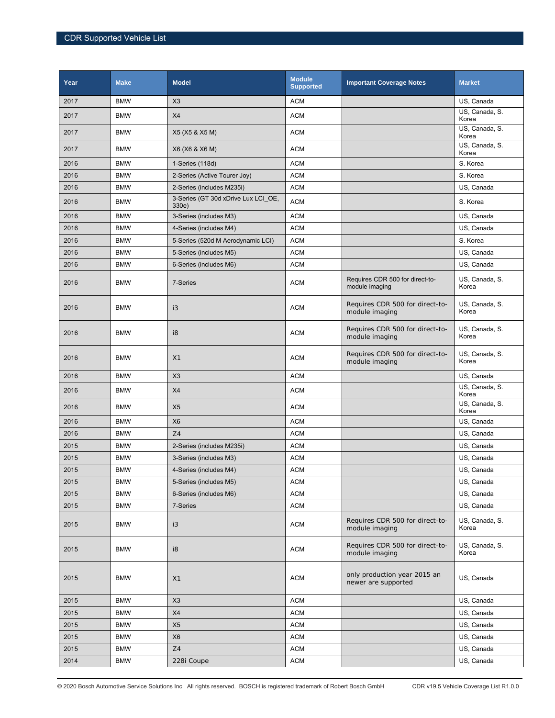| Year | <b>Make</b> | <b>Model</b>                                 | <b>Module</b><br><b>Supported</b> | <b>Important Coverage Notes</b>                     | <b>Market</b>           |
|------|-------------|----------------------------------------------|-----------------------------------|-----------------------------------------------------|-------------------------|
| 2017 | <b>BMW</b>  | X3                                           | <b>ACM</b>                        |                                                     | US, Canada              |
| 2017 | <b>BMW</b>  | X4                                           | <b>ACM</b>                        |                                                     | US, Canada, S.<br>Korea |
| 2017 | <b>BMW</b>  | X5 (X5 & X5 M)                               | <b>ACM</b>                        |                                                     | US, Canada, S.<br>Korea |
| 2017 | <b>BMW</b>  | X6 (X6 & X6 M)                               | <b>ACM</b>                        |                                                     | US, Canada, S.<br>Korea |
| 2016 | <b>BMW</b>  | 1-Series (118d)                              | <b>ACM</b>                        |                                                     | S. Korea                |
| 2016 | <b>BMW</b>  | 2-Series (Active Tourer Joy)                 | <b>ACM</b>                        |                                                     | S. Korea                |
| 2016 | <b>BMW</b>  | 2-Series (includes M235i)                    | <b>ACM</b>                        |                                                     | US, Canada              |
| 2016 | <b>BMW</b>  | 3-Series (GT 30d xDrive Lux LCI OE,<br>330e) | <b>ACM</b>                        |                                                     | S. Korea                |
| 2016 | <b>BMW</b>  | 3-Series (includes M3)                       | <b>ACM</b>                        |                                                     | US, Canada              |
| 2016 | <b>BMW</b>  | 4-Series (includes M4)                       | <b>ACM</b>                        |                                                     | US, Canada              |
| 2016 | <b>BMW</b>  | 5-Series (520d M Aerodynamic LCI)            | <b>ACM</b>                        |                                                     | S. Korea                |
| 2016 | <b>BMW</b>  | 5-Series (includes M5)                       | <b>ACM</b>                        |                                                     | US, Canada              |
| 2016 | <b>BMW</b>  | 6-Series (includes M6)                       | <b>ACM</b>                        |                                                     | US, Canada              |
| 2016 | <b>BMW</b>  | 7-Series                                     | <b>ACM</b>                        | Requires CDR 500 for direct-to-<br>module imaging   | US, Canada, S.<br>Korea |
| 2016 | <b>BMW</b>  | i3                                           | <b>ACM</b>                        | Requires CDR 500 for direct-to-<br>module imaging   | US, Canada, S.<br>Korea |
| 2016 | <b>BMW</b>  | i8                                           | <b>ACM</b>                        | Requires CDR 500 for direct-to-<br>module imaging   | US, Canada, S.<br>Korea |
| 2016 | <b>BMW</b>  | X <sub>1</sub>                               | <b>ACM</b>                        | Requires CDR 500 for direct-to-<br>module imaging   | US, Canada, S.<br>Korea |
| 2016 | <b>BMW</b>  | X3                                           | <b>ACM</b>                        |                                                     | US, Canada              |
| 2016 | <b>BMW</b>  | X4                                           | <b>ACM</b>                        |                                                     | US, Canada, S.<br>Korea |
| 2016 | <b>BMW</b>  | X <sub>5</sub>                               | <b>ACM</b>                        |                                                     | US, Canada, S.<br>Korea |
| 2016 | <b>BMW</b>  | X <sub>6</sub>                               | <b>ACM</b>                        |                                                     | US, Canada              |
| 2016 | <b>BMW</b>  | Z <sub>4</sub>                               | <b>ACM</b>                        |                                                     | US, Canada              |
| 2015 | <b>BMW</b>  | 2-Series (includes M235i)                    | <b>ACM</b>                        |                                                     | US. Canada              |
| 2015 | <b>BMW</b>  | 3-Series (includes M3)                       | <b>ACM</b>                        |                                                     | US, Canada              |
| 2015 | <b>BMW</b>  | 4-Series (includes M4)                       | <b>ACM</b>                        |                                                     | US, Canada              |
| 2015 | <b>BMW</b>  | 5-Series (includes M5)                       | <b>ACM</b>                        |                                                     | US, Canada              |
| 2015 | <b>BMW</b>  | 6-Series (includes M6)                       | <b>ACM</b>                        |                                                     | US, Canada              |
| 2015 | <b>BMW</b>  | 7-Series                                     | ACM                               |                                                     | US, Canada              |
| 2015 | <b>BMW</b>  | i3                                           | ACM                               | Requires CDR 500 for direct-to-<br>module imaging   | US, Canada, S.<br>Korea |
| 2015 | <b>BMW</b>  | i8                                           | <b>ACM</b>                        | Requires CDR 500 for direct-to-<br>module imaging   | US, Canada, S.<br>Korea |
| 2015 | <b>BMW</b>  | X1                                           | <b>ACM</b>                        | only production year 2015 an<br>newer are supported | US, Canada              |
| 2015 | <b>BMW</b>  | X3                                           | <b>ACM</b>                        |                                                     | US, Canada              |
| 2015 | <b>BMW</b>  | X4                                           | <b>ACM</b>                        |                                                     | US, Canada              |
| 2015 | <b>BMW</b>  | X <sub>5</sub>                               | <b>ACM</b>                        |                                                     | US, Canada              |
| 2015 | <b>BMW</b>  | X <sub>6</sub>                               | ACM                               |                                                     | US, Canada              |
| 2015 | <b>BMW</b>  | $\mathsf{Z}4$                                | <b>ACM</b>                        |                                                     | US, Canada              |
| 2014 | <b>BMW</b>  | 228i Coupe                                   | <b>ACM</b>                        |                                                     | US, Canada              |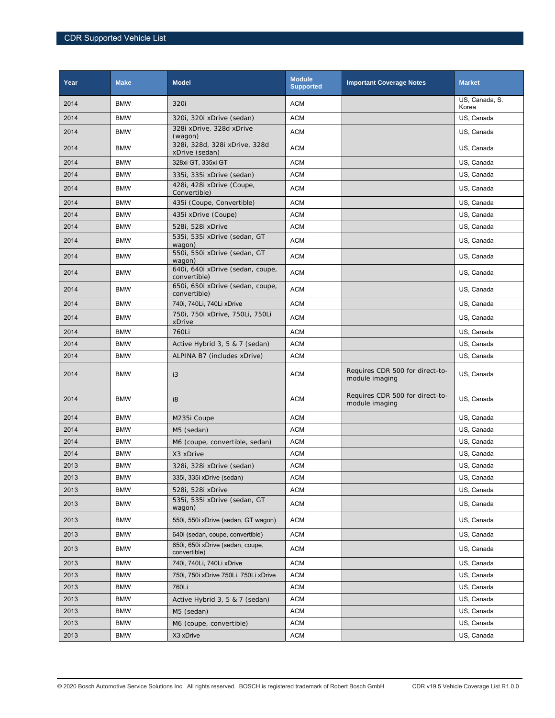| Year | <b>Make</b> | <b>Model</b>                                     | <b>Module</b><br><b>Supported</b> | <b>Important Coverage Notes</b>                   | <b>Market</b>           |
|------|-------------|--------------------------------------------------|-----------------------------------|---------------------------------------------------|-------------------------|
| 2014 | <b>BMW</b>  | 320i                                             | <b>ACM</b>                        |                                                   | US, Canada, S.<br>Korea |
| 2014 | <b>BMW</b>  | 320i, 320i xDrive (sedan)                        | <b>ACM</b>                        |                                                   | US, Canada              |
| 2014 | <b>BMW</b>  | 328i xDrive, 328d xDrive<br>(wagon)              | <b>ACM</b>                        |                                                   | US, Canada              |
| 2014 | <b>BMW</b>  | 328i, 328d, 328i xDrive, 328d<br>xDrive (sedan)  | <b>ACM</b>                        |                                                   | US, Canada              |
| 2014 | <b>BMW</b>  | 328xi GT, 335xi GT                               | <b>ACM</b>                        |                                                   | US, Canada              |
| 2014 | <b>BMW</b>  | 335i, 335i xDrive (sedan)                        | <b>ACM</b>                        |                                                   | US, Canada              |
| 2014 | <b>BMW</b>  | 428i, 428i xDrive (Coupe,<br>Convertible)        | <b>ACM</b>                        |                                                   | US, Canada              |
| 2014 | <b>BMW</b>  | 435i (Coupe, Convertible)                        | <b>ACM</b>                        |                                                   | US, Canada              |
| 2014 | <b>BMW</b>  | 435i xDrive (Coupe)                              | <b>ACM</b>                        |                                                   | US, Canada              |
| 2014 | <b>BMW</b>  | 528i, 528i xDrive                                | <b>ACM</b>                        |                                                   | US, Canada              |
| 2014 | <b>BMW</b>  | 535i, 535i xDrive (sedan, GT<br>wagon)           | <b>ACM</b>                        |                                                   | US, Canada              |
| 2014 | <b>BMW</b>  | 550i, 550i xDrive (sedan, GT<br>wagon)           | <b>ACM</b>                        |                                                   | US, Canada              |
| 2014 | <b>BMW</b>  | 640i, 640i xDrive (sedan, coupe,<br>convertible) | <b>ACM</b>                        |                                                   | US, Canada              |
| 2014 | <b>BMW</b>  | 650i, 650i xDrive (sedan, coupe,<br>convertible) | <b>ACM</b>                        |                                                   | US, Canada              |
| 2014 | <b>BMW</b>  | 740i, 740Li, 740Li xDrive                        | <b>ACM</b>                        |                                                   | US, Canada              |
| 2014 | <b>BMW</b>  | 750i, 750i xDrive, 750Li, 750Li<br>xDrive        | <b>ACM</b>                        |                                                   | US, Canada              |
| 2014 | <b>BMW</b>  | 760Li                                            | <b>ACM</b>                        |                                                   | US, Canada              |
| 2014 | <b>BMW</b>  | Active Hybrid 3, 5 & 7 (sedan)                   | <b>ACM</b>                        |                                                   | US, Canada              |
| 2014 | <b>BMW</b>  | ALPINA B7 (includes xDrive)                      | <b>ACM</b>                        |                                                   | US, Canada              |
| 2014 | <b>BMW</b>  | i3                                               | <b>ACM</b>                        | Requires CDR 500 for direct-to-<br>module imaging | US, Canada              |
| 2014 | <b>BMW</b>  | i8                                               | <b>ACM</b>                        | Requires CDR 500 for direct-to-<br>module imaging | US, Canada              |
| 2014 | <b>BMW</b>  | M235i Coupe                                      | <b>ACM</b>                        |                                                   | US, Canada              |
| 2014 | <b>BMW</b>  | M5 (sedan)                                       | <b>ACM</b>                        |                                                   | US, Canada              |
| 2014 | <b>BMW</b>  | M6 (coupe, convertible, sedan)                   | <b>ACM</b>                        |                                                   | US, Canada              |
| 2014 | <b>BMW</b>  | X3 xDrive                                        | <b>ACM</b>                        |                                                   | US, Canada              |
| 2013 | <b>BMW</b>  | 328i, 328i xDrive (sedan)                        | <b>ACM</b>                        |                                                   | US, Canada              |
| 2013 | <b>BMW</b>  | 335i, 335i xDrive (sedan)                        | <b>ACM</b>                        |                                                   | US, Canada              |
| 2013 | <b>BMW</b>  | 528i, 528i xDrive                                | <b>ACM</b>                        |                                                   | US, Canada              |
| 2013 | <b>BMW</b>  | 535i, 535i xDrive (sedan, GT<br>wagon)           | <b>ACM</b>                        |                                                   | US, Canada              |
| 2013 | <b>BMW</b>  | 550i, 550i xDrive (sedan, GT wagon)              | <b>ACM</b>                        |                                                   | US, Canada              |
| 2013 | <b>BMW</b>  | 640i (sedan, coupe, convertible)                 | <b>ACM</b>                        |                                                   | US, Canada              |
| 2013 | <b>BMW</b>  | 650i, 650i xDrive (sedan, coupe,<br>convertible) | <b>ACM</b>                        |                                                   | US, Canada              |
| 2013 | <b>BMW</b>  | 740i, 740Li, 740Li xDrive                        | <b>ACM</b>                        |                                                   | US, Canada              |
| 2013 | <b>BMW</b>  | 750i, 750i xDrive 750Li, 750Li xDrive            | <b>ACM</b>                        |                                                   | US, Canada              |
| 2013 | <b>BMW</b>  | 760Li                                            | ACM                               |                                                   | US, Canada              |
| 2013 | <b>BMW</b>  | Active Hybrid 3, 5 & 7 (sedan)                   | <b>ACM</b>                        |                                                   | US, Canada              |
| 2013 | <b>BMW</b>  | M5 (sedan)                                       | ACM                               |                                                   | US, Canada              |
| 2013 | <b>BMW</b>  | M6 (coupe, convertible)                          | <b>ACM</b>                        |                                                   | US, Canada              |
| 2013 | <b>BMW</b>  | X3 xDrive                                        | <b>ACM</b>                        |                                                   | US, Canada              |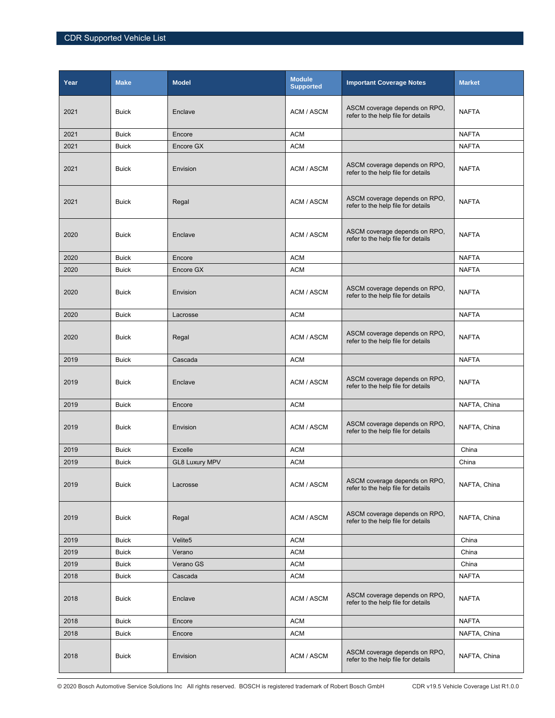| Year | <b>Make</b>  | <b>Model</b>          | <b>Module</b><br><b>Supported</b> | <b>Important Coverage Notes</b>                                     | <b>Market</b> |
|------|--------------|-----------------------|-----------------------------------|---------------------------------------------------------------------|---------------|
| 2021 | <b>Buick</b> | Enclave               | ACM / ASCM                        | ASCM coverage depends on RPO,<br>refer to the help file for details | <b>NAFTA</b>  |
| 2021 | <b>Buick</b> | Encore                | <b>ACM</b>                        |                                                                     | <b>NAFTA</b>  |
| 2021 | <b>Buick</b> | Encore GX             | <b>ACM</b>                        |                                                                     | <b>NAFTA</b>  |
| 2021 | <b>Buick</b> | Envision              | ACM / ASCM                        | ASCM coverage depends on RPO,<br>refer to the help file for details | <b>NAFTA</b>  |
| 2021 | <b>Buick</b> | Regal                 | ACM / ASCM                        | ASCM coverage depends on RPO,<br>refer to the help file for details | <b>NAFTA</b>  |
| 2020 | <b>Buick</b> | Enclave               | ACM / ASCM                        | ASCM coverage depends on RPO,<br>refer to the help file for details | <b>NAFTA</b>  |
| 2020 | <b>Buick</b> | Encore                | <b>ACM</b>                        |                                                                     | <b>NAFTA</b>  |
| 2020 | <b>Buick</b> | Encore GX             | <b>ACM</b>                        |                                                                     | <b>NAFTA</b>  |
| 2020 | <b>Buick</b> | Envision              | ACM / ASCM                        | ASCM coverage depends on RPO,<br>refer to the help file for details | <b>NAFTA</b>  |
| 2020 | <b>Buick</b> | Lacrosse              | <b>ACM</b>                        |                                                                     | <b>NAFTA</b>  |
| 2020 | <b>Buick</b> | Regal                 | ACM / ASCM                        | ASCM coverage depends on RPO,<br>refer to the help file for details | <b>NAFTA</b>  |
| 2019 | <b>Buick</b> | Cascada               | <b>ACM</b>                        |                                                                     | <b>NAFTA</b>  |
| 2019 | <b>Buick</b> | Enclave               | ACM / ASCM                        | ASCM coverage depends on RPO,<br>refer to the help file for details | <b>NAFTA</b>  |
| 2019 | <b>Buick</b> | Encore                | <b>ACM</b>                        |                                                                     | NAFTA, China  |
| 2019 | <b>Buick</b> | Envision              | ACM / ASCM                        | ASCM coverage depends on RPO,<br>refer to the help file for details | NAFTA, China  |
| 2019 | <b>Buick</b> | <b>Excelle</b>        | <b>ACM</b>                        |                                                                     | China         |
| 2019 | <b>Buick</b> | <b>GL8 Luxury MPV</b> | <b>ACM</b>                        |                                                                     | China         |
| 2019 | <b>Buick</b> | Lacrosse              | ACM / ASCM                        | ASCM coverage depends on RPO,<br>refer to the help file for details | NAFTA, China  |
| 2019 | <b>Buick</b> | Regal                 | ACM / ASCM                        | ASCM coverage depends on RPO,<br>refer to the help file for details | NAFTA, China  |
| 2019 | <b>Buick</b> | Velite <sub>5</sub>   | <b>ACM</b>                        |                                                                     | China         |
| 2019 | <b>Buick</b> | Verano                | <b>ACM</b>                        |                                                                     | China         |
| 2019 | <b>Buick</b> | Verano GS             | <b>ACM</b>                        |                                                                     | China         |
| 2018 | <b>Buick</b> | Cascada               | <b>ACM</b>                        |                                                                     | <b>NAFTA</b>  |
| 2018 | <b>Buick</b> | Enclave               | ACM / ASCM                        | ASCM coverage depends on RPO,<br>refer to the help file for details | <b>NAFTA</b>  |
| 2018 | <b>Buick</b> | Encore                | <b>ACM</b>                        |                                                                     | <b>NAFTA</b>  |
| 2018 | <b>Buick</b> | Encore                | <b>ACM</b>                        |                                                                     | NAFTA, China  |
| 2018 | <b>Buick</b> | Envision              | ACM / ASCM                        | ASCM coverage depends on RPO,<br>refer to the help file for details | NAFTA, China  |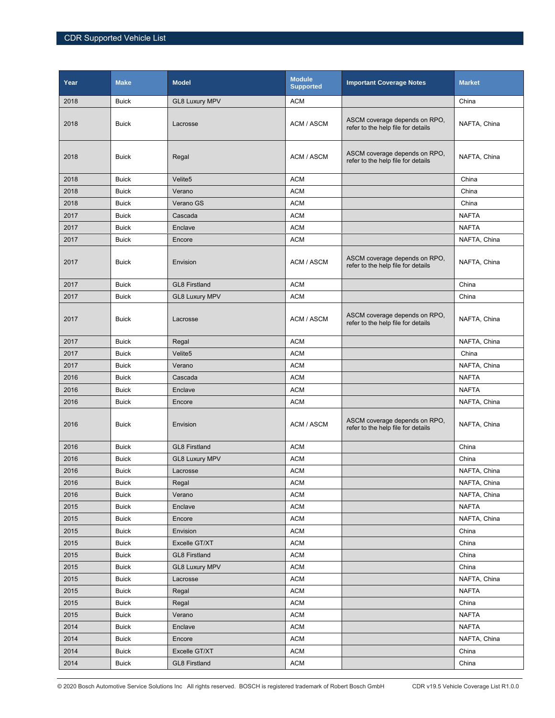| Year | <b>Make</b>  | <b>Model</b>          | <b>Module</b><br><b>Supported</b> | <b>Important Coverage Notes</b>                                     | <b>Market</b> |
|------|--------------|-----------------------|-----------------------------------|---------------------------------------------------------------------|---------------|
| 2018 | <b>Buick</b> | <b>GL8 Luxury MPV</b> | <b>ACM</b>                        |                                                                     | China         |
| 2018 | <b>Buick</b> | Lacrosse              | ACM / ASCM                        | ASCM coverage depends on RPO,<br>refer to the help file for details | NAFTA, China  |
| 2018 | <b>Buick</b> | Regal                 | ACM / ASCM                        | ASCM coverage depends on RPO,<br>refer to the help file for details | NAFTA, China  |
| 2018 | <b>Buick</b> | Velite <sub>5</sub>   | <b>ACM</b>                        |                                                                     | China         |
| 2018 | <b>Buick</b> | Verano                | <b>ACM</b>                        |                                                                     | China         |
| 2018 | <b>Buick</b> | Verano GS             | <b>ACM</b>                        |                                                                     | China         |
| 2017 | <b>Buick</b> | Cascada               | <b>ACM</b>                        |                                                                     | <b>NAFTA</b>  |
| 2017 | <b>Buick</b> | Enclave               | <b>ACM</b>                        |                                                                     | <b>NAFTA</b>  |
| 2017 | <b>Buick</b> | Encore                | <b>ACM</b>                        |                                                                     | NAFTA, China  |
| 2017 | <b>Buick</b> | Envision              | ACM / ASCM                        | ASCM coverage depends on RPO,<br>refer to the help file for details | NAFTA, China  |
| 2017 | <b>Buick</b> | <b>GL8 Firstland</b>  | <b>ACM</b>                        |                                                                     | China         |
| 2017 | <b>Buick</b> | <b>GL8 Luxury MPV</b> | <b>ACM</b>                        |                                                                     | China         |
| 2017 | <b>Buick</b> | Lacrosse              | ACM / ASCM                        | ASCM coverage depends on RPO,<br>refer to the help file for details | NAFTA, China  |
| 2017 | <b>Buick</b> | Regal                 | <b>ACM</b>                        |                                                                     | NAFTA, China  |
| 2017 | <b>Buick</b> | Velite <sub>5</sub>   | <b>ACM</b>                        |                                                                     | China         |
| 2017 | <b>Buick</b> | Verano                | <b>ACM</b>                        |                                                                     | NAFTA, China  |
| 2016 | <b>Buick</b> | Cascada               | <b>ACM</b>                        |                                                                     | <b>NAFTA</b>  |
| 2016 | <b>Buick</b> | Enclave               | <b>ACM</b>                        |                                                                     | <b>NAFTA</b>  |
| 2016 | <b>Buick</b> | Encore                | <b>ACM</b>                        |                                                                     | NAFTA, China  |
| 2016 | <b>Buick</b> | Envision              | ACM / ASCM                        | ASCM coverage depends on RPO,<br>refer to the help file for details | NAFTA, China  |
| 2016 | <b>Buick</b> | <b>GL8 Firstland</b>  | <b>ACM</b>                        |                                                                     | China         |
| 2016 | <b>Buick</b> | <b>GL8 Luxury MPV</b> | <b>ACM</b>                        |                                                                     | China         |
| 2016 | <b>Buick</b> | Lacrosse              | <b>ACM</b>                        |                                                                     | NAFTA, China  |
| 2016 | <b>Buick</b> | Regal                 | <b>ACM</b>                        |                                                                     | NAFTA, China  |
| 2016 | <b>Buick</b> | Verano                | <b>ACM</b>                        |                                                                     | NAFTA, China  |
| 2015 | <b>Buick</b> | Enclave               | <b>ACM</b>                        |                                                                     | <b>NAFTA</b>  |
| 2015 | <b>Buick</b> | Encore                | <b>ACM</b>                        |                                                                     | NAFTA, China  |
| 2015 | <b>Buick</b> | Envision              | <b>ACM</b>                        |                                                                     | China         |
| 2015 | <b>Buick</b> | Excelle GT/XT         | <b>ACM</b>                        |                                                                     | China         |
| 2015 | <b>Buick</b> | <b>GL8 Firstland</b>  | <b>ACM</b>                        |                                                                     | China         |
| 2015 | <b>Buick</b> | <b>GL8 Luxury MPV</b> | ACM                               |                                                                     | China         |
| 2015 | <b>Buick</b> | Lacrosse              | <b>ACM</b>                        |                                                                     | NAFTA, China  |
| 2015 | <b>Buick</b> | Regal                 | <b>ACM</b>                        |                                                                     | <b>NAFTA</b>  |
| 2015 | <b>Buick</b> | Regal                 | <b>ACM</b>                        |                                                                     | China         |
| 2015 | <b>Buick</b> | Verano                | <b>ACM</b>                        |                                                                     | <b>NAFTA</b>  |
| 2014 | <b>Buick</b> | Enclave               | ACM                               |                                                                     | <b>NAFTA</b>  |
| 2014 | <b>Buick</b> | Encore                | <b>ACM</b>                        |                                                                     | NAFTA, China  |
| 2014 | <b>Buick</b> | Excelle GT/XT         | <b>ACM</b>                        |                                                                     | China         |
| 2014 | <b>Buick</b> | <b>GL8 Firstland</b>  | $\mathsf{ACM}$                    |                                                                     | China         |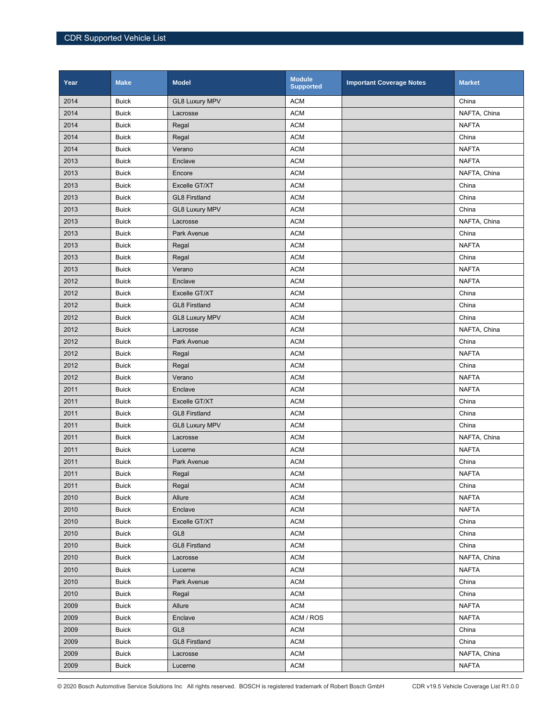| Year | <b>Make</b>  | <b>Model</b>          | <b>Module</b><br><b>Supported</b> | <b>Important Coverage Notes</b> | <b>Market</b> |
|------|--------------|-----------------------|-----------------------------------|---------------------------------|---------------|
| 2014 | <b>Buick</b> | <b>GL8 Luxury MPV</b> | <b>ACM</b>                        |                                 | China         |
| 2014 | <b>Buick</b> | Lacrosse              | <b>ACM</b>                        |                                 | NAFTA, China  |
| 2014 | <b>Buick</b> | Regal                 | <b>ACM</b>                        |                                 | <b>NAFTA</b>  |
| 2014 | <b>Buick</b> | Regal                 | <b>ACM</b>                        |                                 | China         |
| 2014 | <b>Buick</b> | Verano                | <b>ACM</b>                        |                                 | <b>NAFTA</b>  |
| 2013 | <b>Buick</b> | Enclave               | <b>ACM</b>                        |                                 | <b>NAFTA</b>  |
| 2013 | <b>Buick</b> | Encore                | <b>ACM</b>                        |                                 | NAFTA, China  |
| 2013 | <b>Buick</b> | Excelle GT/XT         | <b>ACM</b>                        |                                 | China         |
| 2013 | <b>Buick</b> | <b>GL8 Firstland</b>  | <b>ACM</b>                        |                                 | China         |
| 2013 | <b>Buick</b> | <b>GL8 Luxury MPV</b> | <b>ACM</b>                        |                                 | China         |
| 2013 | <b>Buick</b> | Lacrosse              | <b>ACM</b>                        |                                 | NAFTA, China  |
| 2013 | <b>Buick</b> | Park Avenue           | <b>ACM</b>                        |                                 | China         |
| 2013 | <b>Buick</b> | Regal                 | <b>ACM</b>                        |                                 | <b>NAFTA</b>  |
| 2013 | <b>Buick</b> | Regal                 | <b>ACM</b>                        |                                 | China         |
| 2013 | <b>Buick</b> | Verano                | <b>ACM</b>                        |                                 | <b>NAFTA</b>  |
| 2012 | <b>Buick</b> | Enclave               | <b>ACM</b>                        |                                 | <b>NAFTA</b>  |
| 2012 | <b>Buick</b> | Excelle GT/XT         | <b>ACM</b>                        |                                 | China         |
| 2012 | <b>Buick</b> | <b>GL8 Firstland</b>  | <b>ACM</b>                        |                                 | China         |
| 2012 | <b>Buick</b> | <b>GL8 Luxury MPV</b> | <b>ACM</b>                        |                                 | China         |
| 2012 | <b>Buick</b> | Lacrosse              | <b>ACM</b>                        |                                 | NAFTA, China  |
| 2012 | <b>Buick</b> | Park Avenue           | <b>ACM</b>                        |                                 | China         |
| 2012 | <b>Buick</b> | Regal                 | <b>ACM</b>                        |                                 | <b>NAFTA</b>  |
| 2012 | <b>Buick</b> | Regal                 | <b>ACM</b>                        |                                 | China         |
| 2012 | <b>Buick</b> | Verano                | <b>ACM</b>                        |                                 | <b>NAFTA</b>  |
| 2011 | <b>Buick</b> | Enclave               | <b>ACM</b>                        |                                 | <b>NAFTA</b>  |
| 2011 | <b>Buick</b> | Excelle GT/XT         | <b>ACM</b>                        |                                 | China         |
| 2011 | <b>Buick</b> | <b>GL8 Firstland</b>  | <b>ACM</b>                        |                                 | China         |
| 2011 | <b>Buick</b> | <b>GL8 Luxury MPV</b> | <b>ACM</b>                        |                                 | China         |
| 2011 | <b>Buick</b> | Lacrosse              | <b>ACM</b>                        |                                 | NAFTA, China  |
| 2011 | <b>Buick</b> | Lucerne               | <b>ACM</b>                        |                                 | <b>NAFTA</b>  |
| 2011 | <b>Buick</b> | Park Avenue           | <b>ACM</b>                        |                                 | China         |
| 2011 | <b>Buick</b> | Regal                 | <b>ACM</b>                        |                                 | <b>NAFTA</b>  |
| 2011 | <b>Buick</b> | Regal                 | <b>ACM</b>                        |                                 | China         |
| 2010 | <b>Buick</b> | Allure                | <b>ACM</b>                        |                                 | <b>NAFTA</b>  |
| 2010 | <b>Buick</b> | Enclave               | <b>ACM</b>                        |                                 | <b>NAFTA</b>  |
| 2010 | <b>Buick</b> | Excelle GT/XT         | <b>ACM</b>                        |                                 | China         |
| 2010 | <b>Buick</b> | GL <sub>8</sub>       | <b>ACM</b>                        |                                 | China         |
| 2010 | <b>Buick</b> | <b>GL8 Firstland</b>  | <b>ACM</b>                        |                                 | China         |
| 2010 | <b>Buick</b> | Lacrosse              | <b>ACM</b>                        |                                 | NAFTA, China  |
| 2010 | <b>Buick</b> | Lucerne               | <b>ACM</b>                        |                                 | <b>NAFTA</b>  |
| 2010 | <b>Buick</b> | Park Avenue           | <b>ACM</b>                        |                                 | China         |
| 2010 | <b>Buick</b> | Regal                 | <b>ACM</b>                        |                                 | China         |
| 2009 | <b>Buick</b> | Allure                | <b>ACM</b>                        |                                 | <b>NAFTA</b>  |
| 2009 | <b>Buick</b> | Enclave               | ACM / ROS                         |                                 | <b>NAFTA</b>  |
| 2009 | <b>Buick</b> | GL <sub>8</sub>       | <b>ACM</b>                        |                                 | China         |
| 2009 | <b>Buick</b> | <b>GL8 Firstland</b>  | <b>ACM</b>                        |                                 | China         |
| 2009 | <b>Buick</b> | Lacrosse              | <b>ACM</b>                        |                                 | NAFTA, China  |
| 2009 | <b>Buick</b> | Lucerne               | <b>ACM</b>                        |                                 | <b>NAFTA</b>  |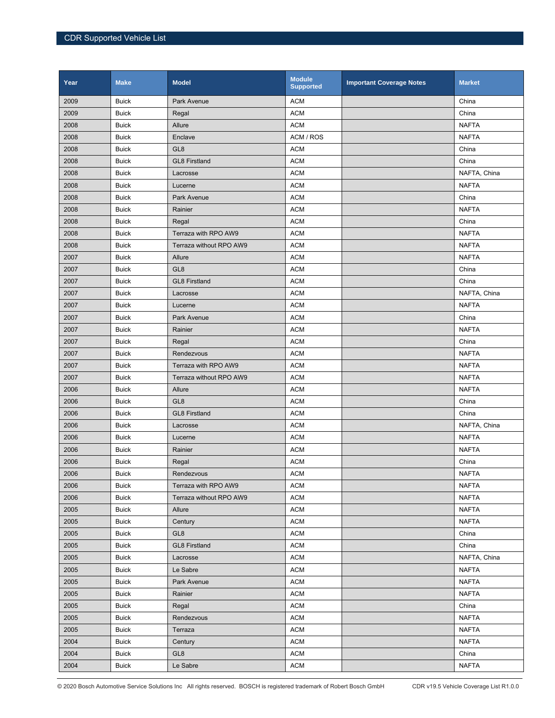| Year | <b>Make</b>  | <b>Model</b>            | <b>Module</b><br><b>Supported</b> | <b>Important Coverage Notes</b> | <b>Market</b> |
|------|--------------|-------------------------|-----------------------------------|---------------------------------|---------------|
| 2009 | <b>Buick</b> | Park Avenue             | <b>ACM</b>                        |                                 | China         |
| 2009 | <b>Buick</b> | Regal                   | <b>ACM</b>                        |                                 | China         |
| 2008 | <b>Buick</b> | Allure                  | <b>ACM</b>                        |                                 | <b>NAFTA</b>  |
| 2008 | <b>Buick</b> | Enclave                 | ACM / ROS                         |                                 | <b>NAFTA</b>  |
| 2008 | <b>Buick</b> | GL <sub>8</sub>         | <b>ACM</b>                        |                                 | China         |
| 2008 | <b>Buick</b> | <b>GL8 Firstland</b>    | <b>ACM</b>                        |                                 | China         |
| 2008 | <b>Buick</b> | Lacrosse                | <b>ACM</b>                        |                                 | NAFTA, China  |
| 2008 | <b>Buick</b> | Lucerne                 | <b>ACM</b>                        |                                 | <b>NAFTA</b>  |
| 2008 | <b>Buick</b> | Park Avenue             | <b>ACM</b>                        |                                 | China         |
| 2008 | <b>Buick</b> | Rainier                 | <b>ACM</b>                        |                                 | <b>NAFTA</b>  |
| 2008 | <b>Buick</b> | Regal                   | <b>ACM</b>                        |                                 | China         |
| 2008 | <b>Buick</b> | Terraza with RPO AW9    | <b>ACM</b>                        |                                 | <b>NAFTA</b>  |
| 2008 | <b>Buick</b> | Terraza without RPO AW9 | <b>ACM</b>                        |                                 | <b>NAFTA</b>  |
| 2007 | <b>Buick</b> | Allure                  | <b>ACM</b>                        |                                 | <b>NAFTA</b>  |
| 2007 | <b>Buick</b> | GL <sub>8</sub>         | <b>ACM</b>                        |                                 | China         |
| 2007 | <b>Buick</b> | <b>GL8 Firstland</b>    | <b>ACM</b>                        |                                 | China         |
| 2007 | <b>Buick</b> | Lacrosse                | <b>ACM</b>                        |                                 | NAFTA, China  |
| 2007 | <b>Buick</b> | Lucerne                 | <b>ACM</b>                        |                                 | <b>NAFTA</b>  |
| 2007 | <b>Buick</b> | Park Avenue             | <b>ACM</b>                        |                                 | China         |
| 2007 | <b>Buick</b> | Rainier                 | <b>ACM</b>                        |                                 | <b>NAFTA</b>  |
| 2007 | <b>Buick</b> | Regal                   | <b>ACM</b>                        |                                 | China         |
| 2007 | <b>Buick</b> | Rendezvous              | <b>ACM</b>                        |                                 | <b>NAFTA</b>  |
| 2007 | <b>Buick</b> | Terraza with RPO AW9    | <b>ACM</b>                        |                                 | <b>NAFTA</b>  |
| 2007 | <b>Buick</b> | Terraza without RPO AW9 | <b>ACM</b>                        |                                 | <b>NAFTA</b>  |
| 2006 | <b>Buick</b> | Allure                  | <b>ACM</b>                        |                                 | <b>NAFTA</b>  |
| 2006 | <b>Buick</b> | GL <sub>8</sub>         | <b>ACM</b>                        |                                 | China         |
| 2006 | <b>Buick</b> | <b>GL8 Firstland</b>    | <b>ACM</b>                        |                                 | China         |
| 2006 | <b>Buick</b> | Lacrosse                | <b>ACM</b>                        |                                 | NAFTA, China  |
| 2006 | <b>Buick</b> | Lucerne                 | <b>ACM</b>                        |                                 | <b>NAFTA</b>  |
| 2006 | <b>Buick</b> | Rainier                 | <b>ACM</b>                        |                                 | <b>NAFTA</b>  |
| 2006 | <b>Buick</b> | Regal                   | <b>ACM</b>                        |                                 | China         |
| 2006 | <b>Buick</b> | Rendezvous              | <b>ACM</b>                        |                                 | <b>NAFTA</b>  |
| 2006 | <b>Buick</b> | Terraza with RPO AW9    | <b>ACM</b>                        |                                 | <b>NAFTA</b>  |
| 2006 | <b>Buick</b> | Terraza without RPO AW9 | <b>ACM</b>                        |                                 | <b>NAFTA</b>  |
| 2005 | <b>Buick</b> | Allure                  | <b>ACM</b>                        |                                 | <b>NAFTA</b>  |
| 2005 | <b>Buick</b> | Century                 | <b>ACM</b>                        |                                 | <b>NAFTA</b>  |
| 2005 | <b>Buick</b> | GL <sub>8</sub>         | <b>ACM</b>                        |                                 | China         |
| 2005 | <b>Buick</b> | <b>GL8 Firstland</b>    | <b>ACM</b>                        |                                 | China         |
| 2005 | <b>Buick</b> | Lacrosse                | <b>ACM</b>                        |                                 | NAFTA, China  |
| 2005 | <b>Buick</b> | Le Sabre                | <b>ACM</b>                        |                                 | <b>NAFTA</b>  |
| 2005 | <b>Buick</b> | Park Avenue             | <b>ACM</b>                        |                                 | <b>NAFTA</b>  |
| 2005 | <b>Buick</b> | Rainier                 | <b>ACM</b>                        |                                 | <b>NAFTA</b>  |
| 2005 | <b>Buick</b> | Regal                   | <b>ACM</b>                        |                                 | China         |
| 2005 | <b>Buick</b> | Rendezvous              | <b>ACM</b>                        |                                 | <b>NAFTA</b>  |
| 2005 | <b>Buick</b> | Terraza                 | <b>ACM</b>                        |                                 | <b>NAFTA</b>  |
| 2004 | <b>Buick</b> | Century                 | <b>ACM</b>                        |                                 | <b>NAFTA</b>  |
| 2004 | <b>Buick</b> | GL <sub>8</sub>         | <b>ACM</b>                        |                                 | China         |
| 2004 | <b>Buick</b> | Le Sabre                | <b>ACM</b>                        |                                 | <b>NAFTA</b>  |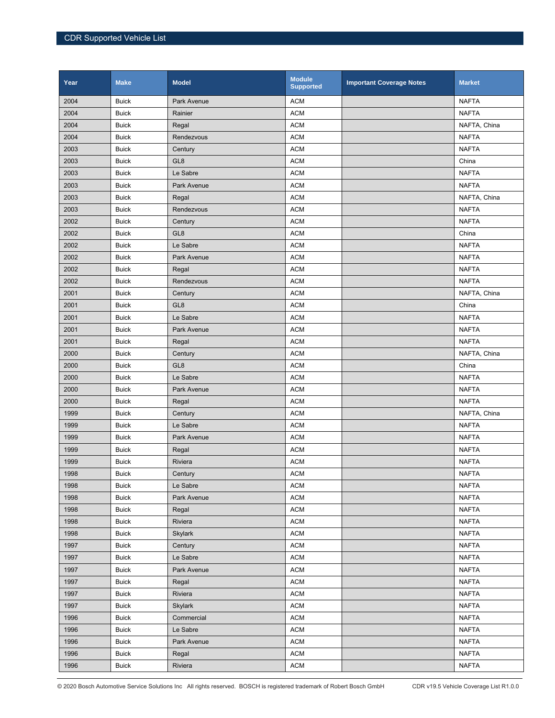| Year | <b>Make</b>  | <b>Model</b>    | <b>Module</b><br><b>Supported</b> | <b>Important Coverage Notes</b> | <b>Market</b> |
|------|--------------|-----------------|-----------------------------------|---------------------------------|---------------|
| 2004 | <b>Buick</b> | Park Avenue     | <b>ACM</b>                        |                                 | <b>NAFTA</b>  |
| 2004 | <b>Buick</b> | Rainier         | <b>ACM</b>                        |                                 | <b>NAFTA</b>  |
| 2004 | <b>Buick</b> | Regal           | <b>ACM</b>                        |                                 | NAFTA, China  |
| 2004 | <b>Buick</b> | Rendezvous      | <b>ACM</b>                        |                                 | <b>NAFTA</b>  |
| 2003 | <b>Buick</b> | Century         | <b>ACM</b>                        |                                 | <b>NAFTA</b>  |
| 2003 | <b>Buick</b> | GL <sub>8</sub> | <b>ACM</b>                        |                                 | China         |
| 2003 | <b>Buick</b> | Le Sabre        | <b>ACM</b>                        |                                 | <b>NAFTA</b>  |
| 2003 | <b>Buick</b> | Park Avenue     | <b>ACM</b>                        |                                 | <b>NAFTA</b>  |
| 2003 | <b>Buick</b> | Regal           | <b>ACM</b>                        |                                 | NAFTA, China  |
| 2003 | <b>Buick</b> | Rendezvous      | <b>ACM</b>                        |                                 | <b>NAFTA</b>  |
| 2002 | <b>Buick</b> | Century         | <b>ACM</b>                        |                                 | <b>NAFTA</b>  |
| 2002 | <b>Buick</b> | GL <sub>8</sub> | <b>ACM</b>                        |                                 | China         |
| 2002 | <b>Buick</b> | Le Sabre        | <b>ACM</b>                        |                                 | <b>NAFTA</b>  |
| 2002 | <b>Buick</b> | Park Avenue     | <b>ACM</b>                        |                                 | <b>NAFTA</b>  |
| 2002 | <b>Buick</b> | Regal           | <b>ACM</b>                        |                                 | <b>NAFTA</b>  |
| 2002 | <b>Buick</b> | Rendezvous      | <b>ACM</b>                        |                                 | <b>NAFTA</b>  |
| 2001 | <b>Buick</b> | Century         | <b>ACM</b>                        |                                 | NAFTA, China  |
| 2001 | <b>Buick</b> | GL <sub>8</sub> | <b>ACM</b>                        |                                 | China         |
| 2001 | <b>Buick</b> | Le Sabre        | <b>ACM</b>                        |                                 | <b>NAFTA</b>  |
| 2001 | <b>Buick</b> | Park Avenue     | <b>ACM</b>                        |                                 | <b>NAFTA</b>  |
| 2001 | <b>Buick</b> | Regal           | <b>ACM</b>                        |                                 | <b>NAFTA</b>  |
| 2000 | <b>Buick</b> | Century         | <b>ACM</b>                        |                                 | NAFTA, China  |
| 2000 | <b>Buick</b> | GL <sub>8</sub> | <b>ACM</b>                        |                                 | China         |
| 2000 | <b>Buick</b> | Le Sabre        | <b>ACM</b>                        |                                 | <b>NAFTA</b>  |
| 2000 | <b>Buick</b> | Park Avenue     | <b>ACM</b>                        |                                 | <b>NAFTA</b>  |
| 2000 | <b>Buick</b> | Regal           | <b>ACM</b>                        |                                 | <b>NAFTA</b>  |
| 1999 | <b>Buick</b> | Century         | <b>ACM</b>                        |                                 | NAFTA, China  |
| 1999 | <b>Buick</b> | Le Sabre        | <b>ACM</b>                        |                                 | <b>NAFTA</b>  |
| 1999 | <b>Buick</b> | Park Avenue     | <b>ACM</b>                        |                                 | <b>NAFTA</b>  |
| 1999 | <b>Buick</b> | Regal           | <b>ACM</b>                        |                                 | <b>NAFTA</b>  |
| 1999 | <b>Buick</b> | Riviera         | <b>ACM</b>                        |                                 | <b>NAFTA</b>  |
| 1998 | <b>Buick</b> | Century         | <b>ACM</b>                        |                                 | <b>NAFTA</b>  |
| 1998 | <b>Buick</b> | Le Sabre        | <b>ACM</b>                        |                                 | <b>NAFTA</b>  |
| 1998 | <b>Buick</b> | Park Avenue     | <b>ACM</b>                        |                                 | <b>NAFTA</b>  |
| 1998 | <b>Buick</b> | Regal           | <b>ACM</b>                        |                                 | <b>NAFTA</b>  |
| 1998 | <b>Buick</b> | Riviera         | <b>ACM</b>                        |                                 | <b>NAFTA</b>  |
| 1998 | <b>Buick</b> | <b>Skylark</b>  | <b>ACM</b>                        |                                 | <b>NAFTA</b>  |
| 1997 | <b>Buick</b> | Century         | <b>ACM</b>                        |                                 | <b>NAFTA</b>  |
| 1997 | <b>Buick</b> | Le Sabre        | <b>ACM</b>                        |                                 | <b>NAFTA</b>  |
| 1997 | <b>Buick</b> | Park Avenue     | <b>ACM</b>                        |                                 | <b>NAFTA</b>  |
| 1997 | <b>Buick</b> | Regal           | <b>ACM</b>                        |                                 | <b>NAFTA</b>  |
| 1997 | <b>Buick</b> | Riviera         | <b>ACM</b>                        |                                 | <b>NAFTA</b>  |
| 1997 | <b>Buick</b> | <b>Skylark</b>  | <b>ACM</b>                        |                                 | <b>NAFTA</b>  |
| 1996 | <b>Buick</b> | Commercial      | <b>ACM</b>                        |                                 | <b>NAFTA</b>  |
| 1996 | <b>Buick</b> | Le Sabre        | <b>ACM</b>                        |                                 | <b>NAFTA</b>  |
| 1996 | <b>Buick</b> | Park Avenue     | <b>ACM</b>                        |                                 | <b>NAFTA</b>  |
| 1996 | <b>Buick</b> | Regal           | <b>ACM</b>                        |                                 | <b>NAFTA</b>  |
| 1996 | <b>Buick</b> | Riviera         | <b>ACM</b>                        |                                 | <b>NAFTA</b>  |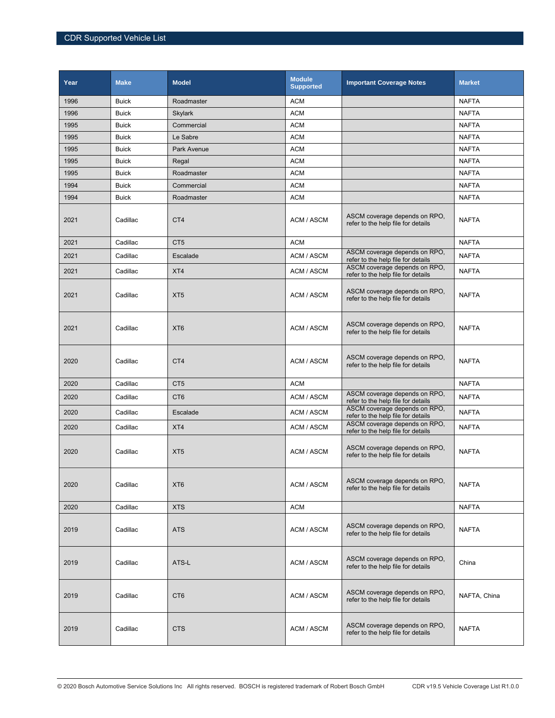| Year | <b>Make</b>  | <b>Model</b>    | <b>Module</b><br><b>Supported</b> | <b>Important Coverage Notes</b>                                     | <b>Market</b> |
|------|--------------|-----------------|-----------------------------------|---------------------------------------------------------------------|---------------|
| 1996 | <b>Buick</b> | Roadmaster      | <b>ACM</b>                        |                                                                     | <b>NAFTA</b>  |
| 1996 | <b>Buick</b> | <b>Skylark</b>  | <b>ACM</b>                        |                                                                     | <b>NAFTA</b>  |
| 1995 | <b>Buick</b> | Commercial      | <b>ACM</b>                        |                                                                     | <b>NAFTA</b>  |
| 1995 | <b>Buick</b> | Le Sabre        | <b>ACM</b>                        |                                                                     | <b>NAFTA</b>  |
| 1995 | <b>Buick</b> | Park Avenue     | <b>ACM</b>                        |                                                                     | <b>NAFTA</b>  |
| 1995 | <b>Buick</b> | Regal           | <b>ACM</b>                        |                                                                     | <b>NAFTA</b>  |
| 1995 | <b>Buick</b> | Roadmaster      | <b>ACM</b>                        |                                                                     | <b>NAFTA</b>  |
| 1994 | <b>Buick</b> | Commercial      | <b>ACM</b>                        |                                                                     | <b>NAFTA</b>  |
| 1994 | <b>Buick</b> | Roadmaster      | <b>ACM</b>                        |                                                                     | <b>NAFTA</b>  |
| 2021 | Cadillac     | CT4             | ACM / ASCM                        | ASCM coverage depends on RPO,<br>refer to the help file for details | <b>NAFTA</b>  |
| 2021 | Cadillac     | CT <sub>5</sub> | <b>ACM</b>                        |                                                                     | <b>NAFTA</b>  |
| 2021 | Cadillac     | Escalade        | ACM / ASCM                        | ASCM coverage depends on RPO,<br>refer to the help file for details | <b>NAFTA</b>  |
| 2021 | Cadillac     | XT4             | ACM / ASCM                        | ASCM coverage depends on RPO,<br>refer to the help file for details | <b>NAFTA</b>  |
| 2021 | Cadillac     | XT <sub>5</sub> | ACM / ASCM                        | ASCM coverage depends on RPO,<br>refer to the help file for details | <b>NAFTA</b>  |
| 2021 | Cadillac     | XT <sub>6</sub> | ACM / ASCM                        | ASCM coverage depends on RPO,<br>refer to the help file for details | <b>NAFTA</b>  |
| 2020 | Cadillac     | CT <sub>4</sub> | ACM / ASCM                        | ASCM coverage depends on RPO,<br>refer to the help file for details | <b>NAFTA</b>  |
| 2020 | Cadillac     | CT <sub>5</sub> | <b>ACM</b>                        |                                                                     | <b>NAFTA</b>  |
| 2020 | Cadillac     | CT <sub>6</sub> | ACM / ASCM                        | ASCM coverage depends on RPO,<br>refer to the help file for details | <b>NAFTA</b>  |
| 2020 | Cadillac     | Escalade        | ACM / ASCM                        | ASCM coverage depends on RPO,<br>refer to the help file for details | <b>NAFTA</b>  |
| 2020 | Cadillac     | XT4             | ACM / ASCM                        | ASCM coverage depends on RPO,<br>refer to the help file for details | <b>NAFTA</b>  |
| 2020 | Cadillac     | XT <sub>5</sub> | ACM / ASCM                        | ASCM coverage depends on RPO,<br>refer to the help file for details | <b>NAFTA</b>  |
| 2020 | Cadillac     | XT <sub>6</sub> | ACM / ASCM                        | ASCM coverage depends on RPO,<br>refer to the help file for details | <b>NAFTA</b>  |
| 2020 | Cadillac     | <b>XTS</b>      | <b>ACM</b>                        |                                                                     | <b>NAFTA</b>  |
| 2019 | Cadillac     | <b>ATS</b>      | ACM / ASCM                        | ASCM coverage depends on RPO,<br>refer to the help file for details | <b>NAFTA</b>  |
| 2019 | Cadillac     | ATS-L           | ACM / ASCM                        | ASCM coverage depends on RPO,<br>refer to the help file for details | China         |
| 2019 | Cadillac     | CT <sub>6</sub> | ACM / ASCM                        | ASCM coverage depends on RPO,<br>refer to the help file for details | NAFTA, China  |
| 2019 | Cadillac     | <b>CTS</b>      | ACM / ASCM                        | ASCM coverage depends on RPO,<br>refer to the help file for details | <b>NAFTA</b>  |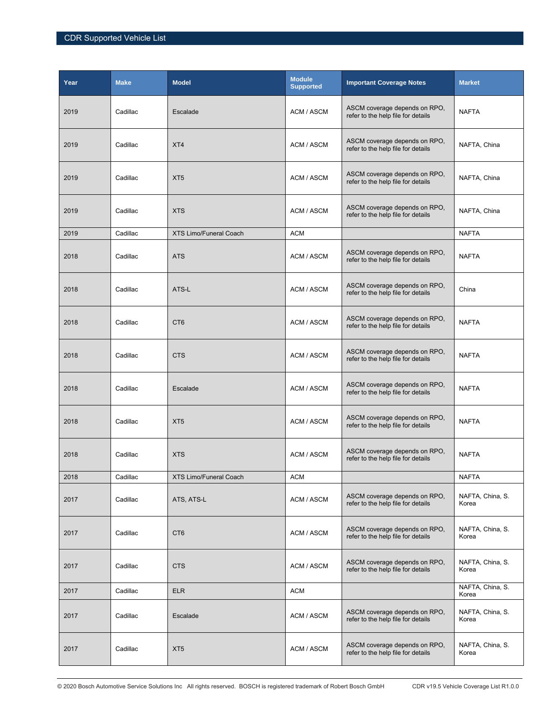| Year | <b>Make</b> | <b>Model</b>                  | <b>Module</b><br><b>Supported</b> | <b>Important Coverage Notes</b>                                     | <b>Market</b>             |
|------|-------------|-------------------------------|-----------------------------------|---------------------------------------------------------------------|---------------------------|
| 2019 | Cadillac    | Escalade                      | ACM / ASCM                        | ASCM coverage depends on RPO,<br>refer to the help file for details | <b>NAFTA</b>              |
| 2019 | Cadillac    | XT4                           | ACM / ASCM                        | ASCM coverage depends on RPO,<br>refer to the help file for details | NAFTA, China              |
| 2019 | Cadillac    | XT <sub>5</sub>               | ACM / ASCM                        | ASCM coverage depends on RPO,<br>refer to the help file for details | NAFTA, China              |
| 2019 | Cadillac    | <b>XTS</b>                    | ACM / ASCM                        | ASCM coverage depends on RPO,<br>refer to the help file for details | NAFTA, China              |
| 2019 | Cadillac    | <b>XTS Limo/Funeral Coach</b> | <b>ACM</b>                        |                                                                     | <b>NAFTA</b>              |
| 2018 | Cadillac    | <b>ATS</b>                    | ACM / ASCM                        | ASCM coverage depends on RPO.<br>refer to the help file for details | <b>NAFTA</b>              |
| 2018 | Cadillac    | ATS-L                         | ACM / ASCM                        | ASCM coverage depends on RPO,<br>refer to the help file for details | China                     |
| 2018 | Cadillac    | CT <sub>6</sub>               | ACM / ASCM                        | ASCM coverage depends on RPO.<br>refer to the help file for details | <b>NAFTA</b>              |
| 2018 | Cadillac    | <b>CTS</b>                    | ACM / ASCM                        | ASCM coverage depends on RPO,<br>refer to the help file for details | <b>NAFTA</b>              |
| 2018 | Cadillac    | Escalade                      | ACM / ASCM                        | ASCM coverage depends on RPO,<br>refer to the help file for details | <b>NAFTA</b>              |
| 2018 | Cadillac    | XT <sub>5</sub>               | ACM / ASCM                        | ASCM coverage depends on RPO,<br>refer to the help file for details | <b>NAFTA</b>              |
| 2018 | Cadillac    | <b>XTS</b>                    | ACM / ASCM                        | ASCM coverage depends on RPO,<br>refer to the help file for details | <b>NAFTA</b>              |
| 2018 | Cadillac    | XTS Limo/Funeral Coach        | <b>ACM</b>                        |                                                                     | <b>NAFTA</b>              |
| 2017 | Cadillac    | ATS, ATS-L                    | ACM / ASCM                        | ASCM coverage depends on RPO,<br>refer to the help file for details | NAFTA, China, S.<br>Korea |
| 2017 | Cadillac    | CT <sub>6</sub>               | ACM / ASCM                        | ASCM coverage depends on RPO,<br>refer to the help file for details | NAFTA, China, S.<br>Korea |
| 2017 | Cadillac    | <b>CTS</b>                    | ACM / ASCM                        | ASCM coverage depends on RPO.<br>refer to the help file for details | NAFTA, China, S.<br>Korea |
| 2017 | Cadillac    | <b>ELR</b>                    | <b>ACM</b>                        |                                                                     | NAFTA, China, S.<br>Korea |
| 2017 | Cadillac    | Escalade                      | ACM / ASCM                        | ASCM coverage depends on RPO,<br>refer to the help file for details | NAFTA, China, S.<br>Korea |
| 2017 | Cadillac    | XT <sub>5</sub>               | ACM / ASCM                        | ASCM coverage depends on RPO,<br>refer to the help file for details | NAFTA, China, S.<br>Korea |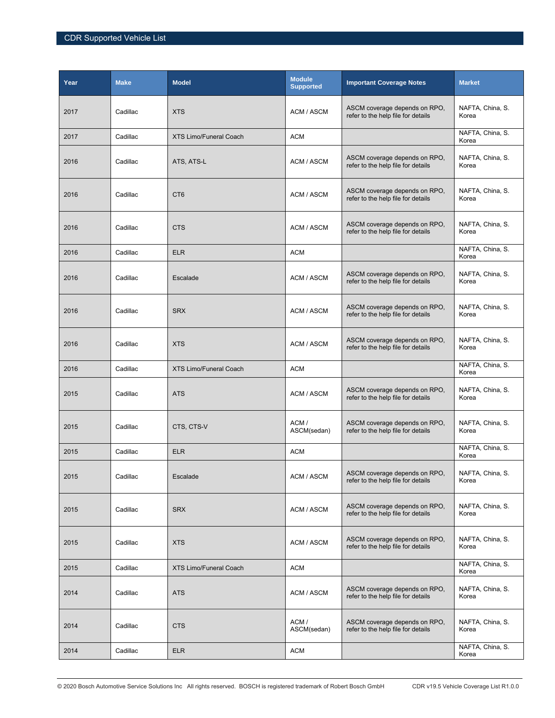| Year | <b>Make</b> | <b>Model</b>                  | <b>Module</b><br><b>Supported</b> | <b>Important Coverage Notes</b>                                     | <b>Market</b>             |
|------|-------------|-------------------------------|-----------------------------------|---------------------------------------------------------------------|---------------------------|
| 2017 | Cadillac    | <b>XTS</b>                    | ACM / ASCM                        | ASCM coverage depends on RPO,<br>refer to the help file for details | NAFTA, China, S.<br>Korea |
| 2017 | Cadillac    | XTS Limo/Funeral Coach        | <b>ACM</b>                        |                                                                     | NAFTA, China, S.<br>Korea |
| 2016 | Cadillac    | ATS, ATS-L                    | ACM / ASCM                        | ASCM coverage depends on RPO,<br>refer to the help file for details | NAFTA, China, S.<br>Korea |
| 2016 | Cadillac    | CT <sub>6</sub>               | ACM / ASCM                        | ASCM coverage depends on RPO,<br>refer to the help file for details | NAFTA, China, S.<br>Korea |
| 2016 | Cadillac    | <b>CTS</b>                    | ACM / ASCM                        | ASCM coverage depends on RPO,<br>refer to the help file for details | NAFTA, China, S.<br>Korea |
| 2016 | Cadillac    | <b>ELR</b>                    | <b>ACM</b>                        |                                                                     | NAFTA, China, S.<br>Korea |
| 2016 | Cadillac    | Escalade                      | ACM / ASCM                        | ASCM coverage depends on RPO,<br>refer to the help file for details | NAFTA, China, S.<br>Korea |
| 2016 | Cadillac    | <b>SRX</b>                    | ACM / ASCM                        | ASCM coverage depends on RPO.<br>refer to the help file for details | NAFTA, China, S.<br>Korea |
| 2016 | Cadillac    | <b>XTS</b>                    | ACM / ASCM                        | ASCM coverage depends on RPO,<br>refer to the help file for details | NAFTA, China, S.<br>Korea |
| 2016 | Cadillac    | <b>XTS Limo/Funeral Coach</b> | <b>ACM</b>                        |                                                                     | NAFTA, China, S.<br>Korea |
| 2015 | Cadillac    | <b>ATS</b>                    | ACM / ASCM                        | ASCM coverage depends on RPO,<br>refer to the help file for details | NAFTA, China, S.<br>Korea |
| 2015 | Cadillac    | CTS, CTS-V                    | ACM/<br>ASCM(sedan)               | ASCM coverage depends on RPO,<br>refer to the help file for details | NAFTA, China, S.<br>Korea |
| 2015 | Cadillac    | <b>ELR</b>                    | <b>ACM</b>                        |                                                                     | NAFTA, China, S.<br>Korea |
| 2015 | Cadillac    | Escalade                      | ACM / ASCM                        | ASCM coverage depends on RPO.<br>refer to the help file for details | NAFTA, China, S.<br>Korea |
| 2015 | Cadillac    | <b>SRX</b>                    | ACM / ASCM                        | ASCM coverage depends on RPO,<br>refer to the help file for details | NAFTA, China, S.<br>Korea |
| 2015 | Cadillac    | <b>XTS</b>                    | ACM / ASCM                        | ASCM coverage depends on RPO,<br>refer to the help file for details | NAFTA, China, S.<br>Korea |
| 2015 | Cadillac    | <b>XTS Limo/Funeral Coach</b> | <b>ACM</b>                        |                                                                     | NAFTA, China, S.<br>Korea |
| 2014 | Cadillac    | <b>ATS</b>                    | ACM / ASCM                        | ASCM coverage depends on RPO.<br>refer to the help file for details | NAFTA, China, S.<br>Korea |
| 2014 | Cadillac    | <b>CTS</b>                    | ACM/<br>ASCM(sedan)               | ASCM coverage depends on RPO,<br>refer to the help file for details | NAFTA, China, S.<br>Korea |
| 2014 | Cadillac    | <b>ELR</b>                    | <b>ACM</b>                        |                                                                     | NAFTA, China, S.<br>Korea |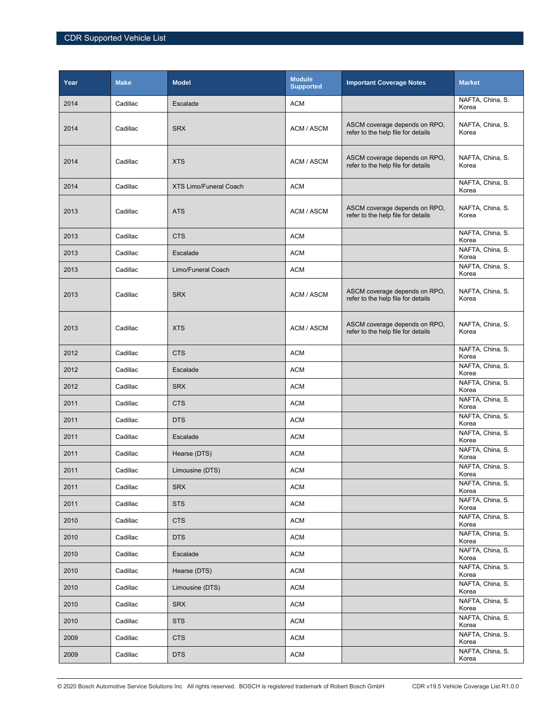| Year | <b>Make</b> | <b>Model</b>                  | <b>Module</b><br><b>Supported</b> | <b>Important Coverage Notes</b>                                     | <b>Market</b>             |
|------|-------------|-------------------------------|-----------------------------------|---------------------------------------------------------------------|---------------------------|
| 2014 | Cadillac    | Escalade                      | <b>ACM</b>                        |                                                                     | NAFTA, China, S.<br>Korea |
| 2014 | Cadillac    | <b>SRX</b>                    | ACM / ASCM                        | ASCM coverage depends on RPO,<br>refer to the help file for details | NAFTA, China, S.<br>Korea |
| 2014 | Cadillac    | <b>XTS</b>                    | ACM / ASCM                        | ASCM coverage depends on RPO,<br>refer to the help file for details | NAFTA, China, S.<br>Korea |
| 2014 | Cadillac    | <b>XTS Limo/Funeral Coach</b> | <b>ACM</b>                        |                                                                     | NAFTA, China, S.<br>Korea |
| 2013 | Cadillac    | <b>ATS</b>                    | ACM / ASCM                        | ASCM coverage depends on RPO,<br>refer to the help file for details | NAFTA, China, S.<br>Korea |
| 2013 | Cadillac    | <b>CTS</b>                    | <b>ACM</b>                        |                                                                     | NAFTA, China, S.<br>Korea |
| 2013 | Cadillac    | Escalade                      | <b>ACM</b>                        |                                                                     | NAFTA, China, S.<br>Korea |
| 2013 | Cadillac    | Limo/Funeral Coach            | <b>ACM</b>                        |                                                                     | NAFTA, China, S.<br>Korea |
| 2013 | Cadillac    | <b>SRX</b>                    | ACM / ASCM                        | ASCM coverage depends on RPO,<br>refer to the help file for details | NAFTA, China, S.<br>Korea |
| 2013 | Cadillac    | <b>XTS</b>                    | ACM / ASCM                        | ASCM coverage depends on RPO,<br>refer to the help file for details | NAFTA, China, S.<br>Korea |
| 2012 | Cadillac    | <b>CTS</b>                    | <b>ACM</b>                        |                                                                     | NAFTA, China, S.<br>Korea |
| 2012 | Cadillac    | Escalade                      | <b>ACM</b>                        |                                                                     | NAFTA, China, S.<br>Korea |
| 2012 | Cadillac    | <b>SRX</b>                    | <b>ACM</b>                        |                                                                     | NAFTA, China, S.<br>Korea |
| 2011 | Cadillac    | <b>CTS</b>                    | <b>ACM</b>                        |                                                                     | NAFTA, China, S.<br>Korea |
| 2011 | Cadillac    | <b>DTS</b>                    | <b>ACM</b>                        |                                                                     | NAFTA, China, S.<br>Korea |
| 2011 | Cadillac    | Escalade                      | <b>ACM</b>                        |                                                                     | NAFTA, China, S.<br>Korea |
| 2011 | Cadillac    | Hearse (DTS)                  | <b>ACM</b>                        |                                                                     | NAFTA, China, S.<br>Korea |
| 2011 | Cadillac    | Limousine (DTS)               | <b>ACM</b>                        |                                                                     | NAFTA, China, S.<br>Korea |
| 2011 | Cadillac    | <b>SRX</b>                    | <b>ACM</b>                        |                                                                     | NAFTA, China, S.<br>Korea |
| 2011 | Cadillac    | <b>STS</b>                    | <b>ACM</b>                        |                                                                     | NAFTA, China, S.<br>Korea |
| 2010 | Cadillac    | <b>CTS</b>                    | <b>ACM</b>                        |                                                                     | NAFTA, China, S.<br>Korea |
| 2010 | Cadillac    | <b>DTS</b>                    | <b>ACM</b>                        |                                                                     | NAFTA, China, S.<br>Korea |
| 2010 | Cadillac    | Escalade                      | <b>ACM</b>                        |                                                                     | NAFTA, China, S.<br>Korea |
| 2010 | Cadillac    | Hearse (DTS)                  | <b>ACM</b>                        |                                                                     | NAFTA, China, S.<br>Korea |
| 2010 | Cadillac    | Limousine (DTS)               | ACM                               |                                                                     | NAFTA, China, S.<br>Korea |
| 2010 | Cadillac    | <b>SRX</b>                    | ACM                               |                                                                     | NAFTA, China, S.<br>Korea |
| 2010 | Cadillac    | <b>STS</b>                    | ACM                               |                                                                     | NAFTA, China, S.<br>Korea |
| 2009 | Cadillac    | <b>CTS</b>                    | <b>ACM</b>                        |                                                                     | NAFTA, China, S.<br>Korea |
| 2009 | Cadillac    | <b>DTS</b>                    | ACM                               |                                                                     | NAFTA, China, S.<br>Korea |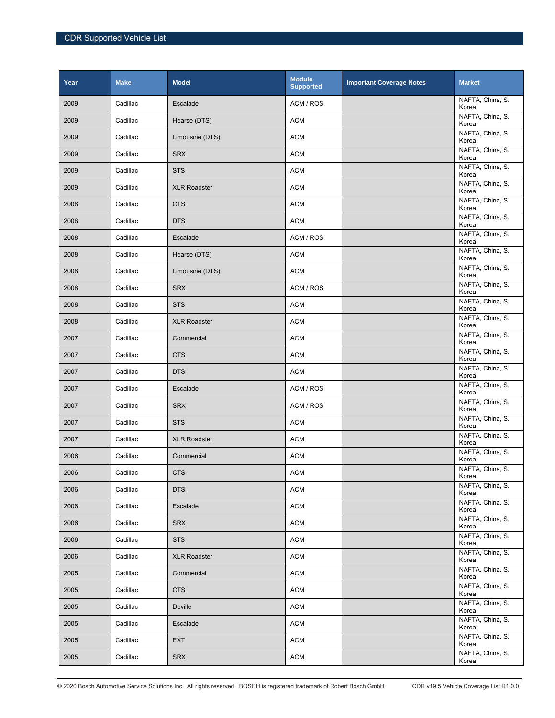| Year | <b>Make</b> | <b>Model</b>        | <b>Module</b><br><b>Supported</b> | <b>Important Coverage Notes</b> | <b>Market</b>             |
|------|-------------|---------------------|-----------------------------------|---------------------------------|---------------------------|
| 2009 | Cadillac    | Escalade            | ACM / ROS                         |                                 | NAFTA, China, S.<br>Korea |
| 2009 | Cadillac    | Hearse (DTS)        | <b>ACM</b>                        |                                 | NAFTA, China, S.<br>Korea |
| 2009 | Cadillac    | Limousine (DTS)     | <b>ACM</b>                        |                                 | NAFTA, China, S.<br>Korea |
| 2009 | Cadillac    | <b>SRX</b>          | <b>ACM</b>                        |                                 | NAFTA, China, S.<br>Korea |
| 2009 | Cadillac    | <b>STS</b>          | <b>ACM</b>                        |                                 | NAFTA, China, S.<br>Korea |
| 2009 | Cadillac    | <b>XLR Roadster</b> | <b>ACM</b>                        |                                 | NAFTA, China, S.<br>Korea |
| 2008 | Cadillac    | <b>CTS</b>          | <b>ACM</b>                        |                                 | NAFTA, China, S.<br>Korea |
| 2008 | Cadillac    | <b>DTS</b>          | <b>ACM</b>                        |                                 | NAFTA, China, S.<br>Korea |
| 2008 | Cadillac    | Escalade            | ACM / ROS                         |                                 | NAFTA, China, S.<br>Korea |
| 2008 | Cadillac    | Hearse (DTS)        | <b>ACM</b>                        |                                 | NAFTA, China, S.<br>Korea |
| 2008 | Cadillac    | Limousine (DTS)     | <b>ACM</b>                        |                                 | NAFTA, China, S.<br>Korea |
| 2008 | Cadillac    | <b>SRX</b>          | ACM / ROS                         |                                 | NAFTA, China, S.<br>Korea |
| 2008 | Cadillac    | <b>STS</b>          | <b>ACM</b>                        |                                 | NAFTA, China, S.<br>Korea |
| 2008 | Cadillac    | <b>XLR Roadster</b> | <b>ACM</b>                        |                                 | NAFTA, China, S.<br>Korea |
| 2007 | Cadillac    | Commercial          | <b>ACM</b>                        |                                 | NAFTA, China, S.<br>Korea |
| 2007 | Cadillac    | <b>CTS</b>          | <b>ACM</b>                        |                                 | NAFTA, China, S.<br>Korea |
| 2007 | Cadillac    | <b>DTS</b>          | <b>ACM</b>                        |                                 | NAFTA, China, S.<br>Korea |
| 2007 | Cadillac    | Escalade            | ACM / ROS                         |                                 | NAFTA, China, S.<br>Korea |
| 2007 | Cadillac    | <b>SRX</b>          | ACM / ROS                         |                                 | NAFTA, China, S.<br>Korea |
| 2007 | Cadillac    | <b>STS</b>          | <b>ACM</b>                        |                                 | NAFTA, China, S.<br>Korea |
| 2007 | Cadillac    | <b>XLR Roadster</b> | <b>ACM</b>                        |                                 | NAFTA, China, S.<br>Korea |
| 2006 | Cadillac    | Commercial          | <b>ACM</b>                        |                                 | NAFTA, China, S.<br>Korea |
| 2006 | Cadillac    | <b>CTS</b>          | <b>ACM</b>                        |                                 | NAFTA, China, S.<br>Korea |
| 2006 | Cadillac    | DTS                 | <b>ACM</b>                        |                                 | NAFTA, China, S.<br>Korea |
| 2006 | Cadillac    | Escalade            | <b>ACM</b>                        |                                 | NAFTA, China, S.<br>Korea |
| 2006 | Cadillac    | <b>SRX</b>          | <b>ACM</b>                        |                                 | NAFTA, China, S.<br>Korea |
| 2006 | Cadillac    | <b>STS</b>          | <b>ACM</b>                        |                                 | NAFTA, China, S.<br>Korea |
| 2006 | Cadillac    | <b>XLR Roadster</b> | <b>ACM</b>                        |                                 | NAFTA, China, S.<br>Korea |
| 2005 | Cadillac    | Commercial          | <b>ACM</b>                        |                                 | NAFTA, China, S.<br>Korea |
| 2005 | Cadillac    | <b>CTS</b>          | <b>ACM</b>                        |                                 | NAFTA, China, S.<br>Korea |
| 2005 | Cadillac    | Deville             | <b>ACM</b>                        |                                 | NAFTA, China, S.<br>Korea |
| 2005 | Cadillac    | Escalade            | <b>ACM</b>                        |                                 | NAFTA, China, S.<br>Korea |
| 2005 | Cadillac    | <b>EXT</b>          | <b>ACM</b>                        |                                 | NAFTA, China, S.<br>Korea |
| 2005 | Cadillac    | <b>SRX</b>          | <b>ACM</b>                        |                                 | NAFTA, China, S.<br>Korea |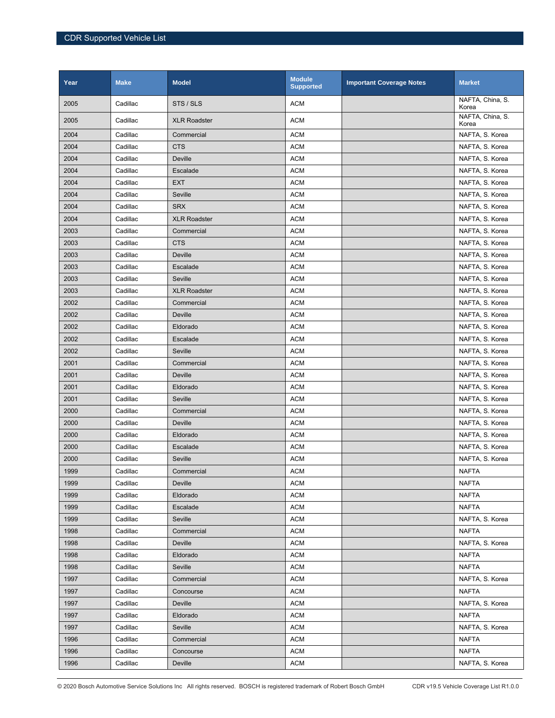| Year | <b>Make</b> | <b>Model</b>        | <b>Module</b><br><b>Supported</b> | <b>Important Coverage Notes</b> | <b>Market</b>             |
|------|-------------|---------------------|-----------------------------------|---------------------------------|---------------------------|
| 2005 | Cadillac    | STS / SLS           | <b>ACM</b>                        |                                 | NAFTA, China, S.<br>Korea |
| 2005 | Cadillac    | <b>XLR Roadster</b> | <b>ACM</b>                        |                                 | NAFTA, China, S.<br>Korea |
| 2004 | Cadillac    | Commercial          | <b>ACM</b>                        |                                 | NAFTA, S. Korea           |
| 2004 | Cadillac    | <b>CTS</b>          | <b>ACM</b>                        |                                 | NAFTA, S. Korea           |
| 2004 | Cadillac    | <b>Deville</b>      | <b>ACM</b>                        |                                 | NAFTA, S. Korea           |
| 2004 | Cadillac    | Escalade            | ACM                               |                                 | NAFTA, S. Korea           |
| 2004 | Cadillac    | <b>EXT</b>          | <b>ACM</b>                        |                                 | NAFTA, S. Korea           |
| 2004 | Cadillac    | Seville             | <b>ACM</b>                        |                                 | NAFTA, S. Korea           |
| 2004 | Cadillac    | <b>SRX</b>          | <b>ACM</b>                        |                                 | NAFTA, S. Korea           |
| 2004 | Cadillac    | <b>XLR Roadster</b> | <b>ACM</b>                        |                                 | NAFTA, S. Korea           |
| 2003 | Cadillac    | Commercial          | <b>ACM</b>                        |                                 | NAFTA, S. Korea           |
| 2003 | Cadillac    | <b>CTS</b>          | <b>ACM</b>                        |                                 | NAFTA, S. Korea           |
| 2003 | Cadillac    | Deville             | <b>ACM</b>                        |                                 | NAFTA, S. Korea           |
| 2003 | Cadillac    | Escalade            | <b>ACM</b>                        |                                 | NAFTA, S. Korea           |
| 2003 | Cadillac    | Seville             | <b>ACM</b>                        |                                 | NAFTA, S. Korea           |
| 2003 | Cadillac    | <b>XLR Roadster</b> | <b>ACM</b>                        |                                 | NAFTA, S. Korea           |
| 2002 | Cadillac    | Commercial          | <b>ACM</b>                        |                                 | NAFTA, S. Korea           |
| 2002 | Cadillac    | Deville             | ACM                               |                                 | NAFTA, S. Korea           |
| 2002 | Cadillac    | Eldorado            | <b>ACM</b>                        |                                 | NAFTA, S. Korea           |
| 2002 | Cadillac    | Escalade            | <b>ACM</b>                        |                                 | NAFTA, S. Korea           |
| 2002 | Cadillac    | Seville             | <b>ACM</b>                        |                                 | NAFTA, S. Korea           |
| 2001 | Cadillac    | Commercial          | <b>ACM</b>                        |                                 | NAFTA, S. Korea           |
| 2001 | Cadillac    | Deville             | <b>ACM</b>                        |                                 | NAFTA, S. Korea           |
| 2001 | Cadillac    | Eldorado            | <b>ACM</b>                        |                                 | NAFTA, S. Korea           |
| 2001 | Cadillac    | Seville             | <b>ACM</b>                        |                                 | NAFTA, S. Korea           |
| 2000 | Cadillac    | Commercial          | <b>ACM</b>                        |                                 | NAFTA, S. Korea           |
| 2000 | Cadillac    | Deville             | <b>ACM</b>                        |                                 | NAFTA, S. Korea           |
| 2000 | Cadillac    | Eldorado            | <b>ACM</b>                        |                                 | NAFTA, S. Korea           |
| 2000 | Cadillac    | Escalade            | <b>ACM</b>                        |                                 | NAFTA, S. Korea           |
| 2000 | Cadillac    | Seville             | <b>ACM</b>                        |                                 | NAFTA, S. Korea           |
| 1999 | Cadillac    | Commercial          | <b>ACM</b>                        |                                 | <b>NAFTA</b>              |
| 1999 | Cadillac    | Deville             | <b>ACM</b>                        |                                 | <b>NAFTA</b>              |
| 1999 | Cadillac    | Eldorado            | <b>ACM</b>                        |                                 | <b>NAFTA</b>              |
| 1999 | Cadillac    | Escalade            | <b>ACM</b>                        |                                 | <b>NAFTA</b>              |
| 1999 | Cadillac    | Seville             | <b>ACM</b>                        |                                 | NAFTA, S. Korea           |
| 1998 | Cadillac    | Commercial          | <b>ACM</b>                        |                                 | <b>NAFTA</b>              |
| 1998 | Cadillac    | Deville             | <b>ACM</b>                        |                                 | NAFTA, S. Korea           |
| 1998 | Cadillac    | Eldorado            | <b>ACM</b>                        |                                 | <b>NAFTA</b>              |
| 1998 | Cadillac    | Seville             | <b>ACM</b>                        |                                 | <b>NAFTA</b>              |
| 1997 | Cadillac    | Commercial          | <b>ACM</b>                        |                                 | NAFTA, S. Korea           |
| 1997 | Cadillac    | Concourse           | <b>ACM</b>                        |                                 | <b>NAFTA</b>              |
| 1997 | Cadillac    | Deville             | <b>ACM</b>                        |                                 | NAFTA, S. Korea           |
| 1997 | Cadillac    | Eldorado            | <b>ACM</b>                        |                                 | <b>NAFTA</b>              |
| 1997 | Cadillac    | Seville             | <b>ACM</b>                        |                                 | NAFTA, S. Korea           |
| 1996 | Cadillac    | Commercial          | <b>ACM</b>                        |                                 | <b>NAFTA</b>              |
| 1996 | Cadillac    | Concourse           | <b>ACM</b>                        |                                 | <b>NAFTA</b>              |
| 1996 | Cadillac    | Deville             | <b>ACM</b>                        |                                 | NAFTA, S. Korea           |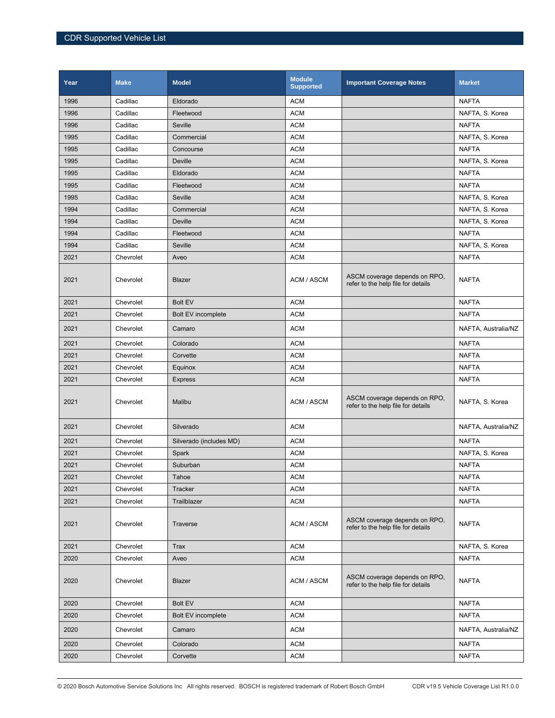| Year | <b>Make</b> | <b>Model</b>              | <b>Module</b><br><b>Supported</b> | <b>Important Coverage Notes</b>                                     | <b>Market</b>       |
|------|-------------|---------------------------|-----------------------------------|---------------------------------------------------------------------|---------------------|
| 1996 | Cadillac    | Eldorado                  | <b>ACM</b>                        |                                                                     | <b>NAFTA</b>        |
| 1996 | Cadillac    | Fleetwood                 | <b>ACM</b>                        |                                                                     | NAFTA, S. Korea     |
| 1996 | Cadillac    | Seville                   | <b>ACM</b>                        |                                                                     | <b>NAFTA</b>        |
| 1995 | Cadillac    | Commercial                | <b>ACM</b>                        |                                                                     | NAFTA, S. Korea     |
| 1995 | Cadillac    | Concourse                 | <b>ACM</b>                        |                                                                     | <b>NAFTA</b>        |
| 1995 | Cadillac    | Deville                   | <b>ACM</b>                        |                                                                     | NAFTA, S. Korea     |
| 1995 | Cadillac    | Eldorado                  | <b>ACM</b>                        |                                                                     | <b>NAFTA</b>        |
| 1995 | Cadillac    | Fleetwood                 | <b>ACM</b>                        |                                                                     | <b>NAFTA</b>        |
| 1995 | Cadillac    | Seville                   | <b>ACM</b>                        |                                                                     | NAFTA, S. Korea     |
| 1994 | Cadillac    | Commercial                | <b>ACM</b>                        |                                                                     | NAFTA, S. Korea     |
| 1994 | Cadillac    | Deville                   | <b>ACM</b>                        |                                                                     | NAFTA, S. Korea     |
| 1994 | Cadillac    | Fleetwood                 | <b>ACM</b>                        |                                                                     | <b>NAFTA</b>        |
| 1994 | Cadillac    | Seville                   | <b>ACM</b>                        |                                                                     | NAFTA, S. Korea     |
| 2021 | Chevrolet   | Aveo                      | <b>ACM</b>                        |                                                                     | <b>NAFTA</b>        |
| 2021 | Chevrolet   | Blazer                    | ACM / ASCM                        | ASCM coverage depends on RPO,<br>refer to the help file for details | <b>NAFTA</b>        |
| 2021 | Chevrolet   | <b>Bolt EV</b>            | <b>ACM</b>                        |                                                                     | <b>NAFTA</b>        |
| 2021 | Chevrolet   | <b>Bolt EV incomplete</b> | <b>ACM</b>                        |                                                                     | <b>NAFTA</b>        |
| 2021 | Chevrolet   | Camaro                    | <b>ACM</b>                        |                                                                     | NAFTA, Australia/NZ |
| 2021 | Chevrolet   | Colorado                  | <b>ACM</b>                        |                                                                     | <b>NAFTA</b>        |
| 2021 | Chevrolet   | Corvette                  | <b>ACM</b>                        |                                                                     | <b>NAFTA</b>        |
| 2021 | Chevrolet   | Equinox                   | <b>ACM</b>                        |                                                                     | <b>NAFTA</b>        |
| 2021 | Chevrolet   | <b>Express</b>            | <b>ACM</b>                        |                                                                     | <b>NAFTA</b>        |
| 2021 | Chevrolet   | Malibu                    | ACM / ASCM                        | ASCM coverage depends on RPO,<br>refer to the help file for details | NAFTA, S. Korea     |
| 2021 | Chevrolet   | Silverado                 | <b>ACM</b>                        |                                                                     | NAFTA, Australia/NZ |
| 2021 | Chevrolet   | Silverado (includes MD)   | <b>ACM</b>                        |                                                                     | <b>NAFTA</b>        |
| 2021 | Chevrolet   | Spark                     | <b>ACM</b>                        |                                                                     | NAFTA, S. Korea     |
| 2021 | Chevrolet   | Suburban                  | <b>ACM</b>                        |                                                                     | <b>NAFTA</b>        |
| 2021 | Chevrolet   | Tahoe                     | ACM                               |                                                                     | <b>NAFTA</b>        |
| 2021 | Chevrolet   | Tracker                   | <b>ACM</b>                        |                                                                     | <b>NAFTA</b>        |
| 2021 | Chevrolet   | Trailblazer               | <b>ACM</b>                        |                                                                     | <b>NAFTA</b>        |
| 2021 | Chevrolet   | Traverse                  | ACM / ASCM                        | ASCM coverage depends on RPO.<br>refer to the help file for details | <b>NAFTA</b>        |
| 2021 | Chevrolet   | Trax                      | <b>ACM</b>                        |                                                                     | NAFTA, S. Korea     |
| 2020 | Chevrolet   | Aveo                      | <b>ACM</b>                        |                                                                     | <b>NAFTA</b>        |
| 2020 | Chevrolet   | Blazer                    | ACM / ASCM                        | ASCM coverage depends on RPO.<br>refer to the help file for details | <b>NAFTA</b>        |
| 2020 | Chevrolet   | <b>Bolt EV</b>            | <b>ACM</b>                        |                                                                     | <b>NAFTA</b>        |
| 2020 | Chevrolet   | <b>Bolt EV incomplete</b> | <b>ACM</b>                        |                                                                     | <b>NAFTA</b>        |
| 2020 | Chevrolet   | Camaro                    | <b>ACM</b>                        |                                                                     | NAFTA, Australia/NZ |
| 2020 | Chevrolet   | Colorado                  | <b>ACM</b>                        |                                                                     | <b>NAFTA</b>        |
| 2020 | Chevrolet   | Corvette                  | <b>ACM</b>                        |                                                                     | <b>NAFTA</b>        |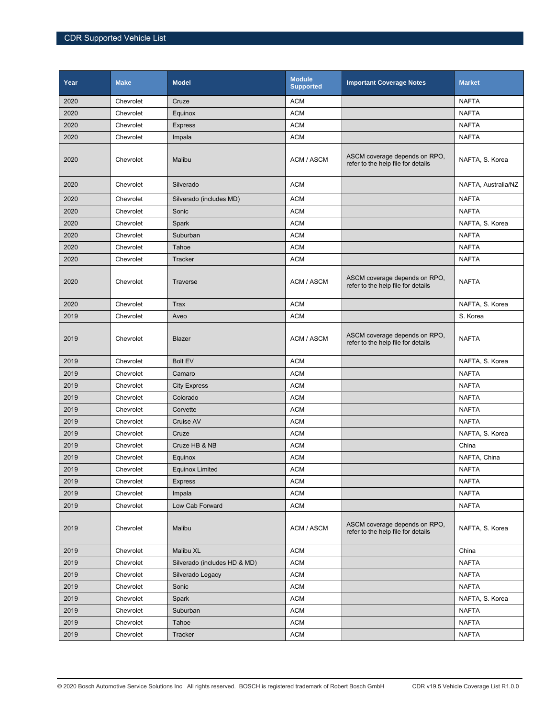| Year | <b>Make</b> | <b>Model</b>                 | <b>Module</b><br><b>Supported</b> | <b>Important Coverage Notes</b>                                     | <b>Market</b>       |
|------|-------------|------------------------------|-----------------------------------|---------------------------------------------------------------------|---------------------|
| 2020 | Chevrolet   | Cruze                        | <b>ACM</b>                        |                                                                     | <b>NAFTA</b>        |
| 2020 | Chevrolet   | Equinox                      | <b>ACM</b>                        |                                                                     | <b>NAFTA</b>        |
| 2020 | Chevrolet   | <b>Express</b>               | <b>ACM</b>                        |                                                                     | <b>NAFTA</b>        |
| 2020 | Chevrolet   | Impala                       | <b>ACM</b>                        |                                                                     | <b>NAFTA</b>        |
| 2020 | Chevrolet   | Malibu                       | ACM / ASCM                        | ASCM coverage depends on RPO,<br>refer to the help file for details | NAFTA, S. Korea     |
| 2020 | Chevrolet   | Silverado                    | <b>ACM</b>                        |                                                                     | NAFTA, Australia/NZ |
| 2020 | Chevrolet   | Silverado (includes MD)      | <b>ACM</b>                        |                                                                     | <b>NAFTA</b>        |
| 2020 | Chevrolet   | Sonic                        | <b>ACM</b>                        |                                                                     | <b>NAFTA</b>        |
| 2020 | Chevrolet   | Spark                        | <b>ACM</b>                        |                                                                     | NAFTA, S. Korea     |
| 2020 | Chevrolet   | Suburban                     | <b>ACM</b>                        |                                                                     | <b>NAFTA</b>        |
| 2020 | Chevrolet   | Tahoe                        | <b>ACM</b>                        |                                                                     | <b>NAFTA</b>        |
| 2020 | Chevrolet   | Tracker                      | <b>ACM</b>                        |                                                                     | <b>NAFTA</b>        |
| 2020 | Chevrolet   | Traverse                     | ACM / ASCM                        | ASCM coverage depends on RPO.<br>refer to the help file for details | <b>NAFTA</b>        |
| 2020 | Chevrolet   | <b>Trax</b>                  | <b>ACM</b>                        |                                                                     | NAFTA, S. Korea     |
| 2019 | Chevrolet   | Aveo                         | <b>ACM</b>                        |                                                                     | S. Korea            |
| 2019 | Chevrolet   | <b>Blazer</b>                | ACM / ASCM                        | ASCM coverage depends on RPO,<br>refer to the help file for details | <b>NAFTA</b>        |
| 2019 | Chevrolet   | <b>Bolt EV</b>               | <b>ACM</b>                        |                                                                     | NAFTA, S. Korea     |
| 2019 | Chevrolet   | Camaro                       | <b>ACM</b>                        |                                                                     | <b>NAFTA</b>        |
| 2019 | Chevrolet   | <b>City Express</b>          | <b>ACM</b>                        |                                                                     | <b>NAFTA</b>        |
| 2019 | Chevrolet   | Colorado                     | <b>ACM</b>                        |                                                                     | <b>NAFTA</b>        |
| 2019 | Chevrolet   | Corvette                     | <b>ACM</b>                        |                                                                     | <b>NAFTA</b>        |
| 2019 | Chevrolet   | Cruise AV                    | <b>ACM</b>                        |                                                                     | <b>NAFTA</b>        |
| 2019 | Chevrolet   | Cruze                        | <b>ACM</b>                        |                                                                     | NAFTA, S. Korea     |
| 2019 | Chevrolet   | Cruze HB & NB                | <b>ACM</b>                        |                                                                     | China               |
| 2019 | Chevrolet   | Equinox                      | <b>ACM</b>                        |                                                                     | NAFTA, China        |
| 2019 | Chevrolet   | <b>Equinox Limited</b>       | <b>ACM</b>                        |                                                                     | <b>NAFTA</b>        |
| 2019 | Chevrolet   | <b>Express</b>               | <b>ACM</b>                        |                                                                     | <b>NAFTA</b>        |
| 2019 | Chevrolet   | Impala                       | <b>ACM</b>                        |                                                                     | <b>NAFTA</b>        |
| 2019 | Chevrolet   | Low Cab Forward              | <b>ACM</b>                        |                                                                     | <b>NAFTA</b>        |
| 2019 | Chevrolet   | Malibu                       | ACM / ASCM                        | ASCM coverage depends on RPO,<br>refer to the help file for details | NAFTA, S. Korea     |
| 2019 | Chevrolet   | Malibu XL                    | ACM                               |                                                                     | China               |
| 2019 | Chevrolet   | Silverado (includes HD & MD) | <b>ACM</b>                        |                                                                     | <b>NAFTA</b>        |
| 2019 | Chevrolet   | Silverado Legacy             | ACM                               |                                                                     | <b>NAFTA</b>        |
| 2019 | Chevrolet   | Sonic                        | <b>ACM</b>                        |                                                                     | <b>NAFTA</b>        |
| 2019 | Chevrolet   | Spark                        | ACM                               |                                                                     | NAFTA, S. Korea     |
| 2019 | Chevrolet   | Suburban                     | ACM                               |                                                                     | <b>NAFTA</b>        |
| 2019 | Chevrolet   | Tahoe                        | <b>ACM</b>                        |                                                                     | <b>NAFTA</b>        |
| 2019 | Chevrolet   | Tracker                      | ACM                               |                                                                     | <b>NAFTA</b>        |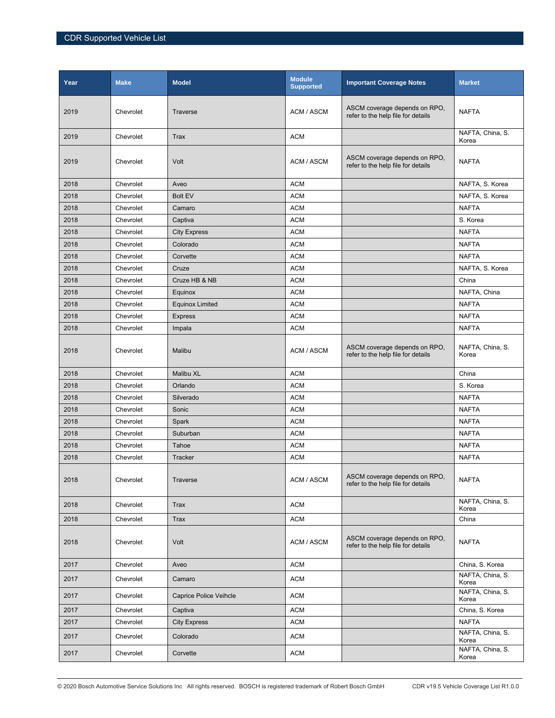| Year | <b>Make</b> | <b>Model</b>           | <b>Module</b><br><b>Supported</b> | <b>Important Coverage Notes</b>                                     | <b>Market</b>             |
|------|-------------|------------------------|-----------------------------------|---------------------------------------------------------------------|---------------------------|
| 2019 | Chevrolet   | Traverse               | ACM / ASCM                        | ASCM coverage depends on RPO,<br>refer to the help file for details | <b>NAFTA</b>              |
| 2019 | Chevrolet   | Trax                   | <b>ACM</b>                        |                                                                     | NAFTA, China, S.<br>Korea |
| 2019 | Chevrolet   | Volt                   | ACM / ASCM                        | ASCM coverage depends on RPO,<br>refer to the help file for details | <b>NAFTA</b>              |
| 2018 | Chevrolet   | Aveo                   | <b>ACM</b>                        |                                                                     | NAFTA, S. Korea           |
| 2018 | Chevrolet   | Bolt EV                | <b>ACM</b>                        |                                                                     | NAFTA, S. Korea           |
| 2018 | Chevrolet   | Camaro                 | <b>ACM</b>                        |                                                                     | <b>NAFTA</b>              |
| 2018 | Chevrolet   | Captiva                | <b>ACM</b>                        |                                                                     | S. Korea                  |
| 2018 | Chevrolet   | <b>City Express</b>    | <b>ACM</b>                        |                                                                     | <b>NAFTA</b>              |
| 2018 | Chevrolet   | Colorado               | <b>ACM</b>                        |                                                                     | <b>NAFTA</b>              |
| 2018 | Chevrolet   | Corvette               | <b>ACM</b>                        |                                                                     | <b>NAFTA</b>              |
| 2018 | Chevrolet   | Cruze                  | <b>ACM</b>                        |                                                                     | NAFTA, S. Korea           |
| 2018 | Chevrolet   | Cruze HB & NB          | <b>ACM</b>                        |                                                                     | China                     |
| 2018 | Chevrolet   | Equinox                | <b>ACM</b>                        |                                                                     | NAFTA, China              |
| 2018 | Chevrolet   | <b>Equinox Limited</b> | <b>ACM</b>                        |                                                                     | <b>NAFTA</b>              |
| 2018 | Chevrolet   | <b>Express</b>         | <b>ACM</b>                        |                                                                     | <b>NAFTA</b>              |
| 2018 | Chevrolet   | Impala                 | <b>ACM</b>                        |                                                                     | <b>NAFTA</b>              |
| 2018 | Chevrolet   | Malibu                 | ACM / ASCM                        | ASCM coverage depends on RPO,<br>refer to the help file for details | NAFTA, China, S.<br>Korea |
| 2018 | Chevrolet   | Malibu XL              | <b>ACM</b>                        |                                                                     | China                     |
| 2018 | Chevrolet   | Orlando                | <b>ACM</b>                        |                                                                     | S. Korea                  |
| 2018 | Chevrolet   | Silverado              | <b>ACM</b>                        |                                                                     | <b>NAFTA</b>              |
| 2018 | Chevrolet   | Sonic                  | <b>ACM</b>                        |                                                                     | <b>NAFTA</b>              |
| 2018 | Chevrolet   | Spark                  | <b>ACM</b>                        |                                                                     | <b>NAFTA</b>              |
| 2018 | Chevrolet   | Suburban               | <b>ACM</b>                        |                                                                     | <b>NAFTA</b>              |
| 2018 | Chevrolet   | Tahoe                  | <b>ACM</b>                        |                                                                     | <b>NAFTA</b>              |
| 2018 | Chevrolet   | Tracker                | <b>ACM</b>                        |                                                                     | <b>NAFTA</b>              |
| 2018 | Chevrolet   | Traverse               | ACM / ASCM                        | ASCM coverage depends on RPO,<br>refer to the help file for details | <b>NAFTA</b>              |
| 2018 | Chevrolet   | Trax                   | <b>ACM</b>                        |                                                                     | NAFTA, China, S.<br>Korea |
| 2018 | Chevrolet   | Trax                   | <b>ACM</b>                        |                                                                     | China                     |
| 2018 | Chevrolet   | Volt                   | ACM / ASCM                        | ASCM coverage depends on RPO,<br>refer to the help file for details | <b>NAFTA</b>              |
| 2017 | Chevrolet   | Aveo                   | <b>ACM</b>                        |                                                                     | China, S. Korea           |
| 2017 | Chevrolet   | Camaro                 | <b>ACM</b>                        |                                                                     | NAFTA, China, S.<br>Korea |
| 2017 | Chevrolet   | Caprice Police Veihcle | <b>ACM</b>                        |                                                                     | NAFTA, China, S.<br>Korea |
| 2017 | Chevrolet   | Captiva                | <b>ACM</b>                        |                                                                     | China, S. Korea           |
| 2017 | Chevrolet   | <b>City Express</b>    | <b>ACM</b>                        |                                                                     | <b>NAFTA</b>              |
| 2017 | Chevrolet   | Colorado               | <b>ACM</b>                        |                                                                     | NAFTA, China, S.<br>Korea |
| 2017 | Chevrolet   | Corvette               | ACM                               |                                                                     | NAFTA, China, S.<br>Korea |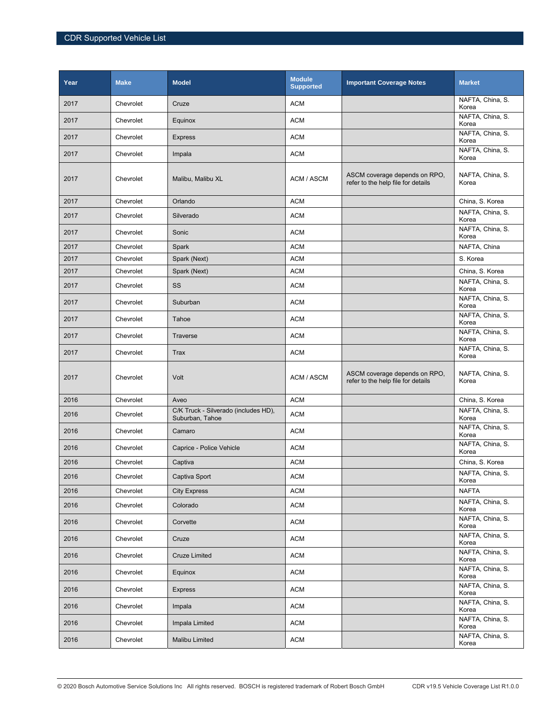| Year | <b>Make</b> | <b>Model</b>                                            | <b>Module</b><br><b>Supported</b> | <b>Important Coverage Notes</b>                                     | <b>Market</b>             |
|------|-------------|---------------------------------------------------------|-----------------------------------|---------------------------------------------------------------------|---------------------------|
| 2017 | Chevrolet   | Cruze                                                   | <b>ACM</b>                        |                                                                     | NAFTA, China, S.<br>Korea |
| 2017 | Chevrolet   | Equinox                                                 | <b>ACM</b>                        |                                                                     | NAFTA, China, S.<br>Korea |
| 2017 | Chevrolet   | <b>Express</b>                                          | <b>ACM</b>                        |                                                                     | NAFTA, China, S.<br>Korea |
| 2017 | Chevrolet   | Impala                                                  | <b>ACM</b>                        |                                                                     | NAFTA, China, S.<br>Korea |
| 2017 | Chevrolet   | Malibu, Malibu XL                                       | ACM / ASCM                        | ASCM coverage depends on RPO,<br>refer to the help file for details | NAFTA, China, S.<br>Korea |
| 2017 | Chevrolet   | Orlando                                                 | <b>ACM</b>                        |                                                                     | China, S. Korea           |
| 2017 | Chevrolet   | Silverado                                               | <b>ACM</b>                        |                                                                     | NAFTA, China, S.<br>Korea |
| 2017 | Chevrolet   | Sonic                                                   | <b>ACM</b>                        |                                                                     | NAFTA, China, S.<br>Korea |
| 2017 | Chevrolet   | Spark                                                   | <b>ACM</b>                        |                                                                     | NAFTA, China              |
| 2017 | Chevrolet   | Spark (Next)                                            | <b>ACM</b>                        |                                                                     | S. Korea                  |
| 2017 | Chevrolet   | Spark (Next)                                            | <b>ACM</b>                        |                                                                     | China, S. Korea           |
| 2017 | Chevrolet   | SS                                                      | <b>ACM</b>                        |                                                                     | NAFTA, China, S.<br>Korea |
| 2017 | Chevrolet   | Suburban                                                | <b>ACM</b>                        |                                                                     | NAFTA, China, S.<br>Korea |
| 2017 | Chevrolet   | Tahoe                                                   | <b>ACM</b>                        |                                                                     | NAFTA, China, S.<br>Korea |
| 2017 | Chevrolet   | Traverse                                                | <b>ACM</b>                        |                                                                     | NAFTA, China, S.<br>Korea |
| 2017 | Chevrolet   | Trax                                                    | <b>ACM</b>                        |                                                                     | NAFTA, China, S.<br>Korea |
| 2017 | Chevrolet   | Volt                                                    | ACM / ASCM                        | ASCM coverage depends on RPO,<br>refer to the help file for details | NAFTA, China, S.<br>Korea |
| 2016 | Chevrolet   | Aveo                                                    | <b>ACM</b>                        |                                                                     | China, S. Korea           |
| 2016 | Chevrolet   | C/K Truck - Silverado (includes HD),<br>Suburban, Tahoe | <b>ACM</b>                        |                                                                     | NAFTA, China, S.<br>Korea |
| 2016 | Chevrolet   | Camaro                                                  | <b>ACM</b>                        |                                                                     | NAFTA, China, S.<br>Korea |
| 2016 | Chevrolet   | Caprice - Police Vehicle                                | <b>ACM</b>                        |                                                                     | NAFTA, China, S.<br>Korea |
| 2016 | Chevrolet   | Captiva                                                 | <b>ACM</b>                        |                                                                     | China, S. Korea           |
| 2016 | Chevrolet   | Captiva Sport                                           | $\mathsf{ACM}$                    |                                                                     | NAFTA, China, S.<br>Korea |
| 2016 | Chevrolet   | <b>City Express</b>                                     | <b>ACM</b>                        |                                                                     | <b>NAFTA</b>              |
| 2016 | Chevrolet   | Colorado                                                | <b>ACM</b>                        |                                                                     | NAFTA, China, S.<br>Korea |
| 2016 | Chevrolet   | Corvette                                                | <b>ACM</b>                        |                                                                     | NAFTA, China, S.<br>Korea |
| 2016 | Chevrolet   | Cruze                                                   | <b>ACM</b>                        |                                                                     | NAFTA, China, S.<br>Korea |
| 2016 | Chevrolet   | <b>Cruze Limited</b>                                    | <b>ACM</b>                        |                                                                     | NAFTA, China, S.<br>Korea |
| 2016 | Chevrolet   | Equinox                                                 | <b>ACM</b>                        |                                                                     | NAFTA, China, S.<br>Korea |
| 2016 | Chevrolet   | <b>Express</b>                                          | <b>ACM</b>                        |                                                                     | NAFTA, China, S.<br>Korea |
| 2016 | Chevrolet   | Impala                                                  | <b>ACM</b>                        |                                                                     | NAFTA, China, S.<br>Korea |
| 2016 | Chevrolet   | Impala Limited                                          | <b>ACM</b>                        |                                                                     | NAFTA, China, S.<br>Korea |
| 2016 | Chevrolet   | Malibu Limited                                          | <b>ACM</b>                        |                                                                     | NAFTA, China, S.<br>Korea |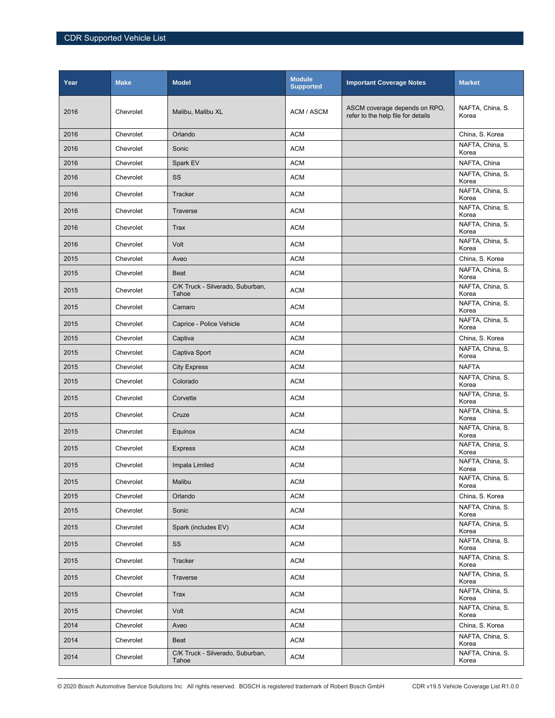| Year | <b>Make</b> | <b>Model</b>                              | <b>Module</b><br><b>Supported</b> | <b>Important Coverage Notes</b>                                     | <b>Market</b>             |
|------|-------------|-------------------------------------------|-----------------------------------|---------------------------------------------------------------------|---------------------------|
| 2016 | Chevrolet   | Malibu, Malibu XL                         | ACM / ASCM                        | ASCM coverage depends on RPO,<br>refer to the help file for details | NAFTA, China, S.<br>Korea |
| 2016 | Chevrolet   | Orlando                                   | <b>ACM</b>                        |                                                                     | China, S. Korea           |
| 2016 | Chevrolet   | Sonic                                     | <b>ACM</b>                        |                                                                     | NAFTA, China, S.<br>Korea |
| 2016 | Chevrolet   | Spark EV                                  | <b>ACM</b>                        |                                                                     | NAFTA, China              |
| 2016 | Chevrolet   | SS                                        | <b>ACM</b>                        |                                                                     | NAFTA, China, S.<br>Korea |
| 2016 | Chevrolet   | Tracker                                   | <b>ACM</b>                        |                                                                     | NAFTA, China, S.<br>Korea |
| 2016 | Chevrolet   | Traverse                                  | <b>ACM</b>                        |                                                                     | NAFTA, China, S.<br>Korea |
| 2016 | Chevrolet   | <b>Trax</b>                               | <b>ACM</b>                        |                                                                     | NAFTA, China, S.<br>Korea |
| 2016 | Chevrolet   | Volt                                      | <b>ACM</b>                        |                                                                     | NAFTA, China, S.<br>Korea |
| 2015 | Chevrolet   | Aveo                                      | <b>ACM</b>                        |                                                                     | China, S. Korea           |
| 2015 | Chevrolet   | <b>Beat</b>                               | <b>ACM</b>                        |                                                                     | NAFTA, China, S.<br>Korea |
| 2015 | Chevrolet   | C/K Truck - Silverado, Suburban,<br>Tahoe | <b>ACM</b>                        |                                                                     | NAFTA, China, S.<br>Korea |
| 2015 | Chevrolet   | Camaro                                    | <b>ACM</b>                        |                                                                     | NAFTA, China, S.<br>Korea |
| 2015 | Chevrolet   | Caprice - Police Vehicle                  | <b>ACM</b>                        |                                                                     | NAFTA, China, S.<br>Korea |
| 2015 | Chevrolet   | Captiva                                   | <b>ACM</b>                        |                                                                     | China, S. Korea           |
| 2015 | Chevrolet   | Captiva Sport                             | <b>ACM</b>                        |                                                                     | NAFTA, China, S.<br>Korea |
| 2015 | Chevrolet   | <b>City Express</b>                       | <b>ACM</b>                        |                                                                     | <b>NAFTA</b>              |
| 2015 | Chevrolet   | Colorado                                  | <b>ACM</b>                        |                                                                     | NAFTA, China, S.<br>Korea |
| 2015 | Chevrolet   | Corvette                                  | <b>ACM</b>                        |                                                                     | NAFTA, China, S.<br>Korea |
| 2015 | Chevrolet   | Cruze                                     | <b>ACM</b>                        |                                                                     | NAFTA, China, S.<br>Korea |
| 2015 | Chevrolet   | Equinox                                   | <b>ACM</b>                        |                                                                     | NAFTA, China, S.<br>Korea |
| 2015 | Chevrolet   | <b>Express</b>                            | <b>ACM</b>                        |                                                                     | NAFTA, China, S.<br>Korea |
| 2015 | Chevrolet   | Impala Limited                            | <b>ACM</b>                        |                                                                     | NAFTA, China, S.<br>Korea |
| 2015 | Chevrolet   | Malibu                                    | <b>ACM</b>                        |                                                                     | NAFTA, China, S.<br>Korea |
| 2015 | Chevrolet   | Orlando                                   | <b>ACM</b>                        |                                                                     | China, S. Korea           |
| 2015 | Chevrolet   | Sonic                                     | <b>ACM</b>                        |                                                                     | NAFTA, China, S.<br>Korea |
| 2015 | Chevrolet   | Spark (includes EV)                       | <b>ACM</b>                        |                                                                     | NAFTA, China, S.<br>Korea |
| 2015 | Chevrolet   | SS                                        | <b>ACM</b>                        |                                                                     | NAFTA, China, S.<br>Korea |
| 2015 | Chevrolet   | <b>Tracker</b>                            | <b>ACM</b>                        |                                                                     | NAFTA, China, S.<br>Korea |
| 2015 | Chevrolet   | Traverse                                  | <b>ACM</b>                        |                                                                     | NAFTA, China, S.<br>Korea |
| 2015 | Chevrolet   | <b>Trax</b>                               | <b>ACM</b>                        |                                                                     | NAFTA, China, S.<br>Korea |
| 2015 | Chevrolet   | Volt                                      | <b>ACM</b>                        |                                                                     | NAFTA, China, S.<br>Korea |
| 2014 | Chevrolet   | Aveo                                      | <b>ACM</b>                        |                                                                     | China, S. Korea           |
| 2014 | Chevrolet   | Beat                                      | <b>ACM</b>                        |                                                                     | NAFTA, China, S.<br>Korea |
| 2014 | Chevrolet   | C/K Truck - Silverado, Suburban,<br>Tahoe | <b>ACM</b>                        |                                                                     | NAFTA, China, S.<br>Korea |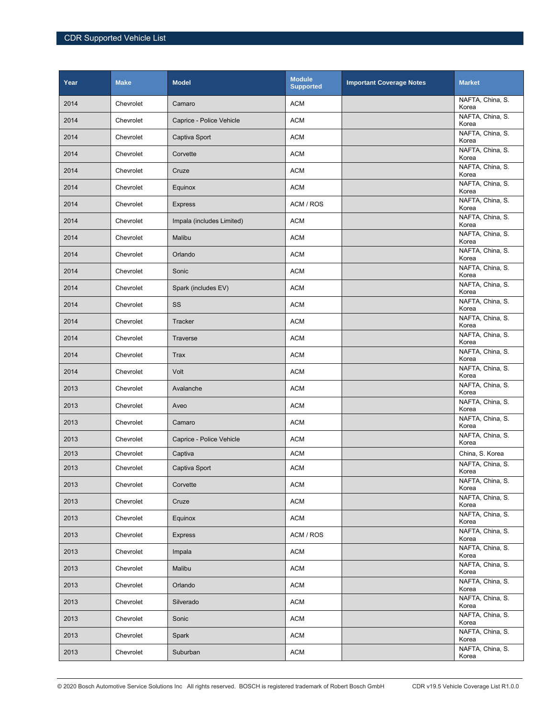| Year | <b>Make</b> | <b>Model</b>              | <b>Module</b><br><b>Supported</b> | <b>Important Coverage Notes</b> | <b>Market</b>             |
|------|-------------|---------------------------|-----------------------------------|---------------------------------|---------------------------|
| 2014 | Chevrolet   | Camaro                    | <b>ACM</b>                        |                                 | NAFTA, China, S.<br>Korea |
| 2014 | Chevrolet   | Caprice - Police Vehicle  | <b>ACM</b>                        |                                 | NAFTA, China, S.<br>Korea |
| 2014 | Chevrolet   | Captiva Sport             | <b>ACM</b>                        |                                 | NAFTA, China, S.<br>Korea |
| 2014 | Chevrolet   | Corvette                  | <b>ACM</b>                        |                                 | NAFTA, China, S.<br>Korea |
| 2014 | Chevrolet   | Cruze                     | <b>ACM</b>                        |                                 | NAFTA, China, S.<br>Korea |
| 2014 | Chevrolet   | Equinox                   | <b>ACM</b>                        |                                 | NAFTA, China, S.<br>Korea |
| 2014 | Chevrolet   | <b>Express</b>            | ACM / ROS                         |                                 | NAFTA, China, S.<br>Korea |
| 2014 | Chevrolet   | Impala (includes Limited) | <b>ACM</b>                        |                                 | NAFTA, China, S.<br>Korea |
| 2014 | Chevrolet   | Malibu                    | <b>ACM</b>                        |                                 | NAFTA, China, S.<br>Korea |
| 2014 | Chevrolet   | Orlando                   | <b>ACM</b>                        |                                 | NAFTA, China, S.<br>Korea |
| 2014 | Chevrolet   | Sonic                     | <b>ACM</b>                        |                                 | NAFTA, China, S.<br>Korea |
| 2014 | Chevrolet   | Spark (includes EV)       | <b>ACM</b>                        |                                 | NAFTA, China, S.<br>Korea |
| 2014 | Chevrolet   | SS                        | <b>ACM</b>                        |                                 | NAFTA, China, S.<br>Korea |
| 2014 | Chevrolet   | Tracker                   | <b>ACM</b>                        |                                 | NAFTA, China, S.<br>Korea |
| 2014 | Chevrolet   | <b>Traverse</b>           | <b>ACM</b>                        |                                 | NAFTA, China, S.<br>Korea |
| 2014 | Chevrolet   | <b>Trax</b>               | <b>ACM</b>                        |                                 | NAFTA, China, S.<br>Korea |
| 2014 | Chevrolet   | Volt                      | <b>ACM</b>                        |                                 | NAFTA, China, S.<br>Korea |
| 2013 | Chevrolet   | Avalanche                 | <b>ACM</b>                        |                                 | NAFTA, China, S.<br>Korea |
| 2013 | Chevrolet   | Aveo                      | <b>ACM</b>                        |                                 | NAFTA, China, S.<br>Korea |
| 2013 | Chevrolet   | Camaro                    | <b>ACM</b>                        |                                 | NAFTA, China, S.<br>Korea |
| 2013 | Chevrolet   | Caprice - Police Vehicle  | <b>ACM</b>                        |                                 | NAFTA, China, S.<br>Korea |
| 2013 | Chevrolet   | Captiva                   | <b>ACM</b>                        |                                 | China, S. Korea           |
| 2013 | Chevrolet   | Captiva Sport             | <b>ACM</b>                        |                                 | NAFTA, China, S.<br>Korea |
| 2013 | Chevrolet   | Corvette                  | <b>ACM</b>                        |                                 | NAFTA, China, S.<br>Korea |
| 2013 | Chevrolet   | Cruze                     | <b>ACM</b>                        |                                 | NAFTA, China, S.<br>Korea |
| 2013 | Chevrolet   | Equinox                   | <b>ACM</b>                        |                                 | NAFTA, China, S.<br>Korea |
| 2013 | Chevrolet   | <b>Express</b>            | ACM / ROS                         |                                 | NAFTA, China, S.<br>Korea |
| 2013 | Chevrolet   | Impala                    | <b>ACM</b>                        |                                 | NAFTA, China, S.<br>Korea |
| 2013 | Chevrolet   | Malibu                    | <b>ACM</b>                        |                                 | NAFTA, China, S.<br>Korea |
| 2013 | Chevrolet   | Orlando                   | <b>ACM</b>                        |                                 | NAFTA, China, S.<br>Korea |
| 2013 | Chevrolet   | Silverado                 | <b>ACM</b>                        |                                 | NAFTA, China, S.<br>Korea |
| 2013 | Chevrolet   | Sonic                     | <b>ACM</b>                        |                                 | NAFTA, China, S.<br>Korea |
| 2013 | Chevrolet   | Spark                     | <b>ACM</b>                        |                                 | NAFTA, China, S.<br>Korea |
| 2013 | Chevrolet   | Suburban                  | <b>ACM</b>                        |                                 | NAFTA, China, S.<br>Korea |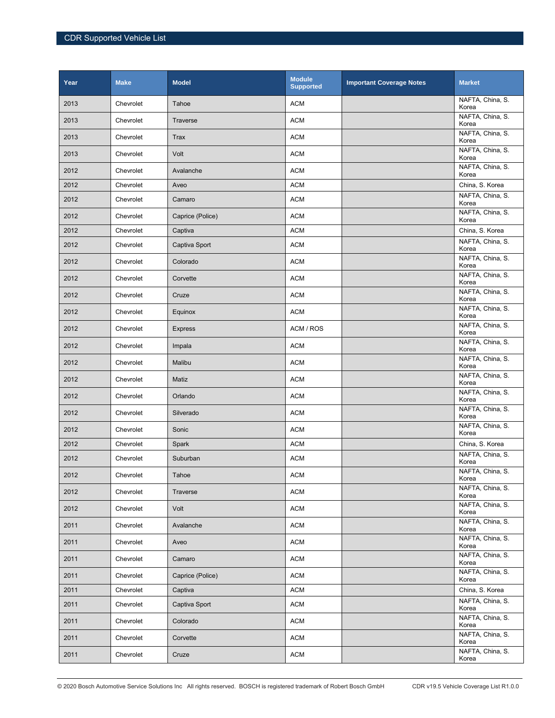| Year | <b>Make</b> | <b>Model</b>     | <b>Module</b><br><b>Supported</b> | <b>Important Coverage Notes</b> | <b>Market</b>             |
|------|-------------|------------------|-----------------------------------|---------------------------------|---------------------------|
| 2013 | Chevrolet   | Tahoe            | <b>ACM</b>                        |                                 | NAFTA, China, S.<br>Korea |
| 2013 | Chevrolet   | Traverse         | <b>ACM</b>                        |                                 | NAFTA, China, S.<br>Korea |
| 2013 | Chevrolet   | <b>Trax</b>      | <b>ACM</b>                        |                                 | NAFTA, China, S.<br>Korea |
| 2013 | Chevrolet   | Volt             | <b>ACM</b>                        |                                 | NAFTA, China, S.<br>Korea |
| 2012 | Chevrolet   | Avalanche        | <b>ACM</b>                        |                                 | NAFTA, China, S.<br>Korea |
| 2012 | Chevrolet   | Aveo             | <b>ACM</b>                        |                                 | China, S. Korea           |
| 2012 | Chevrolet   | Camaro           | <b>ACM</b>                        |                                 | NAFTA, China, S.<br>Korea |
| 2012 | Chevrolet   | Caprice (Police) | <b>ACM</b>                        |                                 | NAFTA, China, S.<br>Korea |
| 2012 | Chevrolet   | Captiva          | <b>ACM</b>                        |                                 | China, S. Korea           |
| 2012 | Chevrolet   | Captiva Sport    | <b>ACM</b>                        |                                 | NAFTA, China, S.<br>Korea |
| 2012 | Chevrolet   | Colorado         | <b>ACM</b>                        |                                 | NAFTA, China, S.<br>Korea |
| 2012 | Chevrolet   | Corvette         | <b>ACM</b>                        |                                 | NAFTA, China, S.<br>Korea |
| 2012 | Chevrolet   | Cruze            | <b>ACM</b>                        |                                 | NAFTA, China, S.<br>Korea |
| 2012 | Chevrolet   | Equinox          | <b>ACM</b>                        |                                 | NAFTA, China, S.<br>Korea |
| 2012 | Chevrolet   | <b>Express</b>   | ACM / ROS                         |                                 | NAFTA, China, S.<br>Korea |
| 2012 | Chevrolet   | Impala           | <b>ACM</b>                        |                                 | NAFTA, China, S.<br>Korea |
| 2012 | Chevrolet   | Malibu           | <b>ACM</b>                        |                                 | NAFTA, China, S.<br>Korea |
| 2012 | Chevrolet   | Matiz            | <b>ACM</b>                        |                                 | NAFTA, China, S.<br>Korea |
| 2012 | Chevrolet   | Orlando          | <b>ACM</b>                        |                                 | NAFTA, China, S.<br>Korea |
| 2012 | Chevrolet   | Silverado        | <b>ACM</b>                        |                                 | NAFTA, China, S.<br>Korea |
| 2012 | Chevrolet   | Sonic            | <b>ACM</b>                        |                                 | NAFTA, China, S.<br>Korea |
| 2012 | Chevrolet   | Spark            | <b>ACM</b>                        |                                 | China, S. Korea           |
| 2012 | Chevrolet   | Suburban         | <b>ACM</b>                        |                                 | NAFTA, China, S.<br>Korea |
| 2012 | Chevrolet   | Tahoe            | <b>ACM</b>                        |                                 | NAFTA, China, S.<br>Korea |
| 2012 | Chevrolet   | <b>Traverse</b>  | <b>ACM</b>                        |                                 | NAFTA, China, S.<br>Korea |
| 2012 | Chevrolet   | Volt             | <b>ACM</b>                        |                                 | NAFTA, China, S.<br>Korea |
| 2011 | Chevrolet   | Avalanche        | <b>ACM</b>                        |                                 | NAFTA, China, S.<br>Korea |
| 2011 | Chevrolet   | Aveo             | <b>ACM</b>                        |                                 | NAFTA, China, S.<br>Korea |
| 2011 | Chevrolet   | Camaro           | <b>ACM</b>                        |                                 | NAFTA, China, S.<br>Korea |
| 2011 | Chevrolet   | Caprice (Police) | <b>ACM</b>                        |                                 | NAFTA, China, S.<br>Korea |
| 2011 | Chevrolet   | Captiva          | <b>ACM</b>                        |                                 | China, S. Korea           |
| 2011 | Chevrolet   | Captiva Sport    | <b>ACM</b>                        |                                 | NAFTA, China, S.<br>Korea |
| 2011 | Chevrolet   | Colorado         | <b>ACM</b>                        |                                 | NAFTA, China, S.<br>Korea |
| 2011 | Chevrolet   | Corvette         | <b>ACM</b>                        |                                 | NAFTA, China, S.<br>Korea |
| 2011 | Chevrolet   | Cruze            | $\mathsf{ACM}$                    |                                 | NAFTA, China, S.<br>Korea |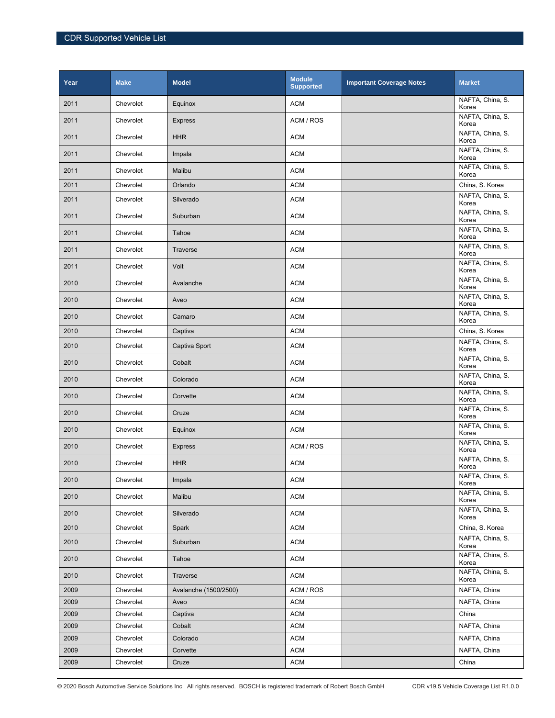| Year | <b>Make</b> | <b>Model</b>          | <b>Module</b><br><b>Supported</b> | <b>Important Coverage Notes</b> | <b>Market</b>             |
|------|-------------|-----------------------|-----------------------------------|---------------------------------|---------------------------|
| 2011 | Chevrolet   | Equinox               | <b>ACM</b>                        |                                 | NAFTA, China, S.<br>Korea |
| 2011 | Chevrolet   | <b>Express</b>        | ACM / ROS                         |                                 | NAFTA, China, S.<br>Korea |
| 2011 | Chevrolet   | <b>HHR</b>            | <b>ACM</b>                        |                                 | NAFTA, China, S.<br>Korea |
| 2011 | Chevrolet   | Impala                | <b>ACM</b>                        |                                 | NAFTA, China, S.<br>Korea |
| 2011 | Chevrolet   | Malibu                | <b>ACM</b>                        |                                 | NAFTA, China, S.<br>Korea |
| 2011 | Chevrolet   | Orlando               | <b>ACM</b>                        |                                 | China, S. Korea           |
| 2011 | Chevrolet   | Silverado             | <b>ACM</b>                        |                                 | NAFTA, China, S.<br>Korea |
| 2011 | Chevrolet   | Suburban              | <b>ACM</b>                        |                                 | NAFTA, China, S.<br>Korea |
| 2011 | Chevrolet   | Tahoe                 | <b>ACM</b>                        |                                 | NAFTA, China, S.<br>Korea |
| 2011 | Chevrolet   | <b>Traverse</b>       | <b>ACM</b>                        |                                 | NAFTA, China, S.<br>Korea |
| 2011 | Chevrolet   | Volt                  | <b>ACM</b>                        |                                 | NAFTA, China, S.<br>Korea |
| 2010 | Chevrolet   | Avalanche             | <b>ACM</b>                        |                                 | NAFTA, China, S.<br>Korea |
| 2010 | Chevrolet   | Aveo                  | <b>ACM</b>                        |                                 | NAFTA, China, S.<br>Korea |
| 2010 | Chevrolet   | Camaro                | <b>ACM</b>                        |                                 | NAFTA, China, S.<br>Korea |
| 2010 | Chevrolet   | Captiva               | <b>ACM</b>                        |                                 | China, S. Korea           |
| 2010 | Chevrolet   | Captiva Sport         | <b>ACM</b>                        |                                 | NAFTA, China, S.<br>Korea |
| 2010 | Chevrolet   | Cobalt                | <b>ACM</b>                        |                                 | NAFTA, China, S.<br>Korea |
| 2010 | Chevrolet   | Colorado              | <b>ACM</b>                        |                                 | NAFTA, China, S.<br>Korea |
| 2010 | Chevrolet   | Corvette              | <b>ACM</b>                        |                                 | NAFTA, China, S.<br>Korea |
| 2010 | Chevrolet   | Cruze                 | <b>ACM</b>                        |                                 | NAFTA, China, S.<br>Korea |
| 2010 | Chevrolet   | Equinox               | <b>ACM</b>                        |                                 | NAFTA, China, S.<br>Korea |
| 2010 | Chevrolet   | <b>Express</b>        | ACM / ROS                         |                                 | NAFTA, China, S.<br>Korea |
| 2010 | Chevrolet   | <b>HHR</b>            | <b>ACM</b>                        |                                 | NAFTA, China, S.<br>Korea |
| 2010 | Chevrolet   | Impala                | <b>ACM</b>                        |                                 | NAFTA, China, S.<br>Korea |
| 2010 | Chevrolet   | Malibu                | <b>ACM</b>                        |                                 | NAFTA, China, S.<br>Korea |
| 2010 | Chevrolet   | Silverado             | <b>ACM</b>                        |                                 | NAFTA, China, S.<br>Korea |
| 2010 | Chevrolet   | Spark                 | <b>ACM</b>                        |                                 | China, S. Korea           |
| 2010 | Chevrolet   | Suburban              | <b>ACM</b>                        |                                 | NAFTA, China, S.<br>Korea |
| 2010 | Chevrolet   | Tahoe                 | <b>ACM</b>                        |                                 | NAFTA, China, S.<br>Korea |
| 2010 | Chevrolet   | Traverse              | <b>ACM</b>                        |                                 | NAFTA, China, S.<br>Korea |
| 2009 | Chevrolet   | Avalanche (1500/2500) | ACM / ROS                         |                                 | NAFTA, China              |
| 2009 | Chevrolet   | Aveo                  | <b>ACM</b>                        |                                 | NAFTA, China              |
| 2009 | Chevrolet   | Captiva               | <b>ACM</b>                        |                                 | China                     |
| 2009 | Chevrolet   | Cobalt                | <b>ACM</b>                        |                                 | NAFTA, China              |
| 2009 | Chevrolet   | Colorado              | <b>ACM</b>                        |                                 | NAFTA, China              |
| 2009 | Chevrolet   | Corvette              | <b>ACM</b>                        |                                 | NAFTA, China              |
| 2009 | Chevrolet   | Cruze                 | <b>ACM</b>                        |                                 | China                     |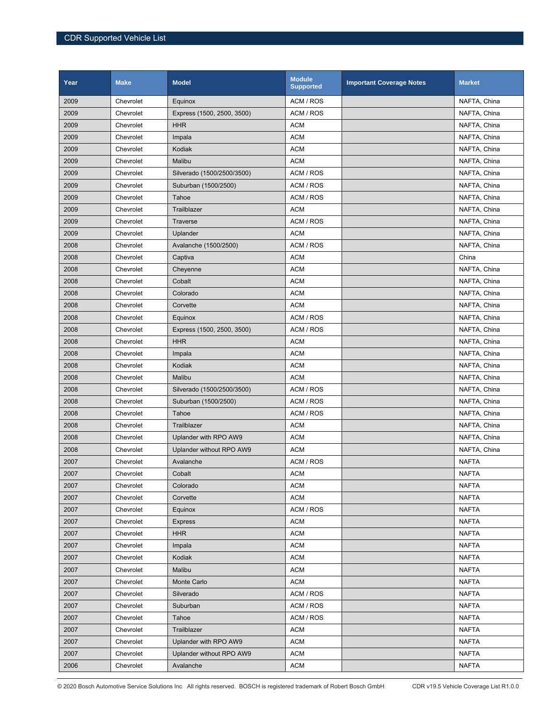| Year | <b>Make</b> | <b>Model</b>               | <b>Module</b><br><b>Supported</b> | <b>Important Coverage Notes</b> | <b>Market</b> |
|------|-------------|----------------------------|-----------------------------------|---------------------------------|---------------|
| 2009 | Chevrolet   | Equinox                    | ACM / ROS                         |                                 | NAFTA, China  |
| 2009 | Chevrolet   | Express (1500, 2500, 3500) | ACM / ROS                         |                                 | NAFTA, China  |
| 2009 | Chevrolet   | <b>HHR</b>                 | <b>ACM</b>                        |                                 | NAFTA, China  |
| 2009 | Chevrolet   | Impala                     | <b>ACM</b>                        |                                 | NAFTA, China  |
| 2009 | Chevrolet   | Kodiak                     | <b>ACM</b>                        |                                 | NAFTA, China  |
| 2009 | Chevrolet   | Malibu                     | <b>ACM</b>                        |                                 | NAFTA, China  |
| 2009 | Chevrolet   | Silverado (1500/2500/3500) | ACM / ROS                         |                                 | NAFTA, China  |
| 2009 | Chevrolet   | Suburban (1500/2500)       | ACM / ROS                         |                                 | NAFTA, China  |
| 2009 | Chevrolet   | Tahoe                      | ACM / ROS                         |                                 | NAFTA, China  |
| 2009 | Chevrolet   | Trailblazer                | <b>ACM</b>                        |                                 | NAFTA, China  |
| 2009 | Chevrolet   | <b>Traverse</b>            | ACM / ROS                         |                                 | NAFTA, China  |
| 2009 | Chevrolet   | Uplander                   | <b>ACM</b>                        |                                 | NAFTA, China  |
| 2008 | Chevrolet   | Avalanche (1500/2500)      | ACM / ROS                         |                                 | NAFTA, China  |
| 2008 | Chevrolet   | Captiva                    | <b>ACM</b>                        |                                 | China         |
| 2008 | Chevrolet   | Cheyenne                   | <b>ACM</b>                        |                                 | NAFTA, China  |
| 2008 | Chevrolet   | Cobalt                     | <b>ACM</b>                        |                                 | NAFTA, China  |
| 2008 | Chevrolet   | Colorado                   | <b>ACM</b>                        |                                 | NAFTA, China  |
| 2008 | Chevrolet   | Corvette                   | <b>ACM</b>                        |                                 | NAFTA, China  |
| 2008 | Chevrolet   | Equinox                    | ACM / ROS                         |                                 | NAFTA, China  |
| 2008 | Chevrolet   | Express (1500, 2500, 3500) | ACM / ROS                         |                                 | NAFTA, China  |
| 2008 | Chevrolet   | <b>HHR</b>                 | <b>ACM</b>                        |                                 | NAFTA, China  |
| 2008 | Chevrolet   | Impala                     | <b>ACM</b>                        |                                 | NAFTA, China  |
| 2008 | Chevrolet   | Kodiak                     | <b>ACM</b>                        |                                 | NAFTA, China  |
| 2008 | Chevrolet   | Malibu                     | <b>ACM</b>                        |                                 | NAFTA, China  |
| 2008 | Chevrolet   | Silverado (1500/2500/3500) | ACM / ROS                         |                                 | NAFTA, China  |
| 2008 | Chevrolet   | Suburban (1500/2500)       | ACM / ROS                         |                                 | NAFTA, China  |
| 2008 | Chevrolet   | Tahoe                      | ACM / ROS                         |                                 | NAFTA, China  |
| 2008 | Chevrolet   | Trailblazer                | <b>ACM</b>                        |                                 | NAFTA, China  |
| 2008 | Chevrolet   | Uplander with RPO AW9      | <b>ACM</b>                        |                                 | NAFTA, China  |
| 2008 | Chevrolet   | Uplander without RPO AW9   | <b>ACM</b>                        |                                 | NAFTA, China  |
| 2007 | Chevrolet   | Avalanche                  | ACM / ROS                         |                                 | <b>NAFTA</b>  |
| 2007 | Chevrolet   | Cobalt                     | <b>ACM</b>                        |                                 | <b>NAFTA</b>  |
| 2007 | Chevrolet   | Colorado                   | <b>ACM</b>                        |                                 | <b>NAFTA</b>  |
| 2007 | Chevrolet   | Corvette                   | <b>ACM</b>                        |                                 | <b>NAFTA</b>  |
| 2007 | Chevrolet   | Equinox                    | ACM / ROS                         |                                 | <b>NAFTA</b>  |
| 2007 | Chevrolet   | <b>Express</b>             | <b>ACM</b>                        |                                 | <b>NAFTA</b>  |
| 2007 | Chevrolet   | <b>HHR</b>                 | <b>ACM</b>                        |                                 | <b>NAFTA</b>  |
| 2007 | Chevrolet   | Impala                     | <b>ACM</b>                        |                                 | <b>NAFTA</b>  |
| 2007 | Chevrolet   | Kodiak                     | <b>ACM</b>                        |                                 | <b>NAFTA</b>  |
| 2007 | Chevrolet   | Malibu                     | <b>ACM</b>                        |                                 | <b>NAFTA</b>  |
| 2007 | Chevrolet   | Monte Carlo                | ACM                               |                                 | <b>NAFTA</b>  |
| 2007 | Chevrolet   | Silverado                  | ACM / ROS                         |                                 | <b>NAFTA</b>  |
| 2007 | Chevrolet   | Suburban                   | ACM / ROS                         |                                 | <b>NAFTA</b>  |
| 2007 | Chevrolet   | Tahoe                      | ACM / ROS                         |                                 | <b>NAFTA</b>  |
| 2007 | Chevrolet   | Trailblazer                | <b>ACM</b>                        |                                 | <b>NAFTA</b>  |
| 2007 | Chevrolet   | Uplander with RPO AW9      | <b>ACM</b>                        |                                 | <b>NAFTA</b>  |
| 2007 | Chevrolet   | Uplander without RPO AW9   | <b>ACM</b>                        |                                 | <b>NAFTA</b>  |
| 2006 | Chevrolet   | Avalanche                  | ACM                               |                                 | <b>NAFTA</b>  |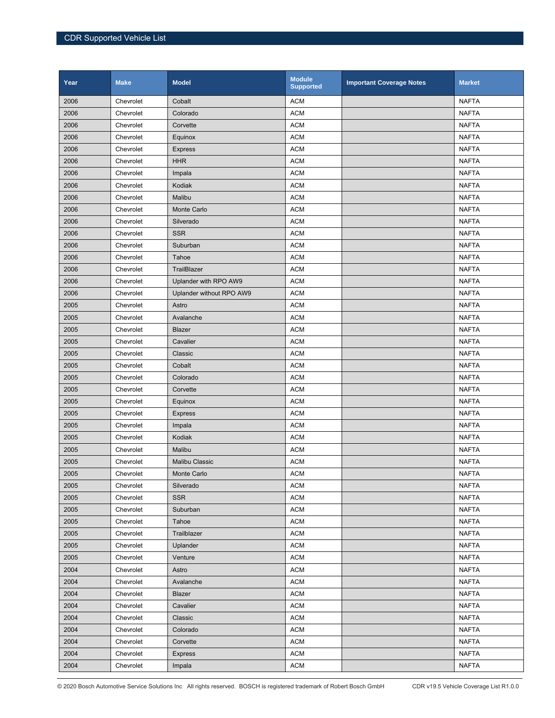| Year | <b>Make</b> | <b>Model</b>             | <b>Module</b><br><b>Supported</b> | <b>Important Coverage Notes</b> | <b>Market</b> |
|------|-------------|--------------------------|-----------------------------------|---------------------------------|---------------|
| 2006 | Chevrolet   | Cobalt                   | <b>ACM</b>                        |                                 | <b>NAFTA</b>  |
| 2006 | Chevrolet   | Colorado                 | <b>ACM</b>                        |                                 | <b>NAFTA</b>  |
| 2006 | Chevrolet   | Corvette                 | <b>ACM</b>                        |                                 | <b>NAFTA</b>  |
| 2006 | Chevrolet   | Equinox                  | <b>ACM</b>                        |                                 | <b>NAFTA</b>  |
| 2006 | Chevrolet   | <b>Express</b>           | <b>ACM</b>                        |                                 | <b>NAFTA</b>  |
| 2006 | Chevrolet   | <b>HHR</b>               | <b>ACM</b>                        |                                 | <b>NAFTA</b>  |
| 2006 | Chevrolet   | Impala                   | <b>ACM</b>                        |                                 | <b>NAFTA</b>  |
| 2006 | Chevrolet   | Kodiak                   | <b>ACM</b>                        |                                 | <b>NAFTA</b>  |
| 2006 | Chevrolet   | Malibu                   | <b>ACM</b>                        |                                 | <b>NAFTA</b>  |
| 2006 | Chevrolet   | Monte Carlo              | <b>ACM</b>                        |                                 | <b>NAFTA</b>  |
| 2006 | Chevrolet   | Silverado                | <b>ACM</b>                        |                                 | <b>NAFTA</b>  |
| 2006 | Chevrolet   | <b>SSR</b>               | <b>ACM</b>                        |                                 | <b>NAFTA</b>  |
| 2006 | Chevrolet   | Suburban                 | <b>ACM</b>                        |                                 | <b>NAFTA</b>  |
| 2006 | Chevrolet   | Tahoe                    | <b>ACM</b>                        |                                 | <b>NAFTA</b>  |
| 2006 | Chevrolet   | TrailBlazer              | <b>ACM</b>                        |                                 | <b>NAFTA</b>  |
| 2006 | Chevrolet   | Uplander with RPO AW9    | <b>ACM</b>                        |                                 | <b>NAFTA</b>  |
| 2006 | Chevrolet   | Uplander without RPO AW9 | <b>ACM</b>                        |                                 | <b>NAFTA</b>  |
| 2005 | Chevrolet   | Astro                    | <b>ACM</b>                        |                                 | <b>NAFTA</b>  |
| 2005 | Chevrolet   | Avalanche                | <b>ACM</b>                        |                                 | <b>NAFTA</b>  |
| 2005 | Chevrolet   | Blazer                   | <b>ACM</b>                        |                                 | <b>NAFTA</b>  |
| 2005 | Chevrolet   | Cavalier                 | <b>ACM</b>                        |                                 | <b>NAFTA</b>  |
| 2005 | Chevrolet   | Classic                  | <b>ACM</b>                        |                                 | <b>NAFTA</b>  |
| 2005 | Chevrolet   | Cobalt                   | <b>ACM</b>                        |                                 | <b>NAFTA</b>  |
| 2005 | Chevrolet   | Colorado                 | <b>ACM</b>                        |                                 | <b>NAFTA</b>  |
| 2005 | Chevrolet   | Corvette                 | <b>ACM</b>                        |                                 | <b>NAFTA</b>  |
| 2005 | Chevrolet   | Equinox                  | <b>ACM</b>                        |                                 | <b>NAFTA</b>  |
| 2005 | Chevrolet   | <b>Express</b>           | <b>ACM</b>                        |                                 | <b>NAFTA</b>  |
| 2005 | Chevrolet   | Impala                   | <b>ACM</b>                        |                                 | <b>NAFTA</b>  |
| 2005 | Chevrolet   | Kodiak                   | <b>ACM</b>                        |                                 | <b>NAFTA</b>  |
| 2005 | Chevrolet   | Malibu                   | <b>ACM</b>                        |                                 | <b>NAFTA</b>  |
| 2005 | Chevrolet   | <b>Malibu Classic</b>    | <b>ACM</b>                        |                                 | <b>NAFTA</b>  |
| 2005 | Chevrolet   | Monte Carlo              | <b>ACM</b>                        |                                 | <b>NAFTA</b>  |
| 2005 | Chevrolet   | Silverado                | <b>ACM</b>                        |                                 | <b>NAFTA</b>  |
| 2005 | Chevrolet   | <b>SSR</b>               | <b>ACM</b>                        |                                 | <b>NAFTA</b>  |
| 2005 | Chevrolet   | Suburban                 | <b>ACM</b>                        |                                 | <b>NAFTA</b>  |
| 2005 | Chevrolet   | Tahoe                    | <b>ACM</b>                        |                                 | <b>NAFTA</b>  |
| 2005 | Chevrolet   | Trailblazer              | <b>ACM</b>                        |                                 | <b>NAFTA</b>  |
| 2005 | Chevrolet   | Uplander                 | <b>ACM</b>                        |                                 | <b>NAFTA</b>  |
| 2005 | Chevrolet   | Venture                  | <b>ACM</b>                        |                                 | <b>NAFTA</b>  |
| 2004 | Chevrolet   | Astro                    | <b>ACM</b>                        |                                 | <b>NAFTA</b>  |
| 2004 | Chevrolet   | Avalanche                | <b>ACM</b>                        |                                 | <b>NAFTA</b>  |
| 2004 | Chevrolet   | Blazer                   | <b>ACM</b>                        |                                 | <b>NAFTA</b>  |
| 2004 | Chevrolet   | Cavalier                 | <b>ACM</b>                        |                                 | <b>NAFTA</b>  |
| 2004 | Chevrolet   | Classic                  | <b>ACM</b>                        |                                 | <b>NAFTA</b>  |
| 2004 | Chevrolet   | Colorado                 | <b>ACM</b>                        |                                 | <b>NAFTA</b>  |
| 2004 | Chevrolet   | Corvette                 | <b>ACM</b>                        |                                 | <b>NAFTA</b>  |
| 2004 | Chevrolet   | <b>Express</b>           | <b>ACM</b>                        |                                 | <b>NAFTA</b>  |
| 2004 | Chevrolet   | Impala                   | <b>ACM</b>                        |                                 | <b>NAFTA</b>  |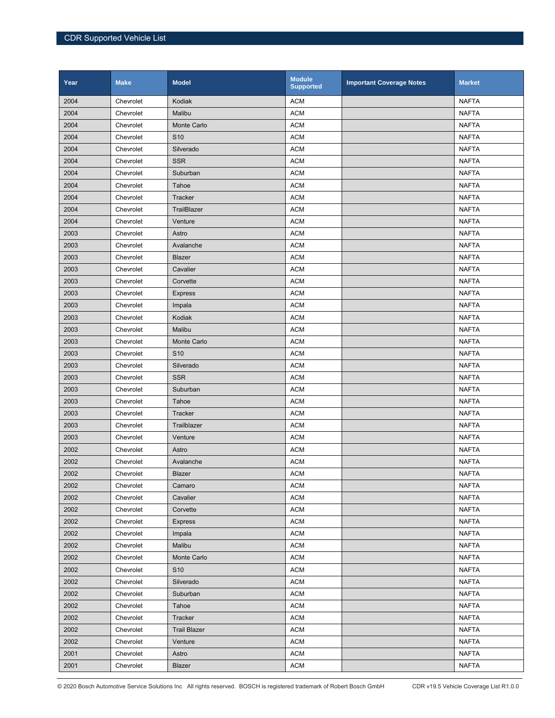| Year | <b>Make</b> | <b>Model</b>        | <b>Module</b><br><b>Supported</b> | <b>Important Coverage Notes</b> | <b>Market</b> |
|------|-------------|---------------------|-----------------------------------|---------------------------------|---------------|
| 2004 | Chevrolet   | Kodiak              | <b>ACM</b>                        |                                 | <b>NAFTA</b>  |
| 2004 | Chevrolet   | Malibu              | <b>ACM</b>                        |                                 | <b>NAFTA</b>  |
| 2004 | Chevrolet   | <b>Monte Carlo</b>  | <b>ACM</b>                        |                                 | <b>NAFTA</b>  |
| 2004 | Chevrolet   | S <sub>10</sub>     | <b>ACM</b>                        |                                 | <b>NAFTA</b>  |
| 2004 | Chevrolet   | Silverado           | <b>ACM</b>                        |                                 | <b>NAFTA</b>  |
| 2004 | Chevrolet   | <b>SSR</b>          | <b>ACM</b>                        |                                 | <b>NAFTA</b>  |
| 2004 | Chevrolet   | Suburban            | <b>ACM</b>                        |                                 | <b>NAFTA</b>  |
| 2004 | Chevrolet   | Tahoe               | <b>ACM</b>                        |                                 | <b>NAFTA</b>  |
| 2004 | Chevrolet   | Tracker             | <b>ACM</b>                        |                                 | <b>NAFTA</b>  |
| 2004 | Chevrolet   | TrailBlazer         | <b>ACM</b>                        |                                 | <b>NAFTA</b>  |
| 2004 | Chevrolet   | Venture             | <b>ACM</b>                        |                                 | <b>NAFTA</b>  |
| 2003 | Chevrolet   | Astro               | <b>ACM</b>                        |                                 | <b>NAFTA</b>  |
| 2003 | Chevrolet   | Avalanche           | <b>ACM</b>                        |                                 | <b>NAFTA</b>  |
| 2003 | Chevrolet   | Blazer              | <b>ACM</b>                        |                                 | <b>NAFTA</b>  |
| 2003 | Chevrolet   | Cavalier            | <b>ACM</b>                        |                                 | <b>NAFTA</b>  |
| 2003 | Chevrolet   | Corvette            | <b>ACM</b>                        |                                 | <b>NAFTA</b>  |
| 2003 | Chevrolet   | <b>Express</b>      | <b>ACM</b>                        |                                 | <b>NAFTA</b>  |
| 2003 | Chevrolet   | Impala              | <b>ACM</b>                        |                                 | <b>NAFTA</b>  |
| 2003 | Chevrolet   | Kodiak              | <b>ACM</b>                        |                                 | <b>NAFTA</b>  |
| 2003 | Chevrolet   | Malibu              | <b>ACM</b>                        |                                 | <b>NAFTA</b>  |
| 2003 | Chevrolet   | Monte Carlo         | <b>ACM</b>                        |                                 | <b>NAFTA</b>  |
| 2003 | Chevrolet   | S <sub>10</sub>     | <b>ACM</b>                        |                                 | <b>NAFTA</b>  |
| 2003 | Chevrolet   | Silverado           | <b>ACM</b>                        |                                 | <b>NAFTA</b>  |
| 2003 | Chevrolet   | <b>SSR</b>          | <b>ACM</b>                        |                                 | <b>NAFTA</b>  |
| 2003 | Chevrolet   | Suburban            | <b>ACM</b>                        |                                 | <b>NAFTA</b>  |
| 2003 | Chevrolet   | Tahoe               | <b>ACM</b>                        |                                 | <b>NAFTA</b>  |
| 2003 | Chevrolet   | Tracker             | <b>ACM</b>                        |                                 | <b>NAFTA</b>  |
| 2003 | Chevrolet   | Trailblazer         | <b>ACM</b>                        |                                 | <b>NAFTA</b>  |
| 2003 | Chevrolet   | Venture             | <b>ACM</b>                        |                                 | <b>NAFTA</b>  |
| 2002 | Chevrolet   | Astro               | <b>ACM</b>                        |                                 | <b>NAFTA</b>  |
| 2002 | Chevrolet   | Avalanche           | <b>ACM</b>                        |                                 | <b>NAFTA</b>  |
| 2002 | Chevrolet   | <b>Blazer</b>       | <b>ACM</b>                        |                                 | <b>NAFTA</b>  |
| 2002 | Chevrolet   | Camaro              | <b>ACM</b>                        |                                 | <b>NAFTA</b>  |
| 2002 | Chevrolet   | Cavalier            | <b>ACM</b>                        |                                 | <b>NAFTA</b>  |
| 2002 | Chevrolet   | Corvette            | <b>ACM</b>                        |                                 | <b>NAFTA</b>  |
| 2002 | Chevrolet   | <b>Express</b>      | <b>ACM</b>                        |                                 | NAFTA         |
| 2002 | Chevrolet   | Impala              | <b>ACM</b>                        |                                 | <b>NAFTA</b>  |
| 2002 | Chevrolet   | Malibu              | <b>ACM</b>                        |                                 | <b>NAFTA</b>  |
| 2002 | Chevrolet   | Monte Carlo         | <b>ACM</b>                        |                                 | <b>NAFTA</b>  |
| 2002 | Chevrolet   | S <sub>10</sub>     | <b>ACM</b>                        |                                 | <b>NAFTA</b>  |
| 2002 | Chevrolet   | Silverado           | <b>ACM</b>                        |                                 | <b>NAFTA</b>  |
| 2002 | Chevrolet   | Suburban            | <b>ACM</b>                        |                                 | <b>NAFTA</b>  |
| 2002 | Chevrolet   | Tahoe               | <b>ACM</b>                        |                                 | <b>NAFTA</b>  |
| 2002 | Chevrolet   | Tracker             | <b>ACM</b>                        |                                 | <b>NAFTA</b>  |
| 2002 | Chevrolet   | <b>Trail Blazer</b> | <b>ACM</b>                        |                                 | <b>NAFTA</b>  |
| 2002 | Chevrolet   | Venture             | <b>ACM</b>                        |                                 | <b>NAFTA</b>  |
| 2001 | Chevrolet   | Astro               | <b>ACM</b>                        |                                 | <b>NAFTA</b>  |
| 2001 | Chevrolet   | <b>Blazer</b>       | <b>ACM</b>                        |                                 | <b>NAFTA</b>  |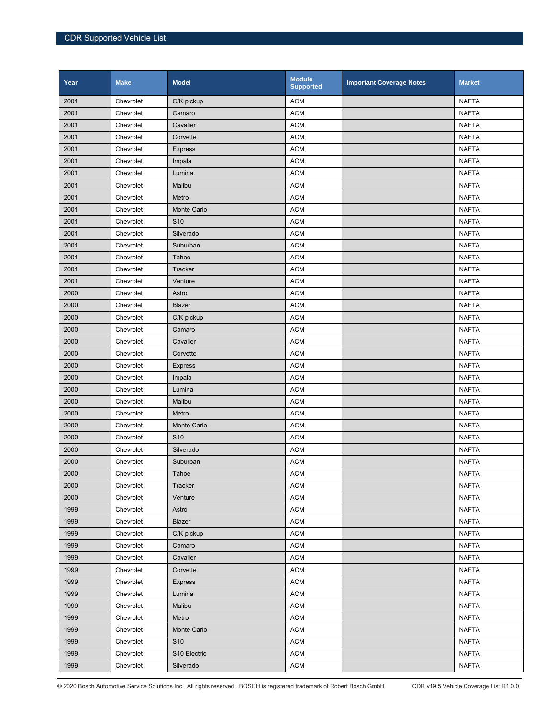| Year | <b>Make</b> | <b>Model</b>    | <b>Module</b><br><b>Supported</b> | <b>Important Coverage Notes</b> | <b>Market</b> |
|------|-------------|-----------------|-----------------------------------|---------------------------------|---------------|
| 2001 | Chevrolet   | C/K pickup      | <b>ACM</b>                        |                                 | <b>NAFTA</b>  |
| 2001 | Chevrolet   | Camaro          | <b>ACM</b>                        |                                 | <b>NAFTA</b>  |
| 2001 | Chevrolet   | Cavalier        | <b>ACM</b>                        |                                 | <b>NAFTA</b>  |
| 2001 | Chevrolet   | Corvette        | <b>ACM</b>                        |                                 | <b>NAFTA</b>  |
| 2001 | Chevrolet   | <b>Express</b>  | <b>ACM</b>                        |                                 | <b>NAFTA</b>  |
| 2001 | Chevrolet   | Impala          | <b>ACM</b>                        |                                 | <b>NAFTA</b>  |
| 2001 | Chevrolet   | Lumina          | <b>ACM</b>                        |                                 | <b>NAFTA</b>  |
| 2001 | Chevrolet   | Malibu          | <b>ACM</b>                        |                                 | <b>NAFTA</b>  |
| 2001 | Chevrolet   | Metro           | <b>ACM</b>                        |                                 | <b>NAFTA</b>  |
| 2001 | Chevrolet   | Monte Carlo     | <b>ACM</b>                        |                                 | <b>NAFTA</b>  |
| 2001 | Chevrolet   | S <sub>10</sub> | <b>ACM</b>                        |                                 | <b>NAFTA</b>  |
| 2001 | Chevrolet   | Silverado       | <b>ACM</b>                        |                                 | <b>NAFTA</b>  |
| 2001 | Chevrolet   | Suburban        | <b>ACM</b>                        |                                 | <b>NAFTA</b>  |
| 2001 | Chevrolet   | Tahoe           | <b>ACM</b>                        |                                 | <b>NAFTA</b>  |
| 2001 | Chevrolet   | <b>Tracker</b>  | <b>ACM</b>                        |                                 | <b>NAFTA</b>  |
| 2001 | Chevrolet   | Venture         | <b>ACM</b>                        |                                 | <b>NAFTA</b>  |
| 2000 | Chevrolet   | Astro           | <b>ACM</b>                        |                                 | <b>NAFTA</b>  |
| 2000 | Chevrolet   | Blazer          | <b>ACM</b>                        |                                 | <b>NAFTA</b>  |
| 2000 | Chevrolet   | C/K pickup      | <b>ACM</b>                        |                                 | <b>NAFTA</b>  |
| 2000 | Chevrolet   | Camaro          | <b>ACM</b>                        |                                 | <b>NAFTA</b>  |
| 2000 | Chevrolet   | Cavalier        | <b>ACM</b>                        |                                 | <b>NAFTA</b>  |
| 2000 | Chevrolet   | Corvette        | <b>ACM</b>                        |                                 | <b>NAFTA</b>  |
| 2000 | Chevrolet   | <b>Express</b>  | <b>ACM</b>                        |                                 | <b>NAFTA</b>  |
| 2000 | Chevrolet   | Impala          | <b>ACM</b>                        |                                 | <b>NAFTA</b>  |
| 2000 | Chevrolet   | Lumina          | <b>ACM</b>                        |                                 | <b>NAFTA</b>  |
| 2000 | Chevrolet   | Malibu          | <b>ACM</b>                        |                                 | <b>NAFTA</b>  |
| 2000 | Chevrolet   | Metro           | <b>ACM</b>                        |                                 | <b>NAFTA</b>  |
| 2000 | Chevrolet   | Monte Carlo     | <b>ACM</b>                        |                                 | <b>NAFTA</b>  |
| 2000 | Chevrolet   | S <sub>10</sub> | <b>ACM</b>                        |                                 | <b>NAFTA</b>  |
| 2000 | Chevrolet   | Silverado       | <b>ACM</b>                        |                                 | <b>NAFTA</b>  |
| 2000 | Chevrolet   | Suburban        | <b>ACM</b>                        |                                 | <b>NAFTA</b>  |
| 2000 | Chevrolet   | Tahoe           | <b>ACM</b>                        |                                 | <b>NAFTA</b>  |
| 2000 | Chevrolet   | Tracker         | <b>ACM</b>                        |                                 | <b>NAFTA</b>  |
| 2000 | Chevrolet   | Venture         | <b>ACM</b>                        |                                 | <b>NAFTA</b>  |
| 1999 | Chevrolet   | Astro           | <b>ACM</b>                        |                                 | <b>NAFTA</b>  |
| 1999 | Chevrolet   | <b>Blazer</b>   | <b>ACM</b>                        |                                 | <b>NAFTA</b>  |
| 1999 | Chevrolet   | C/K pickup      | <b>ACM</b>                        |                                 | <b>NAFTA</b>  |
| 1999 | Chevrolet   | Camaro          | <b>ACM</b>                        |                                 | <b>NAFTA</b>  |
| 1999 | Chevrolet   | Cavalier        | <b>ACM</b>                        |                                 | <b>NAFTA</b>  |
| 1999 | Chevrolet   | Corvette        | <b>ACM</b>                        |                                 | <b>NAFTA</b>  |
| 1999 | Chevrolet   | <b>Express</b>  | <b>ACM</b>                        |                                 | <b>NAFTA</b>  |
| 1999 | Chevrolet   | Lumina          | <b>ACM</b>                        |                                 | <b>NAFTA</b>  |
| 1999 | Chevrolet   | Malibu          | <b>ACM</b>                        |                                 | <b>NAFTA</b>  |
| 1999 | Chevrolet   | Metro           | <b>ACM</b>                        |                                 | <b>NAFTA</b>  |
| 1999 | Chevrolet   | Monte Carlo     | <b>ACM</b>                        |                                 | <b>NAFTA</b>  |
| 1999 | Chevrolet   | S <sub>10</sub> | <b>ACM</b>                        |                                 | <b>NAFTA</b>  |
| 1999 | Chevrolet   | S10 Electric    | <b>ACM</b>                        |                                 | <b>NAFTA</b>  |
| 1999 | Chevrolet   | Silverado       | <b>ACM</b>                        |                                 | <b>NAFTA</b>  |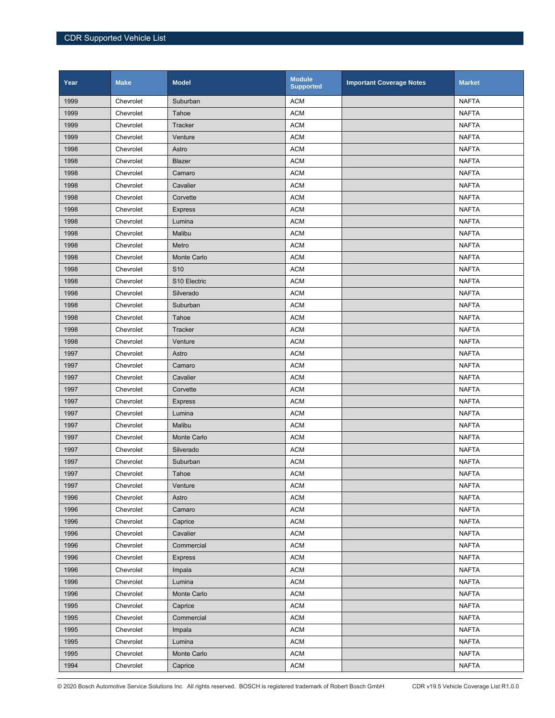| Year | <b>Make</b> | <b>Model</b>    | <b>Module</b><br><b>Supported</b> | <b>Important Coverage Notes</b> | <b>Market</b> |
|------|-------------|-----------------|-----------------------------------|---------------------------------|---------------|
| 1999 | Chevrolet   | Suburban        | <b>ACM</b>                        |                                 | <b>NAFTA</b>  |
| 1999 | Chevrolet   | Tahoe           | <b>ACM</b>                        |                                 | <b>NAFTA</b>  |
| 1999 | Chevrolet   | Tracker         | <b>ACM</b>                        |                                 | <b>NAFTA</b>  |
| 1999 | Chevrolet   | Venture         | <b>ACM</b>                        |                                 | <b>NAFTA</b>  |
| 1998 | Chevrolet   | Astro           | <b>ACM</b>                        |                                 | <b>NAFTA</b>  |
| 1998 | Chevrolet   | Blazer          | <b>ACM</b>                        |                                 | <b>NAFTA</b>  |
| 1998 | Chevrolet   | Camaro          | <b>ACM</b>                        |                                 | <b>NAFTA</b>  |
| 1998 | Chevrolet   | Cavalier        | <b>ACM</b>                        |                                 | <b>NAFTA</b>  |
| 1998 | Chevrolet   | Corvette        | <b>ACM</b>                        |                                 | <b>NAFTA</b>  |
| 1998 | Chevrolet   | <b>Express</b>  | <b>ACM</b>                        |                                 | <b>NAFTA</b>  |
| 1998 | Chevrolet   | Lumina          | <b>ACM</b>                        |                                 | <b>NAFTA</b>  |
| 1998 | Chevrolet   | Malibu          | <b>ACM</b>                        |                                 | NAFTA         |
| 1998 | Chevrolet   | Metro           | <b>ACM</b>                        |                                 | <b>NAFTA</b>  |
| 1998 | Chevrolet   | Monte Carlo     | <b>ACM</b>                        |                                 | <b>NAFTA</b>  |
| 1998 | Chevrolet   | S <sub>10</sub> | <b>ACM</b>                        |                                 | <b>NAFTA</b>  |
| 1998 | Chevrolet   | S10 Electric    | <b>ACM</b>                        |                                 | <b>NAFTA</b>  |
| 1998 | Chevrolet   | Silverado       | <b>ACM</b>                        |                                 | <b>NAFTA</b>  |
| 1998 | Chevrolet   | Suburban        | <b>ACM</b>                        |                                 | <b>NAFTA</b>  |
| 1998 | Chevrolet   | Tahoe           | <b>ACM</b>                        |                                 | <b>NAFTA</b>  |
| 1998 | Chevrolet   | Tracker         | <b>ACM</b>                        |                                 | <b>NAFTA</b>  |
| 1998 | Chevrolet   | Venture         | <b>ACM</b>                        |                                 | <b>NAFTA</b>  |
| 1997 | Chevrolet   | Astro           | <b>ACM</b>                        |                                 | <b>NAFTA</b>  |
| 1997 | Chevrolet   | Camaro          | <b>ACM</b>                        |                                 | <b>NAFTA</b>  |
| 1997 | Chevrolet   | Cavalier        | <b>ACM</b>                        |                                 | <b>NAFTA</b>  |
| 1997 | Chevrolet   | Corvette        | <b>ACM</b>                        |                                 | <b>NAFTA</b>  |
| 1997 | Chevrolet   | <b>Express</b>  | <b>ACM</b>                        |                                 | <b>NAFTA</b>  |
| 1997 | Chevrolet   | Lumina          | <b>ACM</b>                        |                                 | <b>NAFTA</b>  |
| 1997 | Chevrolet   | Malibu          | <b>ACM</b>                        |                                 | <b>NAFTA</b>  |
| 1997 | Chevrolet   | Monte Carlo     | <b>ACM</b>                        |                                 | <b>NAFTA</b>  |
| 1997 | Chevrolet   | Silverado       | <b>ACM</b>                        |                                 | <b>NAFTA</b>  |
| 1997 | Chevrolet   | Suburban        | <b>ACM</b>                        |                                 | <b>NAFTA</b>  |
| 1997 | Chevrolet   | Tahoe           | <b>ACM</b>                        |                                 | <b>NAFTA</b>  |
| 1997 | Chevrolet   | Venture         | <b>ACM</b>                        |                                 | <b>NAFTA</b>  |
| 1996 | Chevrolet   | Astro           | <b>ACM</b>                        |                                 | <b>NAFTA</b>  |
| 1996 | Chevrolet   | Camaro          | <b>ACM</b>                        |                                 | <b>NAFTA</b>  |
| 1996 | Chevrolet   | Caprice         | <b>ACM</b>                        |                                 | <b>NAFTA</b>  |
| 1996 | Chevrolet   | Cavalier        | <b>ACM</b>                        |                                 | <b>NAFTA</b>  |
| 1996 | Chevrolet   | Commercial      | <b>ACM</b>                        |                                 | <b>NAFTA</b>  |
| 1996 | Chevrolet   | <b>Express</b>  | <b>ACM</b>                        |                                 | <b>NAFTA</b>  |
| 1996 | Chevrolet   | Impala          | <b>ACM</b>                        |                                 | <b>NAFTA</b>  |
| 1996 | Chevrolet   | Lumina          | <b>ACM</b>                        |                                 | <b>NAFTA</b>  |
| 1996 | Chevrolet   | Monte Carlo     | <b>ACM</b>                        |                                 | <b>NAFTA</b>  |
| 1995 | Chevrolet   | Caprice         | <b>ACM</b>                        |                                 | <b>NAFTA</b>  |
| 1995 | Chevrolet   | Commercial      | <b>ACM</b>                        |                                 | <b>NAFTA</b>  |
| 1995 | Chevrolet   | Impala          | <b>ACM</b>                        |                                 | <b>NAFTA</b>  |
| 1995 | Chevrolet   | Lumina          | <b>ACM</b>                        |                                 | <b>NAFTA</b>  |
| 1995 | Chevrolet   | Monte Carlo     | <b>ACM</b>                        |                                 | <b>NAFTA</b>  |
| 1994 | Chevrolet   | Caprice         | <b>ACM</b>                        |                                 | <b>NAFTA</b>  |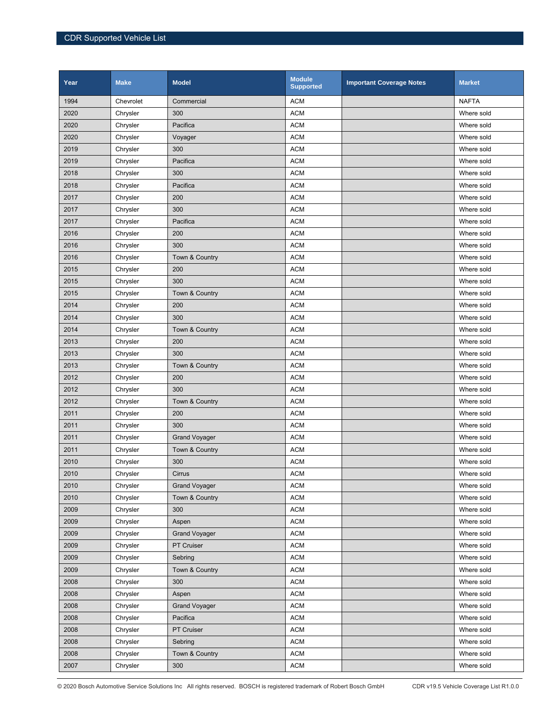| Year | <b>Make</b> | <b>Model</b>         | <b>Module</b><br><b>Supported</b> | <b>Important Coverage Notes</b> | <b>Market</b> |
|------|-------------|----------------------|-----------------------------------|---------------------------------|---------------|
| 1994 | Chevrolet   | Commercial           | <b>ACM</b>                        |                                 | <b>NAFTA</b>  |
| 2020 | Chrysler    | 300                  | <b>ACM</b>                        |                                 | Where sold    |
| 2020 | Chrysler    | Pacifica             | <b>ACM</b>                        |                                 | Where sold    |
| 2020 | Chrysler    | Voyager              | <b>ACM</b>                        |                                 | Where sold    |
| 2019 | Chrysler    | 300                  | <b>ACM</b>                        |                                 | Where sold    |
| 2019 | Chrysler    | Pacifica             | <b>ACM</b>                        |                                 | Where sold    |
| 2018 | Chrysler    | 300                  | <b>ACM</b>                        |                                 | Where sold    |
| 2018 | Chrysler    | Pacifica             | <b>ACM</b>                        |                                 | Where sold    |
| 2017 | Chrysler    | 200                  | <b>ACM</b>                        |                                 | Where sold    |
| 2017 | Chrysler    | 300                  | <b>ACM</b>                        |                                 | Where sold    |
| 2017 | Chrysler    | Pacifica             | <b>ACM</b>                        |                                 | Where sold    |
| 2016 | Chrysler    | 200                  | <b>ACM</b>                        |                                 | Where sold    |
| 2016 | Chrysler    | 300                  | <b>ACM</b>                        |                                 | Where sold    |
| 2016 | Chrysler    | Town & Country       | <b>ACM</b>                        |                                 | Where sold    |
| 2015 | Chrysler    | 200                  | <b>ACM</b>                        |                                 | Where sold    |
| 2015 | Chrysler    | 300                  | <b>ACM</b>                        |                                 | Where sold    |
| 2015 | Chrysler    | Town & Country       | <b>ACM</b>                        |                                 | Where sold    |
| 2014 | Chrysler    | 200                  | <b>ACM</b>                        |                                 | Where sold    |
| 2014 | Chrysler    | 300                  | <b>ACM</b>                        |                                 | Where sold    |
| 2014 | Chrysler    | Town & Country       | <b>ACM</b>                        |                                 | Where sold    |
| 2013 | Chrysler    | 200                  | <b>ACM</b>                        |                                 | Where sold    |
| 2013 | Chrysler    | 300                  | <b>ACM</b>                        |                                 | Where sold    |
| 2013 | Chrysler    | Town & Country       | <b>ACM</b>                        |                                 | Where sold    |
| 2012 | Chrysler    | 200                  | <b>ACM</b>                        |                                 | Where sold    |
| 2012 | Chrysler    | 300                  | <b>ACM</b>                        |                                 | Where sold    |
| 2012 | Chrysler    | Town & Country       | <b>ACM</b>                        |                                 | Where sold    |
| 2011 | Chrysler    | 200                  | <b>ACM</b>                        |                                 | Where sold    |
| 2011 | Chrysler    | 300                  | <b>ACM</b>                        |                                 | Where sold    |
| 2011 | Chrysler    | <b>Grand Voyager</b> | <b>ACM</b>                        |                                 | Where sold    |
| 2011 | Chrysler    | Town & Country       | <b>ACM</b>                        |                                 | Where sold    |
| 2010 | Chrysler    | 300                  | <b>ACM</b>                        |                                 | Where sold    |
| 2010 | Chrysler    | Cirrus               | <b>ACM</b>                        |                                 | Where sold    |
| 2010 | Chrysler    | <b>Grand Voyager</b> | <b>ACM</b>                        |                                 | Where sold    |
| 2010 | Chrysler    | Town & Country       | <b>ACM</b>                        |                                 | Where sold    |
| 2009 | Chrysler    | 300                  | <b>ACM</b>                        |                                 | Where sold    |
| 2009 | Chrysler    | Aspen                | <b>ACM</b>                        |                                 | Where sold    |
| 2009 | Chrysler    | <b>Grand Voyager</b> | <b>ACM</b>                        |                                 | Where sold    |
| 2009 | Chrysler    | PT Cruiser           | <b>ACM</b>                        |                                 | Where sold    |
| 2009 | Chrysler    | Sebring              | <b>ACM</b>                        |                                 | Where sold    |
| 2009 | Chrysler    | Town & Country       | <b>ACM</b>                        |                                 | Where sold    |
| 2008 | Chrysler    | 300                  | <b>ACM</b>                        |                                 | Where sold    |
| 2008 | Chrysler    | Aspen                | <b>ACM</b>                        |                                 | Where sold    |
| 2008 | Chrysler    | <b>Grand Voyager</b> | <b>ACM</b>                        |                                 | Where sold    |
| 2008 | Chrysler    | Pacifica             | <b>ACM</b>                        |                                 | Where sold    |
| 2008 | Chrysler    | PT Cruiser           | <b>ACM</b>                        |                                 | Where sold    |
| 2008 | Chrysler    | Sebring              | <b>ACM</b>                        |                                 | Where sold    |
| 2008 | Chrysler    | Town & Country       | <b>ACM</b>                        |                                 | Where sold    |
| 2007 | Chrysler    | 300                  | <b>ACM</b>                        |                                 | Where sold    |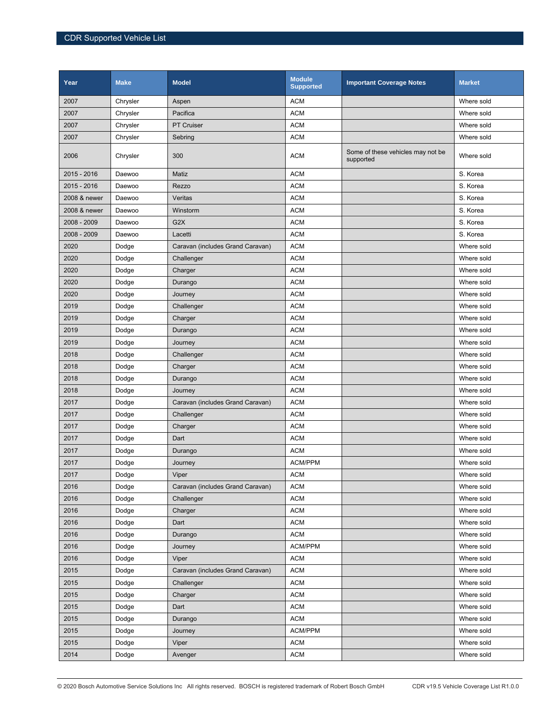| 2007<br><b>ACM</b><br>Where sold<br>Chrysler<br>Aspen<br>2007<br><b>ACM</b><br>Chrysler<br>Pacifica<br>Where sold<br>2007<br><b>ACM</b><br><b>PT Cruiser</b><br>Where sold<br>Chrysler<br>2007<br><b>ACM</b><br>Chrysler<br>Where sold<br>Sebring<br>Some of these vehicles may not be<br>2006<br>300<br><b>ACM</b><br>Chrysler<br>Where sold<br>supported<br>2015 - 2016<br><b>ACM</b><br>Matiz<br>S. Korea<br>Daewoo<br><b>ACM</b><br>S. Korea<br>2015 - 2016<br>Rezzo<br>Daewoo<br><b>ACM</b><br>Veritas<br>S. Korea<br>2008 & newer<br>Daewoo<br><b>ACM</b><br>S. Korea<br>2008 & newer<br>Winstorm<br>Daewoo<br>2008 - 2009<br>G <sub>2</sub> X<br><b>ACM</b><br>S. Korea<br>Daewoo<br>2008 - 2009<br><b>ACM</b><br>S. Korea<br>Daewoo<br>Lacetti<br>2020<br><b>ACM</b><br>Caravan (includes Grand Caravan)<br>Where sold<br>Dodge<br>2020<br><b>ACM</b><br>Dodge<br>Challenger<br>Where sold<br><b>ACM</b><br>2020<br>Where sold<br>Dodge<br>Charger<br>2020<br><b>ACM</b><br>Dodge<br>Durango<br>Where sold<br>2020<br><b>ACM</b><br>Where sold<br>Dodge<br>Journey<br>2019<br><b>ACM</b><br>Dodge<br>Challenger<br>Where sold<br><b>ACM</b><br>2019<br>Where sold<br>Dodge<br>Charger<br>2019<br><b>ACM</b><br>Dodge<br>Where sold<br>Durango<br>2019<br><b>ACM</b><br>Where sold<br>Dodge<br>Journey<br><b>ACM</b><br>2018<br>Where sold<br>Dodge<br>Challenger |
|--------------------------------------------------------------------------------------------------------------------------------------------------------------------------------------------------------------------------------------------------------------------------------------------------------------------------------------------------------------------------------------------------------------------------------------------------------------------------------------------------------------------------------------------------------------------------------------------------------------------------------------------------------------------------------------------------------------------------------------------------------------------------------------------------------------------------------------------------------------------------------------------------------------------------------------------------------------------------------------------------------------------------------------------------------------------------------------------------------------------------------------------------------------------------------------------------------------------------------------------------------------------------------------------------------------------------------------------------------------------------|
|                                                                                                                                                                                                                                                                                                                                                                                                                                                                                                                                                                                                                                                                                                                                                                                                                                                                                                                                                                                                                                                                                                                                                                                                                                                                                                                                                                          |
|                                                                                                                                                                                                                                                                                                                                                                                                                                                                                                                                                                                                                                                                                                                                                                                                                                                                                                                                                                                                                                                                                                                                                                                                                                                                                                                                                                          |
|                                                                                                                                                                                                                                                                                                                                                                                                                                                                                                                                                                                                                                                                                                                                                                                                                                                                                                                                                                                                                                                                                                                                                                                                                                                                                                                                                                          |
|                                                                                                                                                                                                                                                                                                                                                                                                                                                                                                                                                                                                                                                                                                                                                                                                                                                                                                                                                                                                                                                                                                                                                                                                                                                                                                                                                                          |
|                                                                                                                                                                                                                                                                                                                                                                                                                                                                                                                                                                                                                                                                                                                                                                                                                                                                                                                                                                                                                                                                                                                                                                                                                                                                                                                                                                          |
|                                                                                                                                                                                                                                                                                                                                                                                                                                                                                                                                                                                                                                                                                                                                                                                                                                                                                                                                                                                                                                                                                                                                                                                                                                                                                                                                                                          |
|                                                                                                                                                                                                                                                                                                                                                                                                                                                                                                                                                                                                                                                                                                                                                                                                                                                                                                                                                                                                                                                                                                                                                                                                                                                                                                                                                                          |
|                                                                                                                                                                                                                                                                                                                                                                                                                                                                                                                                                                                                                                                                                                                                                                                                                                                                                                                                                                                                                                                                                                                                                                                                                                                                                                                                                                          |
|                                                                                                                                                                                                                                                                                                                                                                                                                                                                                                                                                                                                                                                                                                                                                                                                                                                                                                                                                                                                                                                                                                                                                                                                                                                                                                                                                                          |
|                                                                                                                                                                                                                                                                                                                                                                                                                                                                                                                                                                                                                                                                                                                                                                                                                                                                                                                                                                                                                                                                                                                                                                                                                                                                                                                                                                          |
|                                                                                                                                                                                                                                                                                                                                                                                                                                                                                                                                                                                                                                                                                                                                                                                                                                                                                                                                                                                                                                                                                                                                                                                                                                                                                                                                                                          |
|                                                                                                                                                                                                                                                                                                                                                                                                                                                                                                                                                                                                                                                                                                                                                                                                                                                                                                                                                                                                                                                                                                                                                                                                                                                                                                                                                                          |
|                                                                                                                                                                                                                                                                                                                                                                                                                                                                                                                                                                                                                                                                                                                                                                                                                                                                                                                                                                                                                                                                                                                                                                                                                                                                                                                                                                          |
|                                                                                                                                                                                                                                                                                                                                                                                                                                                                                                                                                                                                                                                                                                                                                                                                                                                                                                                                                                                                                                                                                                                                                                                                                                                                                                                                                                          |
|                                                                                                                                                                                                                                                                                                                                                                                                                                                                                                                                                                                                                                                                                                                                                                                                                                                                                                                                                                                                                                                                                                                                                                                                                                                                                                                                                                          |
|                                                                                                                                                                                                                                                                                                                                                                                                                                                                                                                                                                                                                                                                                                                                                                                                                                                                                                                                                                                                                                                                                                                                                                                                                                                                                                                                                                          |
|                                                                                                                                                                                                                                                                                                                                                                                                                                                                                                                                                                                                                                                                                                                                                                                                                                                                                                                                                                                                                                                                                                                                                                                                                                                                                                                                                                          |
|                                                                                                                                                                                                                                                                                                                                                                                                                                                                                                                                                                                                                                                                                                                                                                                                                                                                                                                                                                                                                                                                                                                                                                                                                                                                                                                                                                          |
|                                                                                                                                                                                                                                                                                                                                                                                                                                                                                                                                                                                                                                                                                                                                                                                                                                                                                                                                                                                                                                                                                                                                                                                                                                                                                                                                                                          |
|                                                                                                                                                                                                                                                                                                                                                                                                                                                                                                                                                                                                                                                                                                                                                                                                                                                                                                                                                                                                                                                                                                                                                                                                                                                                                                                                                                          |
|                                                                                                                                                                                                                                                                                                                                                                                                                                                                                                                                                                                                                                                                                                                                                                                                                                                                                                                                                                                                                                                                                                                                                                                                                                                                                                                                                                          |
| 2018<br><b>ACM</b><br>Dodge<br>Charger<br>Where sold                                                                                                                                                                                                                                                                                                                                                                                                                                                                                                                                                                                                                                                                                                                                                                                                                                                                                                                                                                                                                                                                                                                                                                                                                                                                                                                     |
| <b>ACM</b><br>2018<br>Dodge<br>Where sold<br>Durango                                                                                                                                                                                                                                                                                                                                                                                                                                                                                                                                                                                                                                                                                                                                                                                                                                                                                                                                                                                                                                                                                                                                                                                                                                                                                                                     |
| <b>ACM</b><br>2018<br>Dodge<br>Where sold<br>Journey                                                                                                                                                                                                                                                                                                                                                                                                                                                                                                                                                                                                                                                                                                                                                                                                                                                                                                                                                                                                                                                                                                                                                                                                                                                                                                                     |
| <b>ACM</b><br>2017<br>Where sold<br>Dodge<br>Caravan (includes Grand Caravan)                                                                                                                                                                                                                                                                                                                                                                                                                                                                                                                                                                                                                                                                                                                                                                                                                                                                                                                                                                                                                                                                                                                                                                                                                                                                                            |
| <b>ACM</b><br>2017<br>Where sold<br>Dodge<br>Challenger                                                                                                                                                                                                                                                                                                                                                                                                                                                                                                                                                                                                                                                                                                                                                                                                                                                                                                                                                                                                                                                                                                                                                                                                                                                                                                                  |
| 2017<br><b>ACM</b><br>Dodge<br>Charger<br>Where sold                                                                                                                                                                                                                                                                                                                                                                                                                                                                                                                                                                                                                                                                                                                                                                                                                                                                                                                                                                                                                                                                                                                                                                                                                                                                                                                     |
| 2017<br><b>ACM</b><br>Dodge<br>Dart<br>Where sold                                                                                                                                                                                                                                                                                                                                                                                                                                                                                                                                                                                                                                                                                                                                                                                                                                                                                                                                                                                                                                                                                                                                                                                                                                                                                                                        |
| 2017<br><b>ACM</b><br>Dodge<br>Where sold<br>Durango                                                                                                                                                                                                                                                                                                                                                                                                                                                                                                                                                                                                                                                                                                                                                                                                                                                                                                                                                                                                                                                                                                                                                                                                                                                                                                                     |
| 2017<br>ACM/PPM<br>Dodge<br>Where sold<br>Journey                                                                                                                                                                                                                                                                                                                                                                                                                                                                                                                                                                                                                                                                                                                                                                                                                                                                                                                                                                                                                                                                                                                                                                                                                                                                                                                        |
| <b>ACM</b><br>2017<br>Dodge<br>Viper<br>Where sold                                                                                                                                                                                                                                                                                                                                                                                                                                                                                                                                                                                                                                                                                                                                                                                                                                                                                                                                                                                                                                                                                                                                                                                                                                                                                                                       |
| 2016<br><b>ACM</b><br>Dodge<br>Caravan (includes Grand Caravan)<br>Where sold                                                                                                                                                                                                                                                                                                                                                                                                                                                                                                                                                                                                                                                                                                                                                                                                                                                                                                                                                                                                                                                                                                                                                                                                                                                                                            |
| <b>ACM</b><br>2016<br>Dodge<br>Where sold<br>Challenger                                                                                                                                                                                                                                                                                                                                                                                                                                                                                                                                                                                                                                                                                                                                                                                                                                                                                                                                                                                                                                                                                                                                                                                                                                                                                                                  |
| 2016<br>Dodge<br>Charger<br><b>ACM</b><br>Where sold                                                                                                                                                                                                                                                                                                                                                                                                                                                                                                                                                                                                                                                                                                                                                                                                                                                                                                                                                                                                                                                                                                                                                                                                                                                                                                                     |
| 2016<br>Dodge<br><b>ACM</b><br>Where sold<br>Dart                                                                                                                                                                                                                                                                                                                                                                                                                                                                                                                                                                                                                                                                                                                                                                                                                                                                                                                                                                                                                                                                                                                                                                                                                                                                                                                        |
| 2016<br><b>ACM</b><br>Dodge<br>Durango<br>Where sold                                                                                                                                                                                                                                                                                                                                                                                                                                                                                                                                                                                                                                                                                                                                                                                                                                                                                                                                                                                                                                                                                                                                                                                                                                                                                                                     |
| 2016<br>ACM/PPM<br>Dodge<br>Where sold<br>Journey                                                                                                                                                                                                                                                                                                                                                                                                                                                                                                                                                                                                                                                                                                                                                                                                                                                                                                                                                                                                                                                                                                                                                                                                                                                                                                                        |
| 2016<br><b>ACM</b><br>Where sold<br>Dodge<br>Viper                                                                                                                                                                                                                                                                                                                                                                                                                                                                                                                                                                                                                                                                                                                                                                                                                                                                                                                                                                                                                                                                                                                                                                                                                                                                                                                       |
| 2015<br>Caravan (includes Grand Caravan)<br><b>ACM</b><br>Where sold<br>Dodge                                                                                                                                                                                                                                                                                                                                                                                                                                                                                                                                                                                                                                                                                                                                                                                                                                                                                                                                                                                                                                                                                                                                                                                                                                                                                            |
| 2015<br><b>ACM</b><br>Where sold<br>Dodge<br>Challenger                                                                                                                                                                                                                                                                                                                                                                                                                                                                                                                                                                                                                                                                                                                                                                                                                                                                                                                                                                                                                                                                                                                                                                                                                                                                                                                  |
| 2015<br><b>ACM</b><br>Where sold                                                                                                                                                                                                                                                                                                                                                                                                                                                                                                                                                                                                                                                                                                                                                                                                                                                                                                                                                                                                                                                                                                                                                                                                                                                                                                                                         |
| Dodge<br>Charger<br><b>ACM</b><br>2015<br>Dart<br>Where sold<br>Dodge                                                                                                                                                                                                                                                                                                                                                                                                                                                                                                                                                                                                                                                                                                                                                                                                                                                                                                                                                                                                                                                                                                                                                                                                                                                                                                    |
|                                                                                                                                                                                                                                                                                                                                                                                                                                                                                                                                                                                                                                                                                                                                                                                                                                                                                                                                                                                                                                                                                                                                                                                                                                                                                                                                                                          |
| 2015<br><b>ACM</b><br>Where sold<br>Dodge<br>Durango<br>2015<br>Dodge<br>ACM/PPM<br>Where sold                                                                                                                                                                                                                                                                                                                                                                                                                                                                                                                                                                                                                                                                                                                                                                                                                                                                                                                                                                                                                                                                                                                                                                                                                                                                           |
| Journey<br>2015<br>Dodge<br><b>ACM</b><br>Where sold<br>Viper                                                                                                                                                                                                                                                                                                                                                                                                                                                                                                                                                                                                                                                                                                                                                                                                                                                                                                                                                                                                                                                                                                                                                                                                                                                                                                            |
| 2014<br><b>ACM</b><br>Dodge<br>Where sold<br>Avenger                                                                                                                                                                                                                                                                                                                                                                                                                                                                                                                                                                                                                                                                                                                                                                                                                                                                                                                                                                                                                                                                                                                                                                                                                                                                                                                     |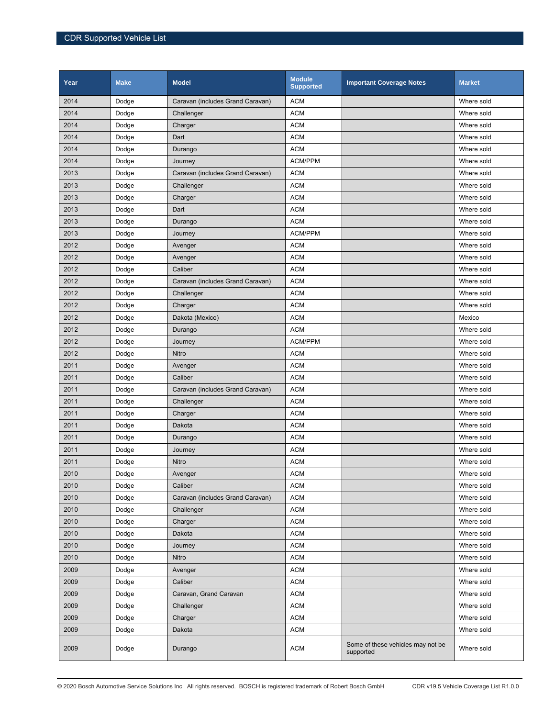| Year | <b>Make</b> | <b>Model</b>                     | <b>Module</b><br><b>Supported</b> | <b>Important Coverage Notes</b>                | <b>Market</b> |
|------|-------------|----------------------------------|-----------------------------------|------------------------------------------------|---------------|
| 2014 | Dodge       | Caravan (includes Grand Caravan) | <b>ACM</b>                        |                                                | Where sold    |
| 2014 | Dodge       | Challenger                       | <b>ACM</b>                        |                                                | Where sold    |
| 2014 | Dodge       | Charger                          | <b>ACM</b>                        |                                                | Where sold    |
| 2014 | Dodge       | Dart                             | <b>ACM</b>                        |                                                | Where sold    |
| 2014 | Dodge       | Durango                          | <b>ACM</b>                        |                                                | Where sold    |
| 2014 | Dodge       | Journey                          | <b>ACM/PPM</b>                    |                                                | Where sold    |
| 2013 | Dodge       | Caravan (includes Grand Caravan) | <b>ACM</b>                        |                                                | Where sold    |
| 2013 | Dodge       | Challenger                       | <b>ACM</b>                        |                                                | Where sold    |
| 2013 | Dodge       | Charger                          | <b>ACM</b>                        |                                                | Where sold    |
| 2013 | Dodge       | Dart                             | <b>ACM</b>                        |                                                | Where sold    |
| 2013 | Dodge       | Durango                          | <b>ACM</b>                        |                                                | Where sold    |
| 2013 | Dodge       | Journey                          | <b>ACM/PPM</b>                    |                                                | Where sold    |
| 2012 | Dodge       | Avenger                          | <b>ACM</b>                        |                                                | Where sold    |
| 2012 | Dodge       | Avenger                          | <b>ACM</b>                        |                                                | Where sold    |
| 2012 | Dodge       | Caliber                          | <b>ACM</b>                        |                                                | Where sold    |
| 2012 | Dodge       | Caravan (includes Grand Caravan) | <b>ACM</b>                        |                                                | Where sold    |
| 2012 | Dodge       | Challenger                       | <b>ACM</b>                        |                                                | Where sold    |
| 2012 | Dodge       | Charger                          | <b>ACM</b>                        |                                                | Where sold    |
| 2012 | Dodge       | Dakota (Mexico)                  | <b>ACM</b>                        |                                                | Mexico        |
| 2012 | Dodge       | Durango                          | <b>ACM</b>                        |                                                | Where sold    |
| 2012 | Dodge       | Journey                          | ACM/PPM                           |                                                | Where sold    |
| 2012 | Dodge       | Nitro                            | <b>ACM</b>                        |                                                | Where sold    |
| 2011 | Dodge       | Avenger                          | <b>ACM</b>                        |                                                | Where sold    |
| 2011 | Dodge       | Caliber                          | <b>ACM</b>                        |                                                | Where sold    |
| 2011 | Dodge       | Caravan (includes Grand Caravan) | <b>ACM</b>                        |                                                | Where sold    |
| 2011 | Dodge       | Challenger                       | <b>ACM</b>                        |                                                | Where sold    |
| 2011 | Dodge       | Charger                          | <b>ACM</b>                        |                                                | Where sold    |
| 2011 | Dodge       | Dakota                           | <b>ACM</b>                        |                                                | Where sold    |
| 2011 | Dodge       | Durango                          | <b>ACM</b>                        |                                                | Where sold    |
| 2011 | Dodge       | Journey                          | <b>ACM</b>                        |                                                | Where sold    |
| 2011 | Dodge       | Nitro                            | <b>ACM</b>                        |                                                | Where sold    |
| 2010 | Dodge       | Avenger                          | <b>ACM</b>                        |                                                | Where sold    |
| 2010 | Dodge       | Caliber                          | <b>ACM</b>                        |                                                | Where sold    |
| 2010 | Dodge       | Caravan (includes Grand Caravan) | <b>ACM</b>                        |                                                | Where sold    |
| 2010 | Dodge       | Challenger                       | <b>ACM</b>                        |                                                | Where sold    |
| 2010 | Dodge       | Charger                          | <b>ACM</b>                        |                                                | Where sold    |
| 2010 | Dodge       | Dakota                           | <b>ACM</b>                        |                                                | Where sold    |
| 2010 | Dodge       | Journey                          | <b>ACM</b>                        |                                                | Where sold    |
| 2010 | Dodge       | Nitro                            | <b>ACM</b>                        |                                                | Where sold    |
| 2009 | Dodge       | Avenger                          | <b>ACM</b>                        |                                                | Where sold    |
| 2009 | Dodge       | Caliber                          | <b>ACM</b>                        |                                                | Where sold    |
| 2009 | Dodge       | Caravan, Grand Caravan           | <b>ACM</b>                        |                                                | Where sold    |
| 2009 | Dodge       | Challenger                       | <b>ACM</b>                        |                                                | Where sold    |
| 2009 | Dodge       | Charger                          | <b>ACM</b>                        |                                                | Where sold    |
| 2009 | Dodge       | Dakota                           | <b>ACM</b>                        |                                                | Where sold    |
| 2009 | Dodge       | Durango                          | <b>ACM</b>                        | Some of these vehicles may not be<br>supported | Where sold    |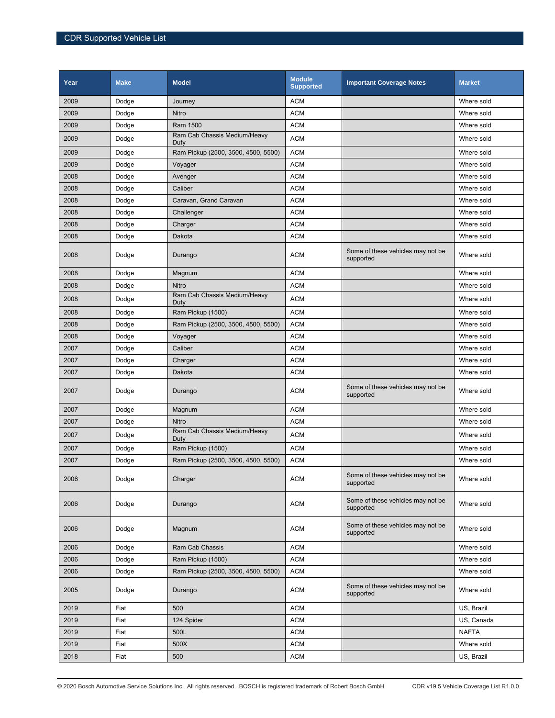| Year | <b>Make</b> | <b>Model</b>                         | <b>Module</b><br><b>Supported</b> | <b>Important Coverage Notes</b>                | <b>Market</b> |
|------|-------------|--------------------------------------|-----------------------------------|------------------------------------------------|---------------|
| 2009 | Dodge       | Journey                              | <b>ACM</b>                        |                                                | Where sold    |
| 2009 | Dodge       | Nitro                                | <b>ACM</b>                        |                                                | Where sold    |
| 2009 | Dodge       | <b>Ram 1500</b>                      | <b>ACM</b>                        |                                                | Where sold    |
| 2009 | Dodge       | Ram Cab Chassis Medium/Heavy<br>Duty | <b>ACM</b>                        |                                                | Where sold    |
| 2009 | Dodge       | Ram Pickup (2500, 3500, 4500, 5500)  | <b>ACM</b>                        |                                                | Where sold    |
| 2009 | Dodge       | Voyager                              | <b>ACM</b>                        |                                                | Where sold    |
| 2008 | Dodge       | Avenger                              | <b>ACM</b>                        |                                                | Where sold    |
| 2008 | Dodge       | Caliber                              | <b>ACM</b>                        |                                                | Where sold    |
| 2008 | Dodge       | Caravan, Grand Caravan               | <b>ACM</b>                        |                                                | Where sold    |
| 2008 | Dodge       | Challenger                           | <b>ACM</b>                        |                                                | Where sold    |
| 2008 | Dodge       | Charger                              | <b>ACM</b>                        |                                                | Where sold    |
| 2008 | Dodge       | Dakota                               | <b>ACM</b>                        |                                                | Where sold    |
| 2008 | Dodge       | Durango                              | <b>ACM</b>                        | Some of these vehicles may not be<br>supported | Where sold    |
| 2008 | Dodge       | Magnum                               | <b>ACM</b>                        |                                                | Where sold    |
| 2008 | Dodge       | Nitro                                | <b>ACM</b>                        |                                                | Where sold    |
| 2008 | Dodge       | Ram Cab Chassis Medium/Heavy<br>Duty | <b>ACM</b>                        |                                                | Where sold    |
| 2008 | Dodge       | Ram Pickup (1500)                    | <b>ACM</b>                        |                                                | Where sold    |
| 2008 | Dodge       | Ram Pickup (2500, 3500, 4500, 5500)  | <b>ACM</b>                        |                                                | Where sold    |
| 2008 | Dodge       | Voyager                              | <b>ACM</b>                        |                                                | Where sold    |
| 2007 | Dodge       | Caliber                              | <b>ACM</b>                        |                                                | Where sold    |
| 2007 | Dodge       | Charger                              | <b>ACM</b>                        |                                                | Where sold    |
| 2007 | Dodge       | Dakota                               | <b>ACM</b>                        |                                                | Where sold    |
| 2007 | Dodge       | Durango                              | <b>ACM</b>                        | Some of these vehicles may not be<br>supported | Where sold    |
| 2007 | Dodge       | Magnum                               | <b>ACM</b>                        |                                                | Where sold    |
| 2007 | Dodge       | Nitro                                | <b>ACM</b>                        |                                                | Where sold    |
| 2007 | Dodge       | Ram Cab Chassis Medium/Heavy<br>Duty | <b>ACM</b>                        |                                                | Where sold    |
| 2007 | Dodge       | Ram Pickup (1500)                    | <b>ACM</b>                        |                                                | Where sold    |
| 2007 | Dodge       | Ram Pickup (2500, 3500, 4500, 5500)  | <b>ACM</b>                        |                                                | Where sold    |
| 2006 | Dodge       | Charger                              | ACM                               | Some of these vehicles may not be<br>supported | Where sold    |
| 2006 | Dodge       | Durango                              | ACM                               | Some of these vehicles may not be<br>supported | Where sold    |
| 2006 | Dodge       | Magnum                               | <b>ACM</b>                        | Some of these vehicles may not be<br>supported | Where sold    |
| 2006 | Dodge       | Ram Cab Chassis                      | <b>ACM</b>                        |                                                | Where sold    |
| 2006 | Dodge       | Ram Pickup (1500)                    | <b>ACM</b>                        |                                                | Where sold    |
| 2006 | Dodge       | Ram Pickup (2500, 3500, 4500, 5500)  | <b>ACM</b>                        |                                                | Where sold    |
| 2005 | Dodge       | Durango                              | <b>ACM</b>                        | Some of these vehicles may not be<br>supported | Where sold    |
| 2019 | Fiat        | 500                                  | <b>ACM</b>                        |                                                | US, Brazil    |
| 2019 | Fiat        | 124 Spider                           | ACM                               |                                                | US, Canada    |
| 2019 | Fiat        | 500L                                 | <b>ACM</b>                        |                                                | <b>NAFTA</b>  |
| 2019 | Fiat        | 500X                                 | <b>ACM</b>                        |                                                | Where sold    |
| 2018 | Fiat        | 500                                  | ACM                               |                                                | US, Brazil    |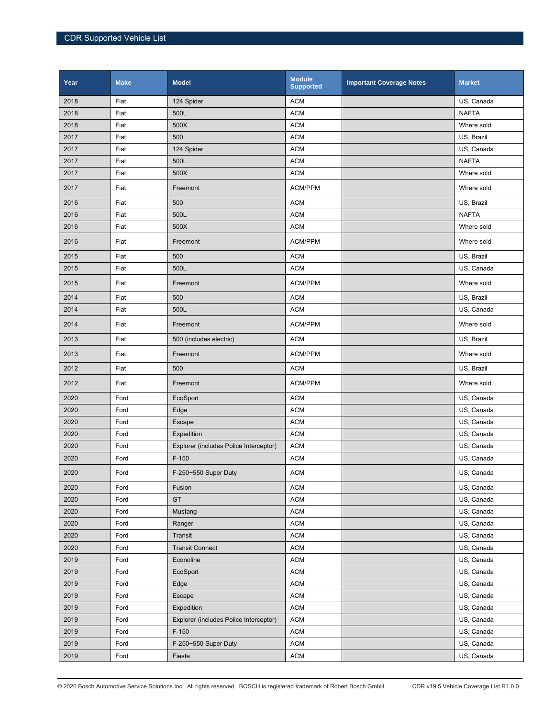| Year | <b>Make</b> | <b>Model</b>                           | <b>Module</b><br><b>Supported</b> | <b>Important Coverage Notes</b> | <b>Market</b> |
|------|-------------|----------------------------------------|-----------------------------------|---------------------------------|---------------|
| 2018 | Fiat        | 124 Spider                             | <b>ACM</b>                        |                                 | US, Canada    |
| 2018 | Fiat        | 500L                                   | <b>ACM</b>                        |                                 | <b>NAFTA</b>  |
| 2018 | Fiat        | 500X                                   | <b>ACM</b>                        |                                 | Where sold    |
| 2017 | Fiat        | 500                                    | <b>ACM</b>                        |                                 | US, Brazil    |
| 2017 | Fiat        | 124 Spider                             | <b>ACM</b>                        |                                 | US, Canada    |
| 2017 | Fiat        | 500L                                   | <b>ACM</b>                        |                                 | <b>NAFTA</b>  |
| 2017 | Fiat        | 500X                                   | <b>ACM</b>                        |                                 | Where sold    |
| 2017 | Fiat        | Freemont                               | ACM/PPM                           |                                 | Where sold    |
| 2016 | Fiat        | 500                                    | <b>ACM</b>                        |                                 | US, Brazil    |
| 2016 | Fiat        | 500L                                   | <b>ACM</b>                        |                                 | <b>NAFTA</b>  |
| 2016 | Fiat        | 500X                                   | <b>ACM</b>                        |                                 | Where sold    |
| 2016 | Fiat        | Freemont                               | ACM/PPM                           |                                 | Where sold    |
| 2015 | Fiat        | 500                                    | <b>ACM</b>                        |                                 | US, Brazil    |
| 2015 | Fiat        | 500L                                   | <b>ACM</b>                        |                                 | US, Canada    |
| 2015 | Fiat        | Freemont                               | ACM/PPM                           |                                 | Where sold    |
| 2014 | Fiat        | 500                                    | <b>ACM</b>                        |                                 | US, Brazil    |
| 2014 | Fiat        | 500L                                   | <b>ACM</b>                        |                                 | US, Canada    |
| 2014 | Fiat        | Freemont                               | ACM/PPM                           |                                 | Where sold    |
| 2013 | Fiat        | 500 (includes electric)                | <b>ACM</b>                        |                                 | US, Brazil    |
| 2013 | Fiat        | Freemont                               | ACM/PPM                           |                                 | Where sold    |
| 2012 | Fiat        | 500                                    | <b>ACM</b>                        |                                 | US, Brazil    |
| 2012 | Fiat        | Freemont                               | <b>ACM/PPM</b>                    |                                 | Where sold    |
| 2020 | Ford        | EcoSport                               | <b>ACM</b>                        |                                 | US, Canada    |
| 2020 | Ford        | Edge                                   | <b>ACM</b>                        |                                 | US, Canada    |
| 2020 | Ford        | Escape                                 | <b>ACM</b>                        |                                 | US, Canada    |
| 2020 | Ford        | Expedition                             | <b>ACM</b>                        |                                 | US, Canada    |
| 2020 | Ford        | Explorer (includes Police Interceptor) | <b>ACM</b>                        |                                 | US, Canada    |
| 2020 | Ford        | $F-150$                                | <b>ACM</b>                        |                                 | US, Canada    |
| 2020 | Ford        | F-250~550 Super Duty                   | <b>ACM</b>                        |                                 | US, Canada    |
| 2020 | Ford        | Fusion                                 | <b>ACM</b>                        |                                 | US, Canada    |
| 2020 | Ford        | GT                                     | <b>ACM</b>                        |                                 | US, Canada    |
| 2020 | Ford        | Mustang                                | <b>ACM</b>                        |                                 | US, Canada    |
| 2020 | Ford        | Ranger                                 | <b>ACM</b>                        |                                 | US, Canada    |
| 2020 | Ford        | Transit                                | <b>ACM</b>                        |                                 | US, Canada    |
| 2020 | Ford        | <b>Transit Connect</b>                 | <b>ACM</b>                        |                                 | US, Canada    |
| 2019 | Ford        | Econoline                              | <b>ACM</b>                        |                                 | US, Canada    |
| 2019 | Ford        | EcoSport                               | <b>ACM</b>                        |                                 | US, Canada    |
| 2019 | Ford        | Edge                                   | <b>ACM</b>                        |                                 | US, Canada    |
| 2019 | Ford        | Escape                                 | <b>ACM</b>                        |                                 | US, Canada    |
| 2019 | Ford        | Expedition                             | <b>ACM</b>                        |                                 | US, Canada    |
| 2019 | Ford        | Explorer (includes Police Interceptor) | <b>ACM</b>                        |                                 | US, Canada    |
| 2019 | Ford        | $F-150$                                | <b>ACM</b>                        |                                 | US, Canada    |
| 2019 | Ford        | F-250~550 Super Duty                   | <b>ACM</b>                        |                                 | US, Canada    |
| 2019 | Ford        | Fiesta                                 | <b>ACM</b>                        |                                 | US, Canada    |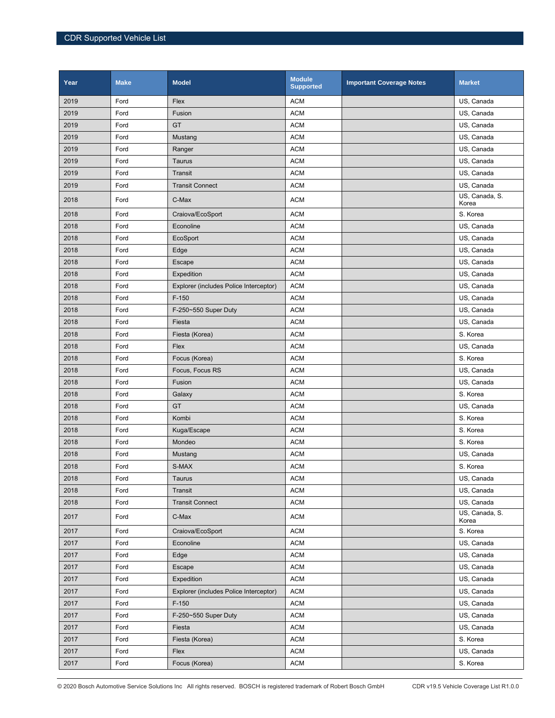| Year | <b>Make</b> | <b>Model</b>                           | <b>Module</b><br><b>Supported</b> | <b>Important Coverage Notes</b> | <b>Market</b>           |
|------|-------------|----------------------------------------|-----------------------------------|---------------------------------|-------------------------|
| 2019 | Ford        | Flex                                   | <b>ACM</b>                        |                                 | US, Canada              |
| 2019 | Ford        | Fusion                                 | <b>ACM</b>                        |                                 | US, Canada              |
| 2019 | Ford        | GT                                     | <b>ACM</b>                        |                                 | US, Canada              |
| 2019 | Ford        | Mustang                                | <b>ACM</b>                        |                                 | US, Canada              |
| 2019 | Ford        | Ranger                                 | <b>ACM</b>                        |                                 | US, Canada              |
| 2019 | Ford        | Taurus                                 | <b>ACM</b>                        |                                 | US, Canada              |
| 2019 | Ford        | Transit                                | <b>ACM</b>                        |                                 | US, Canada              |
| 2019 | Ford        | <b>Transit Connect</b>                 | <b>ACM</b>                        |                                 | US, Canada              |
| 2018 | Ford        | C-Max                                  | <b>ACM</b>                        |                                 | US, Canada, S.<br>Korea |
| 2018 | Ford        | Craiova/EcoSport                       | <b>ACM</b>                        |                                 | S. Korea                |
| 2018 | Ford        | Econoline                              | <b>ACM</b>                        |                                 | US, Canada              |
| 2018 | Ford        | EcoSport                               | <b>ACM</b>                        |                                 | US, Canada              |
| 2018 | Ford        | Edge                                   | <b>ACM</b>                        |                                 | US, Canada              |
| 2018 | Ford        | Escape                                 | <b>ACM</b>                        |                                 | US, Canada              |
| 2018 | Ford        | Expedition                             | <b>ACM</b>                        |                                 | US, Canada              |
| 2018 | Ford        | Explorer (includes Police Interceptor) | <b>ACM</b>                        |                                 | US, Canada              |
| 2018 | Ford        | $F-150$                                | <b>ACM</b>                        |                                 | US, Canada              |
| 2018 | Ford        | F-250~550 Super Duty                   | <b>ACM</b>                        |                                 | US, Canada              |
| 2018 | Ford        | Fiesta                                 | <b>ACM</b>                        |                                 | US, Canada              |
| 2018 | Ford        | Fiesta (Korea)                         | <b>ACM</b>                        |                                 | S. Korea                |
| 2018 | Ford        | Flex                                   | <b>ACM</b>                        |                                 | US, Canada              |
| 2018 | Ford        | Focus (Korea)                          | <b>ACM</b>                        |                                 | S. Korea                |
| 2018 | Ford        | Focus, Focus RS                        | <b>ACM</b>                        |                                 | US, Canada              |
| 2018 | Ford        | Fusion                                 | <b>ACM</b>                        |                                 | US, Canada              |
| 2018 | Ford        | Galaxy                                 | <b>ACM</b>                        |                                 | S. Korea                |
| 2018 | Ford        | GT                                     | <b>ACM</b>                        |                                 | US, Canada              |
| 2018 | Ford        | Kombi                                  | <b>ACM</b>                        |                                 | S. Korea                |
| 2018 | Ford        | Kuga/Escape                            | <b>ACM</b>                        |                                 | S. Korea                |
| 2018 | Ford        | Mondeo                                 | <b>ACM</b>                        |                                 | S. Korea                |
| 2018 | Ford        | Mustang                                | <b>ACM</b>                        |                                 | US, Canada              |
| 2018 | Ford        | S-MAX                                  | <b>ACM</b>                        |                                 | S. Korea                |
| 2018 | Ford        | Taurus                                 | ACM                               |                                 | US, Canada              |
| 2018 | Ford        | Transit                                | <b>ACM</b>                        |                                 | US, Canada              |
| 2018 | Ford        | <b>Transit Connect</b>                 | <b>ACM</b>                        |                                 | US, Canada              |
| 2017 | Ford        | C-Max                                  | <b>ACM</b>                        |                                 | US, Canada, S.<br>Korea |
| 2017 | Ford        | Craiova/EcoSport                       | <b>ACM</b>                        |                                 | S. Korea                |
| 2017 | Ford        | Econoline                              | <b>ACM</b>                        |                                 | US, Canada              |
| 2017 | Ford        | Edge                                   | <b>ACM</b>                        |                                 | US, Canada              |
| 2017 | Ford        | Escape                                 | <b>ACM</b>                        |                                 | US, Canada              |
| 2017 | Ford        | Expedition                             | <b>ACM</b>                        |                                 | US, Canada              |
| 2017 | Ford        | Explorer (includes Police Interceptor) | <b>ACM</b>                        |                                 | US, Canada              |
| 2017 | Ford        | $F-150$                                | $\mathsf{ACM}$                    |                                 | US, Canada              |
| 2017 | Ford        | F-250~550 Super Duty                   | <b>ACM</b>                        |                                 | US, Canada              |
| 2017 | Ford        | Fiesta                                 | <b>ACM</b>                        |                                 | US, Canada              |
| 2017 | Ford        | Fiesta (Korea)                         | <b>ACM</b>                        |                                 | S. Korea                |
| 2017 | Ford        | Flex                                   | <b>ACM</b>                        |                                 | US, Canada              |
| 2017 | Ford        | Focus (Korea)                          | <b>ACM</b>                        |                                 | S. Korea                |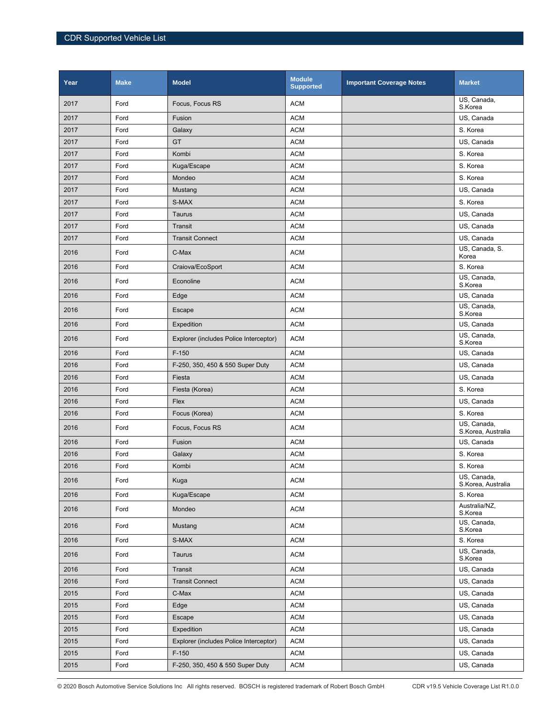| Year | <b>Make</b> | <b>Model</b>                           | <b>Module</b><br><b>Supported</b> | <b>Important Coverage Notes</b> | <b>Market</b>                     |
|------|-------------|----------------------------------------|-----------------------------------|---------------------------------|-----------------------------------|
| 2017 | Ford        | Focus, Focus RS                        | <b>ACM</b>                        |                                 | US, Canada,<br>S.Korea            |
| 2017 | Ford        | Fusion                                 | <b>ACM</b>                        |                                 | US, Canada                        |
| 2017 | Ford        | Galaxy                                 | <b>ACM</b>                        |                                 | S. Korea                          |
| 2017 | Ford        | GT                                     | <b>ACM</b>                        |                                 | US, Canada                        |
| 2017 | Ford        | Kombi                                  | <b>ACM</b>                        |                                 | S. Korea                          |
| 2017 | Ford        | Kuga/Escape                            | <b>ACM</b>                        |                                 | S. Korea                          |
| 2017 | Ford        | Mondeo                                 | <b>ACM</b>                        |                                 | S. Korea                          |
| 2017 | Ford        | Mustang                                | <b>ACM</b>                        |                                 | US, Canada                        |
| 2017 | Ford        | S-MAX                                  | <b>ACM</b>                        |                                 | S. Korea                          |
| 2017 | Ford        | Taurus                                 | <b>ACM</b>                        |                                 | US, Canada                        |
| 2017 | Ford        | Transit                                | <b>ACM</b>                        |                                 | US, Canada                        |
| 2017 | Ford        | <b>Transit Connect</b>                 | <b>ACM</b>                        |                                 | US, Canada                        |
| 2016 | Ford        | C-Max                                  | <b>ACM</b>                        |                                 | US, Canada, S.<br>Korea           |
| 2016 | Ford        | Craiova/EcoSport                       | <b>ACM</b>                        |                                 | S. Korea                          |
| 2016 | Ford        | Econoline                              | <b>ACM</b>                        |                                 | US, Canada,<br>S.Korea            |
| 2016 | Ford        | Edge                                   | <b>ACM</b>                        |                                 | US, Canada                        |
| 2016 | Ford        | Escape                                 | <b>ACM</b>                        |                                 | US, Canada,<br>S.Korea            |
| 2016 | Ford        | Expedition                             | <b>ACM</b>                        |                                 | US, Canada                        |
| 2016 | Ford        | Explorer (includes Police Interceptor) | <b>ACM</b>                        |                                 | US, Canada,<br>S.Korea            |
| 2016 | Ford        | $F-150$                                | <b>ACM</b>                        |                                 | US, Canada                        |
| 2016 | Ford        | F-250, 350, 450 & 550 Super Duty       | <b>ACM</b>                        |                                 | US, Canada                        |
| 2016 | Ford        | Fiesta                                 | <b>ACM</b>                        |                                 | US, Canada                        |
| 2016 | Ford        | Fiesta (Korea)                         | <b>ACM</b>                        |                                 | S. Korea                          |
| 2016 | Ford        | Flex                                   | <b>ACM</b>                        |                                 | US, Canada                        |
| 2016 | Ford        | Focus (Korea)                          | <b>ACM</b>                        |                                 | S. Korea                          |
| 2016 | Ford        | Focus, Focus RS                        | <b>ACM</b>                        |                                 | US, Canada,<br>S.Korea, Australia |
| 2016 | Ford        | Fusion                                 | <b>ACM</b>                        |                                 | US, Canada                        |
| 2016 | Ford        | Galaxy                                 | <b>ACM</b>                        |                                 | S. Korea                          |
| 2016 | Ford        | Kombi                                  | <b>ACM</b>                        |                                 | S. Korea                          |
| 2016 | Ford        | Kuga                                   | <b>ACM</b>                        |                                 | US, Canada,<br>S.Korea, Australia |
| 2016 | Ford        | Kuga/Escape                            | <b>ACM</b>                        |                                 | S. Korea                          |
| 2016 | Ford        | Mondeo                                 | <b>ACM</b>                        |                                 | Australia/NZ,<br>S.Korea          |
| 2016 | Ford        | Mustang                                | <b>ACM</b>                        |                                 | US, Canada,<br>S.Korea            |
| 2016 | Ford        | S-MAX                                  | <b>ACM</b>                        |                                 | S. Korea                          |
| 2016 | Ford        | Taurus                                 | <b>ACM</b>                        |                                 | US, Canada,<br>S.Korea            |
| 2016 | Ford        | Transit                                | <b>ACM</b>                        |                                 | US, Canada                        |
| 2016 | Ford        | <b>Transit Connect</b>                 | <b>ACM</b>                        |                                 | US, Canada                        |
| 2015 | Ford        | C-Max                                  | <b>ACM</b>                        |                                 | US, Canada                        |
| 2015 | Ford        | Edge                                   | <b>ACM</b>                        |                                 | US, Canada                        |
| 2015 | Ford        | Escape                                 | <b>ACM</b>                        |                                 | US, Canada                        |
| 2015 | Ford        | Expedition                             | <b>ACM</b>                        |                                 | US, Canada                        |
| 2015 | Ford        | Explorer (includes Police Interceptor) | <b>ACM</b>                        |                                 | US, Canada                        |
| 2015 | Ford        | $F-150$                                | <b>ACM</b>                        |                                 | US, Canada                        |
| 2015 | Ford        | F-250, 350, 450 & 550 Super Duty       | <b>ACM</b>                        |                                 | US, Canada                        |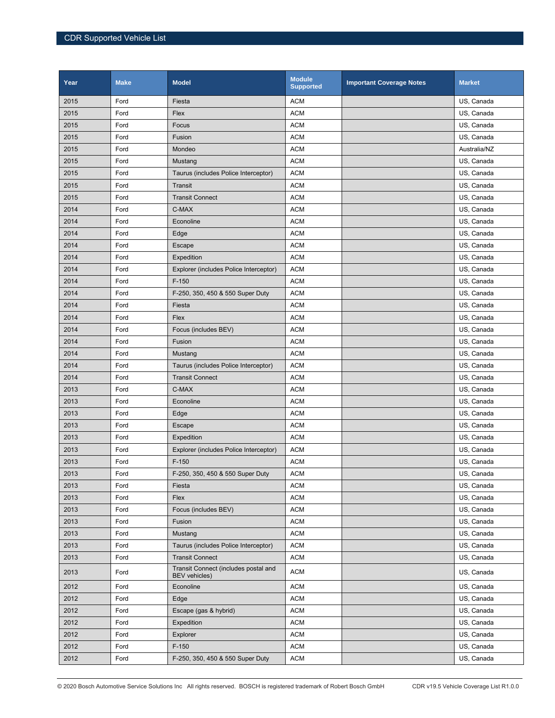| Year | <b>Make</b> | <b>Model</b>                                                 | <b>Module</b><br><b>Supported</b> | <b>Important Coverage Notes</b> | <b>Market</b> |
|------|-------------|--------------------------------------------------------------|-----------------------------------|---------------------------------|---------------|
| 2015 | Ford        | Fiesta                                                       | <b>ACM</b>                        |                                 | US, Canada    |
| 2015 | Ford        | Flex                                                         | <b>ACM</b>                        |                                 | US, Canada    |
| 2015 | Ford        | Focus                                                        | <b>ACM</b>                        |                                 | US, Canada    |
| 2015 | Ford        | Fusion                                                       | <b>ACM</b>                        |                                 | US, Canada    |
| 2015 | Ford        | Mondeo                                                       | <b>ACM</b>                        |                                 | Australia/NZ  |
| 2015 | Ford        | Mustang                                                      | <b>ACM</b>                        |                                 | US, Canada    |
| 2015 | Ford        | Taurus (includes Police Interceptor)                         | <b>ACM</b>                        |                                 | US, Canada    |
| 2015 | Ford        | Transit                                                      | <b>ACM</b>                        |                                 | US, Canada    |
| 2015 | Ford        | <b>Transit Connect</b>                                       | <b>ACM</b>                        |                                 | US, Canada    |
| 2014 | Ford        | C-MAX                                                        | <b>ACM</b>                        |                                 | US, Canada    |
| 2014 | Ford        | Econoline                                                    | <b>ACM</b>                        |                                 | US, Canada    |
| 2014 | Ford        | Edge                                                         | <b>ACM</b>                        |                                 | US, Canada    |
| 2014 | Ford        | Escape                                                       | <b>ACM</b>                        |                                 | US, Canada    |
| 2014 | Ford        | Expedition                                                   | <b>ACM</b>                        |                                 | US, Canada    |
| 2014 | Ford        | Explorer (includes Police Interceptor)                       | <b>ACM</b>                        |                                 | US, Canada    |
| 2014 | Ford        | $F-150$                                                      | <b>ACM</b>                        |                                 | US, Canada    |
| 2014 | Ford        | F-250, 350, 450 & 550 Super Duty                             | <b>ACM</b>                        |                                 | US, Canada    |
| 2014 | Ford        | Fiesta                                                       | <b>ACM</b>                        |                                 | US, Canada    |
| 2014 | Ford        | Flex                                                         | <b>ACM</b>                        |                                 | US, Canada    |
| 2014 | Ford        | Focus (includes BEV)                                         | <b>ACM</b>                        |                                 | US, Canada    |
| 2014 | Ford        | Fusion                                                       | <b>ACM</b>                        |                                 | US, Canada    |
| 2014 | Ford        | Mustang                                                      | <b>ACM</b>                        |                                 | US, Canada    |
| 2014 | Ford        | Taurus (includes Police Interceptor)                         | <b>ACM</b>                        |                                 | US, Canada    |
| 2014 | Ford        | <b>Transit Connect</b>                                       | <b>ACM</b>                        |                                 | US, Canada    |
| 2013 | Ford        | C-MAX                                                        | <b>ACM</b>                        |                                 | US, Canada    |
| 2013 | Ford        | Econoline                                                    | <b>ACM</b>                        |                                 | US, Canada    |
| 2013 | Ford        | Edge                                                         | <b>ACM</b>                        |                                 | US, Canada    |
| 2013 | Ford        | Escape                                                       | <b>ACM</b>                        |                                 | US, Canada    |
| 2013 | Ford        | Expedition                                                   | <b>ACM</b>                        |                                 | US, Canada    |
| 2013 | Ford        | Explorer (includes Police Interceptor)                       | <b>ACM</b>                        |                                 | US, Canada    |
| 2013 | Ford        | $F-150$                                                      | <b>ACM</b>                        |                                 | US, Canada    |
| 2013 | Ford        | F-250, 350, 450 & 550 Super Duty                             | <b>ACM</b>                        |                                 | US, Canada    |
| 2013 | Ford        | Fiesta                                                       | <b>ACM</b>                        |                                 | US, Canada    |
| 2013 | Ford        | Flex                                                         | <b>ACM</b>                        |                                 | US, Canada    |
| 2013 | Ford        | Focus (includes BEV)                                         | <b>ACM</b>                        |                                 | US, Canada    |
| 2013 | Ford        | Fusion                                                       | <b>ACM</b>                        |                                 | US, Canada    |
| 2013 | Ford        | Mustang                                                      | <b>ACM</b>                        |                                 | US, Canada    |
| 2013 | Ford        | Taurus (includes Police Interceptor)                         | <b>ACM</b>                        |                                 | US, Canada    |
| 2013 | Ford        | <b>Transit Connect</b>                                       | <b>ACM</b>                        |                                 | US, Canada    |
| 2013 | Ford        | Transit Connect (includes postal and<br><b>BEV</b> vehicles) | <b>ACM</b>                        |                                 | US, Canada    |
| 2012 | Ford        | Econoline                                                    | <b>ACM</b>                        |                                 | US, Canada    |
| 2012 | Ford        | Edge                                                         | <b>ACM</b>                        |                                 | US, Canada    |
| 2012 | Ford        | Escape (gas & hybrid)                                        | <b>ACM</b>                        |                                 | US, Canada    |
| 2012 | Ford        | Expedition                                                   | <b>ACM</b>                        |                                 | US, Canada    |
| 2012 | Ford        | Explorer                                                     | <b>ACM</b>                        |                                 | US, Canada    |
| 2012 | Ford        | $F-150$                                                      | <b>ACM</b>                        |                                 | US, Canada    |
| 2012 | Ford        | F-250, 350, 450 & 550 Super Duty                             | <b>ACM</b>                        |                                 | US, Canada    |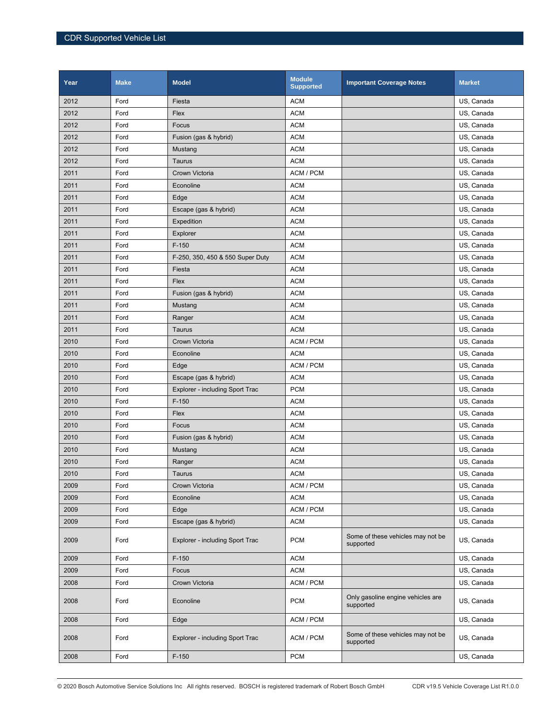| Year | <b>Make</b> | <b>Model</b>                     | <b>Module</b><br><b>Supported</b> | <b>Important Coverage Notes</b>                | <b>Market</b> |
|------|-------------|----------------------------------|-----------------------------------|------------------------------------------------|---------------|
| 2012 | Ford        | Fiesta                           | <b>ACM</b>                        |                                                | US, Canada    |
| 2012 | Ford        | Flex                             | <b>ACM</b>                        |                                                | US, Canada    |
| 2012 | Ford        | Focus                            | <b>ACM</b>                        |                                                | US, Canada    |
| 2012 | Ford        | Fusion (gas & hybrid)            | <b>ACM</b>                        |                                                | US, Canada    |
| 2012 | Ford        | Mustang                          | <b>ACM</b>                        |                                                | US, Canada    |
| 2012 | Ford        | Taurus                           | <b>ACM</b>                        |                                                | US, Canada    |
| 2011 | Ford        | Crown Victoria                   | ACM / PCM                         |                                                | US, Canada    |
| 2011 | Ford        | Econoline                        | <b>ACM</b>                        |                                                | US, Canada    |
| 2011 | Ford        | Edge                             | <b>ACM</b>                        |                                                | US, Canada    |
| 2011 | Ford        | Escape (gas & hybrid)            | <b>ACM</b>                        |                                                | US, Canada    |
| 2011 | Ford        | Expedition                       | <b>ACM</b>                        |                                                | US, Canada    |
| 2011 | Ford        | Explorer                         | <b>ACM</b>                        |                                                | US, Canada    |
| 2011 | Ford        | $F-150$                          | <b>ACM</b>                        |                                                | US, Canada    |
| 2011 | Ford        | F-250, 350, 450 & 550 Super Duty | <b>ACM</b>                        |                                                | US, Canada    |
| 2011 | Ford        | Fiesta                           | <b>ACM</b>                        |                                                | US, Canada    |
| 2011 | Ford        | Flex                             | <b>ACM</b>                        |                                                | US, Canada    |
| 2011 | Ford        | Fusion (gas & hybrid)            | <b>ACM</b>                        |                                                | US, Canada    |
| 2011 | Ford        | Mustang                          | <b>ACM</b>                        |                                                | US, Canada    |
| 2011 | Ford        | Ranger                           | <b>ACM</b>                        |                                                | US, Canada    |
| 2011 | Ford        | Taurus                           | <b>ACM</b>                        |                                                | US, Canada    |
| 2010 | Ford        | Crown Victoria                   | ACM / PCM                         |                                                | US, Canada    |
| 2010 | Ford        | Econoline                        | <b>ACM</b>                        |                                                | US, Canada    |
| 2010 | Ford        | Edge                             | ACM / PCM                         |                                                | US, Canada    |
| 2010 | Ford        | Escape (gas & hybrid)            | <b>ACM</b>                        |                                                | US, Canada    |
| 2010 | Ford        | Explorer - including Sport Trac  | <b>PCM</b>                        |                                                | US, Canada    |
| 2010 | Ford        | $F-150$                          | <b>ACM</b>                        |                                                | US, Canada    |
| 2010 | Ford        | Flex                             | <b>ACM</b>                        |                                                | US, Canada    |
| 2010 | Ford        | Focus                            | <b>ACM</b>                        |                                                | US, Canada    |
| 2010 | Ford        | Fusion (gas & hybrid)            | <b>ACM</b>                        |                                                | US, Canada    |
| 2010 | Ford        | Mustang                          | <b>ACM</b>                        |                                                | US, Canada    |
| 2010 | Ford        | Ranger                           | <b>ACM</b>                        |                                                | US, Canada    |
| 2010 | Ford        | Taurus                           | <b>ACM</b>                        |                                                | US, Canada    |
| 2009 | Ford        | Crown Victoria                   | ACM / PCM                         |                                                | US, Canada    |
| 2009 | Ford        | Econoline                        | <b>ACM</b>                        |                                                | US, Canada    |
| 2009 | Ford        | Edge                             | ACM / PCM                         |                                                | US, Canada    |
| 2009 | Ford        | Escape (gas & hybrid)            | <b>ACM</b>                        |                                                | US, Canada    |
| 2009 | Ford        | Explorer - including Sport Trac  | <b>PCM</b>                        | Some of these vehicles may not be<br>supported | US, Canada    |
| 2009 | Ford        | $F-150$                          | <b>ACM</b>                        |                                                | US, Canada    |
| 2009 | Ford        | Focus                            | <b>ACM</b>                        |                                                | US, Canada    |
| 2008 | Ford        | Crown Victoria                   | ACM / PCM                         |                                                | US, Canada    |
| 2008 | Ford        | Econoline                        | <b>PCM</b>                        | Only gasoline engine vehicles are<br>supported | US, Canada    |
| 2008 | Ford        | Edge                             | ACM / PCM                         |                                                | US, Canada    |
| 2008 | Ford        | Explorer - including Sport Trac  | ACM / PCM                         | Some of these vehicles may not be<br>supported | US, Canada    |
| 2008 | Ford        | $F-150$                          | <b>PCM</b>                        |                                                | US, Canada    |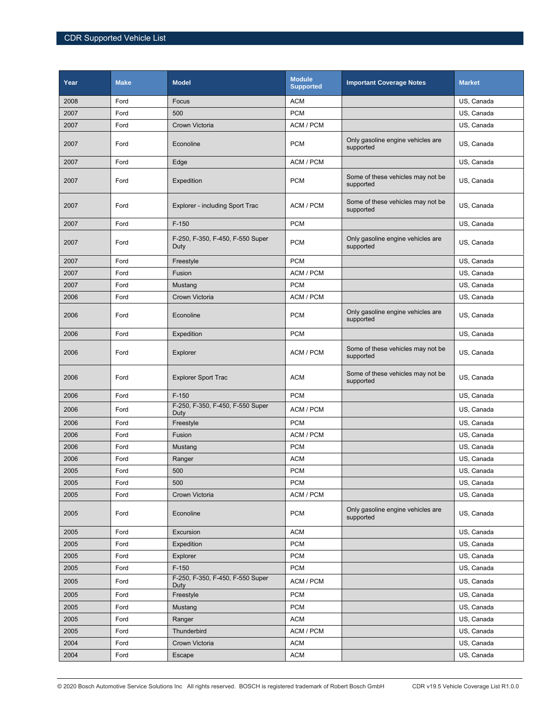| Year | <b>Make</b> | <b>Model</b>                             | <b>Module</b><br><b>Supported</b> | <b>Important Coverage Notes</b>                | <b>Market</b> |
|------|-------------|------------------------------------------|-----------------------------------|------------------------------------------------|---------------|
| 2008 | Ford        | Focus                                    | <b>ACM</b>                        |                                                | US, Canada    |
| 2007 | Ford        | 500                                      | <b>PCM</b>                        |                                                | US, Canada    |
| 2007 | Ford        | Crown Victoria                           | ACM / PCM                         |                                                | US, Canada    |
| 2007 | Ford        | Econoline                                | <b>PCM</b>                        | Only gasoline engine vehicles are<br>supported | US, Canada    |
| 2007 | Ford        | Edge                                     | ACM / PCM                         |                                                | US, Canada    |
| 2007 | Ford        | Expedition                               | <b>PCM</b>                        | Some of these vehicles may not be<br>supported | US, Canada    |
| 2007 | Ford        | Explorer - including Sport Trac          | ACM / PCM                         | Some of these vehicles may not be<br>supported | US, Canada    |
| 2007 | Ford        | $F-150$                                  | <b>PCM</b>                        |                                                | US, Canada    |
| 2007 | Ford        | F-250, F-350, F-450, F-550 Super<br>Duty | <b>PCM</b>                        | Only gasoline engine vehicles are<br>supported | US, Canada    |
| 2007 | Ford        | Freestyle                                | <b>PCM</b>                        |                                                | US, Canada    |
| 2007 | Ford        | Fusion                                   | ACM / PCM                         |                                                | US, Canada    |
| 2007 | Ford        | Mustang                                  | <b>PCM</b>                        |                                                | US, Canada    |
| 2006 | Ford        | Crown Victoria                           | ACM / PCM                         |                                                | US, Canada    |
| 2006 | Ford        | Econoline                                | <b>PCM</b>                        | Only gasoline engine vehicles are<br>supported | US, Canada    |
| 2006 | Ford        | Expedition                               | <b>PCM</b>                        |                                                | US, Canada    |
| 2006 | Ford        | Explorer                                 | ACM / PCM                         | Some of these vehicles may not be<br>supported | US, Canada    |
| 2006 | Ford        | <b>Explorer Sport Trac</b>               | <b>ACM</b>                        | Some of these vehicles may not be<br>supported | US, Canada    |
| 2006 | Ford        | $F-150$                                  | <b>PCM</b>                        |                                                | US, Canada    |
| 2006 | Ford        | F-250, F-350, F-450, F-550 Super<br>Duty | ACM / PCM                         |                                                | US, Canada    |
| 2006 | Ford        | Freestyle                                | <b>PCM</b>                        |                                                | US, Canada    |
| 2006 | Ford        | Fusion                                   | ACM / PCM                         |                                                | US, Canada    |
| 2006 | Ford        | Mustang                                  | <b>PCM</b>                        |                                                | US, Canada    |
| 2006 | Ford        | Ranger                                   | <b>ACM</b>                        |                                                | US, Canada    |
| 2005 | Ford        | 500                                      | <b>PCM</b>                        |                                                | US, Canada    |
| 2005 | Ford        | 500                                      | <b>PCM</b>                        |                                                | US, Canada    |
| 2005 | Ford        | Crown Victoria                           | ACM / PCM                         |                                                | US, Canada    |
| 2005 | Ford        | Econoline                                | <b>PCM</b>                        | Only gasoline engine vehicles are<br>supported | US, Canada    |
| 2005 | Ford        | Excursion                                | <b>ACM</b>                        |                                                | US, Canada    |
| 2005 | Ford        | Expedition                               | <b>PCM</b>                        |                                                | US, Canada    |
| 2005 | Ford        | Explorer                                 | <b>PCM</b>                        |                                                | US, Canada    |
| 2005 | Ford        | $F-150$                                  | <b>PCM</b>                        |                                                | US, Canada    |
| 2005 | Ford        | F-250, F-350, F-450, F-550 Super<br>Duty | ACM / PCM                         |                                                | US, Canada    |
| 2005 | Ford        | Freestyle                                | <b>PCM</b>                        |                                                | US, Canada    |
| 2005 | Ford        | Mustang                                  | <b>PCM</b>                        |                                                | US, Canada    |
| 2005 | Ford        | Ranger                                   | <b>ACM</b>                        |                                                | US, Canada    |
| 2005 | Ford        | Thunderbird                              | ACM / PCM                         |                                                | US, Canada    |
| 2004 | Ford        | Crown Victoria                           | <b>ACM</b>                        |                                                | US, Canada    |
| 2004 | Ford        | Escape                                   | <b>ACM</b>                        |                                                | US, Canada    |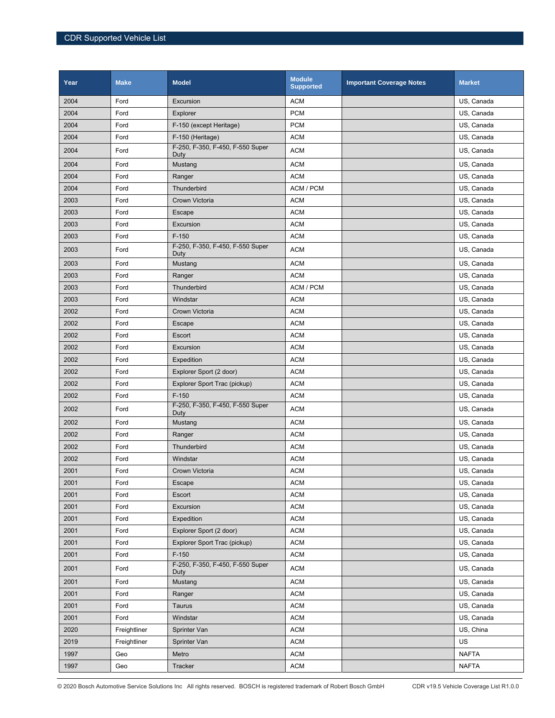| Year | <b>Make</b>  | <b>Model</b>                             | <b>Module</b><br><b>Supported</b> | <b>Important Coverage Notes</b> | <b>Market</b> |
|------|--------------|------------------------------------------|-----------------------------------|---------------------------------|---------------|
| 2004 | Ford         | Excursion                                | <b>ACM</b>                        |                                 | US, Canada    |
| 2004 | Ford         | Explorer                                 | <b>PCM</b>                        |                                 | US, Canada    |
| 2004 | Ford         | F-150 (except Heritage)                  | <b>PCM</b>                        |                                 | US. Canada    |
| 2004 | Ford         | F-150 (Heritage)                         | <b>ACM</b>                        |                                 | US, Canada    |
| 2004 | Ford         | F-250, F-350, F-450, F-550 Super<br>Duty | <b>ACM</b>                        |                                 | US, Canada    |
| 2004 | Ford         | Mustang                                  | <b>ACM</b>                        |                                 | US, Canada    |
| 2004 | Ford         | Ranger                                   | <b>ACM</b>                        |                                 | US, Canada    |
| 2004 | Ford         | Thunderbird                              | ACM / PCM                         |                                 | US, Canada    |
| 2003 | Ford         | Crown Victoria                           | <b>ACM</b>                        |                                 | US, Canada    |
| 2003 | Ford         | Escape                                   | <b>ACM</b>                        |                                 | US, Canada    |
| 2003 | Ford         | Excursion                                | <b>ACM</b>                        |                                 | US, Canada    |
| 2003 | Ford         | $F-150$                                  | <b>ACM</b>                        |                                 | US, Canada    |
| 2003 | Ford         | F-250, F-350, F-450, F-550 Super<br>Duty | <b>ACM</b>                        |                                 | US, Canada    |
| 2003 | Ford         | Mustang                                  | <b>ACM</b>                        |                                 | US, Canada    |
| 2003 | Ford         | Ranger                                   | <b>ACM</b>                        |                                 | US, Canada    |
| 2003 | Ford         | <b>Thunderbird</b>                       | ACM / PCM                         |                                 | US, Canada    |
| 2003 | Ford         | Windstar                                 | <b>ACM</b>                        |                                 | US, Canada    |
| 2002 | Ford         | Crown Victoria                           | <b>ACM</b>                        |                                 | US, Canada    |
| 2002 | Ford         | Escape                                   | <b>ACM</b>                        |                                 | US, Canada    |
| 2002 | Ford         | Escort                                   | <b>ACM</b>                        |                                 | US, Canada    |
| 2002 | Ford         | Excursion                                | <b>ACM</b>                        |                                 | US, Canada    |
| 2002 | Ford         | Expedition                               | <b>ACM</b>                        |                                 | US, Canada    |
| 2002 | Ford         | Explorer Sport (2 door)                  | <b>ACM</b>                        |                                 | US, Canada    |
| 2002 | Ford         | Explorer Sport Trac (pickup)             | <b>ACM</b>                        |                                 | US, Canada    |
| 2002 | Ford         | $F-150$                                  | <b>ACM</b>                        |                                 | US, Canada    |
| 2002 | Ford         | F-250, F-350, F-450, F-550 Super<br>Duty | <b>ACM</b>                        |                                 | US, Canada    |
| 2002 | Ford         | Mustang                                  | <b>ACM</b>                        |                                 | US, Canada    |
| 2002 | Ford         | Ranger                                   | <b>ACM</b>                        |                                 | US, Canada    |
| 2002 | Ford         | Thunderbird                              | <b>ACM</b>                        |                                 | US, Canada    |
| 2002 | Ford         | Windstar                                 | <b>ACM</b>                        |                                 | US, Canada    |
| 2001 | Ford         | Crown Victoria                           | <b>ACM</b>                        |                                 | US. Canada    |
| 2001 | Ford         | Escape                                   | <b>ACM</b>                        |                                 | US, Canada    |
| 2001 | Ford         | Escort                                   | <b>ACM</b>                        |                                 | US, Canada    |
| 2001 | Ford         | Excursion                                | <b>ACM</b>                        |                                 | US, Canada    |
| 2001 | Ford         | Expedition                               | <b>ACM</b>                        |                                 | US, Canada    |
| 2001 | Ford         | Explorer Sport (2 door)                  | <b>ACM</b>                        |                                 | US, Canada    |
| 2001 | Ford         | Explorer Sport Trac (pickup)             | <b>ACM</b>                        |                                 | US, Canada    |
| 2001 | Ford         | $F-150$                                  | <b>ACM</b>                        |                                 | US, Canada    |
| 2001 | Ford         | F-250, F-350, F-450, F-550 Super<br>Duty | <b>ACM</b>                        |                                 | US, Canada    |
| 2001 | Ford         | Mustang                                  | <b>ACM</b>                        |                                 | US, Canada    |
| 2001 | Ford         | Ranger                                   | <b>ACM</b>                        |                                 | US, Canada    |
| 2001 | Ford         | Taurus                                   | <b>ACM</b>                        |                                 | US, Canada    |
| 2001 | Ford         | Windstar                                 | $\mathsf{ACM}$                    |                                 | US, Canada    |
| 2020 | Freightliner | Sprinter Van                             | <b>ACM</b>                        |                                 | US, China     |
| 2019 | Freightliner | Sprinter Van                             | <b>ACM</b>                        |                                 | US            |
| 1997 | Geo          | Metro                                    | <b>ACM</b>                        |                                 | <b>NAFTA</b>  |
| 1997 | Geo          | Tracker                                  | <b>ACM</b>                        |                                 | <b>NAFTA</b>  |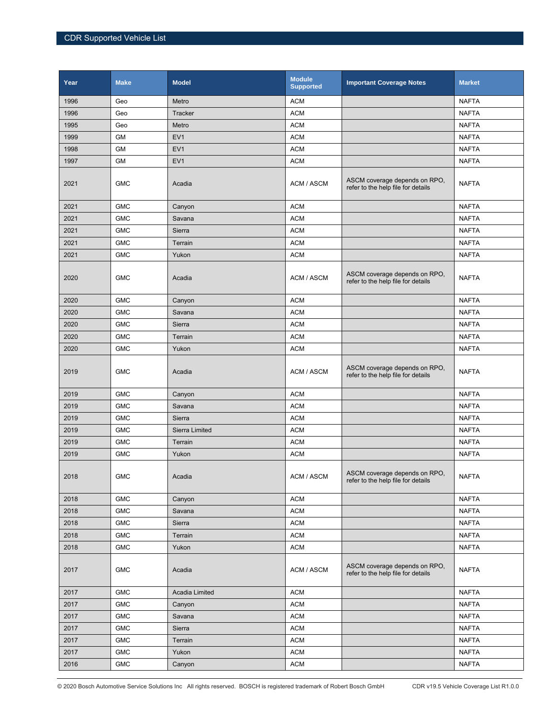| Year | <b>Make</b> | <b>Model</b>    | <b>Module</b><br><b>Supported</b> | <b>Important Coverage Notes</b>                                     | <b>Market</b> |
|------|-------------|-----------------|-----------------------------------|---------------------------------------------------------------------|---------------|
| 1996 | Geo         | Metro           | <b>ACM</b>                        |                                                                     | <b>NAFTA</b>  |
| 1996 | Geo         | Tracker         | <b>ACM</b>                        |                                                                     | <b>NAFTA</b>  |
| 1995 | Geo         | Metro           | <b>ACM</b>                        |                                                                     | <b>NAFTA</b>  |
| 1999 | <b>GM</b>   | EV <sub>1</sub> | <b>ACM</b>                        |                                                                     | <b>NAFTA</b>  |
| 1998 | <b>GM</b>   | EV <sub>1</sub> | <b>ACM</b>                        |                                                                     | <b>NAFTA</b>  |
| 1997 | <b>GM</b>   | EV <sub>1</sub> | <b>ACM</b>                        |                                                                     | <b>NAFTA</b>  |
| 2021 | <b>GMC</b>  | Acadia          | ACM / ASCM                        | ASCM coverage depends on RPO,<br>refer to the help file for details | <b>NAFTA</b>  |
| 2021 | <b>GMC</b>  | Canyon          | <b>ACM</b>                        |                                                                     | <b>NAFTA</b>  |
| 2021 | <b>GMC</b>  | Savana          | <b>ACM</b>                        |                                                                     | <b>NAFTA</b>  |
| 2021 | <b>GMC</b>  | Sierra          | <b>ACM</b>                        |                                                                     | <b>NAFTA</b>  |
| 2021 | <b>GMC</b>  | Terrain         | <b>ACM</b>                        |                                                                     | <b>NAFTA</b>  |
| 2021 | <b>GMC</b>  | Yukon           | <b>ACM</b>                        |                                                                     | <b>NAFTA</b>  |
| 2020 | <b>GMC</b>  | Acadia          | ACM / ASCM                        | ASCM coverage depends on RPO,<br>refer to the help file for details | <b>NAFTA</b>  |
| 2020 | <b>GMC</b>  | Canyon          | <b>ACM</b>                        |                                                                     | <b>NAFTA</b>  |
| 2020 | <b>GMC</b>  | Savana          | <b>ACM</b>                        |                                                                     | <b>NAFTA</b>  |
| 2020 | <b>GMC</b>  | Sierra          | <b>ACM</b>                        |                                                                     | <b>NAFTA</b>  |
| 2020 | <b>GMC</b>  | Terrain         | <b>ACM</b>                        |                                                                     | <b>NAFTA</b>  |
| 2020 | <b>GMC</b>  | Yukon           | <b>ACM</b>                        |                                                                     | <b>NAFTA</b>  |
| 2019 | <b>GMC</b>  | Acadia          | ACM / ASCM                        | ASCM coverage depends on RPO,<br>refer to the help file for details | <b>NAFTA</b>  |
| 2019 | <b>GMC</b>  | Canyon          | <b>ACM</b>                        |                                                                     | <b>NAFTA</b>  |
| 2019 | <b>GMC</b>  | Savana          | <b>ACM</b>                        |                                                                     | <b>NAFTA</b>  |
| 2019 | <b>GMC</b>  | Sierra          | <b>ACM</b>                        |                                                                     | <b>NAFTA</b>  |
| 2019 | <b>GMC</b>  | Sierra Limited  | <b>ACM</b>                        |                                                                     | <b>NAFTA</b>  |
| 2019 | <b>GMC</b>  | Terrain         | <b>ACM</b>                        |                                                                     | <b>NAFTA</b>  |
| 2019 | <b>GMC</b>  | Yukon           | <b>ACM</b>                        |                                                                     | <b>NAFTA</b>  |
| 2018 | <b>GMC</b>  | Acadia          | ACM / ASCM                        | ASCM coverage depends on RPO.<br>refer to the help file for details | <b>NAFTA</b>  |
| 2018 | <b>GMC</b>  | Canyon          | <b>ACM</b>                        |                                                                     | <b>NAFTA</b>  |
| 2018 | <b>GMC</b>  | Savana          | <b>ACM</b>                        |                                                                     | <b>NAFTA</b>  |
| 2018 | <b>GMC</b>  | Sierra          | <b>ACM</b>                        |                                                                     | <b>NAFTA</b>  |
| 2018 | <b>GMC</b>  | Terrain         | <b>ACM</b>                        |                                                                     | <b>NAFTA</b>  |
| 2018 | <b>GMC</b>  | Yukon           | <b>ACM</b>                        |                                                                     | <b>NAFTA</b>  |
| 2017 | <b>GMC</b>  | Acadia          | ACM / ASCM                        | ASCM coverage depends on RPO,<br>refer to the help file for details | <b>NAFTA</b>  |
| 2017 | <b>GMC</b>  | Acadia Limited  | <b>ACM</b>                        |                                                                     | <b>NAFTA</b>  |
| 2017 | <b>GMC</b>  | Canyon          | <b>ACM</b>                        |                                                                     | <b>NAFTA</b>  |
| 2017 | <b>GMC</b>  | Savana          | <b>ACM</b>                        |                                                                     | <b>NAFTA</b>  |
| 2017 | <b>GMC</b>  | Sierra          | <b>ACM</b>                        |                                                                     | <b>NAFTA</b>  |
| 2017 | <b>GMC</b>  | Terrain         | $\mathsf{ACM}$                    |                                                                     | <b>NAFTA</b>  |
| 2017 | <b>GMC</b>  | Yukon           | <b>ACM</b>                        |                                                                     | <b>NAFTA</b>  |
| 2016 | <b>GMC</b>  | Canyon          | <b>ACM</b>                        |                                                                     | <b>NAFTA</b>  |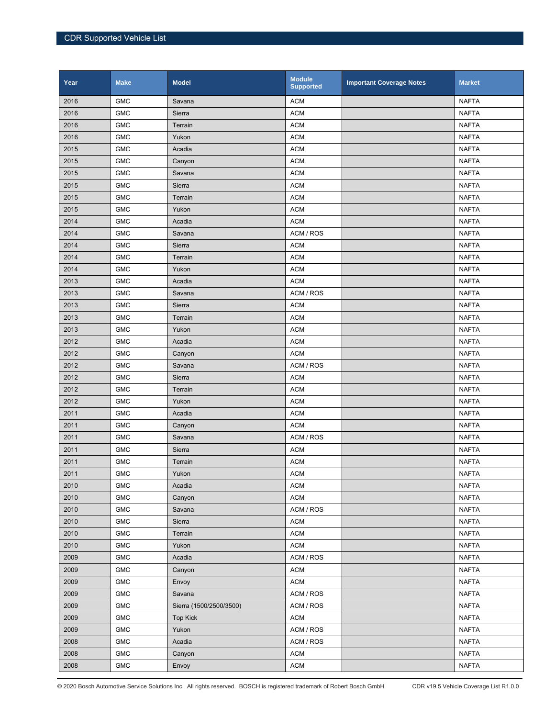| Year | <b>Make</b> | <b>Model</b>            | <b>Module</b><br><b>Supported</b> | <b>Important Coverage Notes</b> | <b>Market</b> |
|------|-------------|-------------------------|-----------------------------------|---------------------------------|---------------|
| 2016 | <b>GMC</b>  | Savana                  | <b>ACM</b>                        |                                 | <b>NAFTA</b>  |
| 2016 | <b>GMC</b>  | Sierra                  | <b>ACM</b>                        |                                 | <b>NAFTA</b>  |
| 2016 | <b>GMC</b>  | Terrain                 | <b>ACM</b>                        |                                 | <b>NAFTA</b>  |
| 2016 | <b>GMC</b>  | Yukon                   | <b>ACM</b>                        |                                 | <b>NAFTA</b>  |
| 2015 | <b>GMC</b>  | Acadia                  | <b>ACM</b>                        |                                 | <b>NAFTA</b>  |
| 2015 | <b>GMC</b>  | Canyon                  | <b>ACM</b>                        |                                 | <b>NAFTA</b>  |
| 2015 | <b>GMC</b>  | Savana                  | <b>ACM</b>                        |                                 | <b>NAFTA</b>  |
| 2015 | <b>GMC</b>  | Sierra                  | <b>ACM</b>                        |                                 | <b>NAFTA</b>  |
| 2015 | <b>GMC</b>  | Terrain                 | <b>ACM</b>                        |                                 | <b>NAFTA</b>  |
| 2015 | <b>GMC</b>  | Yukon                   | <b>ACM</b>                        |                                 | <b>NAFTA</b>  |
| 2014 | <b>GMC</b>  | Acadia                  | <b>ACM</b>                        |                                 | <b>NAFTA</b>  |
| 2014 | <b>GMC</b>  | Savana                  | ACM / ROS                         |                                 | <b>NAFTA</b>  |
| 2014 | <b>GMC</b>  | Sierra                  | <b>ACM</b>                        |                                 | <b>NAFTA</b>  |
| 2014 | <b>GMC</b>  | Terrain                 | <b>ACM</b>                        |                                 | <b>NAFTA</b>  |
| 2014 | <b>GMC</b>  | Yukon                   | <b>ACM</b>                        |                                 | <b>NAFTA</b>  |
| 2013 | <b>GMC</b>  | Acadia                  | <b>ACM</b>                        |                                 | <b>NAFTA</b>  |
| 2013 | <b>GMC</b>  | Savana                  | ACM / ROS                         |                                 | <b>NAFTA</b>  |
| 2013 | <b>GMC</b>  | Sierra                  | <b>ACM</b>                        |                                 | <b>NAFTA</b>  |
| 2013 | <b>GMC</b>  | Terrain                 | <b>ACM</b>                        |                                 | <b>NAFTA</b>  |
| 2013 | <b>GMC</b>  | Yukon                   | <b>ACM</b>                        |                                 | <b>NAFTA</b>  |
| 2012 | <b>GMC</b>  | Acadia                  | <b>ACM</b>                        |                                 | <b>NAFTA</b>  |
| 2012 | <b>GMC</b>  | Canyon                  | <b>ACM</b>                        |                                 | <b>NAFTA</b>  |
| 2012 | <b>GMC</b>  | Savana                  | ACM / ROS                         |                                 | <b>NAFTA</b>  |
| 2012 | <b>GMC</b>  | Sierra                  | <b>ACM</b>                        |                                 | <b>NAFTA</b>  |
| 2012 | <b>GMC</b>  | Terrain                 | <b>ACM</b>                        |                                 | <b>NAFTA</b>  |
| 2012 | <b>GMC</b>  | Yukon                   | <b>ACM</b>                        |                                 | <b>NAFTA</b>  |
| 2011 | <b>GMC</b>  | Acadia                  | <b>ACM</b>                        |                                 | <b>NAFTA</b>  |
| 2011 | <b>GMC</b>  | Canyon                  | <b>ACM</b>                        |                                 | <b>NAFTA</b>  |
| 2011 | <b>GMC</b>  | Savana                  | ACM / ROS                         |                                 | <b>NAFTA</b>  |
| 2011 | <b>GMC</b>  | Sierra                  | <b>ACM</b>                        |                                 | <b>NAFTA</b>  |
| 2011 | <b>GMC</b>  | Terrain                 | <b>ACM</b>                        |                                 | NAFTA         |
| 2011 | ${\sf GMC}$ | Yukon                   | <b>ACM</b>                        |                                 | <b>NAFTA</b>  |
| 2010 | <b>GMC</b>  | Acadia                  | <b>ACM</b>                        |                                 | <b>NAFTA</b>  |
| 2010 | <b>GMC</b>  | Canyon                  | ACM                               |                                 | <b>NAFTA</b>  |
| 2010 | <b>GMC</b>  | Savana                  | ACM / ROS                         |                                 | <b>NAFTA</b>  |
| 2010 | ${\sf GMC}$ | Sierra                  | <b>ACM</b>                        |                                 | <b>NAFTA</b>  |
| 2010 | <b>GMC</b>  | Terrain                 | <b>ACM</b>                        |                                 | <b>NAFTA</b>  |
| 2010 | <b>GMC</b>  | Yukon                   | <b>ACM</b>                        |                                 | <b>NAFTA</b>  |
| 2009 | <b>GMC</b>  | Acadia                  | ACM / ROS                         |                                 | <b>NAFTA</b>  |
| 2009 | <b>GMC</b>  | Canyon                  | <b>ACM</b>                        |                                 | <b>NAFTA</b>  |
| 2009 | <b>GMC</b>  | Envoy                   | <b>ACM</b>                        |                                 | <b>NAFTA</b>  |
| 2009 | <b>GMC</b>  | Savana                  | ACM / ROS                         |                                 | <b>NAFTA</b>  |
| 2009 | <b>GMC</b>  | Sierra (1500/2500/3500) | ACM / ROS                         |                                 | <b>NAFTA</b>  |
| 2009 | <b>GMC</b>  | <b>Top Kick</b>         | <b>ACM</b>                        |                                 | <b>NAFTA</b>  |
| 2009 | <b>GMC</b>  | Yukon                   | ACM / ROS                         |                                 | <b>NAFTA</b>  |
| 2008 | <b>GMC</b>  | Acadia                  | ACM / ROS                         |                                 | <b>NAFTA</b>  |
| 2008 | <b>GMC</b>  | Canyon                  | <b>ACM</b>                        |                                 | <b>NAFTA</b>  |
| 2008 | <b>GMC</b>  | Envoy                   | <b>ACM</b>                        |                                 | <b>NAFTA</b>  |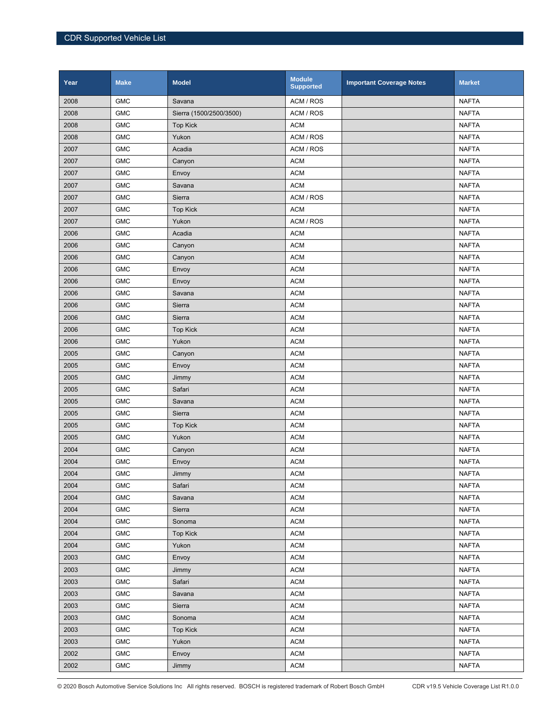| Year | <b>Make</b> | <b>Model</b>            | <b>Module</b><br><b>Supported</b> | <b>Important Coverage Notes</b> | <b>Market</b> |
|------|-------------|-------------------------|-----------------------------------|---------------------------------|---------------|
| 2008 | <b>GMC</b>  | Savana                  | ACM / ROS                         |                                 | <b>NAFTA</b>  |
| 2008 | <b>GMC</b>  | Sierra (1500/2500/3500) | ACM / ROS                         |                                 | <b>NAFTA</b>  |
| 2008 | <b>GMC</b>  | <b>Top Kick</b>         | <b>ACM</b>                        |                                 | <b>NAFTA</b>  |
| 2008 | <b>GMC</b>  | Yukon                   | ACM / ROS                         |                                 | <b>NAFTA</b>  |
| 2007 | <b>GMC</b>  | Acadia                  | ACM / ROS                         |                                 | <b>NAFTA</b>  |
| 2007 | <b>GMC</b>  | Canyon                  | <b>ACM</b>                        |                                 | <b>NAFTA</b>  |
| 2007 | <b>GMC</b>  | Envoy                   | <b>ACM</b>                        |                                 | <b>NAFTA</b>  |
| 2007 | <b>GMC</b>  | Savana                  | <b>ACM</b>                        |                                 | <b>NAFTA</b>  |
| 2007 | <b>GMC</b>  | Sierra                  | ACM / ROS                         |                                 | <b>NAFTA</b>  |
| 2007 | <b>GMC</b>  | <b>Top Kick</b>         | <b>ACM</b>                        |                                 | <b>NAFTA</b>  |
| 2007 | <b>GMC</b>  | Yukon                   | ACM / ROS                         |                                 | <b>NAFTA</b>  |
| 2006 | <b>GMC</b>  | Acadia                  | <b>ACM</b>                        |                                 | <b>NAFTA</b>  |
| 2006 | <b>GMC</b>  | Canyon                  | <b>ACM</b>                        |                                 | <b>NAFTA</b>  |
| 2006 | <b>GMC</b>  | Canyon                  | <b>ACM</b>                        |                                 | <b>NAFTA</b>  |
| 2006 | <b>GMC</b>  | Envoy                   | <b>ACM</b>                        |                                 | <b>NAFTA</b>  |
| 2006 | <b>GMC</b>  | Envoy                   | <b>ACM</b>                        |                                 | <b>NAFTA</b>  |
| 2006 | <b>GMC</b>  | Savana                  | <b>ACM</b>                        |                                 | <b>NAFTA</b>  |
| 2006 | <b>GMC</b>  | Sierra                  | <b>ACM</b>                        |                                 | <b>NAFTA</b>  |
| 2006 | <b>GMC</b>  | Sierra                  | <b>ACM</b>                        |                                 | <b>NAFTA</b>  |
| 2006 | <b>GMC</b>  | <b>Top Kick</b>         | <b>ACM</b>                        |                                 | <b>NAFTA</b>  |
| 2006 | <b>GMC</b>  | Yukon                   | <b>ACM</b>                        |                                 | <b>NAFTA</b>  |
| 2005 | <b>GMC</b>  | Canyon                  | <b>ACM</b>                        |                                 | <b>NAFTA</b>  |
| 2005 | <b>GMC</b>  | Envoy                   | <b>ACM</b>                        |                                 | <b>NAFTA</b>  |
| 2005 | <b>GMC</b>  | Jimmy                   | <b>ACM</b>                        |                                 | <b>NAFTA</b>  |
| 2005 | <b>GMC</b>  | Safari                  | <b>ACM</b>                        |                                 | <b>NAFTA</b>  |
| 2005 | <b>GMC</b>  | Savana                  | <b>ACM</b>                        |                                 | <b>NAFTA</b>  |
| 2005 | <b>GMC</b>  | Sierra                  | <b>ACM</b>                        |                                 | <b>NAFTA</b>  |
| 2005 | <b>GMC</b>  | <b>Top Kick</b>         | <b>ACM</b>                        |                                 | <b>NAFTA</b>  |
| 2005 | <b>GMC</b>  | Yukon                   | <b>ACM</b>                        |                                 | <b>NAFTA</b>  |
| 2004 | <b>GMC</b>  | Canyon                  | <b>ACM</b>                        |                                 | <b>NAFTA</b>  |
| 2004 | <b>GMC</b>  | Envoy                   | <b>ACM</b>                        |                                 | NAFTA         |
| 2004 | ${\sf GMC}$ | Jimmy                   | <b>ACM</b>                        |                                 | <b>NAFTA</b>  |
| 2004 | <b>GMC</b>  | Safari                  | <b>ACM</b>                        |                                 | <b>NAFTA</b>  |
| 2004 | <b>GMC</b>  | Savana                  | <b>ACM</b>                        |                                 | <b>NAFTA</b>  |
| 2004 | ${\sf GMC}$ | Sierra                  | <b>ACM</b>                        |                                 | <b>NAFTA</b>  |
| 2004 | ${\sf GMC}$ | Sonoma                  | <b>ACM</b>                        |                                 | <b>NAFTA</b>  |
| 2004 | ${\sf GMC}$ | <b>Top Kick</b>         | <b>ACM</b>                        |                                 | <b>NAFTA</b>  |
| 2004 | <b>GMC</b>  | Yukon                   | <b>ACM</b>                        |                                 | <b>NAFTA</b>  |
| 2003 | <b>GMC</b>  | Envoy                   | <b>ACM</b>                        |                                 | <b>NAFTA</b>  |
| 2003 | <b>GMC</b>  | Jimmy                   | <b>ACM</b>                        |                                 | <b>NAFTA</b>  |
| 2003 | ${\sf GMC}$ | Safari                  | <b>ACM</b>                        |                                 | <b>NAFTA</b>  |
| 2003 | ${\sf GMC}$ | Savana                  | <b>ACM</b>                        |                                 | <b>NAFTA</b>  |
| 2003 | GMC         | Sierra                  | <b>ACM</b>                        |                                 | <b>NAFTA</b>  |
| 2003 | <b>GMC</b>  | Sonoma                  | <b>ACM</b>                        |                                 | <b>NAFTA</b>  |
| 2003 | ${\sf GMC}$ | <b>Top Kick</b>         | <b>ACM</b>                        |                                 | <b>NAFTA</b>  |
| 2003 | <b>GMC</b>  | Yukon                   | <b>ACM</b>                        |                                 | <b>NAFTA</b>  |
| 2002 | ${\sf GMC}$ | Envoy                   | <b>ACM</b>                        |                                 | <b>NAFTA</b>  |
| 2002 | <b>GMC</b>  | Jimmy                   | <b>ACM</b>                        |                                 | <b>NAFTA</b>  |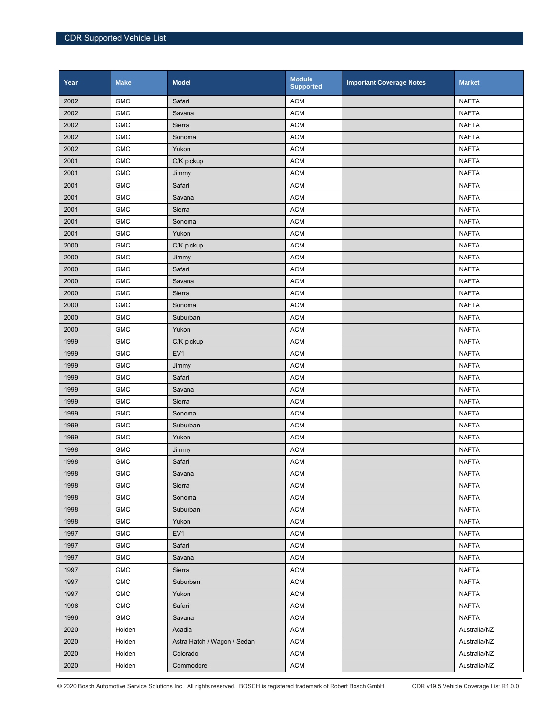| Year | <b>Make</b> | <b>Model</b>                | <b>Module</b><br><b>Supported</b> | <b>Important Coverage Notes</b> | <b>Market</b> |
|------|-------------|-----------------------------|-----------------------------------|---------------------------------|---------------|
| 2002 | <b>GMC</b>  | Safari                      | <b>ACM</b>                        |                                 | <b>NAFTA</b>  |
| 2002 | <b>GMC</b>  | Savana                      | <b>ACM</b>                        |                                 | <b>NAFTA</b>  |
| 2002 | <b>GMC</b>  | Sierra                      | <b>ACM</b>                        |                                 | <b>NAFTA</b>  |
| 2002 | <b>GMC</b>  | Sonoma                      | <b>ACM</b>                        |                                 | <b>NAFTA</b>  |
| 2002 | <b>GMC</b>  | Yukon                       | <b>ACM</b>                        |                                 | <b>NAFTA</b>  |
| 2001 | <b>GMC</b>  | C/K pickup                  | <b>ACM</b>                        |                                 | <b>NAFTA</b>  |
| 2001 | <b>GMC</b>  | Jimmy                       | <b>ACM</b>                        |                                 | <b>NAFTA</b>  |
| 2001 | <b>GMC</b>  | Safari                      | <b>ACM</b>                        |                                 | <b>NAFTA</b>  |
| 2001 | <b>GMC</b>  | Savana                      | <b>ACM</b>                        |                                 | <b>NAFTA</b>  |
| 2001 | <b>GMC</b>  | Sierra                      | <b>ACM</b>                        |                                 | <b>NAFTA</b>  |
| 2001 | <b>GMC</b>  | Sonoma                      | <b>ACM</b>                        |                                 | <b>NAFTA</b>  |
| 2001 | <b>GMC</b>  | Yukon                       | <b>ACM</b>                        |                                 | <b>NAFTA</b>  |
| 2000 | <b>GMC</b>  | C/K pickup                  | <b>ACM</b>                        |                                 | <b>NAFTA</b>  |
| 2000 | <b>GMC</b>  | Jimmy                       | <b>ACM</b>                        |                                 | <b>NAFTA</b>  |
| 2000 | <b>GMC</b>  | Safari                      | <b>ACM</b>                        |                                 | <b>NAFTA</b>  |
| 2000 | <b>GMC</b>  | Savana                      | <b>ACM</b>                        |                                 | <b>NAFTA</b>  |
| 2000 | <b>GMC</b>  | Sierra                      | <b>ACM</b>                        |                                 | <b>NAFTA</b>  |
| 2000 | <b>GMC</b>  | Sonoma                      | <b>ACM</b>                        |                                 | <b>NAFTA</b>  |
| 2000 | <b>GMC</b>  | Suburban                    | <b>ACM</b>                        |                                 | <b>NAFTA</b>  |
| 2000 | <b>GMC</b>  | Yukon                       | <b>ACM</b>                        |                                 | <b>NAFTA</b>  |
| 1999 | <b>GMC</b>  | C/K pickup                  | <b>ACM</b>                        |                                 | <b>NAFTA</b>  |
| 1999 | <b>GMC</b>  | EV <sub>1</sub>             | <b>ACM</b>                        |                                 | <b>NAFTA</b>  |
| 1999 | <b>GMC</b>  | Jimmy                       | <b>ACM</b>                        |                                 | <b>NAFTA</b>  |
| 1999 | <b>GMC</b>  | Safari                      | <b>ACM</b>                        |                                 | <b>NAFTA</b>  |
| 1999 | <b>GMC</b>  | Savana                      | <b>ACM</b>                        |                                 | <b>NAFTA</b>  |
| 1999 | <b>GMC</b>  | Sierra                      | <b>ACM</b>                        |                                 | <b>NAFTA</b>  |
| 1999 | <b>GMC</b>  | Sonoma                      | <b>ACM</b>                        |                                 | <b>NAFTA</b>  |
| 1999 | <b>GMC</b>  | Suburban                    | <b>ACM</b>                        |                                 | <b>NAFTA</b>  |
| 1999 | <b>GMC</b>  | Yukon                       | <b>ACM</b>                        |                                 | <b>NAFTA</b>  |
| 1998 | <b>GMC</b>  | Jimmy                       | <b>ACM</b>                        |                                 | <b>NAFTA</b>  |
| 1998 | <b>GMC</b>  | Safari                      | <b>ACM</b>                        |                                 | <b>NAFTA</b>  |
| 1998 | GMC         | Savana                      | <b>ACM</b>                        |                                 | <b>NAFTA</b>  |
| 1998 | <b>GMC</b>  | Sierra                      | <b>ACM</b>                        |                                 | <b>NAFTA</b>  |
| 1998 | <b>GMC</b>  | Sonoma                      | <b>ACM</b>                        |                                 | <b>NAFTA</b>  |
| 1998 | ${\sf GMC}$ | Suburban                    | <b>ACM</b>                        |                                 | <b>NAFTA</b>  |
| 1998 | <b>GMC</b>  | Yukon                       | <b>ACM</b>                        |                                 | <b>NAFTA</b>  |
| 1997 | ${\sf GMC}$ | EV <sub>1</sub>             | <b>ACM</b>                        |                                 | <b>NAFTA</b>  |
| 1997 | <b>GMC</b>  | Safari                      | <b>ACM</b>                        |                                 | <b>NAFTA</b>  |
| 1997 | <b>GMC</b>  | Savana                      | <b>ACM</b>                        |                                 | <b>NAFTA</b>  |
| 1997 | <b>GMC</b>  | Sierra                      | <b>ACM</b>                        |                                 | <b>NAFTA</b>  |
| 1997 | <b>GMC</b>  | Suburban                    | <b>ACM</b>                        |                                 | <b>NAFTA</b>  |
| 1997 | <b>GMC</b>  | Yukon                       | <b>ACM</b>                        |                                 | <b>NAFTA</b>  |
| 1996 | <b>GMC</b>  | Safari                      | <b>ACM</b>                        |                                 | <b>NAFTA</b>  |
| 1996 | <b>GMC</b>  | Savana                      | <b>ACM</b>                        |                                 | <b>NAFTA</b>  |
| 2020 | Holden      | Acadia                      | <b>ACM</b>                        |                                 | Australia/NZ  |
| 2020 | Holden      | Astra Hatch / Wagon / Sedan | <b>ACM</b>                        |                                 | Australia/NZ  |
| 2020 | Holden      | Colorado                    | <b>ACM</b>                        |                                 | Australia/NZ  |
| 2020 | Holden      | Commodore                   | <b>ACM</b>                        |                                 | Australia/NZ  |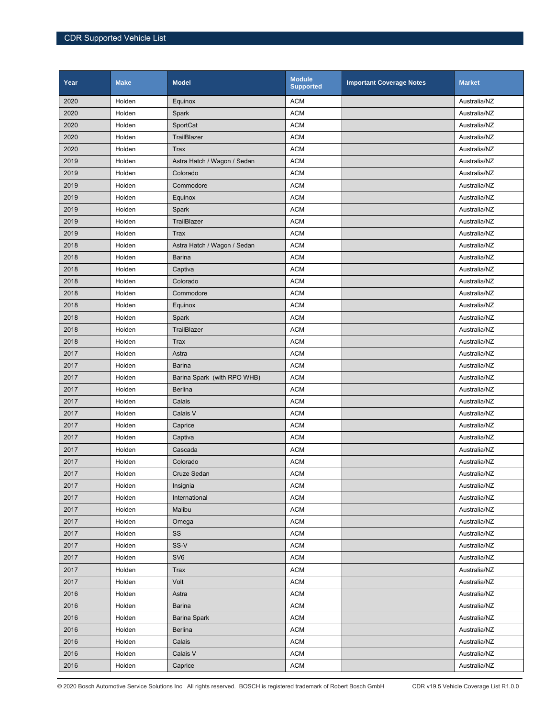| Year | <b>Make</b> | <b>Model</b>                | <b>Module</b><br><b>Supported</b> | <b>Important Coverage Notes</b> | <b>Market</b> |
|------|-------------|-----------------------------|-----------------------------------|---------------------------------|---------------|
| 2020 | Holden      | Equinox                     | <b>ACM</b>                        |                                 | Australia/NZ  |
| 2020 | Holden      | Spark                       | <b>ACM</b>                        |                                 | Australia/NZ  |
| 2020 | Holden      | SportCat                    | <b>ACM</b>                        |                                 | Australia/NZ  |
| 2020 | Holden      | TrailBlazer                 | <b>ACM</b>                        |                                 | Australia/NZ  |
| 2020 | Holden      | <b>Trax</b>                 | <b>ACM</b>                        |                                 | Australia/NZ  |
| 2019 | Holden      | Astra Hatch / Wagon / Sedan | <b>ACM</b>                        |                                 | Australia/NZ  |
| 2019 | Holden      | Colorado                    | <b>ACM</b>                        |                                 | Australia/NZ  |
| 2019 | Holden      | Commodore                   | <b>ACM</b>                        |                                 | Australia/NZ  |
| 2019 | Holden      | Equinox                     | <b>ACM</b>                        |                                 | Australia/NZ  |
| 2019 | Holden      | Spark                       | <b>ACM</b>                        |                                 | Australia/NZ  |
| 2019 | Holden      | TrailBlazer                 | <b>ACM</b>                        |                                 | Australia/NZ  |
| 2019 | Holden      | Trax                        | <b>ACM</b>                        |                                 | Australia/NZ  |
| 2018 | Holden      | Astra Hatch / Wagon / Sedan | <b>ACM</b>                        |                                 | Australia/NZ  |
| 2018 | Holden      | <b>Barina</b>               | <b>ACM</b>                        |                                 | Australia/NZ  |
| 2018 | Holden      | Captiva                     | <b>ACM</b>                        |                                 | Australia/NZ  |
| 2018 | Holden      | Colorado                    | <b>ACM</b>                        |                                 | Australia/NZ  |
| 2018 | Holden      | Commodore                   | <b>ACM</b>                        |                                 | Australia/NZ  |
| 2018 | Holden      | Equinox                     | <b>ACM</b>                        |                                 | Australia/NZ  |
| 2018 | Holden      | Spark                       | <b>ACM</b>                        |                                 | Australia/NZ  |
| 2018 | Holden      | TrailBlazer                 | <b>ACM</b>                        |                                 | Australia/NZ  |
| 2018 | Holden      | Trax                        | <b>ACM</b>                        |                                 | Australia/NZ  |
| 2017 | Holden      | Astra                       | <b>ACM</b>                        |                                 | Australia/NZ  |
| 2017 | Holden      | <b>Barina</b>               | <b>ACM</b>                        |                                 | Australia/NZ  |
| 2017 | Holden      | Barina Spark (with RPO WHB) | <b>ACM</b>                        |                                 | Australia/NZ  |
| 2017 | Holden      | <b>Berlina</b>              | <b>ACM</b>                        |                                 | Australia/NZ  |
| 2017 | Holden      | Calais                      | <b>ACM</b>                        |                                 | Australia/NZ  |
| 2017 | Holden      | Calais V                    | <b>ACM</b>                        |                                 | Australia/NZ  |
| 2017 | Holden      | Caprice                     | <b>ACM</b>                        |                                 | Australia/NZ  |
| 2017 | Holden      | Captiva                     | <b>ACM</b>                        |                                 | Australia/NZ  |
| 2017 | Holden      | Cascada                     | <b>ACM</b>                        |                                 | Australia/NZ  |
| 2017 | Holden      | Colorado                    | <b>ACM</b>                        |                                 | Australia/NZ  |
| 2017 | Holden      | Cruze Sedan                 | <b>ACM</b>                        |                                 | Australia/NZ  |
| 2017 | Holden      | Insignia                    | <b>ACM</b>                        |                                 | Australia/NZ  |
| 2017 | Holden      | International               | <b>ACM</b>                        |                                 | Australia/NZ  |
| 2017 | Holden      | Malibu                      | <b>ACM</b>                        |                                 | Australia/NZ  |
| 2017 | Holden      | Omega                       | <b>ACM</b>                        |                                 | Australia/NZ  |
| 2017 | Holden      | SS                          | <b>ACM</b>                        |                                 | Australia/NZ  |
| 2017 | Holden      | SS-V                        | <b>ACM</b>                        |                                 | Australia/NZ  |
| 2017 | Holden      | SV <sub>6</sub>             | <b>ACM</b>                        |                                 | Australia/NZ  |
| 2017 | Holden      | Trax                        | <b>ACM</b>                        |                                 | Australia/NZ  |
| 2017 | Holden      | Volt                        | <b>ACM</b>                        |                                 | Australia/NZ  |
| 2016 | Holden      | Astra                       | <b>ACM</b>                        |                                 | Australia/NZ  |
| 2016 | Holden      | <b>Barina</b>               | <b>ACM</b>                        |                                 | Australia/NZ  |
| 2016 | Holden      | <b>Barina Spark</b>         | <b>ACM</b>                        |                                 | Australia/NZ  |
| 2016 | Holden      | <b>Berlina</b>              | <b>ACM</b>                        |                                 | Australia/NZ  |
| 2016 | Holden      | Calais                      | <b>ACM</b>                        |                                 | Australia/NZ  |
| 2016 | Holden      | Calais V                    | <b>ACM</b>                        |                                 | Australia/NZ  |
| 2016 | Holden      | Caprice                     | <b>ACM</b>                        |                                 | Australia/NZ  |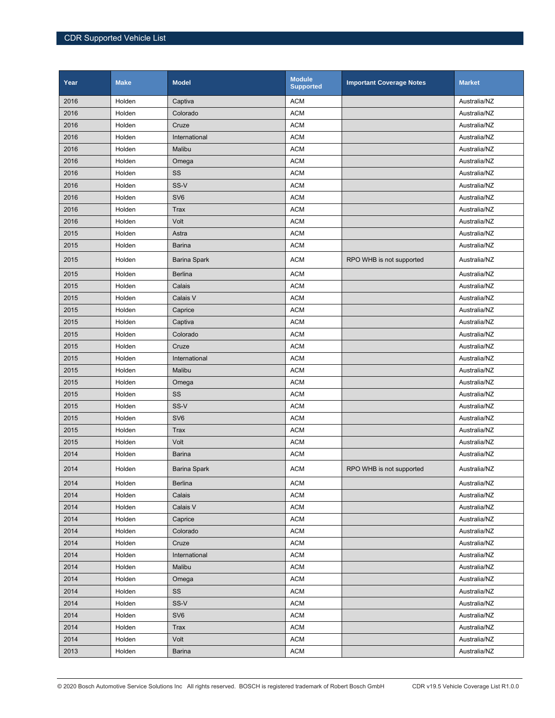| Year | <b>Make</b> | <b>Model</b>        | <b>Module</b><br><b>Supported</b> | <b>Important Coverage Notes</b> | <b>Market</b> |
|------|-------------|---------------------|-----------------------------------|---------------------------------|---------------|
| 2016 | Holden      | Captiva             | <b>ACM</b>                        |                                 | Australia/NZ  |
| 2016 | Holden      | Colorado            | <b>ACM</b>                        |                                 | Australia/NZ  |
| 2016 | Holden      | Cruze               | <b>ACM</b>                        |                                 | Australia/NZ  |
| 2016 | Holden      | International       | <b>ACM</b>                        |                                 | Australia/NZ  |
| 2016 | Holden      | Malibu              | <b>ACM</b>                        |                                 | Australia/NZ  |
| 2016 | Holden      | Omega               | <b>ACM</b>                        |                                 | Australia/NZ  |
| 2016 | Holden      | SS                  | <b>ACM</b>                        |                                 | Australia/NZ  |
| 2016 | Holden      | SS-V                | <b>ACM</b>                        |                                 | Australia/NZ  |
| 2016 | Holden      | SV <sub>6</sub>     | <b>ACM</b>                        |                                 | Australia/NZ  |
| 2016 | Holden      | <b>Trax</b>         | <b>ACM</b>                        |                                 | Australia/NZ  |
| 2016 | Holden      | Volt                | <b>ACM</b>                        |                                 | Australia/NZ  |
| 2015 | Holden      | Astra               | <b>ACM</b>                        |                                 | Australia/NZ  |
| 2015 | Holden      | Barina              | <b>ACM</b>                        |                                 | Australia/NZ  |
| 2015 | Holden      | <b>Barina Spark</b> | <b>ACM</b>                        | RPO WHB is not supported        | Australia/NZ  |
| 2015 | Holden      | <b>Berlina</b>      | <b>ACM</b>                        |                                 | Australia/NZ  |
| 2015 | Holden      | Calais              | <b>ACM</b>                        |                                 | Australia/NZ  |
| 2015 | Holden      | Calais V            | <b>ACM</b>                        |                                 | Australia/NZ  |
| 2015 | Holden      | Caprice             | <b>ACM</b>                        |                                 | Australia/NZ  |
| 2015 | Holden      | Captiva             | <b>ACM</b>                        |                                 | Australia/NZ  |
| 2015 | Holden      | Colorado            | <b>ACM</b>                        |                                 | Australia/NZ  |
| 2015 | Holden      | Cruze               | <b>ACM</b>                        |                                 | Australia/NZ  |
| 2015 | Holden      | International       | <b>ACM</b>                        |                                 | Australia/NZ  |
| 2015 | Holden      | Malibu              | <b>ACM</b>                        |                                 | Australia/NZ  |
| 2015 | Holden      | Omega               | <b>ACM</b>                        |                                 | Australia/NZ  |
| 2015 | Holden      | SS                  | <b>ACM</b>                        |                                 | Australia/NZ  |
| 2015 | Holden      | SS-V                | <b>ACM</b>                        |                                 | Australia/NZ  |
| 2015 | Holden      | SV <sub>6</sub>     | <b>ACM</b>                        |                                 | Australia/NZ  |
| 2015 | Holden      | <b>Trax</b>         | <b>ACM</b>                        |                                 | Australia/NZ  |
| 2015 | Holden      | Volt                | <b>ACM</b>                        |                                 | Australia/NZ  |
| 2014 | Holden      | Barina              | <b>ACM</b>                        |                                 | Australia/NZ  |
| 2014 | Holden      | <b>Barina Spark</b> | <b>ACM</b>                        | RPO WHB is not supported        | Australia/NZ  |
| 2014 | Holden      | <b>Berlina</b>      | <b>ACM</b>                        |                                 | Australia/NZ  |
| 2014 | Holden      | Calais              | <b>ACM</b>                        |                                 | Australia/NZ  |
| 2014 | Holden      | Calais V            | <b>ACM</b>                        |                                 | Australia/NZ  |
| 2014 | Holden      | Caprice             | <b>ACM</b>                        |                                 | Australia/NZ  |
| 2014 | Holden      | Colorado            | <b>ACM</b>                        |                                 | Australia/NZ  |
| 2014 | Holden      | Cruze               | <b>ACM</b>                        |                                 | Australia/NZ  |
| 2014 | Holden      | International       | <b>ACM</b>                        |                                 | Australia/NZ  |
| 2014 | Holden      | Malibu              | <b>ACM</b>                        |                                 | Australia/NZ  |
| 2014 | Holden      | Omega               | <b>ACM</b>                        |                                 | Australia/NZ  |
| 2014 | Holden      | SS                  | <b>ACM</b>                        |                                 | Australia/NZ  |
| 2014 | Holden      | SS-V                | <b>ACM</b>                        |                                 | Australia/NZ  |
| 2014 | Holden      | SV <sub>6</sub>     | <b>ACM</b>                        |                                 | Australia/NZ  |
| 2014 | Holden      | <b>Trax</b>         | <b>ACM</b>                        |                                 | Australia/NZ  |
| 2014 | Holden      | Volt                | <b>ACM</b>                        |                                 | Australia/NZ  |
| 2013 | Holden      | Barina              | <b>ACM</b>                        |                                 | Australia/NZ  |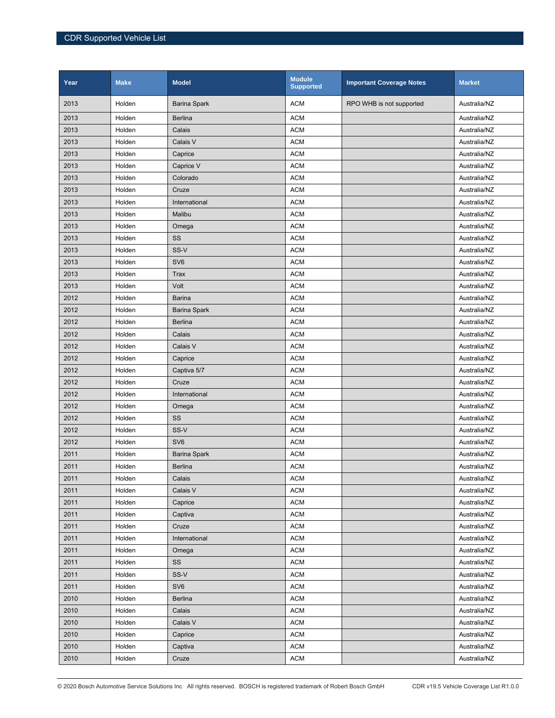| Year | <b>Make</b> | <b>Model</b>        | <b>Module</b><br><b>Supported</b> | <b>Important Coverage Notes</b> | <b>Market</b> |
|------|-------------|---------------------|-----------------------------------|---------------------------------|---------------|
| 2013 | Holden      | <b>Barina Spark</b> | <b>ACM</b>                        | RPO WHB is not supported        | Australia/NZ  |
| 2013 | Holden      | <b>Berlina</b>      | <b>ACM</b>                        |                                 | Australia/NZ  |
| 2013 | Holden      | Calais              | <b>ACM</b>                        |                                 | Australia/NZ  |
| 2013 | Holden      | Calais V            | <b>ACM</b>                        |                                 | Australia/NZ  |
| 2013 | Holden      | Caprice             | <b>ACM</b>                        |                                 | Australia/NZ  |
| 2013 | Holden      | Caprice V           | <b>ACM</b>                        |                                 | Australia/NZ  |
| 2013 | Holden      | Colorado            | <b>ACM</b>                        |                                 | Australia/NZ  |
| 2013 | Holden      | Cruze               | <b>ACM</b>                        |                                 | Australia/NZ  |
| 2013 | Holden      | International       | <b>ACM</b>                        |                                 | Australia/NZ  |
| 2013 | Holden      | Malibu              | <b>ACM</b>                        |                                 | Australia/NZ  |
| 2013 | Holden      | Omega               | <b>ACM</b>                        |                                 | Australia/NZ  |
| 2013 | Holden      | SS                  | <b>ACM</b>                        |                                 | Australia/NZ  |
| 2013 | Holden      | SS-V                | <b>ACM</b>                        |                                 | Australia/NZ  |
| 2013 | Holden      | SV <sub>6</sub>     | <b>ACM</b>                        |                                 | Australia/NZ  |
| 2013 | Holden      | <b>Trax</b>         | <b>ACM</b>                        |                                 | Australia/NZ  |
| 2013 | Holden      | Volt                | <b>ACM</b>                        |                                 | Australia/NZ  |
| 2012 | Holden      | Barina              | <b>ACM</b>                        |                                 | Australia/NZ  |
| 2012 | Holden      | <b>Barina Spark</b> | <b>ACM</b>                        |                                 | Australia/NZ  |
| 2012 | Holden      | <b>Berlina</b>      | <b>ACM</b>                        |                                 | Australia/NZ  |
| 2012 | Holden      | Calais              | <b>ACM</b>                        |                                 | Australia/NZ  |
| 2012 | Holden      | Calais V            | <b>ACM</b>                        |                                 | Australia/NZ  |
| 2012 | Holden      | Caprice             | <b>ACM</b>                        |                                 | Australia/NZ  |
| 2012 | Holden      | Captiva 5/7         | <b>ACM</b>                        |                                 | Australia/NZ  |
| 2012 | Holden      | Cruze               | <b>ACM</b>                        |                                 | Australia/NZ  |
| 2012 | Holden      | International       | <b>ACM</b>                        |                                 | Australia/NZ  |
| 2012 | Holden      | Omega               | <b>ACM</b>                        |                                 | Australia/NZ  |
| 2012 | Holden      | SS                  | <b>ACM</b>                        |                                 | Australia/NZ  |
| 2012 | Holden      | SS-V                | <b>ACM</b>                        |                                 | Australia/NZ  |
| 2012 | Holden      | SV <sub>6</sub>     | <b>ACM</b>                        |                                 | Australia/NZ  |
| 2011 | Holden      | <b>Barina Spark</b> | <b>ACM</b>                        |                                 | Australia/NZ  |
| 2011 | Holden      | <b>Berlina</b>      | <b>ACM</b>                        |                                 | Australia/NZ  |
| 2011 | Holden      | Calais              | <b>ACM</b>                        |                                 | Australia/NZ  |
| 2011 | Holden      | Calais V            | <b>ACM</b>                        |                                 | Australia/NZ  |
| 2011 | Holden      | Caprice             | <b>ACM</b>                        |                                 | Australia/NZ  |
| 2011 | Holden      | Captiva             | <b>ACM</b>                        |                                 | Australia/NZ  |
| 2011 | Holden      | Cruze               | <b>ACM</b>                        |                                 | Australia/NZ  |
| 2011 | Holden      | International       | <b>ACM</b>                        |                                 | Australia/NZ  |
| 2011 | Holden      | Omega               | <b>ACM</b>                        |                                 | Australia/NZ  |
| 2011 | Holden      | SS                  | <b>ACM</b>                        |                                 | Australia/NZ  |
| 2011 | Holden      | SS-V                | <b>ACM</b>                        |                                 | Australia/NZ  |
| 2011 | Holden      | SV <sub>6</sub>     | <b>ACM</b>                        |                                 | Australia/NZ  |
| 2010 | Holden      | <b>Berlina</b>      | <b>ACM</b>                        |                                 | Australia/NZ  |
| 2010 | Holden      | Calais              | <b>ACM</b>                        |                                 | Australia/NZ  |
| 2010 | Holden      | Calais V            | <b>ACM</b>                        |                                 | Australia/NZ  |
| 2010 | Holden      | Caprice             | <b>ACM</b>                        |                                 | Australia/NZ  |
| 2010 | Holden      | Captiva             | <b>ACM</b>                        |                                 | Australia/NZ  |
| 2010 | Holden      | Cruze               | <b>ACM</b>                        |                                 | Australia/NZ  |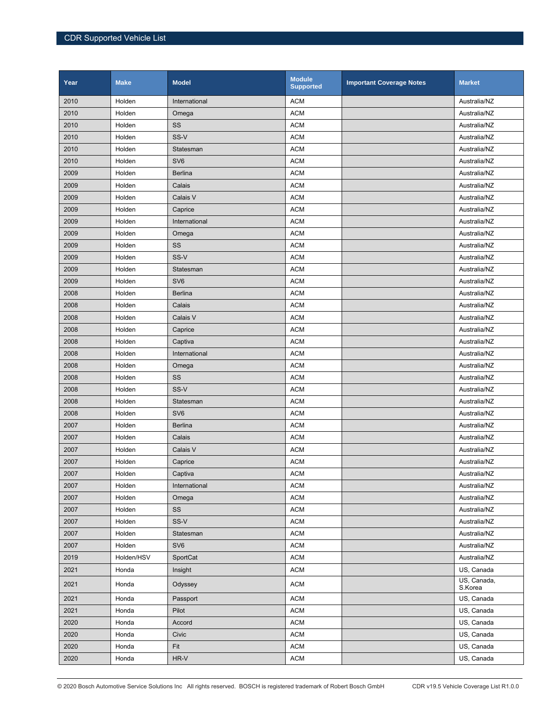| Year | <b>Make</b> | <b>Model</b>    | <b>Module</b><br><b>Supported</b> | <b>Important Coverage Notes</b> | <b>Market</b>          |
|------|-------------|-----------------|-----------------------------------|---------------------------------|------------------------|
| 2010 | Holden      | International   | <b>ACM</b>                        |                                 | Australia/NZ           |
| 2010 | Holden      | Omega           | <b>ACM</b>                        |                                 | Australia/NZ           |
| 2010 | Holden      | SS              | <b>ACM</b>                        |                                 | Australia/NZ           |
| 2010 | Holden      | SS-V            | <b>ACM</b>                        |                                 | Australia/NZ           |
| 2010 | Holden      | Statesman       | <b>ACM</b>                        |                                 | Australia/NZ           |
| 2010 | Holden      | SV <sub>6</sub> | <b>ACM</b>                        |                                 | Australia/NZ           |
| 2009 | Holden      | <b>Berlina</b>  | <b>ACM</b>                        |                                 | Australia/NZ           |
| 2009 | Holden      | Calais          | <b>ACM</b>                        |                                 | Australia/NZ           |
| 2009 | Holden      | Calais V        | <b>ACM</b>                        |                                 | Australia/NZ           |
| 2009 | Holden      | Caprice         | <b>ACM</b>                        |                                 | Australia/NZ           |
| 2009 | Holden      | International   | <b>ACM</b>                        |                                 | Australia/NZ           |
| 2009 | Holden      | Omega           | <b>ACM</b>                        |                                 | Australia/NZ           |
| 2009 | Holden      | SS              | <b>ACM</b>                        |                                 | Australia/NZ           |
| 2009 | Holden      | SS-V            | <b>ACM</b>                        |                                 | Australia/NZ           |
| 2009 | Holden      | Statesman       | <b>ACM</b>                        |                                 | Australia/NZ           |
| 2009 | Holden      | SV <sub>6</sub> | <b>ACM</b>                        |                                 | Australia/NZ           |
| 2008 | Holden      | <b>Berlina</b>  | <b>ACM</b>                        |                                 | Australia/NZ           |
| 2008 | Holden      | Calais          | <b>ACM</b>                        |                                 | Australia/NZ           |
| 2008 | Holden      | Calais V        | <b>ACM</b>                        |                                 | Australia/NZ           |
| 2008 | Holden      | Caprice         | <b>ACM</b>                        |                                 | Australia/NZ           |
| 2008 | Holden      | Captiva         | <b>ACM</b>                        |                                 | Australia/NZ           |
| 2008 | Holden      | International   | <b>ACM</b>                        |                                 | Australia/NZ           |
| 2008 | Holden      | Omega           | <b>ACM</b>                        |                                 | Australia/NZ           |
| 2008 | Holden      | SS              | <b>ACM</b>                        |                                 | Australia/NZ           |
| 2008 | Holden      | SS-V            | <b>ACM</b>                        |                                 | Australia/NZ           |
| 2008 | Holden      | Statesman       | <b>ACM</b>                        |                                 | Australia/NZ           |
| 2008 | Holden      | SV <sub>6</sub> | <b>ACM</b>                        |                                 | Australia/NZ           |
| 2007 | Holden      | <b>Berlina</b>  | <b>ACM</b>                        |                                 | Australia/NZ           |
| 2007 | Holden      | Calais          | <b>ACM</b>                        |                                 | Australia/NZ           |
| 2007 | Holden      | Calais V        | <b>ACM</b>                        |                                 | Australia/NZ           |
| 2007 | Holden      | Caprice         | <b>ACM</b>                        |                                 | Australia/NZ           |
| 2007 | Holden      | Captiva         | <b>ACM</b>                        |                                 | Australia/NZ           |
| 2007 | Holden      | International   | <b>ACM</b>                        |                                 | Australia/NZ           |
| 2007 | Holden      | Omega           | $\mathsf{ACM}$                    |                                 | Australia/NZ           |
| 2007 | Holden      | SS              | <b>ACM</b>                        |                                 | Australia/NZ           |
| 2007 | Holden      | SS-V            | <b>ACM</b>                        |                                 | Australia/NZ           |
| 2007 | Holden      | Statesman       | <b>ACM</b>                        |                                 | Australia/NZ           |
| 2007 | Holden      | SV6             | <b>ACM</b>                        |                                 | Australia/NZ           |
| 2019 | Holden/HSV  | SportCat        | <b>ACM</b>                        |                                 | Australia/NZ           |
| 2021 | Honda       | Insight         | <b>ACM</b>                        |                                 | US, Canada             |
| 2021 | Honda       | Odyssey         | <b>ACM</b>                        |                                 | US, Canada,<br>S.Korea |
| 2021 | Honda       | Passport        | $\mathsf{ACM}$                    |                                 | US, Canada             |
| 2021 | Honda       | Pilot           | <b>ACM</b>                        |                                 | US, Canada             |
| 2020 | Honda       | Accord          | <b>ACM</b>                        |                                 | US, Canada             |
| 2020 | Honda       | Civic           | <b>ACM</b>                        |                                 | US, Canada             |
| 2020 | Honda       | Fit             | <b>ACM</b>                        |                                 | US, Canada             |
| 2020 | Honda       | HR-V            | <b>ACM</b>                        |                                 | US, Canada             |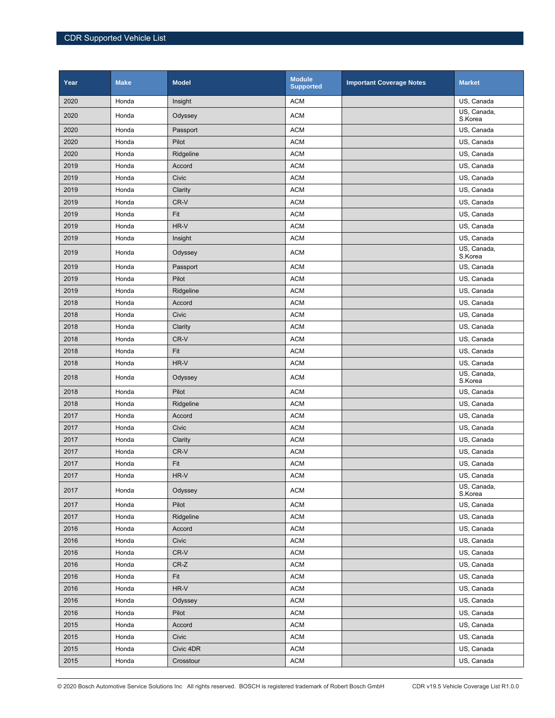| Year | <b>Make</b> | <b>Model</b> | <b>Module</b><br><b>Supported</b> | <b>Important Coverage Notes</b> | <b>Market</b>          |
|------|-------------|--------------|-----------------------------------|---------------------------------|------------------------|
| 2020 | Honda       | Insight      | <b>ACM</b>                        |                                 | US, Canada             |
| 2020 | Honda       | Odyssey      | <b>ACM</b>                        |                                 | US, Canada,<br>S.Korea |
| 2020 | Honda       | Passport     | <b>ACM</b>                        |                                 | US, Canada             |
| 2020 | Honda       | Pilot        | <b>ACM</b>                        |                                 | US, Canada             |
| 2020 | Honda       | Ridgeline    | <b>ACM</b>                        |                                 | US, Canada             |
| 2019 | Honda       | Accord       | <b>ACM</b>                        |                                 | US, Canada             |
| 2019 | Honda       | Civic        | <b>ACM</b>                        |                                 | US, Canada             |
| 2019 | Honda       | Clarity      | <b>ACM</b>                        |                                 | US, Canada             |
| 2019 | Honda       | CR-V         | <b>ACM</b>                        |                                 | US, Canada             |
| 2019 | Honda       | Fit          | <b>ACM</b>                        |                                 | US, Canada             |
| 2019 | Honda       | HR-V         | <b>ACM</b>                        |                                 | US, Canada             |
| 2019 | Honda       | Insight      | <b>ACM</b>                        |                                 | US, Canada             |
| 2019 | Honda       | Odyssey      | <b>ACM</b>                        |                                 | US, Canada,<br>S.Korea |
| 2019 | Honda       | Passport     | <b>ACM</b>                        |                                 | US, Canada             |
| 2019 | Honda       | Pilot        | <b>ACM</b>                        |                                 | US, Canada             |
| 2019 | Honda       | Ridgeline    | <b>ACM</b>                        |                                 | US, Canada             |
| 2018 | Honda       | Accord       | <b>ACM</b>                        |                                 | US, Canada             |
| 2018 | Honda       | Civic        | <b>ACM</b>                        |                                 | US, Canada             |
| 2018 | Honda       | Clarity      | <b>ACM</b>                        |                                 | US, Canada             |
| 2018 | Honda       | CR-V         | <b>ACM</b>                        |                                 | US, Canada             |
| 2018 | Honda       | Fit          | <b>ACM</b>                        |                                 | US, Canada             |
| 2018 | Honda       | HR-V         | <b>ACM</b>                        |                                 | US, Canada             |
| 2018 | Honda       | Odyssey      | <b>ACM</b>                        |                                 | US, Canada,<br>S.Korea |
| 2018 | Honda       | Pilot        | <b>ACM</b>                        |                                 | US, Canada             |
| 2018 | Honda       | Ridgeline    | <b>ACM</b>                        |                                 | US, Canada             |
| 2017 | Honda       | Accord       | <b>ACM</b>                        |                                 | US, Canada             |
| 2017 | Honda       | Civic        | <b>ACM</b>                        |                                 | US, Canada             |
| 2017 | Honda       | Clarity      | <b>ACM</b>                        |                                 | US, Canada             |
| 2017 | Honda       | CR-V         | <b>ACM</b>                        |                                 | US, Canada             |
| 2017 | Honda       | Fit          | <b>ACM</b>                        |                                 | US, Canada             |
| 2017 | Honda       | $HR-V$       | $\mathsf{ACM}$                    |                                 | US, Canada             |
| 2017 | Honda       | Odyssey      | <b>ACM</b>                        |                                 | US, Canada,<br>S.Korea |
| 2017 | Honda       | Pilot        | <b>ACM</b>                        |                                 | US, Canada             |
| 2017 | Honda       | Ridgeline    | <b>ACM</b>                        |                                 | US, Canada             |
| 2016 | Honda       | Accord       | <b>ACM</b>                        |                                 | US, Canada             |
| 2016 | Honda       | Civic        | <b>ACM</b>                        |                                 | US, Canada             |
| 2016 | Honda       | CR-V         | <b>ACM</b>                        |                                 | US, Canada             |
| 2016 | Honda       | CR-Z         | <b>ACM</b>                        |                                 | US, Canada             |
| 2016 | Honda       | Fit          | <b>ACM</b>                        |                                 | US, Canada             |
| 2016 | Honda       | HR-V         | <b>ACM</b>                        |                                 | US, Canada             |
| 2016 | Honda       | Odyssey      | <b>ACM</b>                        |                                 | US, Canada             |
| 2016 | Honda       | Pilot        | <b>ACM</b>                        |                                 | US, Canada             |
| 2015 | Honda       | Accord       | <b>ACM</b>                        |                                 | US, Canada             |
| 2015 | Honda       | Civic        | <b>ACM</b>                        |                                 | US, Canada             |
| 2015 | Honda       | Civic 4DR    | <b>ACM</b>                        |                                 | US, Canada             |
| 2015 | Honda       | Crosstour    | ACM                               |                                 | US, Canada             |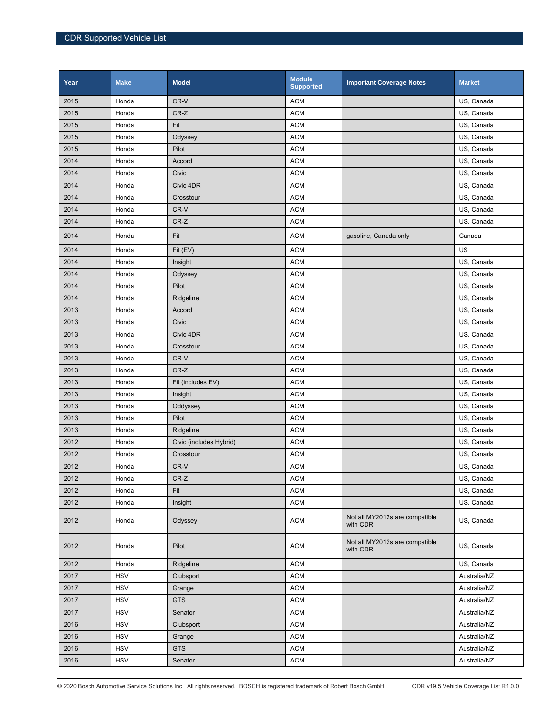| Year | <b>Make</b> | <b>Model</b>            | <b>Module</b><br><b>Supported</b> | <b>Important Coverage Notes</b>            | <b>Market</b> |
|------|-------------|-------------------------|-----------------------------------|--------------------------------------------|---------------|
| 2015 | Honda       | CR-V                    | <b>ACM</b>                        |                                            | US, Canada    |
| 2015 | Honda       | CR-Z                    | <b>ACM</b>                        |                                            | US, Canada    |
| 2015 | Honda       | Fit                     | <b>ACM</b>                        |                                            | US, Canada    |
| 2015 | Honda       | Odyssey                 | <b>ACM</b>                        |                                            | US, Canada    |
| 2015 | Honda       | Pilot                   | <b>ACM</b>                        |                                            | US, Canada    |
| 2014 | Honda       | Accord                  | <b>ACM</b>                        |                                            | US, Canada    |
| 2014 | Honda       | Civic                   | <b>ACM</b>                        |                                            | US, Canada    |
| 2014 | Honda       | Civic 4DR               | <b>ACM</b>                        |                                            | US, Canada    |
| 2014 | Honda       | Crosstour               | <b>ACM</b>                        |                                            | US, Canada    |
| 2014 | Honda       | CR-V                    | <b>ACM</b>                        |                                            | US, Canada    |
| 2014 | Honda       | $CR-Z$                  | <b>ACM</b>                        |                                            | US, Canada    |
| 2014 | Honda       | Fit                     | <b>ACM</b>                        | gasoline, Canada only                      | Canada        |
| 2014 | Honda       | Fit (EV)                | <b>ACM</b>                        |                                            | US            |
| 2014 | Honda       | Insight                 | <b>ACM</b>                        |                                            | US, Canada    |
| 2014 | Honda       | Odyssey                 | <b>ACM</b>                        |                                            | US, Canada    |
| 2014 | Honda       | Pilot                   | <b>ACM</b>                        |                                            | US, Canada    |
| 2014 | Honda       | Ridgeline               | <b>ACM</b>                        |                                            | US, Canada    |
| 2013 | Honda       | Accord                  | <b>ACM</b>                        |                                            | US, Canada    |
| 2013 | Honda       | Civic                   | <b>ACM</b>                        |                                            | US, Canada    |
| 2013 | Honda       | Civic 4DR               | <b>ACM</b>                        |                                            | US, Canada    |
| 2013 | Honda       | Crosstour               | <b>ACM</b>                        |                                            | US, Canada    |
| 2013 | Honda       | CR-V                    | <b>ACM</b>                        |                                            | US, Canada    |
| 2013 | Honda       | $CR-Z$                  | <b>ACM</b>                        |                                            | US, Canada    |
| 2013 | Honda       | Fit (includes EV)       | <b>ACM</b>                        |                                            | US, Canada    |
| 2013 | Honda       | Insight                 | <b>ACM</b>                        |                                            | US, Canada    |
| 2013 | Honda       | Oddyssey                | <b>ACM</b>                        |                                            | US, Canada    |
| 2013 | Honda       | Pilot                   | <b>ACM</b>                        |                                            | US, Canada    |
| 2013 | Honda       | Ridgeline               | <b>ACM</b>                        |                                            | US, Canada    |
| 2012 | Honda       | Civic (includes Hybrid) | <b>ACM</b>                        |                                            | US, Canada    |
| 2012 | Honda       | Crosstour               | <b>ACM</b>                        |                                            | US. Canada    |
| 2012 | Honda       | CR-V                    | <b>ACM</b>                        |                                            | US, Canada    |
| 2012 | Honda       | CR-Z                    | <b>ACM</b>                        |                                            | US, Canada    |
| 2012 | Honda       | Fit                     | <b>ACM</b>                        |                                            | US, Canada    |
| 2012 | Honda       | Insight                 | <b>ACM</b>                        |                                            | US, Canada    |
| 2012 | Honda       | Odyssey                 | <b>ACM</b>                        | Not all MY2012s are compatible<br>with CDR | US, Canada    |
| 2012 | Honda       | Pilot                   | <b>ACM</b>                        | Not all MY2012s are compatible<br>with CDR | US, Canada    |
| 2012 | Honda       | Ridgeline               | <b>ACM</b>                        |                                            | US, Canada    |
| 2017 | <b>HSV</b>  | Clubsport               | <b>ACM</b>                        |                                            | Australia/NZ  |
| 2017 | <b>HSV</b>  | Grange                  | <b>ACM</b>                        |                                            | Australia/NZ  |
| 2017 | <b>HSV</b>  | <b>GTS</b>              | <b>ACM</b>                        |                                            | Australia/NZ  |
| 2017 | <b>HSV</b>  | Senator                 | <b>ACM</b>                        |                                            | Australia/NZ  |
| 2016 | <b>HSV</b>  | Clubsport               | <b>ACM</b>                        |                                            | Australia/NZ  |
| 2016 | <b>HSV</b>  | Grange                  | <b>ACM</b>                        |                                            | Australia/NZ  |
| 2016 | <b>HSV</b>  | <b>GTS</b>              | <b>ACM</b>                        |                                            | Australia/NZ  |
| 2016 | <b>HSV</b>  | Senator                 | <b>ACM</b>                        |                                            | Australia/NZ  |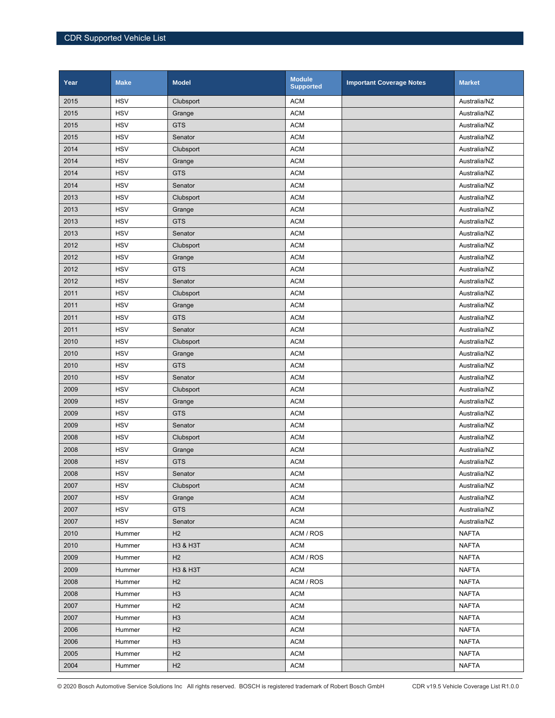| Year | <b>Make</b> | <b>Model</b>   | <b>Module</b><br><b>Supported</b> | <b>Important Coverage Notes</b> | <b>Market</b> |
|------|-------------|----------------|-----------------------------------|---------------------------------|---------------|
| 2015 | <b>HSV</b>  | Clubsport      | <b>ACM</b>                        |                                 | Australia/NZ  |
| 2015 | <b>HSV</b>  | Grange         | <b>ACM</b>                        |                                 | Australia/NZ  |
| 2015 | <b>HSV</b>  | <b>GTS</b>     | <b>ACM</b>                        |                                 | Australia/NZ  |
| 2015 | <b>HSV</b>  | Senator        | <b>ACM</b>                        |                                 | Australia/NZ  |
| 2014 | <b>HSV</b>  | Clubsport      | <b>ACM</b>                        |                                 | Australia/NZ  |
| 2014 | <b>HSV</b>  | Grange         | <b>ACM</b>                        |                                 | Australia/NZ  |
| 2014 | <b>HSV</b>  | <b>GTS</b>     | <b>ACM</b>                        |                                 | Australia/NZ  |
| 2014 | <b>HSV</b>  | Senator        | <b>ACM</b>                        |                                 | Australia/NZ  |
| 2013 | <b>HSV</b>  | Clubsport      | <b>ACM</b>                        |                                 | Australia/NZ  |
| 2013 | <b>HSV</b>  | Grange         | <b>ACM</b>                        |                                 | Australia/NZ  |
| 2013 | <b>HSV</b>  | <b>GTS</b>     | <b>ACM</b>                        |                                 | Australia/NZ  |
| 2013 | <b>HSV</b>  | Senator        | <b>ACM</b>                        |                                 | Australia/NZ  |
| 2012 | <b>HSV</b>  | Clubsport      | <b>ACM</b>                        |                                 | Australia/NZ  |
| 2012 | <b>HSV</b>  | Grange         | <b>ACM</b>                        |                                 | Australia/NZ  |
| 2012 | <b>HSV</b>  | <b>GTS</b>     | <b>ACM</b>                        |                                 | Australia/NZ  |
| 2012 | <b>HSV</b>  | Senator        | <b>ACM</b>                        |                                 | Australia/NZ  |
| 2011 | <b>HSV</b>  | Clubsport      | <b>ACM</b>                        |                                 | Australia/NZ  |
| 2011 | <b>HSV</b>  | Grange         | <b>ACM</b>                        |                                 | Australia/NZ  |
| 2011 | <b>HSV</b>  | <b>GTS</b>     | <b>ACM</b>                        |                                 | Australia/NZ  |
| 2011 | <b>HSV</b>  | Senator        | <b>ACM</b>                        |                                 | Australia/NZ  |
| 2010 | <b>HSV</b>  | Clubsport      | <b>ACM</b>                        |                                 | Australia/NZ  |
| 2010 | <b>HSV</b>  | Grange         | <b>ACM</b>                        |                                 | Australia/NZ  |
| 2010 | <b>HSV</b>  | <b>GTS</b>     | <b>ACM</b>                        |                                 | Australia/NZ  |
| 2010 | <b>HSV</b>  | Senator        | <b>ACM</b>                        |                                 | Australia/NZ  |
| 2009 | <b>HSV</b>  | Clubsport      | <b>ACM</b>                        |                                 | Australia/NZ  |
| 2009 | <b>HSV</b>  | Grange         | <b>ACM</b>                        |                                 | Australia/NZ  |
| 2009 | <b>HSV</b>  | <b>GTS</b>     | <b>ACM</b>                        |                                 | Australia/NZ  |
| 2009 | <b>HSV</b>  | Senator        | <b>ACM</b>                        |                                 | Australia/NZ  |
| 2008 | <b>HSV</b>  | Clubsport      | <b>ACM</b>                        |                                 | Australia/NZ  |
| 2008 | <b>HSV</b>  | Grange         | <b>ACM</b>                        |                                 | Australia/NZ  |
| 2008 | <b>HSV</b>  | <b>GTS</b>     | <b>ACM</b>                        |                                 | Australia/NZ  |
| 2008 | <b>HSV</b>  | Senator        | <b>ACM</b>                        |                                 | Australia/NZ  |
| 2007 | <b>HSV</b>  | Clubsport      | <b>ACM</b>                        |                                 | Australia/NZ  |
| 2007 | <b>HSV</b>  | Grange         | <b>ACM</b>                        |                                 | Australia/NZ  |
| 2007 | <b>HSV</b>  | <b>GTS</b>     | <b>ACM</b>                        |                                 | Australia/NZ  |
| 2007 | <b>HSV</b>  | Senator        | <b>ACM</b>                        |                                 | Australia/NZ  |
| 2010 | Hummer      | H2             | ACM / ROS                         |                                 | <b>NAFTA</b>  |
| 2010 | Hummer      | H3 & H3T       | <b>ACM</b>                        |                                 | <b>NAFTA</b>  |
| 2009 | Hummer      | H2             | ACM / ROS                         |                                 | <b>NAFTA</b>  |
| 2009 | Hummer      | H3 & H3T       | <b>ACM</b>                        |                                 | <b>NAFTA</b>  |
| 2008 | Hummer      | H2             | ACM / ROS                         |                                 | <b>NAFTA</b>  |
| 2008 | Hummer      | H <sub>3</sub> | <b>ACM</b>                        |                                 | <b>NAFTA</b>  |
| 2007 | Hummer      | H2             | <b>ACM</b>                        |                                 | <b>NAFTA</b>  |
| 2007 | Hummer      | H3             | <b>ACM</b>                        |                                 | <b>NAFTA</b>  |
| 2006 | Hummer      | H2             | <b>ACM</b>                        |                                 | <b>NAFTA</b>  |
| 2006 | Hummer      | H3             | <b>ACM</b>                        |                                 | <b>NAFTA</b>  |
| 2005 | Hummer      | H2             | <b>ACM</b>                        |                                 | <b>NAFTA</b>  |
| 2004 | Hummer      | H2             | <b>ACM</b>                        |                                 | <b>NAFTA</b>  |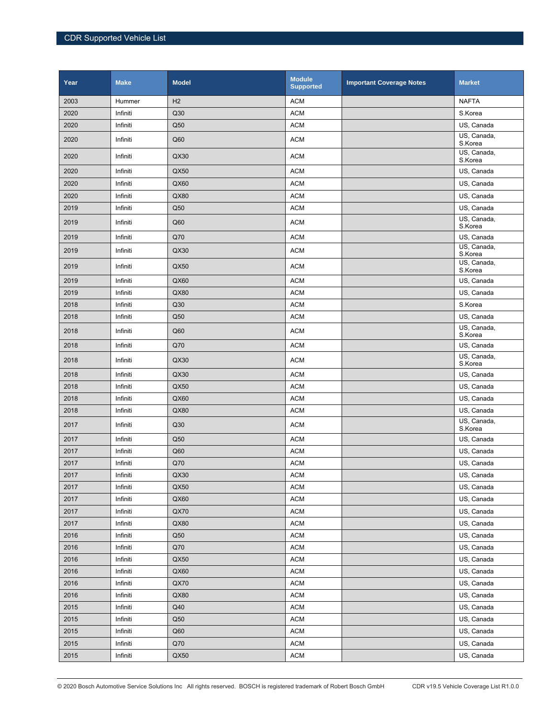| Year     | <b>Make</b> | <b>Model</b>   | <b>Module</b><br><b>Supported</b> | <b>Important Coverage Notes</b> | <b>Market</b>          |
|----------|-------------|----------------|-----------------------------------|---------------------------------|------------------------|
| 2003     | Hummer      | H <sub>2</sub> | <b>ACM</b>                        |                                 | <b>NAFTA</b>           |
| 2020     | Infiniti    | Q30            | <b>ACM</b>                        |                                 | S.Korea                |
| 2020     | Infiniti    | Q50            | <b>ACM</b>                        |                                 | US, Canada             |
| 2020     | Infiniti    | Q60            | <b>ACM</b>                        |                                 | US, Canada,<br>S.Korea |
| 2020     | Infiniti    | QX30           | <b>ACM</b>                        |                                 | US, Canada,<br>S.Korea |
| 2020     | Infiniti    | QX50           | <b>ACM</b>                        |                                 | US, Canada             |
| 2020     | Infiniti    | QX60           | <b>ACM</b>                        |                                 | US, Canada             |
| 2020     | Infiniti    | QX80           | <b>ACM</b>                        |                                 | US, Canada             |
| 2019     | Infiniti    | Q50            | <b>ACM</b>                        |                                 | US, Canada             |
| 2019     | Infiniti    | Q60            | <b>ACM</b>                        |                                 | US, Canada,<br>S.Korea |
| 2019     | Infiniti    | Q70            | <b>ACM</b>                        |                                 | US, Canada             |
| 2019     | Infiniti    | QX30           | <b>ACM</b>                        |                                 | US, Canada,<br>S.Korea |
| 2019     | Infiniti    | QX50           | <b>ACM</b>                        |                                 | US, Canada,<br>S.Korea |
| 2019     | Infiniti    | QX60           | <b>ACM</b>                        |                                 | US, Canada             |
| 2019     | Infiniti    | QX80           | <b>ACM</b>                        |                                 | US, Canada             |
| 2018     | Infiniti    | Q30            | <b>ACM</b>                        |                                 | S.Korea                |
| 2018     | Infiniti    | Q50            | <b>ACM</b>                        |                                 | US, Canada             |
| 2018     | Infiniti    | Q60            | <b>ACM</b>                        |                                 | US, Canada,<br>S.Korea |
| 2018     | Infiniti    | Q70            | <b>ACM</b>                        |                                 | US, Canada             |
| 2018     | Infiniti    | QX30           | <b>ACM</b>                        |                                 | US, Canada,<br>S.Korea |
| 2018     | Infiniti    | QX30           | <b>ACM</b>                        |                                 | US, Canada             |
| 2018     | Infiniti    | QX50           | <b>ACM</b>                        |                                 | US, Canada             |
| 2018     | Infiniti    | QX60           | <b>ACM</b>                        |                                 | US, Canada             |
| 2018     | Infiniti    | QX80           | <b>ACM</b>                        |                                 | US, Canada             |
| 2017     | Infiniti    | Q30            | <b>ACM</b>                        |                                 | US, Canada,<br>S.Korea |
| 2017     | Infiniti    | Q50            | <b>ACM</b>                        |                                 | US, Canada             |
| 2017     | Infiniti    | Q60            | <b>ACM</b>                        |                                 | US, Canada             |
| 2017     | Infiniti    | Q70            | <b>ACM</b>                        |                                 | US, Canada             |
| $2017\,$ | Infiniti    | QX30           | <b>ACM</b>                        |                                 | US, Canada             |
| 2017     | Infiniti    | QX50           | <b>ACM</b>                        |                                 | US, Canada             |
| 2017     | Infiniti    | QX60           | $\mathsf{ACM}$                    |                                 | US, Canada             |
| 2017     | Infiniti    | QX70           | $\mathsf{ACM}$                    |                                 | US, Canada             |
| 2017     | Infiniti    | QX80           | $\mathsf{ACM}$                    |                                 | US, Canada             |
| 2016     | Infiniti    | Q50            | <b>ACM</b>                        |                                 | US, Canada             |
| 2016     | Infiniti    | Q70            | <b>ACM</b>                        |                                 | US, Canada             |
| 2016     | Infiniti    | QX50           | $\mathsf{ACM}$                    |                                 | US, Canada             |
| 2016     | Infiniti    | QX60           | <b>ACM</b>                        |                                 | US, Canada             |
| 2016     | Infiniti    | QX70           | $\mathsf{ACM}$                    |                                 | US, Canada             |
| 2016     | Infiniti    | QX80           | $\mathsf{ACM}$                    |                                 | US, Canada             |
| 2015     | Infiniti    | Q40            | $\mathsf{ACM}$                    |                                 | US, Canada             |
| 2015     | Infiniti    | Q50            | $\mathsf{ACM}$                    |                                 | US, Canada             |
| 2015     | Infiniti    | Q60            | <b>ACM</b>                        |                                 | US, Canada             |
| 2015     | Infiniti    | Q70            | $\mathsf{ACM}$                    |                                 | US, Canada             |
| 2015     | Infiniti    | QX50           | $\mathsf{ACM}$                    |                                 | US, Canada             |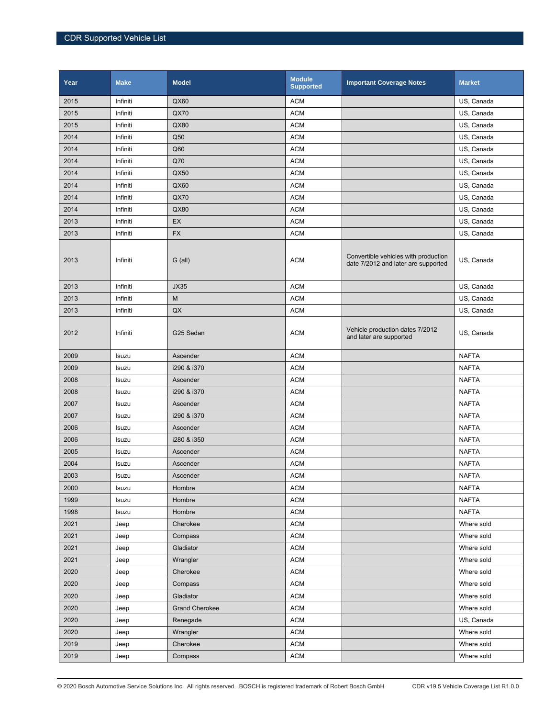| Year | <b>Make</b> | <b>Model</b>          | <b>Module</b><br><b>Supported</b> | <b>Important Coverage Notes</b>                                             | <b>Market</b> |
|------|-------------|-----------------------|-----------------------------------|-----------------------------------------------------------------------------|---------------|
| 2015 | Infiniti    | QX60                  | <b>ACM</b>                        |                                                                             | US, Canada    |
| 2015 | Infiniti    | <b>QX70</b>           | <b>ACM</b>                        |                                                                             | US, Canada    |
| 2015 | Infiniti    | QX80                  | <b>ACM</b>                        |                                                                             | US, Canada    |
| 2014 | Infiniti    | Q50                   | <b>ACM</b>                        |                                                                             | US, Canada    |
| 2014 | Infiniti    | Q60                   | <b>ACM</b>                        |                                                                             | US, Canada    |
| 2014 | Infiniti    | Q70                   | <b>ACM</b>                        |                                                                             | US, Canada    |
| 2014 | Infiniti    | QX50                  | <b>ACM</b>                        |                                                                             | US, Canada    |
| 2014 | Infiniti    | QX60                  | <b>ACM</b>                        |                                                                             | US, Canada    |
| 2014 | Infiniti    | <b>QX70</b>           | <b>ACM</b>                        |                                                                             | US, Canada    |
| 2014 | Infiniti    | QX80                  | <b>ACM</b>                        |                                                                             | US, Canada    |
| 2013 | Infiniti    | EX                    | <b>ACM</b>                        |                                                                             | US, Canada    |
| 2013 | Infiniti    | <b>FX</b>             | <b>ACM</b>                        |                                                                             | US, Canada    |
| 2013 | Infiniti    | $G$ (all)             | <b>ACM</b>                        | Convertible vehicles with production<br>date 7/2012 and later are supported | US, Canada    |
| 2013 | Infiniti    | <b>JX35</b>           | <b>ACM</b>                        |                                                                             | US, Canada    |
| 2013 | Infiniti    | M                     | <b>ACM</b>                        |                                                                             | US, Canada    |
| 2013 | Infiniti    | QX                    | <b>ACM</b>                        |                                                                             | US, Canada    |
| 2012 | Infiniti    | G25 Sedan             | <b>ACM</b>                        | Vehicle production dates 7/2012<br>and later are supported                  | US, Canada    |
| 2009 | Isuzu       | Ascender              | <b>ACM</b>                        |                                                                             | <b>NAFTA</b>  |
| 2009 | Isuzu       | i290 & i370           | <b>ACM</b>                        |                                                                             | <b>NAFTA</b>  |
| 2008 | Isuzu       | Ascender              | <b>ACM</b>                        |                                                                             | <b>NAFTA</b>  |
| 2008 | Isuzu       | i290 & i370           | <b>ACM</b>                        |                                                                             | <b>NAFTA</b>  |
| 2007 | Isuzu       | Ascender              | <b>ACM</b>                        |                                                                             | <b>NAFTA</b>  |
| 2007 | Isuzu       | i290 & i370           | <b>ACM</b>                        |                                                                             | <b>NAFTA</b>  |
| 2006 | Isuzu       | Ascender              | <b>ACM</b>                        |                                                                             | <b>NAFTA</b>  |
| 2006 | Isuzu       | i280 & i350           | <b>ACM</b>                        |                                                                             | <b>NAFTA</b>  |
| 2005 | Isuzu       | Ascender              | <b>ACM</b>                        |                                                                             | <b>NAFTA</b>  |
| 2004 | Isuzu       | Ascender              | <b>ACM</b>                        |                                                                             | <b>NAFTA</b>  |
| 2003 | Isuzu       | Ascender              | <b>ACM</b>                        |                                                                             | <b>NAFTA</b>  |
| 2000 | Isuzu       | Hombre                | <b>ACM</b>                        |                                                                             | <b>NAFTA</b>  |
| 1999 | Isuzu       | Hombre                | <b>ACM</b>                        |                                                                             | <b>NAFTA</b>  |
| 1998 | Isuzu       | Hombre                | <b>ACM</b>                        |                                                                             | <b>NAFTA</b>  |
| 2021 | Jeep        | Cherokee              | <b>ACM</b>                        |                                                                             | Where sold    |
| 2021 | Jeep        | Compass               | <b>ACM</b>                        |                                                                             | Where sold    |
| 2021 | Jeep        | Gladiator             | <b>ACM</b>                        |                                                                             | Where sold    |
| 2021 | Jeep        | Wrangler              | <b>ACM</b>                        |                                                                             | Where sold    |
| 2020 | Jeep        | Cherokee              | <b>ACM</b>                        |                                                                             | Where sold    |
| 2020 | Jeep        | Compass               | $\mathsf{ACM}$                    |                                                                             | Where sold    |
| 2020 | Jeep        | Gladiator             | <b>ACM</b>                        |                                                                             | Where sold    |
| 2020 | Jeep        | <b>Grand Cherokee</b> | <b>ACM</b>                        |                                                                             | Where sold    |
| 2020 | Jeep        | Renegade              | <b>ACM</b>                        |                                                                             | US, Canada    |
| 2020 | Jeep        | Wrangler              | <b>ACM</b>                        |                                                                             | Where sold    |
| 2019 | Jeep        | Cherokee              | <b>ACM</b>                        |                                                                             | Where sold    |
| 2019 | Jeep        | Compass               | <b>ACM</b>                        |                                                                             | Where sold    |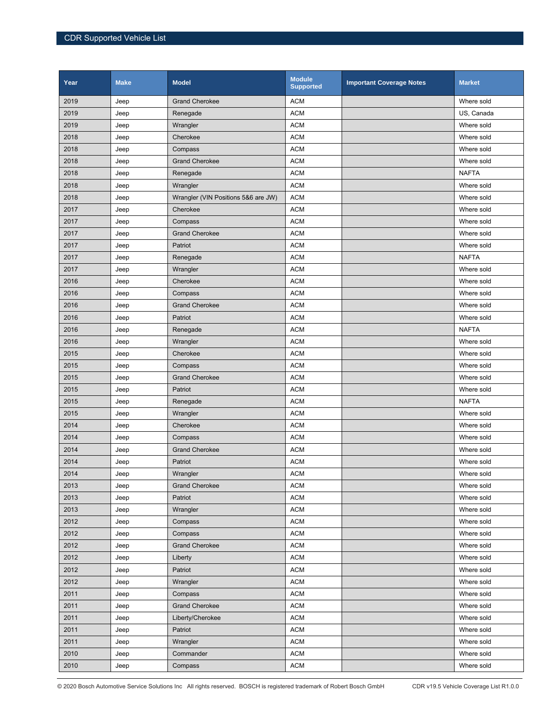| Year | <b>Make</b> | <b>Model</b>                        | <b>Module</b><br><b>Supported</b> | <b>Important Coverage Notes</b> | <b>Market</b> |
|------|-------------|-------------------------------------|-----------------------------------|---------------------------------|---------------|
| 2019 | Jeep        | <b>Grand Cherokee</b>               | <b>ACM</b>                        |                                 | Where sold    |
| 2019 | Jeep        | Renegade                            | <b>ACM</b>                        |                                 | US, Canada    |
| 2019 | Jeep        | Wrangler                            | <b>ACM</b>                        |                                 | Where sold    |
| 2018 | Jeep        | Cherokee                            | <b>ACM</b>                        |                                 | Where sold    |
| 2018 | Jeep        | Compass                             | <b>ACM</b>                        |                                 | Where sold    |
| 2018 | Jeep        | <b>Grand Cherokee</b>               | <b>ACM</b>                        |                                 | Where sold    |
| 2018 | Jeep        | Renegade                            | <b>ACM</b>                        |                                 | <b>NAFTA</b>  |
| 2018 | Jeep        | Wrangler                            | <b>ACM</b>                        |                                 | Where sold    |
| 2018 | Jeep        | Wrangler (VIN Positions 5&6 are JW) | <b>ACM</b>                        |                                 | Where sold    |
| 2017 | Jeep        | Cherokee                            | <b>ACM</b>                        |                                 | Where sold    |
| 2017 | Jeep        | Compass                             | <b>ACM</b>                        |                                 | Where sold    |
| 2017 | Jeep        | <b>Grand Cherokee</b>               | <b>ACM</b>                        |                                 | Where sold    |
| 2017 | Jeep        | Patriot                             | <b>ACM</b>                        |                                 | Where sold    |
| 2017 | Jeep        | Renegade                            | <b>ACM</b>                        |                                 | <b>NAFTA</b>  |
| 2017 | Jeep        | Wrangler                            | <b>ACM</b>                        |                                 | Where sold    |
| 2016 | Jeep        | Cherokee                            | <b>ACM</b>                        |                                 | Where sold    |
| 2016 | Jeep        | Compass                             | <b>ACM</b>                        |                                 | Where sold    |
| 2016 | Jeep        | <b>Grand Cherokee</b>               | <b>ACM</b>                        |                                 | Where sold    |
| 2016 | Jeep        | Patriot                             | <b>ACM</b>                        |                                 | Where sold    |
| 2016 | Jeep        | Renegade                            | <b>ACM</b>                        |                                 | <b>NAFTA</b>  |
| 2016 | Jeep        | Wrangler                            | <b>ACM</b>                        |                                 | Where sold    |
| 2015 | Jeep        | Cherokee                            | <b>ACM</b>                        |                                 | Where sold    |
| 2015 | Jeep        | Compass                             | <b>ACM</b>                        |                                 | Where sold    |
| 2015 | Jeep        | <b>Grand Cherokee</b>               | <b>ACM</b>                        |                                 | Where sold    |
| 2015 | Jeep        | Patriot                             | <b>ACM</b>                        |                                 | Where sold    |
| 2015 | Jeep        | Renegade                            | <b>ACM</b>                        |                                 | <b>NAFTA</b>  |
| 2015 | Jeep        | Wrangler                            | <b>ACM</b>                        |                                 | Where sold    |
| 2014 | Jeep        | Cherokee                            | <b>ACM</b>                        |                                 | Where sold    |
| 2014 | Jeep        | Compass                             | <b>ACM</b>                        |                                 | Where sold    |
| 2014 | Jeep        | <b>Grand Cherokee</b>               | <b>ACM</b>                        |                                 | Where sold    |
| 2014 | Jeep        | Patriot                             | <b>ACM</b>                        |                                 | Where sold    |
| 2014 | Jeep        | Wrangler                            | <b>ACM</b>                        |                                 | Where sold    |
| 2013 | Jeep        | <b>Grand Cherokee</b>               | <b>ACM</b>                        |                                 | Where sold    |
| 2013 | Jeep        | Patriot                             | <b>ACM</b>                        |                                 | Where sold    |
| 2013 | Jeep        | Wrangler                            | <b>ACM</b>                        |                                 | Where sold    |
| 2012 | Jeep        | Compass                             | <b>ACM</b>                        |                                 | Where sold    |
| 2012 | Jeep        | Compass                             | <b>ACM</b>                        |                                 | Where sold    |
| 2012 | Jeep        | <b>Grand Cherokee</b>               | <b>ACM</b>                        |                                 | Where sold    |
| 2012 | Jeep        | Liberty                             | <b>ACM</b>                        |                                 | Where sold    |
| 2012 | Jeep        | Patriot                             | <b>ACM</b>                        |                                 | Where sold    |
| 2012 | Jeep        | Wrangler                            | <b>ACM</b>                        |                                 | Where sold    |
| 2011 | Jeep        | Compass                             | <b>ACM</b>                        |                                 | Where sold    |
| 2011 | Jeep        | <b>Grand Cherokee</b>               | <b>ACM</b>                        |                                 | Where sold    |
| 2011 | Jeep        | Liberty/Cherokee                    | <b>ACM</b>                        |                                 | Where sold    |
| 2011 | Jeep        | Patriot                             | <b>ACM</b>                        |                                 | Where sold    |
| 2011 | Jeep        | Wrangler                            | <b>ACM</b>                        |                                 | Where sold    |
| 2010 | Jeep        | Commander                           | <b>ACM</b>                        |                                 | Where sold    |
| 2010 | Jeep        | Compass                             | <b>ACM</b>                        |                                 | Where sold    |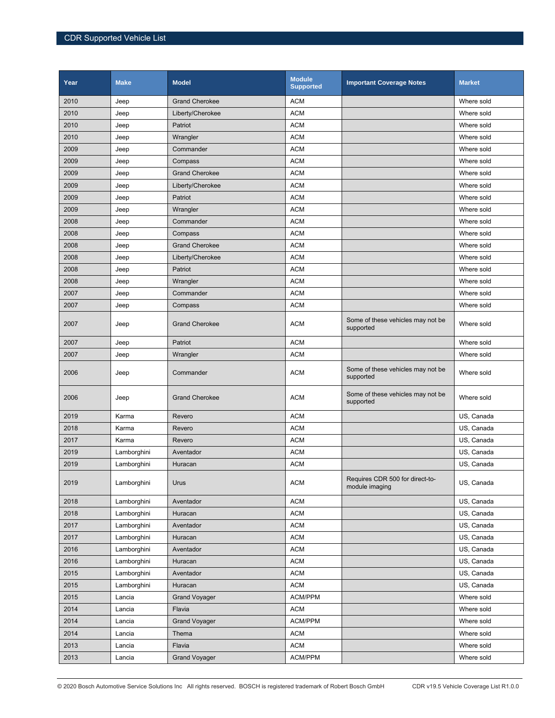| Year | <b>Make</b> | <b>Model</b>          | <b>Module</b><br><b>Supported</b> | <b>Important Coverage Notes</b>                   | <b>Market</b> |
|------|-------------|-----------------------|-----------------------------------|---------------------------------------------------|---------------|
| 2010 | Jeep        | <b>Grand Cherokee</b> | <b>ACM</b>                        |                                                   | Where sold    |
| 2010 | Jeep        | Liberty/Cherokee      | <b>ACM</b>                        |                                                   | Where sold    |
| 2010 | Jeep        | Patriot               | <b>ACM</b>                        |                                                   | Where sold    |
| 2010 | Jeep        | Wrangler              | <b>ACM</b>                        |                                                   | Where sold    |
| 2009 | Jeep        | Commander             | <b>ACM</b>                        |                                                   | Where sold    |
| 2009 | Jeep        | Compass               | <b>ACM</b>                        |                                                   | Where sold    |
| 2009 | Jeep        | <b>Grand Cherokee</b> | <b>ACM</b>                        |                                                   | Where sold    |
| 2009 | Jeep        | Liberty/Cherokee      | <b>ACM</b>                        |                                                   | Where sold    |
| 2009 | Jeep        | Patriot               | <b>ACM</b>                        |                                                   | Where sold    |
| 2009 | Jeep        | Wrangler              | <b>ACM</b>                        |                                                   | Where sold    |
| 2008 | Jeep        | Commander             | <b>ACM</b>                        |                                                   | Where sold    |
| 2008 | Jeep        | Compass               | <b>ACM</b>                        |                                                   | Where sold    |
| 2008 | Jeep        | <b>Grand Cherokee</b> | <b>ACM</b>                        |                                                   | Where sold    |
| 2008 | Jeep        | Liberty/Cherokee      | <b>ACM</b>                        |                                                   | Where sold    |
| 2008 | Jeep        | Patriot               | <b>ACM</b>                        |                                                   | Where sold    |
| 2008 | Jeep        | Wrangler              | <b>ACM</b>                        |                                                   | Where sold    |
| 2007 | Jeep        | Commander             | <b>ACM</b>                        |                                                   | Where sold    |
| 2007 | Jeep        | Compass               | <b>ACM</b>                        |                                                   | Where sold    |
| 2007 | Jeep        | <b>Grand Cherokee</b> | <b>ACM</b>                        | Some of these vehicles may not be<br>supported    | Where sold    |
| 2007 | Jeep        | Patriot               | <b>ACM</b>                        |                                                   | Where sold    |
| 2007 | Jeep        | Wrangler              | <b>ACM</b>                        |                                                   | Where sold    |
| 2006 | Jeep        | Commander             | <b>ACM</b>                        | Some of these vehicles may not be<br>supported    | Where sold    |
| 2006 | Jeep        | <b>Grand Cherokee</b> | <b>ACM</b>                        | Some of these vehicles may not be<br>supported    | Where sold    |
| 2019 | Karma       | Revero                | <b>ACM</b>                        |                                                   | US, Canada    |
| 2018 | Karma       | Revero                | <b>ACM</b>                        |                                                   | US, Canada    |
| 2017 | Karma       | Revero                | <b>ACM</b>                        |                                                   | US, Canada    |
| 2019 | Lamborghini | Aventador             | <b>ACM</b>                        |                                                   | US, Canada    |
| 2019 | Lamborghini | Huracan               | <b>ACM</b>                        |                                                   | US, Canada    |
| 2019 | Lamborghini | Urus                  | <b>ACM</b>                        | Requires CDR 500 for direct-to-<br>module imaging | US, Canada    |
| 2018 | Lamborghini | Aventador             | <b>ACM</b>                        |                                                   | US, Canada    |
| 2018 | Lamborghini | Huracan               | <b>ACM</b>                        |                                                   | US, Canada    |
| 2017 | Lamborghini | Aventador             | <b>ACM</b>                        |                                                   | US, Canada    |
| 2017 | Lamborghini | Huracan               | <b>ACM</b>                        |                                                   | US, Canada    |
| 2016 | Lamborghini | Aventador             | <b>ACM</b>                        |                                                   | US, Canada    |
| 2016 | Lamborghini | Huracan               | <b>ACM</b>                        |                                                   | US, Canada    |
| 2015 | Lamborghini | Aventador             | <b>ACM</b>                        |                                                   | US, Canada    |
| 2015 | Lamborghini | Huracan               | <b>ACM</b>                        |                                                   | US, Canada    |
| 2015 | Lancia      | <b>Grand Voyager</b>  | ACM/PPM                           |                                                   | Where sold    |
| 2014 | Lancia      | Flavia                | <b>ACM</b>                        |                                                   | Where sold    |
| 2014 | Lancia      | <b>Grand Voyager</b>  | ACM/PPM                           |                                                   | Where sold    |
| 2014 | Lancia      | Thema                 | <b>ACM</b>                        |                                                   | Where sold    |
| 2013 | Lancia      | Flavia                | <b>ACM</b>                        |                                                   | Where sold    |
| 2013 | Lancia      | <b>Grand Voyager</b>  | ACM/PPM                           |                                                   | Where sold    |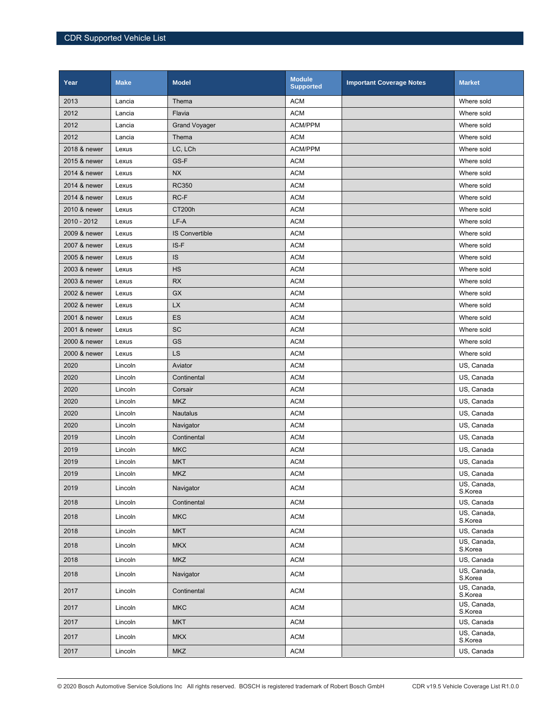| Year         | <b>Make</b> | <b>Model</b>          | <b>Module</b><br><b>Supported</b> | <b>Important Coverage Notes</b> | <b>Market</b>          |
|--------------|-------------|-----------------------|-----------------------------------|---------------------------------|------------------------|
| 2013         | Lancia      | Thema                 | <b>ACM</b>                        |                                 | Where sold             |
| 2012         | Lancia      | Flavia                | <b>ACM</b>                        |                                 | Where sold             |
| 2012         | Lancia      | <b>Grand Voyager</b>  | ACM/PPM                           |                                 | Where sold             |
| 2012         | Lancia      | Thema                 | <b>ACM</b>                        |                                 | Where sold             |
| 2018 & newer | Lexus       | LC, LCh               | ACM/PPM                           |                                 | Where sold             |
| 2015 & newer | Lexus       | GS-F                  | <b>ACM</b>                        |                                 | Where sold             |
| 2014 & newer | Lexus       | <b>NX</b>             | <b>ACM</b>                        |                                 | Where sold             |
| 2014 & newer | Lexus       | <b>RC350</b>          | <b>ACM</b>                        |                                 | Where sold             |
| 2014 & newer | Lexus       | RC-F                  | <b>ACM</b>                        |                                 | Where sold             |
| 2010 & newer | Lexus       | CT200h                | <b>ACM</b>                        |                                 | Where sold             |
| 2010 - 2012  | Lexus       | LF-A                  | <b>ACM</b>                        |                                 | Where sold             |
| 2009 & newer | Lexus       | <b>IS Convertible</b> | <b>ACM</b>                        |                                 | Where sold             |
| 2007 & newer | Lexus       | IS-F                  | <b>ACM</b>                        |                                 | Where sold             |
| 2005 & newer | Lexus       | IS                    | <b>ACM</b>                        |                                 | Where sold             |
| 2003 & newer | Lexus       | <b>HS</b>             | <b>ACM</b>                        |                                 | Where sold             |
| 2003 & newer | Lexus       | <b>RX</b>             | <b>ACM</b>                        |                                 | Where sold             |
| 2002 & newer | Lexus       | <b>GX</b>             | <b>ACM</b>                        |                                 | Where sold             |
| 2002 & newer | Lexus       | <b>LX</b>             | <b>ACM</b>                        |                                 | Where sold             |
| 2001 & newer | Lexus       | ES                    | <b>ACM</b>                        |                                 | Where sold             |
| 2001 & newer | Lexus       | <b>SC</b>             | <b>ACM</b>                        |                                 | Where sold             |
| 2000 & newer | Lexus       | GS                    | <b>ACM</b>                        |                                 | Where sold             |
| 2000 & newer | Lexus       | LS                    | <b>ACM</b>                        |                                 | Where sold             |
| 2020         | Lincoln     | Aviator               | <b>ACM</b>                        |                                 | US, Canada             |
| 2020         | Lincoln     | Continental           | <b>ACM</b>                        |                                 | US, Canada             |
| 2020         | Lincoln     | Corsair               | <b>ACM</b>                        |                                 | US, Canada             |
| 2020         | Lincoln     | <b>MKZ</b>            | <b>ACM</b>                        |                                 | US, Canada             |
| 2020         | Lincoln     | <b>Nautalus</b>       | <b>ACM</b>                        |                                 | US, Canada             |
| 2020         | Lincoln     | Navigator             | <b>ACM</b>                        |                                 | US, Canada             |
| 2019         | Lincoln     | Continental           | <b>ACM</b>                        |                                 | US, Canada             |
| 2019         | Lincoln     | <b>MKC</b>            | <b>ACM</b>                        |                                 | US, Canada             |
| 2019         | Lincoln     | <b>MKT</b>            | <b>ACM</b>                        |                                 | US, Canada             |
| 2019         | Lincoln     | <b>MKZ</b>            | <b>ACM</b>                        |                                 | US. Canada             |
| 2019         | Lincoln     | Navigator             | <b>ACM</b>                        |                                 | US, Canada,<br>S.Korea |
| 2018         | Lincoln     | Continental           | <b>ACM</b>                        |                                 | US, Canada             |
| 2018         | Lincoln     | <b>MKC</b>            | <b>ACM</b>                        |                                 | US, Canada,<br>S.Korea |
| 2018         | Lincoln     | <b>MKT</b>            | <b>ACM</b>                        |                                 | US, Canada             |
| 2018         | Lincoln     | <b>MKX</b>            | <b>ACM</b>                        |                                 | US, Canada,<br>S.Korea |
| 2018         | Lincoln     | <b>MKZ</b>            | <b>ACM</b>                        |                                 | US, Canada             |
| 2018         | Lincoln     | Navigator             | <b>ACM</b>                        |                                 | US, Canada,<br>S.Korea |
| 2017         | Lincoln     | Continental           | <b>ACM</b>                        |                                 | US, Canada,<br>S.Korea |
| 2017         | Lincoln     | <b>MKC</b>            | <b>ACM</b>                        |                                 | US, Canada,<br>S.Korea |
| 2017         | Lincoln     | <b>MKT</b>            | <b>ACM</b>                        |                                 | US, Canada             |
| 2017         | Lincoln     | <b>MKX</b>            | <b>ACM</b>                        |                                 | US, Canada,<br>S.Korea |
| 2017         | Lincoln     | <b>MKZ</b>            | <b>ACM</b>                        |                                 | US, Canada             |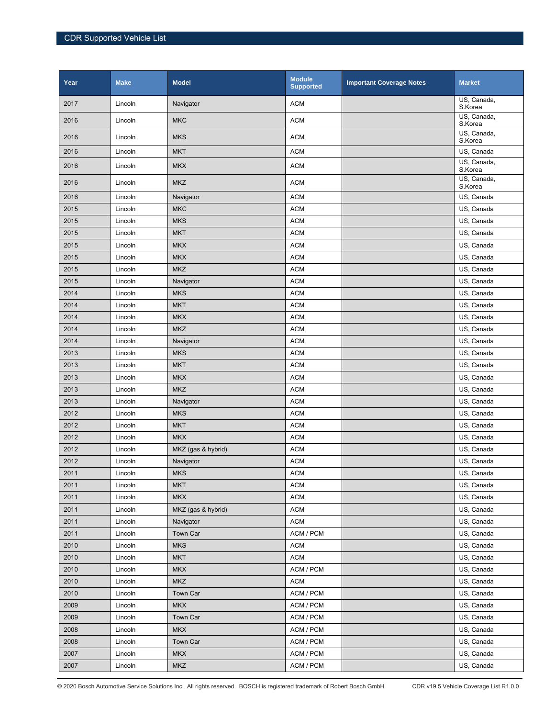| Year | <b>Make</b> | <b>Model</b>       | <b>Module</b><br><b>Supported</b> | <b>Important Coverage Notes</b> | <b>Market</b>          |
|------|-------------|--------------------|-----------------------------------|---------------------------------|------------------------|
| 2017 | Lincoln     | Navigator          | <b>ACM</b>                        |                                 | US, Canada,<br>S.Korea |
| 2016 | Lincoln     | <b>MKC</b>         | <b>ACM</b>                        |                                 | US, Canada,<br>S.Korea |
| 2016 | Lincoln     | <b>MKS</b>         | <b>ACM</b>                        |                                 | US, Canada,<br>S.Korea |
| 2016 | Lincoln     | <b>MKT</b>         | <b>ACM</b>                        |                                 | US, Canada             |
| 2016 | Lincoln     | <b>MKX</b>         | <b>ACM</b>                        |                                 | US. Canada.<br>S.Korea |
| 2016 | Lincoln     | <b>MKZ</b>         | <b>ACM</b>                        |                                 | US, Canada,<br>S.Korea |
| 2016 | Lincoln     | Navigator          | <b>ACM</b>                        |                                 | US, Canada             |
| 2015 | Lincoln     | <b>MKC</b>         | <b>ACM</b>                        |                                 | US, Canada             |
| 2015 | Lincoln     | <b>MKS</b>         | <b>ACM</b>                        |                                 | US, Canada             |
| 2015 | Lincoln     | <b>MKT</b>         | <b>ACM</b>                        |                                 | US, Canada             |
| 2015 | Lincoln     | <b>MKX</b>         | <b>ACM</b>                        |                                 | US, Canada             |
| 2015 | Lincoln     | <b>MKX</b>         | <b>ACM</b>                        |                                 | US, Canada             |
| 2015 | Lincoln     | <b>MKZ</b>         | <b>ACM</b>                        |                                 | US. Canada             |
| 2015 | Lincoln     | Navigator          | <b>ACM</b>                        |                                 | US, Canada             |
| 2014 | Lincoln     | <b>MKS</b>         | <b>ACM</b>                        |                                 | US, Canada             |
| 2014 | Lincoln     | <b>MKT</b>         | <b>ACM</b>                        |                                 | US, Canada             |
| 2014 | Lincoln     | <b>MKX</b>         | <b>ACM</b>                        |                                 | US, Canada             |
| 2014 | Lincoln     | <b>MKZ</b>         | <b>ACM</b>                        |                                 | US. Canada             |
| 2014 | Lincoln     | Navigator          | <b>ACM</b>                        |                                 | US, Canada             |
| 2013 | Lincoln     | <b>MKS</b>         | <b>ACM</b>                        |                                 | US, Canada             |
| 2013 | Lincoln     | <b>MKT</b>         | <b>ACM</b>                        |                                 | US, Canada             |
| 2013 | Lincoln     | <b>MKX</b>         | <b>ACM</b>                        |                                 | US, Canada             |
| 2013 | Lincoln     | <b>MKZ</b>         | <b>ACM</b>                        |                                 | US, Canada             |
| 2013 | Lincoln     | Navigator          | <b>ACM</b>                        |                                 | US, Canada             |
| 2012 | Lincoln     | <b>MKS</b>         | <b>ACM</b>                        |                                 | US, Canada             |
| 2012 | Lincoln     | <b>MKT</b>         | <b>ACM</b>                        |                                 | US, Canada             |
| 2012 | Lincoln     | <b>MKX</b>         | <b>ACM</b>                        |                                 | US, Canada             |
| 2012 | Lincoln     | MKZ (gas & hybrid) | <b>ACM</b>                        |                                 | US, Canada             |
| 2012 | Lincoln     | Navigator          | <b>ACM</b>                        |                                 | US, Canada             |
| 2011 | Lincoln     | <b>MKS</b>         | <b>ACM</b>                        |                                 | US, Canada             |
| 2011 | Lincoln     | <b>MKT</b>         | <b>ACM</b>                        |                                 | US, Canada             |
| 2011 | Lincoln     | <b>MKX</b>         | <b>ACM</b>                        |                                 | US, Canada             |
| 2011 | Lincoln     | MKZ (gas & hybrid) | <b>ACM</b>                        |                                 | US, Canada             |
| 2011 | Lincoln     | Navigator          | <b>ACM</b>                        |                                 | US, Canada             |
| 2011 | Lincoln     | Town Car           | ACM / PCM                         |                                 | US, Canada             |
| 2010 | Lincoln     | <b>MKS</b>         | <b>ACM</b>                        |                                 | US, Canada             |
| 2010 | Lincoln     | <b>MKT</b>         | <b>ACM</b>                        |                                 | US, Canada             |
| 2010 | Lincoln     | <b>MKX</b>         | ACM / PCM                         |                                 | US, Canada             |
| 2010 | Lincoln     | <b>MKZ</b>         | <b>ACM</b>                        |                                 | US, Canada             |
| 2010 | Lincoln     | Town Car           | ACM / PCM                         |                                 | US, Canada             |
| 2009 | Lincoln     | <b>MKX</b>         | ACM / PCM                         |                                 | US, Canada             |
| 2009 | Lincoln     | Town Car           | ACM / PCM                         |                                 | US, Canada             |
| 2008 | Lincoln     | <b>MKX</b>         | ACM / PCM                         |                                 | US, Canada             |
| 2008 | Lincoln     | Town Car           | ACM / PCM                         |                                 | US, Canada             |
| 2007 | Lincoln     | <b>MKX</b>         | ACM / PCM                         |                                 | US, Canada             |
| 2007 |             | <b>MKZ</b>         | ACM / PCM                         |                                 | US, Canada             |
|      | Lincoln     |                    |                                   |                                 |                        |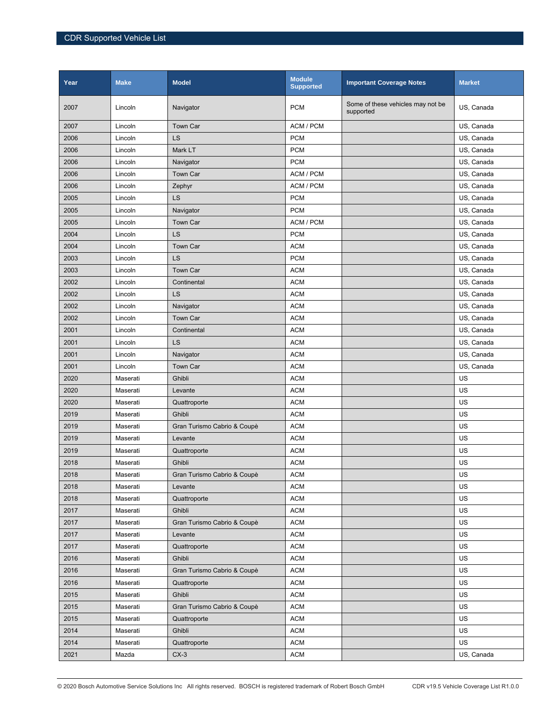| Year | <b>Make</b> | <b>Model</b>                | <b>Module</b><br><b>Supported</b> | <b>Important Coverage Notes</b>                | <b>Market</b> |
|------|-------------|-----------------------------|-----------------------------------|------------------------------------------------|---------------|
| 2007 | Lincoln     | Navigator                   | <b>PCM</b>                        | Some of these vehicles may not be<br>supported | US, Canada    |
| 2007 | Lincoln     | <b>Town Car</b>             | ACM / PCM                         |                                                | US, Canada    |
| 2006 | Lincoln     | LS                          | <b>PCM</b>                        |                                                | US, Canada    |
| 2006 | Lincoln     | Mark LT                     | <b>PCM</b>                        |                                                | US, Canada    |
| 2006 | Lincoln     | Navigator                   | <b>PCM</b>                        |                                                | US, Canada    |
| 2006 | Lincoln     | Town Car                    | ACM / PCM                         |                                                | US, Canada    |
| 2006 | Lincoln     | Zephyr                      | ACM / PCM                         |                                                | US, Canada    |
| 2005 | Lincoln     | LS                          | <b>PCM</b>                        |                                                | US, Canada    |
| 2005 | Lincoln     | Navigator                   | <b>PCM</b>                        |                                                | US, Canada    |
| 2005 | Lincoln     | <b>Town Car</b>             | ACM / PCM                         |                                                | US, Canada    |
| 2004 | Lincoln     | LS                          | <b>PCM</b>                        |                                                | US, Canada    |
| 2004 | Lincoln     | <b>Town Car</b>             | <b>ACM</b>                        |                                                | US, Canada    |
| 2003 | Lincoln     | LS                          | <b>PCM</b>                        |                                                | US, Canada    |
| 2003 | Lincoln     | <b>Town Car</b>             | <b>ACM</b>                        |                                                | US, Canada    |
| 2002 | Lincoln     | Continental                 | <b>ACM</b>                        |                                                | US, Canada    |
| 2002 | Lincoln     | LS                          | <b>ACM</b>                        |                                                | US, Canada    |
| 2002 | Lincoln     | Navigator                   | <b>ACM</b>                        |                                                | US, Canada    |
| 2002 | Lincoln     | <b>Town Car</b>             | <b>ACM</b>                        |                                                | US, Canada    |
| 2001 | Lincoln     | Continental                 | <b>ACM</b>                        |                                                | US, Canada    |
| 2001 | Lincoln     | LS                          | <b>ACM</b>                        |                                                | US, Canada    |
| 2001 | Lincoln     | Navigator                   | <b>ACM</b>                        |                                                | US, Canada    |
| 2001 | Lincoln     | <b>Town Car</b>             | <b>ACM</b>                        |                                                | US, Canada    |
| 2020 | Maserati    | Ghibli                      | <b>ACM</b>                        |                                                | US            |
| 2020 | Maserati    | Levante                     | <b>ACM</b>                        |                                                | US            |
| 2020 | Maserati    | Quattroporte                | <b>ACM</b>                        |                                                | US            |
| 2019 | Maserati    | Ghibli                      | <b>ACM</b>                        |                                                | US            |
| 2019 | Maserati    | Gran Turismo Cabrio & Coupè | <b>ACM</b>                        |                                                | US            |
| 2019 | Maserati    | Levante                     | <b>ACM</b>                        |                                                | US            |
| 2019 | Maserati    | Quattroporte                | <b>ACM</b>                        |                                                | US            |
| 2018 | Maserati    | Ghibli                      | <b>ACM</b>                        |                                                | US            |
| 2018 | Maserati    | Gran Turismo Cabrio & Coupè | $\mathsf{ACM}$                    |                                                | US            |
| 2018 | Maserati    | Levante                     | <b>ACM</b>                        |                                                | US            |
| 2018 | Maserati    | Quattroporte                | <b>ACM</b>                        |                                                | US            |
| 2017 | Maserati    | Ghibli                      | <b>ACM</b>                        |                                                | US            |
| 2017 | Maserati    | Gran Turismo Cabrio & Coupè | <b>ACM</b>                        |                                                | US            |
| 2017 | Maserati    | Levante                     | <b>ACM</b>                        |                                                | US            |
| 2017 | Maserati    | Quattroporte                | <b>ACM</b>                        |                                                | US            |
| 2016 | Maserati    | Ghibli                      | <b>ACM</b>                        |                                                | US            |
| 2016 | Maserati    | Gran Turismo Cabrio & Coupè | <b>ACM</b>                        |                                                | US            |
| 2016 | Maserati    | Quattroporte                | <b>ACM</b>                        |                                                | US            |
| 2015 | Maserati    | Ghibli                      | <b>ACM</b>                        |                                                | US            |
| 2015 | Maserati    | Gran Turismo Cabrio & Coupè | <b>ACM</b>                        |                                                | US            |
| 2015 | Maserati    | Quattroporte                | <b>ACM</b>                        |                                                | US            |
| 2014 | Maserati    | Ghibli                      | <b>ACM</b>                        |                                                | US            |
| 2014 | Maserati    | Quattroporte                | <b>ACM</b>                        |                                                | US            |
| 2021 | Mazda       | $CX-3$                      | <b>ACM</b>                        |                                                | US, Canada    |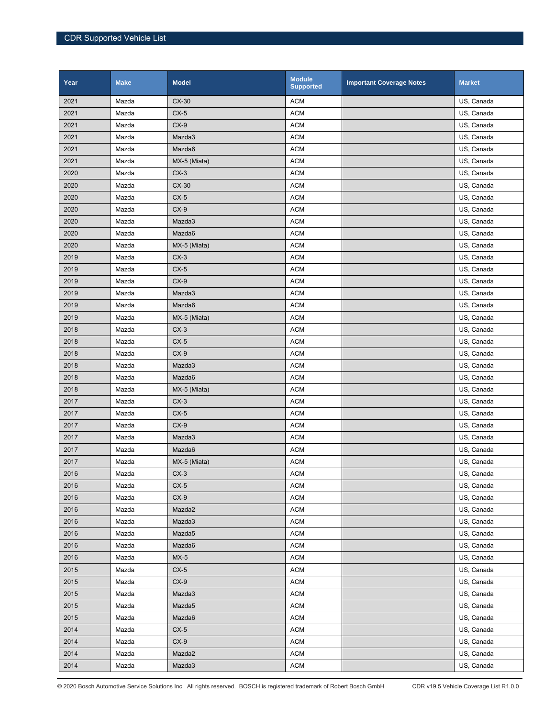| Year | <b>Make</b> | <b>Model</b> | <b>Module</b><br><b>Supported</b> | <b>Important Coverage Notes</b> | <b>Market</b> |
|------|-------------|--------------|-----------------------------------|---------------------------------|---------------|
| 2021 | Mazda       | CX-30        | <b>ACM</b>                        |                                 | US, Canada    |
| 2021 | Mazda       | $CX-5$       | <b>ACM</b>                        |                                 | US, Canada    |
| 2021 | Mazda       | $CX-9$       | <b>ACM</b>                        |                                 | US, Canada    |
| 2021 | Mazda       | Mazda3       | <b>ACM</b>                        |                                 | US, Canada    |
| 2021 | Mazda       | Mazda6       | <b>ACM</b>                        |                                 | US, Canada    |
| 2021 | Mazda       | MX-5 (Miata) | <b>ACM</b>                        |                                 | US, Canada    |
| 2020 | Mazda       | $CX-3$       | <b>ACM</b>                        |                                 | US, Canada    |
| 2020 | Mazda       | $CX-30$      | <b>ACM</b>                        |                                 | US, Canada    |
| 2020 | Mazda       | $CX-5$       | <b>ACM</b>                        |                                 | US, Canada    |
| 2020 | Mazda       | $CX-9$       | <b>ACM</b>                        |                                 | US, Canada    |
| 2020 | Mazda       | Mazda3       | <b>ACM</b>                        |                                 | US, Canada    |
| 2020 | Mazda       | Mazda6       | <b>ACM</b>                        |                                 | US, Canada    |
| 2020 | Mazda       | MX-5 (Miata) | <b>ACM</b>                        |                                 | US, Canada    |
| 2019 | Mazda       | $CX-3$       | <b>ACM</b>                        |                                 | US, Canada    |
| 2019 | Mazda       | $CX-5$       | <b>ACM</b>                        |                                 | US, Canada    |
| 2019 | Mazda       | $CX-9$       | <b>ACM</b>                        |                                 | US, Canada    |
| 2019 | Mazda       | Mazda3       | <b>ACM</b>                        |                                 | US, Canada    |
| 2019 | Mazda       | Mazda6       | <b>ACM</b>                        |                                 | US, Canada    |
| 2019 | Mazda       | MX-5 (Miata) | <b>ACM</b>                        |                                 | US, Canada    |
| 2018 | Mazda       | $CX-3$       | <b>ACM</b>                        |                                 | US, Canada    |
| 2018 | Mazda       | $CX-5$       | <b>ACM</b>                        |                                 | US, Canada    |
| 2018 | Mazda       | $CX-9$       | <b>ACM</b>                        |                                 | US, Canada    |
| 2018 | Mazda       | Mazda3       | <b>ACM</b>                        |                                 | US, Canada    |
| 2018 | Mazda       | Mazda6       | <b>ACM</b>                        |                                 | US, Canada    |
| 2018 | Mazda       | MX-5 (Miata) | <b>ACM</b>                        |                                 | US, Canada    |
| 2017 | Mazda       | $CX-3$       | <b>ACM</b>                        |                                 | US, Canada    |
| 2017 | Mazda       | $CX-5$       | <b>ACM</b>                        |                                 | US, Canada    |
| 2017 | Mazda       | $CX-9$       | <b>ACM</b>                        |                                 | US, Canada    |
| 2017 | Mazda       | Mazda3       | <b>ACM</b>                        |                                 | US, Canada    |
| 2017 | Mazda       | Mazda6       | <b>ACM</b>                        |                                 | US, Canada    |
| 2017 | Mazda       | MX-5 (Miata) | <b>ACM</b>                        |                                 | US, Canada    |
| 2016 | Mazda       | $CX-3$       | <b>ACM</b>                        |                                 | US, Canada    |
| 2016 | Mazda       | $CX-5$       | <b>ACM</b>                        |                                 | US, Canada    |
| 2016 | Mazda       | $CX-9$       | <b>ACM</b>                        |                                 | US, Canada    |
| 2016 | Mazda       | Mazda2       | <b>ACM</b>                        |                                 | US, Canada    |
| 2016 | Mazda       | Mazda3       | <b>ACM</b>                        |                                 | US, Canada    |
| 2016 | Mazda       | Mazda5       | <b>ACM</b>                        |                                 | US, Canada    |
| 2016 | Mazda       | Mazda6       | <b>ACM</b>                        |                                 | US, Canada    |
| 2016 | Mazda       | $MX-5$       | <b>ACM</b>                        |                                 | US, Canada    |
| 2015 | Mazda       | $CX-5$       | <b>ACM</b>                        |                                 | US, Canada    |
| 2015 | Mazda       | $CX-9$       | <b>ACM</b>                        |                                 | US, Canada    |
| 2015 | Mazda       | Mazda3       | <b>ACM</b>                        |                                 | US, Canada    |
| 2015 | Mazda       | Mazda5       | <b>ACM</b>                        |                                 | US, Canada    |
| 2015 | Mazda       | Mazda6       | <b>ACM</b>                        |                                 | US, Canada    |
| 2014 | Mazda       | $CX-5$       | <b>ACM</b>                        |                                 | US, Canada    |
| 2014 | Mazda       | $CX-9$       | <b>ACM</b>                        |                                 | US, Canada    |
| 2014 | Mazda       | Mazda2       | <b>ACM</b>                        |                                 | US, Canada    |
| 2014 | Mazda       | Mazda3       | <b>ACM</b>                        |                                 | US, Canada    |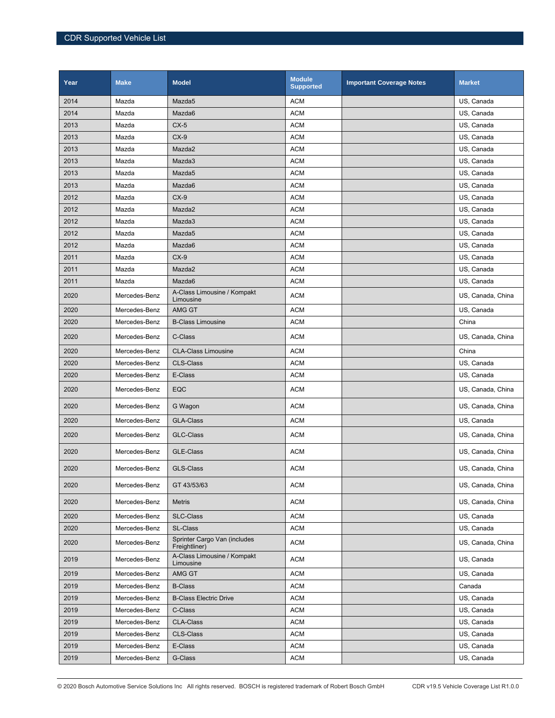| Year | <b>Make</b>   | <b>Model</b>                                  | <b>Module</b><br><b>Supported</b> | <b>Important Coverage Notes</b> | <b>Market</b>     |
|------|---------------|-----------------------------------------------|-----------------------------------|---------------------------------|-------------------|
| 2014 | Mazda         | Mazda <sub>5</sub>                            | <b>ACM</b>                        |                                 | US, Canada        |
| 2014 | Mazda         | Mazda6                                        | <b>ACM</b>                        |                                 | US, Canada        |
| 2013 | Mazda         | $CX-5$                                        | <b>ACM</b>                        |                                 | US, Canada        |
| 2013 | Mazda         | $CX-9$                                        | <b>ACM</b>                        |                                 | US, Canada        |
| 2013 | Mazda         | Mazda2                                        | <b>ACM</b>                        |                                 | US, Canada        |
| 2013 | Mazda         | Mazda3                                        | <b>ACM</b>                        |                                 | US, Canada        |
| 2013 | Mazda         | Mazda5                                        | <b>ACM</b>                        |                                 | US, Canada        |
| 2013 | Mazda         | Mazda6                                        | <b>ACM</b>                        |                                 | US, Canada        |
| 2012 | Mazda         | $CX-9$                                        | <b>ACM</b>                        |                                 | US, Canada        |
| 2012 | Mazda         | Mazda2                                        | <b>ACM</b>                        |                                 | US, Canada        |
| 2012 | Mazda         | Mazda3                                        | <b>ACM</b>                        |                                 | US, Canada        |
| 2012 | Mazda         | Mazda5                                        | <b>ACM</b>                        |                                 | US, Canada        |
| 2012 | Mazda         | Mazda6                                        | <b>ACM</b>                        |                                 | US, Canada        |
| 2011 | Mazda         | $CX-9$                                        | <b>ACM</b>                        |                                 | US, Canada        |
| 2011 | Mazda         | Mazda2                                        | <b>ACM</b>                        |                                 | US, Canada        |
| 2011 | Mazda         | Mazda6                                        | <b>ACM</b>                        |                                 | US, Canada        |
| 2020 | Mercedes-Benz | A-Class Limousine / Kompakt<br>Limousine      | <b>ACM</b>                        |                                 | US, Canada, China |
| 2020 | Mercedes-Benz | AMG GT                                        | <b>ACM</b>                        |                                 | US, Canada        |
| 2020 | Mercedes-Benz | <b>B-Class Limousine</b>                      | <b>ACM</b>                        |                                 | China             |
| 2020 | Mercedes-Benz | C-Class                                       | <b>ACM</b>                        |                                 | US, Canada, China |
| 2020 | Mercedes-Benz | <b>CLA-Class Limousine</b>                    | <b>ACM</b>                        |                                 | China             |
| 2020 | Mercedes-Benz | <b>CLS-Class</b>                              | <b>ACM</b>                        |                                 | US, Canada        |
| 2020 | Mercedes-Benz | E-Class                                       | <b>ACM</b>                        |                                 | US, Canada        |
| 2020 | Mercedes-Benz | EQC                                           | <b>ACM</b>                        |                                 | US, Canada, China |
| 2020 | Mercedes-Benz | G Wagon                                       | <b>ACM</b>                        |                                 | US, Canada, China |
| 2020 | Mercedes-Benz | <b>GLA-Class</b>                              | <b>ACM</b>                        |                                 | US, Canada        |
| 2020 | Mercedes-Benz | <b>GLC-Class</b>                              | <b>ACM</b>                        |                                 | US, Canada, China |
| 2020 | Mercedes-Benz | <b>GLE-Class</b>                              | <b>ACM</b>                        |                                 | US, Canada, China |
| 2020 | Mercedes-Benz | <b>GLS-Class</b>                              | <b>ACM</b>                        |                                 | US, Canada, China |
| 2020 | Mercedes-Benz | GT 43/53/63                                   | <b>ACM</b>                        |                                 | US, Canada, China |
| 2020 | Mercedes-Benz | Metris                                        | <b>ACM</b>                        |                                 | US, Canada, China |
| 2020 | Mercedes-Benz | <b>SLC-Class</b>                              | <b>ACM</b>                        |                                 | US, Canada        |
| 2020 | Mercedes-Benz | <b>SL-Class</b>                               | <b>ACM</b>                        |                                 | US, Canada        |
| 2020 | Mercedes-Benz | Sprinter Cargo Van (includes<br>Freightliner) | <b>ACM</b>                        |                                 | US, Canada, China |
| 2019 | Mercedes-Benz | A-Class Limousine / Kompakt<br>Limousine      | <b>ACM</b>                        |                                 | US, Canada        |
| 2019 | Mercedes-Benz | AMG GT                                        | <b>ACM</b>                        |                                 | US, Canada        |
| 2019 | Mercedes-Benz | <b>B-Class</b>                                | <b>ACM</b>                        |                                 | Canada            |
| 2019 | Mercedes-Benz | <b>B-Class Electric Drive</b>                 | ACM                               |                                 | US, Canada        |
| 2019 | Mercedes-Benz | C-Class                                       | <b>ACM</b>                        |                                 | US, Canada        |
| 2019 | Mercedes-Benz | <b>CLA-Class</b>                              | <b>ACM</b>                        |                                 | US, Canada        |
| 2019 | Mercedes-Benz | <b>CLS-Class</b>                              | <b>ACM</b>                        |                                 | US, Canada        |
| 2019 | Mercedes-Benz | E-Class                                       | <b>ACM</b>                        |                                 | US, Canada        |
| 2019 | Mercedes-Benz | G-Class                                       | <b>ACM</b>                        |                                 | US, Canada        |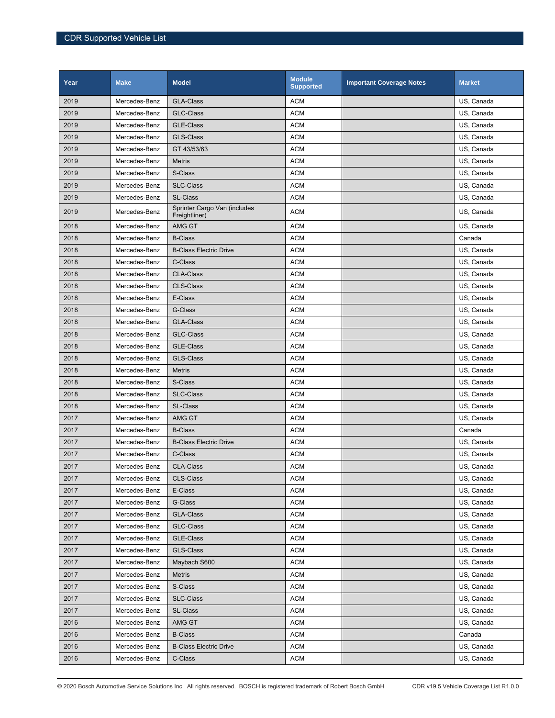| Year | <b>Make</b>   | <b>Model</b>                                  | <b>Module</b><br><b>Supported</b> | <b>Important Coverage Notes</b> | <b>Market</b> |
|------|---------------|-----------------------------------------------|-----------------------------------|---------------------------------|---------------|
| 2019 | Mercedes-Benz | <b>GLA-Class</b>                              | <b>ACM</b>                        |                                 | US, Canada    |
| 2019 | Mercedes-Benz | <b>GLC-Class</b>                              | <b>ACM</b>                        |                                 | US, Canada    |
| 2019 | Mercedes-Benz | <b>GLE-Class</b>                              | <b>ACM</b>                        |                                 | US. Canada    |
| 2019 | Mercedes-Benz | <b>GLS-Class</b>                              | <b>ACM</b>                        |                                 | US, Canada    |
| 2019 | Mercedes-Benz | GT 43/53/63                                   | <b>ACM</b>                        |                                 | US, Canada    |
| 2019 | Mercedes-Benz | <b>Metris</b>                                 | <b>ACM</b>                        |                                 | US, Canada    |
| 2019 | Mercedes-Benz | S-Class                                       | <b>ACM</b>                        |                                 | US, Canada    |
| 2019 | Mercedes-Benz | <b>SLC-Class</b>                              | <b>ACM</b>                        |                                 | US, Canada    |
| 2019 | Mercedes-Benz | <b>SL-Class</b>                               | <b>ACM</b>                        |                                 | US, Canada    |
| 2019 | Mercedes-Benz | Sprinter Cargo Van (includes<br>Freightliner) | <b>ACM</b>                        |                                 | US, Canada    |
| 2018 | Mercedes-Benz | AMG GT                                        | <b>ACM</b>                        |                                 | US, Canada    |
| 2018 | Mercedes-Benz | <b>B-Class</b>                                | <b>ACM</b>                        |                                 | Canada        |
| 2018 | Mercedes-Benz | <b>B-Class Electric Drive</b>                 | <b>ACM</b>                        |                                 | US, Canada    |
| 2018 | Mercedes-Benz | C-Class                                       | <b>ACM</b>                        |                                 | US, Canada    |
| 2018 | Mercedes-Benz | <b>CLA-Class</b>                              | <b>ACM</b>                        |                                 | US, Canada    |
| 2018 | Mercedes-Benz | <b>CLS-Class</b>                              | <b>ACM</b>                        |                                 | US, Canada    |
| 2018 | Mercedes-Benz | E-Class                                       | <b>ACM</b>                        |                                 | US, Canada    |
| 2018 | Mercedes-Benz | G-Class                                       | <b>ACM</b>                        |                                 | US, Canada    |
| 2018 | Mercedes-Benz | <b>GLA-Class</b>                              | <b>ACM</b>                        |                                 | US, Canada    |
| 2018 | Mercedes-Benz | <b>GLC-Class</b>                              | <b>ACM</b>                        |                                 | US, Canada    |
| 2018 | Mercedes-Benz | GLE-Class                                     | <b>ACM</b>                        |                                 | US, Canada    |
| 2018 | Mercedes-Benz | <b>GLS-Class</b>                              | <b>ACM</b>                        |                                 | US, Canada    |
| 2018 | Mercedes-Benz | <b>Metris</b>                                 | <b>ACM</b>                        |                                 | US, Canada    |
| 2018 | Mercedes-Benz | S-Class                                       | <b>ACM</b>                        |                                 | US, Canada    |
| 2018 | Mercedes-Benz | <b>SLC-Class</b>                              | <b>ACM</b>                        |                                 | US, Canada    |
| 2018 | Mercedes-Benz | <b>SL-Class</b>                               | <b>ACM</b>                        |                                 | US, Canada    |
| 2017 | Mercedes-Benz | AMG GT                                        | <b>ACM</b>                        |                                 | US, Canada    |
| 2017 | Mercedes-Benz | <b>B-Class</b>                                | <b>ACM</b>                        |                                 | Canada        |
| 2017 | Mercedes-Benz | <b>B-Class Electric Drive</b>                 | <b>ACM</b>                        |                                 | US, Canada    |
| 2017 | Mercedes-Benz | C-Class                                       | <b>ACM</b>                        |                                 | US, Canada    |
| 2017 | Mercedes-Benz | <b>CLA-Class</b>                              | <b>ACM</b>                        |                                 | US, Canada    |
| 2017 | Mercedes-Benz | CLS-Class                                     | ACM                               |                                 | US, Canada    |
| 2017 | Mercedes-Benz | E-Class                                       | ACM                               |                                 | US, Canada    |
| 2017 | Mercedes-Benz | G-Class                                       | ACM                               |                                 | US, Canada    |
| 2017 | Mercedes-Benz | GLA-Class                                     | <b>ACM</b>                        |                                 | US, Canada    |
| 2017 | Mercedes-Benz | GLC-Class                                     | ACM                               |                                 | US, Canada    |
| 2017 | Mercedes-Benz | <b>GLE-Class</b>                              | <b>ACM</b>                        |                                 | US, Canada    |
| 2017 | Mercedes-Benz | GLS-Class                                     | <b>ACM</b>                        |                                 | US, Canada    |
| 2017 | Mercedes-Benz | Maybach S600                                  | ACM                               |                                 | US, Canada    |
| 2017 | Mercedes-Benz | Metris                                        | <b>ACM</b>                        |                                 | US, Canada    |
| 2017 | Mercedes-Benz | S-Class                                       | ACM                               |                                 | US, Canada    |
| 2017 | Mercedes-Benz | <b>SLC-Class</b>                              | <b>ACM</b>                        |                                 | US, Canada    |
| 2017 | Mercedes-Benz | <b>SL-Class</b>                               | <b>ACM</b>                        |                                 | US, Canada    |
| 2016 | Mercedes-Benz | AMG GT                                        | ACM                               |                                 | US, Canada    |
| 2016 | Mercedes-Benz | <b>B-Class</b>                                | ACM                               |                                 | Canada        |
| 2016 | Mercedes-Benz | <b>B-Class Electric Drive</b>                 | ACM                               |                                 | US, Canada    |
| 2016 | Mercedes-Benz | C-Class                                       | <b>ACM</b>                        |                                 | US, Canada    |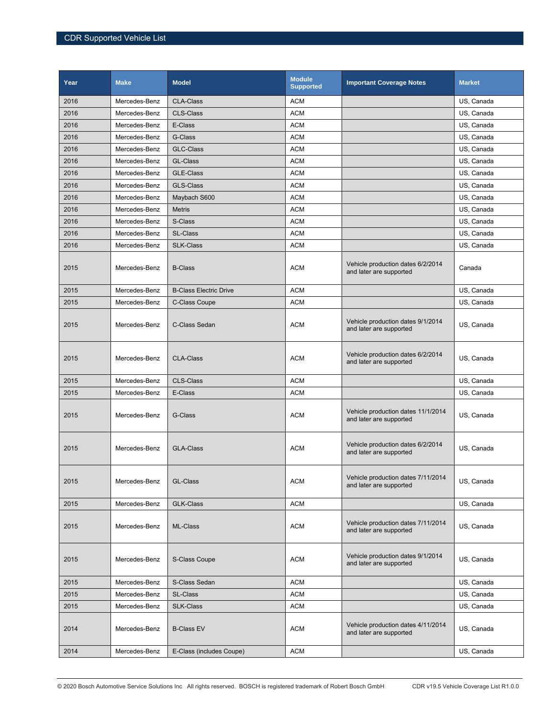| Year | <b>Make</b>   | <b>Model</b>                  | <b>Module</b><br><b>Supported</b> | <b>Important Coverage Notes</b>                               | <b>Market</b> |
|------|---------------|-------------------------------|-----------------------------------|---------------------------------------------------------------|---------------|
| 2016 | Mercedes-Benz | <b>CLA-Class</b>              | <b>ACM</b>                        |                                                               | US, Canada    |
| 2016 | Mercedes-Benz | <b>CLS-Class</b>              | <b>ACM</b>                        |                                                               | US, Canada    |
| 2016 | Mercedes-Benz | E-Class                       | <b>ACM</b>                        |                                                               | US, Canada    |
| 2016 | Mercedes-Benz | G-Class                       | <b>ACM</b>                        |                                                               | US. Canada    |
| 2016 | Mercedes-Benz | GLC-Class                     | <b>ACM</b>                        |                                                               | US, Canada    |
| 2016 | Mercedes-Benz | GL-Class                      | <b>ACM</b>                        |                                                               | US, Canada    |
| 2016 | Mercedes-Benz | GLE-Class                     | <b>ACM</b>                        |                                                               | US, Canada    |
| 2016 | Mercedes-Benz | <b>GLS-Class</b>              | <b>ACM</b>                        |                                                               | US, Canada    |
| 2016 | Mercedes-Benz | Maybach S600                  | <b>ACM</b>                        |                                                               | US, Canada    |
| 2016 | Mercedes-Benz | <b>Metris</b>                 | <b>ACM</b>                        |                                                               | US, Canada    |
| 2016 | Mercedes-Benz | S-Class                       | <b>ACM</b>                        |                                                               | US, Canada    |
| 2016 | Mercedes-Benz | <b>SL-Class</b>               | <b>ACM</b>                        |                                                               | US, Canada    |
| 2016 | Mercedes-Benz | <b>SLK-Class</b>              | <b>ACM</b>                        |                                                               | US, Canada    |
| 2015 | Mercedes-Benz | <b>B-Class</b>                | <b>ACM</b>                        | Vehicle production dates 6/2/2014<br>and later are supported  | Canada        |
| 2015 | Mercedes-Benz | <b>B-Class Electric Drive</b> | <b>ACM</b>                        |                                                               | US, Canada    |
| 2015 | Mercedes-Benz | C-Class Coupe                 | <b>ACM</b>                        |                                                               | US, Canada    |
| 2015 | Mercedes-Benz | C-Class Sedan                 | <b>ACM</b>                        | Vehicle production dates 9/1/2014<br>and later are supported  | US, Canada    |
| 2015 | Mercedes-Benz | <b>CLA-Class</b>              | <b>ACM</b>                        | Vehicle production dates 6/2/2014<br>and later are supported  | US, Canada    |
| 2015 | Mercedes-Benz | CLS-Class                     | <b>ACM</b>                        |                                                               | US, Canada    |
| 2015 | Mercedes-Benz | E-Class                       | <b>ACM</b>                        |                                                               | US, Canada    |
| 2015 | Mercedes-Benz | G-Class                       | <b>ACM</b>                        | Vehicle production dates 11/1/2014<br>and later are supported | US, Canada    |
| 2015 | Mercedes-Benz | <b>GLA-Class</b>              | <b>ACM</b>                        | Vehicle production dates 6/2/2014<br>and later are supported  | US, Canada    |
| 2015 | Mercedes-Benz | GL-Class                      | <b>ACM</b>                        | Vehicle production dates 7/11/2014<br>and later are supported | US, Canada    |
| 2015 | Mercedes-Benz | GLK-Class                     | <b>ACM</b>                        |                                                               | US, Canada    |
| 2015 | Mercedes-Benz | ML-Class                      | <b>ACM</b>                        | Vehicle production dates 7/11/2014<br>and later are supported | US, Canada    |
| 2015 | Mercedes-Benz | S-Class Coupe                 | <b>ACM</b>                        | Vehicle production dates 9/1/2014<br>and later are supported  | US, Canada    |
| 2015 | Mercedes-Benz | S-Class Sedan                 | <b>ACM</b>                        |                                                               | US, Canada    |
| 2015 | Mercedes-Benz | <b>SL-Class</b>               | <b>ACM</b>                        |                                                               | US, Canada    |
| 2015 | Mercedes-Benz | <b>SLK-Class</b>              | <b>ACM</b>                        |                                                               | US, Canada    |
| 2014 | Mercedes-Benz | <b>B-Class EV</b>             | <b>ACM</b>                        | Vehicle production dates 4/11/2014<br>and later are supported | US, Canada    |
| 2014 | Mercedes-Benz | E-Class (includes Coupe)      | <b>ACM</b>                        |                                                               | US, Canada    |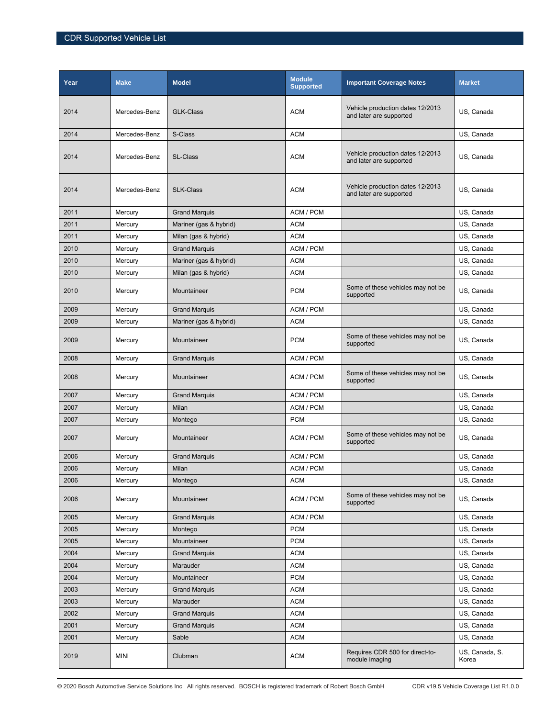| Year | <b>Make</b>   | <b>Model</b>           | <b>Module</b><br><b>Supported</b> | <b>Important Coverage Notes</b>                             | <b>Market</b>           |
|------|---------------|------------------------|-----------------------------------|-------------------------------------------------------------|-------------------------|
| 2014 | Mercedes-Benz | <b>GLK-Class</b>       | <b>ACM</b>                        | Vehicle production dates 12/2013<br>and later are supported | US, Canada              |
| 2014 | Mercedes-Benz | S-Class                | <b>ACM</b>                        |                                                             | US, Canada              |
| 2014 | Mercedes-Benz | <b>SL-Class</b>        | <b>ACM</b>                        | Vehicle production dates 12/2013<br>and later are supported | US, Canada              |
| 2014 | Mercedes-Benz | <b>SLK-Class</b>       | <b>ACM</b>                        | Vehicle production dates 12/2013<br>and later are supported | US, Canada              |
| 2011 | Mercury       | <b>Grand Marquis</b>   | ACM / PCM                         |                                                             | US, Canada              |
| 2011 | Mercury       | Mariner (gas & hybrid) | <b>ACM</b>                        |                                                             | US, Canada              |
| 2011 | Mercury       | Milan (gas & hybrid)   | <b>ACM</b>                        |                                                             | US, Canada              |
| 2010 | Mercury       | <b>Grand Marquis</b>   | ACM / PCM                         |                                                             | US. Canada              |
| 2010 | Mercury       | Mariner (gas & hybrid) | <b>ACM</b>                        |                                                             | US, Canada              |
| 2010 | Mercury       | Milan (gas & hybrid)   | <b>ACM</b>                        |                                                             | US, Canada              |
| 2010 | Mercury       | Mountaineer            | <b>PCM</b>                        | Some of these vehicles may not be<br>supported              | US, Canada              |
| 2009 | Mercury       | <b>Grand Marquis</b>   | ACM / PCM                         |                                                             | US, Canada              |
| 2009 | Mercury       | Mariner (gas & hybrid) | <b>ACM</b>                        |                                                             | US, Canada              |
| 2009 | Mercury       | Mountaineer            | <b>PCM</b>                        | Some of these vehicles may not be<br>supported              | US, Canada              |
| 2008 | Mercury       | <b>Grand Marquis</b>   | ACM / PCM                         |                                                             | US, Canada              |
| 2008 | Mercury       | Mountaineer            | ACM / PCM                         | Some of these vehicles may not be<br>supported              | US, Canada              |
| 2007 | Mercury       | <b>Grand Marquis</b>   | ACM / PCM                         |                                                             | US, Canada              |
| 2007 | Mercury       | Milan                  | ACM / PCM                         |                                                             | US, Canada              |
| 2007 | Mercury       | Montego                | <b>PCM</b>                        |                                                             | US, Canada              |
| 2007 | Mercury       | Mountaineer            | ACM / PCM                         | Some of these vehicles may not be<br>supported              | US, Canada              |
| 2006 | Mercury       | <b>Grand Marquis</b>   | ACM / PCM                         |                                                             | US, Canada              |
| 2006 | Mercury       | Milan                  | ACM / PCM                         |                                                             | US, Canada              |
| 2006 | Mercury       | Montego                | <b>ACM</b>                        |                                                             | US, Canada              |
| 2006 | Mercury       | Mountaineer            | ACM / PCM                         | Some of these vehicles may not be<br>supported              | US, Canada              |
| 2005 | Mercury       | <b>Grand Marquis</b>   | ACM / PCM                         |                                                             | US, Canada              |
| 2005 | Mercury       | Montego                | <b>PCM</b>                        |                                                             | US, Canada              |
| 2005 | Mercury       | Mountaineer            | <b>PCM</b>                        |                                                             | US, Canada              |
| 2004 | Mercury       | <b>Grand Marquis</b>   | <b>ACM</b>                        |                                                             | US, Canada              |
| 2004 | Mercury       | Marauder               | <b>ACM</b>                        |                                                             | US, Canada              |
| 2004 | Mercury       | Mountaineer            | <b>PCM</b>                        |                                                             | US, Canada              |
| 2003 | Mercury       | <b>Grand Marquis</b>   | <b>ACM</b>                        |                                                             | US, Canada              |
| 2003 | Mercury       | Marauder               | <b>ACM</b>                        |                                                             | US, Canada              |
| 2002 | Mercury       | <b>Grand Marquis</b>   | <b>ACM</b>                        |                                                             | US, Canada              |
| 2001 | Mercury       | <b>Grand Marquis</b>   | <b>ACM</b>                        |                                                             | US, Canada              |
| 2001 | Mercury       | Sable                  | <b>ACM</b>                        |                                                             | US, Canada              |
| 2019 | MINI          | Clubman                | <b>ACM</b>                        | Requires CDR 500 for direct-to-<br>module imaging           | US, Canada, S.<br>Korea |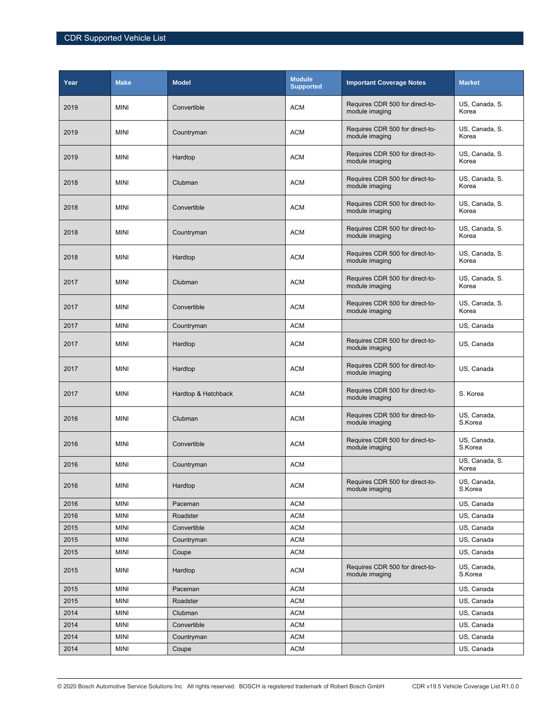| Year | <b>Make</b> | <b>Model</b>        | <b>Module</b><br><b>Supported</b> | <b>Important Coverage Notes</b>                   | <b>Market</b>           |
|------|-------------|---------------------|-----------------------------------|---------------------------------------------------|-------------------------|
| 2019 | <b>MINI</b> | Convertible         | <b>ACM</b>                        | Requires CDR 500 for direct-to-<br>module imaging | US, Canada, S.<br>Korea |
| 2019 | <b>MINI</b> | Countryman          | <b>ACM</b>                        | Requires CDR 500 for direct-to-<br>module imaging | US, Canada, S.<br>Korea |
| 2019 | <b>MINI</b> | Hardtop             | <b>ACM</b>                        | Requires CDR 500 for direct-to-<br>module imaging | US, Canada, S.<br>Korea |
| 2018 | <b>MINI</b> | Clubman             | <b>ACM</b>                        | Requires CDR 500 for direct-to-<br>module imaging | US, Canada, S.<br>Korea |
| 2018 | <b>MINI</b> | Convertible         | <b>ACM</b>                        | Requires CDR 500 for direct-to-<br>module imaging | US, Canada, S.<br>Korea |
| 2018 | <b>MINI</b> | Countryman          | <b>ACM</b>                        | Requires CDR 500 for direct-to-<br>module imaging | US, Canada, S.<br>Korea |
| 2018 | <b>MINI</b> | Hardtop             | <b>ACM</b>                        | Requires CDR 500 for direct-to-<br>module imaging | US, Canada, S.<br>Korea |
| 2017 | <b>MINI</b> | Clubman             | <b>ACM</b>                        | Requires CDR 500 for direct-to-<br>module imaging | US, Canada, S.<br>Korea |
| 2017 | <b>MINI</b> | Convertible         | <b>ACM</b>                        | Requires CDR 500 for direct-to-<br>module imaging | US, Canada, S.<br>Korea |
| 2017 | <b>MINI</b> | Countryman          | <b>ACM</b>                        |                                                   | US, Canada              |
| 2017 | <b>MINI</b> | Hardtop             | <b>ACM</b>                        | Requires CDR 500 for direct-to-<br>module imaging | US, Canada              |
| 2017 | <b>MINI</b> | Hardtop             | <b>ACM</b>                        | Requires CDR 500 for direct-to-<br>module imaging | US, Canada              |
| 2017 | <b>MINI</b> | Hardtop & Hatchback | <b>ACM</b>                        | Requires CDR 500 for direct-to-<br>module imaging | S. Korea                |
| 2016 | <b>MINI</b> | Clubman             | <b>ACM</b>                        | Requires CDR 500 for direct-to-<br>module imaging | US, Canada,<br>S.Korea  |
| 2016 | <b>MINI</b> | Convertible         | <b>ACM</b>                        | Requires CDR 500 for direct-to-<br>module imaging | US, Canada,<br>S.Korea  |
| 2016 | <b>MINI</b> | Countryman          | <b>ACM</b>                        |                                                   | US, Canada, S.<br>Korea |
| 2016 | <b>MINI</b> | Hardtop             | <b>ACM</b>                        | Requires CDR 500 for direct-to-<br>module imaging | US, Canada,<br>S.Korea  |
| 2016 | <b>MINI</b> | Paceman             | <b>ACM</b>                        |                                                   | US, Canada              |
| 2016 | <b>MINI</b> | Roadster            | <b>ACM</b>                        |                                                   | US, Canada              |
| 2015 | <b>MINI</b> | Convertible         | ACM                               |                                                   | US, Canada              |
| 2015 | <b>MINI</b> | Countryman          | <b>ACM</b>                        |                                                   | US, Canada              |
| 2015 | MINI        | Coupe               | <b>ACM</b>                        |                                                   | US, Canada              |
| 2015 | <b>MINI</b> | Hardtop             | <b>ACM</b>                        | Requires CDR 500 for direct-to-<br>module imaging | US, Canada,<br>S.Korea  |
| 2015 | <b>MINI</b> | Paceman             | <b>ACM</b>                        |                                                   | US, Canada              |
| 2015 | <b>MINI</b> | Roadster            | <b>ACM</b>                        |                                                   | US, Canada              |
| 2014 | <b>MINI</b> | Clubman             | <b>ACM</b>                        |                                                   | US, Canada              |
| 2014 | <b>MINI</b> | Convertible         | <b>ACM</b>                        |                                                   | US, Canada              |
| 2014 | <b>MINI</b> | Countryman          | <b>ACM</b>                        |                                                   | US, Canada              |
| 2014 | <b>MINI</b> | Coupe               | <b>ACM</b>                        |                                                   | US, Canada              |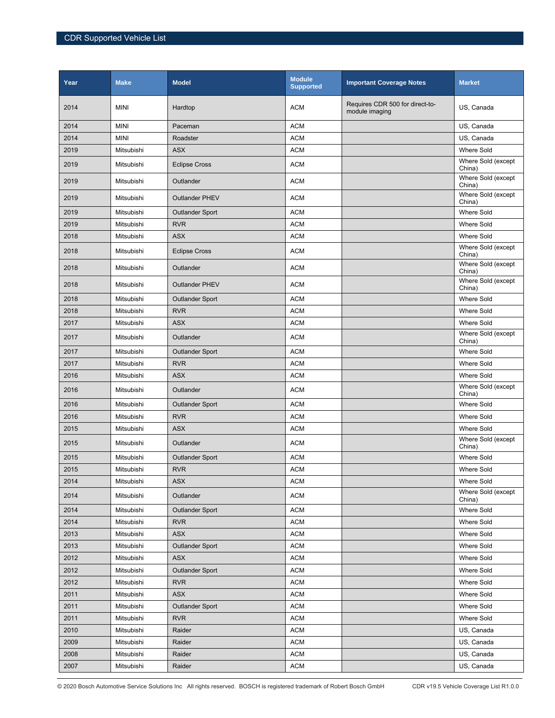| Year | <b>Make</b> | <b>Model</b>           | <b>Module</b><br><b>Supported</b> | <b>Important Coverage Notes</b>                   | <b>Market</b>                |
|------|-------------|------------------------|-----------------------------------|---------------------------------------------------|------------------------------|
| 2014 | <b>MINI</b> | Hardtop                | <b>ACM</b>                        | Requires CDR 500 for direct-to-<br>module imaging | US, Canada                   |
| 2014 | <b>MINI</b> | Paceman                | <b>ACM</b>                        |                                                   | US, Canada                   |
| 2014 | <b>MINI</b> | Roadster               | <b>ACM</b>                        |                                                   | US, Canada                   |
| 2019 | Mitsubishi  | <b>ASX</b>             | <b>ACM</b>                        |                                                   | <b>Where Sold</b>            |
| 2019 | Mitsubishi  | <b>Eclipse Cross</b>   | <b>ACM</b>                        |                                                   | Where Sold (except<br>China) |
| 2019 | Mitsubishi  | Outlander              | <b>ACM</b>                        |                                                   | Where Sold (except<br>China) |
| 2019 | Mitsubishi  | <b>Outlander PHEV</b>  | <b>ACM</b>                        |                                                   | Where Sold (except<br>China) |
| 2019 | Mitsubishi  | <b>Outlander Sport</b> | <b>ACM</b>                        |                                                   | <b>Where Sold</b>            |
| 2019 | Mitsubishi  | <b>RVR</b>             | <b>ACM</b>                        |                                                   | <b>Where Sold</b>            |
| 2018 | Mitsubishi  | <b>ASX</b>             | <b>ACM</b>                        |                                                   | <b>Where Sold</b>            |
| 2018 | Mitsubishi  | <b>Eclipse Cross</b>   | <b>ACM</b>                        |                                                   | Where Sold (except<br>China) |
| 2018 | Mitsubishi  | Outlander              | <b>ACM</b>                        |                                                   | Where Sold (except<br>China) |
| 2018 | Mitsubishi  | <b>Outlander PHEV</b>  | <b>ACM</b>                        |                                                   | Where Sold (except<br>China) |
| 2018 | Mitsubishi  | <b>Outlander Sport</b> | <b>ACM</b>                        |                                                   | <b>Where Sold</b>            |
| 2018 | Mitsubishi  | <b>RVR</b>             | <b>ACM</b>                        |                                                   | <b>Where Sold</b>            |
| 2017 | Mitsubishi  | <b>ASX</b>             | <b>ACM</b>                        |                                                   | <b>Where Sold</b>            |
| 2017 | Mitsubishi  | Outlander              | <b>ACM</b>                        |                                                   | Where Sold (except<br>China) |
| 2017 | Mitsubishi  | <b>Outlander Sport</b> | <b>ACM</b>                        |                                                   | <b>Where Sold</b>            |
| 2017 | Mitsubishi  | <b>RVR</b>             | <b>ACM</b>                        |                                                   | <b>Where Sold</b>            |
| 2016 | Mitsubishi  | <b>ASX</b>             | <b>ACM</b>                        |                                                   | Where Sold                   |
| 2016 | Mitsubishi  | Outlander              | <b>ACM</b>                        |                                                   | Where Sold (except<br>China) |
| 2016 | Mitsubishi  | <b>Outlander Sport</b> | <b>ACM</b>                        |                                                   | <b>Where Sold</b>            |
| 2016 | Mitsubishi  | <b>RVR</b>             | <b>ACM</b>                        |                                                   | <b>Where Sold</b>            |
| 2015 | Mitsubishi  | <b>ASX</b>             | <b>ACM</b>                        |                                                   | <b>Where Sold</b>            |
| 2015 | Mitsubishi  | Outlander              | <b>ACM</b>                        |                                                   | Where Sold (except<br>China) |
| 2015 | Mitsubishi  | <b>Outlander Sport</b> | <b>ACM</b>                        |                                                   | <b>Where Sold</b>            |
| 2015 | Mitsubishi  | <b>RVR</b>             | <b>ACM</b>                        |                                                   | <b>Where Sold</b>            |
| 2014 | Mitsubishi  | <b>ASX</b>             | <b>ACM</b>                        |                                                   | Where Sold                   |
| 2014 | Mitsubishi  | Outlander              | <b>ACM</b>                        |                                                   | Where Sold (except<br>China) |
| 2014 | Mitsubishi  | <b>Outlander Sport</b> | <b>ACM</b>                        |                                                   | Where Sold                   |
| 2014 | Mitsubishi  | <b>RVR</b>             | <b>ACM</b>                        |                                                   | Where Sold                   |
| 2013 | Mitsubishi  | ASX                    | <b>ACM</b>                        |                                                   | Where Sold                   |
| 2013 | Mitsubishi  | <b>Outlander Sport</b> | <b>ACM</b>                        |                                                   | <b>Where Sold</b>            |
| 2012 | Mitsubishi  | <b>ASX</b>             | <b>ACM</b>                        |                                                   | Where Sold                   |
| 2012 | Mitsubishi  | <b>Outlander Sport</b> | <b>ACM</b>                        |                                                   | Where Sold                   |
| 2012 | Mitsubishi  | <b>RVR</b>             | <b>ACM</b>                        |                                                   | Where Sold                   |
| 2011 | Mitsubishi  | ASX                    | <b>ACM</b>                        |                                                   | Where Sold                   |
| 2011 | Mitsubishi  | <b>Outlander Sport</b> | <b>ACM</b>                        |                                                   | Where Sold                   |
| 2011 | Mitsubishi  | <b>RVR</b>             | <b>ACM</b>                        |                                                   | Where Sold                   |
| 2010 | Mitsubishi  | Raider                 | <b>ACM</b>                        |                                                   | US, Canada                   |
| 2009 | Mitsubishi  | Raider                 | <b>ACM</b>                        |                                                   | US, Canada                   |
| 2008 | Mitsubishi  | Raider                 | <b>ACM</b>                        |                                                   | US, Canada                   |
| 2007 | Mitsubishi  | Raider                 | ACM                               |                                                   | US, Canada                   |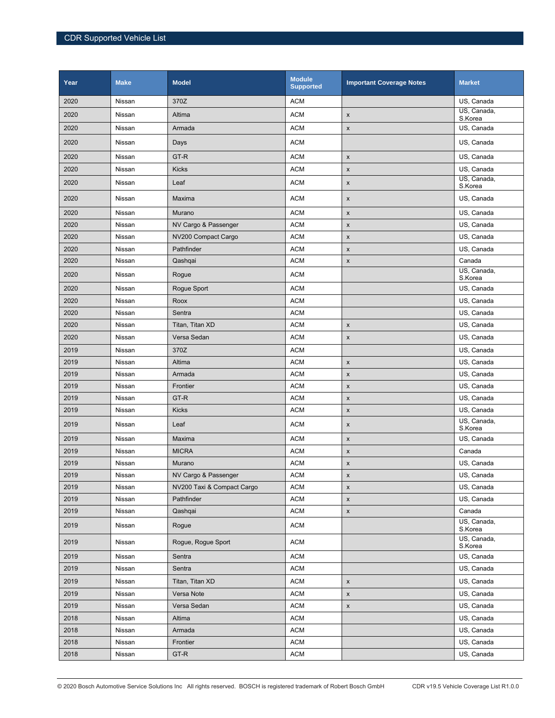| Year | <b>Make</b> | <b>Model</b>               | <b>Module</b><br><b>Supported</b> | <b>Important Coverage Notes</b> | <b>Market</b>                        |
|------|-------------|----------------------------|-----------------------------------|---------------------------------|--------------------------------------|
| 2020 | Nissan      | 370Z                       | <b>ACM</b>                        |                                 | US, Canada                           |
| 2020 | Nissan      | Altima                     | <b>ACM</b>                        | X                               | US, Canada,<br>S.Korea               |
| 2020 | Nissan      | Armada                     | <b>ACM</b>                        | $\pmb{\mathsf{x}}$              | US, Canada                           |
| 2020 | Nissan      | Days                       | <b>ACM</b>                        |                                 | US, Canada                           |
| 2020 | Nissan      | GT-R                       | <b>ACM</b>                        | $\pmb{\chi}$                    | US, Canada                           |
| 2020 | Nissan      | Kicks                      | <b>ACM</b>                        | $\pmb{\mathsf{x}}$              | US, Canada                           |
| 2020 | Nissan      | Leaf                       | <b>ACM</b>                        | $\pmb{\mathsf{x}}$              | US, Canada,<br>S.Korea               |
| 2020 | Nissan      | Maxima                     | <b>ACM</b>                        | $\pmb{\mathsf{x}}$              | US, Canada                           |
| 2020 | Nissan      | Murano                     | <b>ACM</b>                        | $\pmb{\mathsf{x}}$              | US, Canada                           |
| 2020 | Nissan      | NV Cargo & Passenger       | <b>ACM</b>                        | $\pmb{\mathsf{x}}$              | US, Canada                           |
| 2020 | Nissan      | NV200 Compact Cargo        | <b>ACM</b>                        | $\pmb{\mathsf{x}}$              | US, Canada                           |
| 2020 | Nissan      | Pathfinder                 | <b>ACM</b>                        | $\pmb{\mathsf{x}}$              | US, Canada                           |
| 2020 | Nissan      | Qashqai                    | <b>ACM</b>                        | $\pmb{\mathsf{x}}$              | Canada                               |
| 2020 | Nissan      | Rogue                      | <b>ACM</b>                        |                                 | US, Canada,<br>S.Korea               |
| 2020 | Nissan      | Rogue Sport                | <b>ACM</b>                        |                                 | US, Canada                           |
| 2020 | Nissan      | Roox                       | <b>ACM</b>                        |                                 | US, Canada                           |
| 2020 | Nissan      | Sentra                     | <b>ACM</b>                        |                                 | US, Canada                           |
| 2020 | Nissan      | Titan, Titan XD            | <b>ACM</b>                        | $\pmb{\mathsf{x}}$              | US, Canada                           |
| 2020 | Nissan      | Versa Sedan                | <b>ACM</b>                        | $\pmb{\chi}$                    | US, Canada                           |
| 2019 | Nissan      | 370Z                       | <b>ACM</b>                        |                                 | US, Canada                           |
| 2019 | Nissan      | Altima                     | <b>ACM</b>                        | $\pmb{\mathsf{x}}$              | US, Canada                           |
| 2019 | Nissan      | Armada                     | <b>ACM</b>                        | $\pmb{\mathsf{x}}$              | US, Canada                           |
| 2019 | Nissan      | Frontier                   | <b>ACM</b>                        | $\pmb{\mathsf{x}}$              | US, Canada                           |
| 2019 | Nissan      | GT-R                       | <b>ACM</b>                        | $\pmb{\mathsf{x}}$              | US, Canada                           |
| 2019 | Nissan      | <b>Kicks</b>               | <b>ACM</b>                        | $\pmb{\chi}$                    | US, Canada                           |
| 2019 | Nissan      | Leaf                       | <b>ACM</b>                        | $\pmb{\mathsf{x}}$              | $\overline{US}$ , Canada,<br>S.Korea |
| 2019 | Nissan      | Maxima                     | <b>ACM</b>                        | $\pmb{\mathsf{x}}$              | US, Canada                           |
| 2019 | Nissan      | <b>MICRA</b>               | <b>ACM</b>                        | $\pmb{\mathsf{x}}$              | Canada                               |
| 2019 | Nissan      | Murano                     | <b>ACM</b>                        | $\pmb{\mathsf{x}}$              | US, Canada                           |
| 2019 | Nissan      | NV Cargo & Passenger       | <b>ACM</b>                        | X                               | US, Canada                           |
| 2019 | Nissan      | NV200 Taxi & Compact Cargo | <b>ACM</b>                        | X                               | US, Canada                           |
| 2019 | Nissan      | Pathfinder                 | <b>ACM</b>                        | $\pmb{\mathsf{x}}$              | US, Canada                           |
| 2019 | Nissan      | Qashqai                    | ACM                               | $\mathsf X$                     | Canada                               |
| 2019 | Nissan      | Rogue                      | ACM                               |                                 | US, Canada,<br>S.Korea               |
| 2019 | Nissan      | Rogue, Rogue Sport         | <b>ACM</b>                        |                                 | US, Canada,<br>S.Korea               |
| 2019 | Nissan      | Sentra                     | <b>ACM</b>                        |                                 | US, Canada                           |
| 2019 | Nissan      | Sentra                     | ACM                               |                                 | US, Canada                           |
| 2019 | Nissan      | Titan, Titan XD            | ACM                               | $\pmb{\mathsf{x}}$              | US, Canada                           |
| 2019 | Nissan      | Versa Note                 | <b>ACM</b>                        | $\pmb{\mathsf{x}}$              | US, Canada                           |
| 2019 | Nissan      | Versa Sedan                | ACM                               | X                               | US, Canada                           |
| 2018 | Nissan      | Altima                     | ACM                               |                                 | US, Canada                           |
| 2018 | Nissan      | Armada                     | <b>ACM</b>                        |                                 | US, Canada                           |
| 2018 | Nissan      | Frontier                   | ACM                               |                                 | US, Canada                           |
| 2018 | Nissan      | GT-R                       | <b>ACM</b>                        |                                 | US, Canada                           |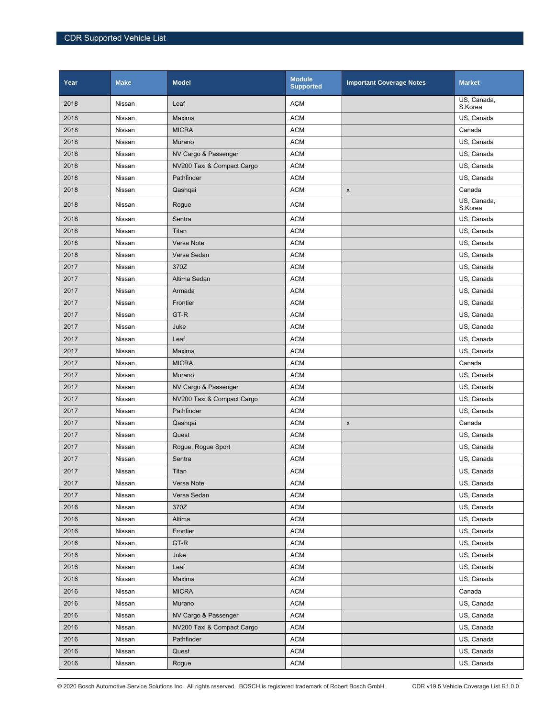| Year | <b>Make</b> | <b>Model</b>               | <b>Module</b><br><b>Supported</b> | <b>Important Coverage Notes</b> | <b>Market</b>          |
|------|-------------|----------------------------|-----------------------------------|---------------------------------|------------------------|
| 2018 | Nissan      | Leaf                       | <b>ACM</b>                        |                                 | US, Canada,<br>S.Korea |
| 2018 | Nissan      | Maxima                     | <b>ACM</b>                        |                                 | US, Canada             |
| 2018 | Nissan      | <b>MICRA</b>               | <b>ACM</b>                        |                                 | Canada                 |
| 2018 | Nissan      | Murano                     | <b>ACM</b>                        |                                 | US, Canada             |
| 2018 | Nissan      | NV Cargo & Passenger       | <b>ACM</b>                        |                                 | US, Canada             |
| 2018 | Nissan      | NV200 Taxi & Compact Cargo | <b>ACM</b>                        |                                 | US, Canada             |
| 2018 | Nissan      | Pathfinder                 | <b>ACM</b>                        |                                 | US. Canada             |
| 2018 | Nissan      | Qashqai                    | <b>ACM</b>                        | $\pmb{\mathsf{x}}$              | Canada                 |
| 2018 | Nissan      | Rogue                      | <b>ACM</b>                        |                                 | US, Canada,<br>S.Korea |
| 2018 | Nissan      | Sentra                     | <b>ACM</b>                        |                                 | US, Canada             |
| 2018 | Nissan      | Titan                      | <b>ACM</b>                        |                                 | US, Canada             |
| 2018 | Nissan      | Versa Note                 | <b>ACM</b>                        |                                 | US, Canada             |
| 2018 | Nissan      | Versa Sedan                | <b>ACM</b>                        |                                 | US, Canada             |
| 2017 | Nissan      | 370Z                       | <b>ACM</b>                        |                                 | US, Canada             |
| 2017 | Nissan      | Altima Sedan               | <b>ACM</b>                        |                                 | US, Canada             |
| 2017 | Nissan      | Armada                     | <b>ACM</b>                        |                                 | US, Canada             |
| 2017 | Nissan      | Frontier                   | <b>ACM</b>                        |                                 | US, Canada             |
| 2017 | Nissan      | GT-R                       | <b>ACM</b>                        |                                 | US, Canada             |
| 2017 | Nissan      | Juke                       | <b>ACM</b>                        |                                 | US, Canada             |
| 2017 | Nissan      | Leaf                       | <b>ACM</b>                        |                                 | US, Canada             |
| 2017 | Nissan      | Maxima                     | <b>ACM</b>                        |                                 | US, Canada             |
| 2017 | Nissan      | <b>MICRA</b>               | <b>ACM</b>                        |                                 | Canada                 |
| 2017 | Nissan      | Murano                     | <b>ACM</b>                        |                                 | US, Canada             |
| 2017 | Nissan      | NV Cargo & Passenger       | <b>ACM</b>                        |                                 | US, Canada             |
| 2017 | Nissan      | NV200 Taxi & Compact Cargo | <b>ACM</b>                        |                                 | US, Canada             |
| 2017 | Nissan      | Pathfinder                 | <b>ACM</b>                        |                                 | US, Canada             |
| 2017 | Nissan      | Qashqai                    | <b>ACM</b>                        | X                               | Canada                 |
| 2017 | Nissan      | Quest                      | <b>ACM</b>                        |                                 | US, Canada             |
| 2017 | Nissan      | Rogue, Rogue Sport         | <b>ACM</b>                        |                                 | US, Canada             |
| 2017 | Nissan      | Sentra                     | <b>ACM</b>                        |                                 | US, Canada             |
| 2017 | Nissan      | Titan                      | <b>ACM</b>                        |                                 | US, Canada             |
| 2017 | Nissan      | Versa Note                 | <b>ACM</b>                        |                                 | US, Canada             |
| 2017 | Nissan      | Versa Sedan                | <b>ACM</b>                        |                                 | US, Canada             |
| 2016 | Nissan      | 370Z                       | <b>ACM</b>                        |                                 | US, Canada             |
| 2016 | Nissan      | Altima                     | <b>ACM</b>                        |                                 | US, Canada             |
| 2016 | Nissan      | Frontier                   | <b>ACM</b>                        |                                 | US, Canada             |
| 2016 | Nissan      | GT-R                       | <b>ACM</b>                        |                                 | US, Canada             |
| 2016 | Nissan      | Juke                       | <b>ACM</b>                        |                                 | US, Canada             |
| 2016 | Nissan      | Leaf                       | <b>ACM</b>                        |                                 | US, Canada             |
| 2016 | Nissan      | Maxima                     | <b>ACM</b>                        |                                 | US, Canada             |
| 2016 | Nissan      | <b>MICRA</b>               | <b>ACM</b>                        |                                 | Canada                 |
| 2016 | Nissan      | Murano                     | <b>ACM</b>                        |                                 | US, Canada             |
| 2016 | Nissan      | NV Cargo & Passenger       | <b>ACM</b>                        |                                 | US, Canada             |
| 2016 | Nissan      | NV200 Taxi & Compact Cargo | <b>ACM</b>                        |                                 | US, Canada             |
| 2016 | Nissan      | Pathfinder                 | <b>ACM</b>                        |                                 | US, Canada             |
| 2016 | Nissan      | Quest                      | <b>ACM</b>                        |                                 | US, Canada             |
| 2016 | Nissan      | Rogue                      | ACM                               |                                 | US, Canada             |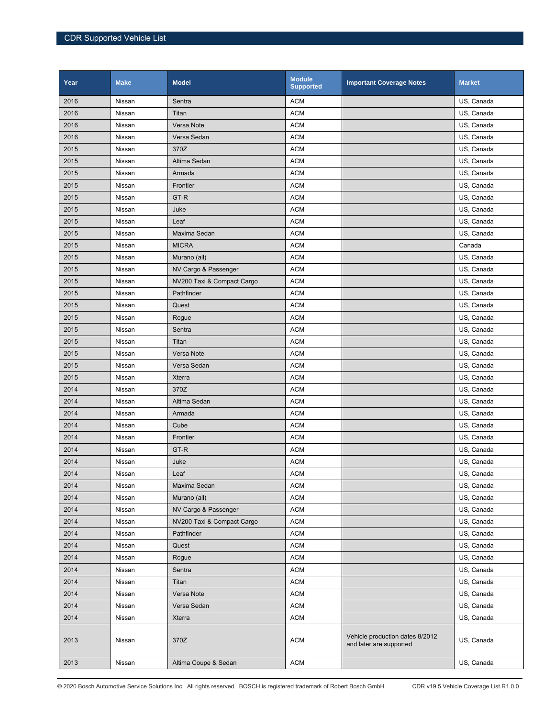| Year | <b>Make</b> | <b>Model</b>               | <b>Module</b><br><b>Supported</b> | <b>Important Coverage Notes</b>                            | <b>Market</b> |
|------|-------------|----------------------------|-----------------------------------|------------------------------------------------------------|---------------|
| 2016 | Nissan      | Sentra                     | <b>ACM</b>                        |                                                            | US, Canada    |
| 2016 | Nissan      | Titan                      | <b>ACM</b>                        |                                                            | US, Canada    |
| 2016 | Nissan      | Versa Note                 | <b>ACM</b>                        |                                                            | US, Canada    |
| 2016 | Nissan      | Versa Sedan                | <b>ACM</b>                        |                                                            | US, Canada    |
| 2015 | Nissan      | 370Z                       | <b>ACM</b>                        |                                                            | US, Canada    |
| 2015 | Nissan      | Altima Sedan               | <b>ACM</b>                        |                                                            | US, Canada    |
| 2015 | Nissan      | Armada                     | <b>ACM</b>                        |                                                            | US, Canada    |
| 2015 | Nissan      | Frontier                   | <b>ACM</b>                        |                                                            | US, Canada    |
| 2015 | Nissan      | GT-R                       | <b>ACM</b>                        |                                                            | US, Canada    |
| 2015 | Nissan      | Juke                       | <b>ACM</b>                        |                                                            | US, Canada    |
| 2015 | Nissan      | Leaf                       | <b>ACM</b>                        |                                                            | US, Canada    |
| 2015 | Nissan      | Maxima Sedan               | <b>ACM</b>                        |                                                            | US, Canada    |
| 2015 | Nissan      | <b>MICRA</b>               | <b>ACM</b>                        |                                                            | Canada        |
| 2015 | Nissan      | Murano (all)               | <b>ACM</b>                        |                                                            | US, Canada    |
| 2015 | Nissan      | NV Cargo & Passenger       | <b>ACM</b>                        |                                                            | US, Canada    |
| 2015 | Nissan      | NV200 Taxi & Compact Cargo | <b>ACM</b>                        |                                                            | US, Canada    |
| 2015 | Nissan      | Pathfinder                 | <b>ACM</b>                        |                                                            | US, Canada    |
| 2015 | Nissan      | Quest                      | <b>ACM</b>                        |                                                            | US, Canada    |
| 2015 | Nissan      | Rogue                      | <b>ACM</b>                        |                                                            | US, Canada    |
| 2015 | Nissan      | Sentra                     | <b>ACM</b>                        |                                                            | US, Canada    |
| 2015 | Nissan      | Titan                      | <b>ACM</b>                        |                                                            | US, Canada    |
| 2015 | Nissan      | Versa Note                 | <b>ACM</b>                        |                                                            | US, Canada    |
| 2015 | Nissan      | Versa Sedan                | <b>ACM</b>                        |                                                            | US, Canada    |
| 2015 | Nissan      | <b>Xterra</b>              | <b>ACM</b>                        |                                                            | US, Canada    |
| 2014 | Nissan      | 370Z                       | <b>ACM</b>                        |                                                            | US, Canada    |
| 2014 | Nissan      | Altima Sedan               | <b>ACM</b>                        |                                                            | US, Canada    |
| 2014 | Nissan      | Armada                     | <b>ACM</b>                        |                                                            | US, Canada    |
| 2014 | Nissan      | Cube                       | <b>ACM</b>                        |                                                            | US, Canada    |
| 2014 | Nissan      | Frontier                   | <b>ACM</b>                        |                                                            | US, Canada    |
| 2014 | Nissan      | GT-R                       | <b>ACM</b>                        |                                                            | US, Canada    |
| 2014 | Nissan      | Juke                       | <b>ACM</b>                        |                                                            | US, Canada    |
| 2014 | Nissan      | Leaf                       | <b>ACM</b>                        |                                                            | US, Canada    |
| 2014 | Nissan      | Maxima Sedan               | <b>ACM</b>                        |                                                            | US, Canada    |
| 2014 | Nissan      | Murano (all)               | <b>ACM</b>                        |                                                            | US, Canada    |
| 2014 | Nissan      | NV Cargo & Passenger       | <b>ACM</b>                        |                                                            | US, Canada    |
| 2014 | Nissan      | NV200 Taxi & Compact Cargo | <b>ACM</b>                        |                                                            | US, Canada    |
| 2014 | Nissan      | Pathfinder                 | <b>ACM</b>                        |                                                            | US, Canada    |
| 2014 | Nissan      | Quest                      | <b>ACM</b>                        |                                                            | US, Canada    |
| 2014 | Nissan      | Rogue                      | <b>ACM</b>                        |                                                            | US, Canada    |
| 2014 | Nissan      | Sentra                     | <b>ACM</b>                        |                                                            | US, Canada    |
| 2014 | Nissan      | Titan                      | <b>ACM</b>                        |                                                            | US, Canada    |
| 2014 | Nissan      | Versa Note                 | <b>ACM</b>                        |                                                            | US, Canada    |
| 2014 | Nissan      | Versa Sedan                | <b>ACM</b>                        |                                                            | US, Canada    |
| 2014 | Nissan      | <b>Xterra</b>              | <b>ACM</b>                        |                                                            | US, Canada    |
| 2013 | Nissan      | 370Z                       | <b>ACM</b>                        | Vehicle production dates 8/2012<br>and later are supported | US, Canada    |
| 2013 | Nissan      | Altima Coupe & Sedan       | <b>ACM</b>                        |                                                            | US, Canada    |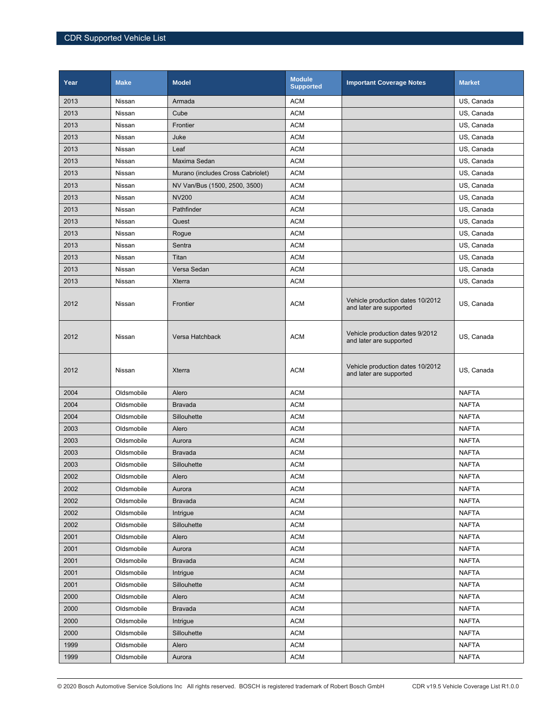| Year | <b>Make</b> | <b>Model</b>                      | <b>Module</b><br><b>Supported</b> | <b>Important Coverage Notes</b>                             | <b>Market</b> |
|------|-------------|-----------------------------------|-----------------------------------|-------------------------------------------------------------|---------------|
| 2013 | Nissan      | Armada                            | <b>ACM</b>                        |                                                             | US, Canada    |
| 2013 | Nissan      | Cube                              | <b>ACM</b>                        |                                                             | US, Canada    |
| 2013 | Nissan      | Frontier                          | ACM                               |                                                             | US, Canada    |
| 2013 | Nissan      | Juke                              | <b>ACM</b>                        |                                                             | US, Canada    |
| 2013 | Nissan      | Leaf                              | <b>ACM</b>                        |                                                             | US, Canada    |
| 2013 | Nissan      | Maxima Sedan                      | <b>ACM</b>                        |                                                             | US, Canada    |
| 2013 | Nissan      | Murano (includes Cross Cabriolet) | <b>ACM</b>                        |                                                             | US, Canada    |
| 2013 | Nissan      | NV Van/Bus (1500, 2500, 3500)     | <b>ACM</b>                        |                                                             | US, Canada    |
| 2013 | Nissan      | <b>NV200</b>                      | <b>ACM</b>                        |                                                             | US, Canada    |
| 2013 | Nissan      | Pathfinder                        | <b>ACM</b>                        |                                                             | US, Canada    |
| 2013 | Nissan      | Quest                             | <b>ACM</b>                        |                                                             | US, Canada    |
| 2013 | Nissan      | Rogue                             | <b>ACM</b>                        |                                                             | US, Canada    |
| 2013 | Nissan      | Sentra                            | <b>ACM</b>                        |                                                             | US, Canada    |
| 2013 | Nissan      | Titan                             | <b>ACM</b>                        |                                                             | US, Canada    |
| 2013 | Nissan      | Versa Sedan                       | <b>ACM</b>                        |                                                             | US, Canada    |
| 2013 | Nissan      | Xterra                            | <b>ACM</b>                        |                                                             | US, Canada    |
| 2012 | Nissan      | Frontier                          | <b>ACM</b>                        | Vehicle production dates 10/2012<br>and later are supported | US, Canada    |
| 2012 | Nissan      | Versa Hatchback                   | <b>ACM</b>                        | Vehicle production dates 9/2012<br>and later are supported  | US, Canada    |
| 2012 | Nissan      | Xterra                            | <b>ACM</b>                        | Vehicle production dates 10/2012<br>and later are supported | US, Canada    |
| 2004 | Oldsmobile  | Alero                             | <b>ACM</b>                        |                                                             | <b>NAFTA</b>  |
| 2004 | Oldsmobile  | <b>Bravada</b>                    | <b>ACM</b>                        |                                                             | <b>NAFTA</b>  |
| 2004 | Oldsmobile  | Sillouhette                       | <b>ACM</b>                        |                                                             | <b>NAFTA</b>  |
| 2003 | Oldsmobile  | Alero                             | <b>ACM</b>                        |                                                             | <b>NAFTA</b>  |
| 2003 | Oldsmobile  | Aurora                            | <b>ACM</b>                        |                                                             | <b>NAFTA</b>  |
| 2003 | Oldsmobile  | <b>Bravada</b>                    | <b>ACM</b>                        |                                                             | <b>NAFTA</b>  |
| 2003 | Oldsmobile  | Sillouhette                       | <b>ACM</b>                        |                                                             | <b>NAFTA</b>  |
| 2002 | Oldsmobile  | Alero                             | <b>ACM</b>                        |                                                             | <b>NAFTA</b>  |
| 2002 | Oldsmobile  | Aurora                            | <b>ACM</b>                        |                                                             | <b>NAFTA</b>  |
| 2002 | Oldsmobile  | <b>Bravada</b>                    | <b>ACM</b>                        |                                                             | <b>NAFTA</b>  |
| 2002 | Oldsmobile  | Intrigue                          | <b>ACM</b>                        |                                                             | <b>NAFTA</b>  |
| 2002 | Oldsmobile  | Sillouhette                       | <b>ACM</b>                        |                                                             | <b>NAFTA</b>  |
| 2001 | Oldsmobile  | Alero                             | <b>ACM</b>                        |                                                             | <b>NAFTA</b>  |
| 2001 | Oldsmobile  | Aurora                            | <b>ACM</b>                        |                                                             | <b>NAFTA</b>  |
| 2001 | Oldsmobile  | <b>Bravada</b>                    | ACM                               |                                                             | <b>NAFTA</b>  |
| 2001 | Oldsmobile  | Intrigue                          | <b>ACM</b>                        |                                                             | <b>NAFTA</b>  |
| 2001 | Oldsmobile  | Sillouhette                       | <b>ACM</b>                        |                                                             | <b>NAFTA</b>  |
| 2000 | Oldsmobile  | Alero                             | $\mathsf{ACM}$                    |                                                             | <b>NAFTA</b>  |
| 2000 | Oldsmobile  | <b>Bravada</b>                    | <b>ACM</b>                        |                                                             | <b>NAFTA</b>  |
| 2000 | Oldsmobile  | Intrigue                          | <b>ACM</b>                        |                                                             | <b>NAFTA</b>  |
| 2000 | Oldsmobile  | Sillouhette                       | <b>ACM</b>                        |                                                             | <b>NAFTA</b>  |
| 1999 | Oldsmobile  | Alero                             | <b>ACM</b>                        |                                                             | <b>NAFTA</b>  |
| 1999 | Oldsmobile  | Aurora                            | <b>ACM</b>                        |                                                             | <b>NAFTA</b>  |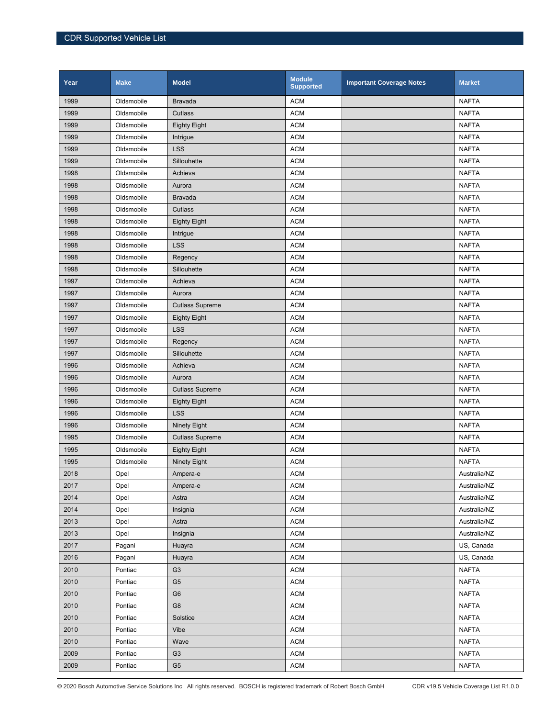| Year | <b>Make</b> | <b>Model</b>           | <b>Module</b><br><b>Supported</b> | <b>Important Coverage Notes</b> | <b>Market</b> |
|------|-------------|------------------------|-----------------------------------|---------------------------------|---------------|
| 1999 | Oldsmobile  | <b>Bravada</b>         | <b>ACM</b>                        |                                 | <b>NAFTA</b>  |
| 1999 | Oldsmobile  | Cutlass                | <b>ACM</b>                        |                                 | <b>NAFTA</b>  |
| 1999 | Oldsmobile  | <b>Eighty Eight</b>    | <b>ACM</b>                        |                                 | <b>NAFTA</b>  |
| 1999 | Oldsmobile  | Intrigue               | <b>ACM</b>                        |                                 | <b>NAFTA</b>  |
| 1999 | Oldsmobile  | <b>LSS</b>             | <b>ACM</b>                        |                                 | <b>NAFTA</b>  |
| 1999 | Oldsmobile  | Sillouhette            | <b>ACM</b>                        |                                 | <b>NAFTA</b>  |
| 1998 | Oldsmobile  | Achieva                | <b>ACM</b>                        |                                 | <b>NAFTA</b>  |
| 1998 | Oldsmobile  | Aurora                 | <b>ACM</b>                        |                                 | <b>NAFTA</b>  |
| 1998 | Oldsmobile  | <b>Bravada</b>         | <b>ACM</b>                        |                                 | <b>NAFTA</b>  |
| 1998 | Oldsmobile  | Cutlass                | <b>ACM</b>                        |                                 | <b>NAFTA</b>  |
| 1998 | Oldsmobile  | <b>Eighty Eight</b>    | <b>ACM</b>                        |                                 | <b>NAFTA</b>  |
| 1998 | Oldsmobile  | Intrigue               | <b>ACM</b>                        |                                 | <b>NAFTA</b>  |
| 1998 | Oldsmobile  | <b>LSS</b>             | <b>ACM</b>                        |                                 | <b>NAFTA</b>  |
| 1998 | Oldsmobile  | Regency                | <b>ACM</b>                        |                                 | <b>NAFTA</b>  |
| 1998 | Oldsmobile  | Sillouhette            | <b>ACM</b>                        |                                 | <b>NAFTA</b>  |
| 1997 | Oldsmobile  | Achieva                | <b>ACM</b>                        |                                 | <b>NAFTA</b>  |
| 1997 | Oldsmobile  | Aurora                 | <b>ACM</b>                        |                                 | <b>NAFTA</b>  |
| 1997 | Oldsmobile  | <b>Cutlass Supreme</b> | <b>ACM</b>                        |                                 | <b>NAFTA</b>  |
| 1997 | Oldsmobile  | <b>Eighty Eight</b>    | <b>ACM</b>                        |                                 | <b>NAFTA</b>  |
| 1997 | Oldsmobile  | <b>LSS</b>             | <b>ACM</b>                        |                                 | <b>NAFTA</b>  |
| 1997 | Oldsmobile  | Regency                | <b>ACM</b>                        |                                 | <b>NAFTA</b>  |
| 1997 | Oldsmobile  | Sillouhette            | <b>ACM</b>                        |                                 | <b>NAFTA</b>  |
| 1996 | Oldsmobile  | Achieva                | <b>ACM</b>                        |                                 | <b>NAFTA</b>  |
| 1996 | Oldsmobile  | Aurora                 | <b>ACM</b>                        |                                 | <b>NAFTA</b>  |
| 1996 | Oldsmobile  | <b>Cutlass Supreme</b> | <b>ACM</b>                        |                                 | <b>NAFTA</b>  |
| 1996 | Oldsmobile  | <b>Eighty Eight</b>    | <b>ACM</b>                        |                                 | <b>NAFTA</b>  |
| 1996 | Oldsmobile  | <b>LSS</b>             | <b>ACM</b>                        |                                 | <b>NAFTA</b>  |
| 1996 | Oldsmobile  | <b>Ninety Eight</b>    | <b>ACM</b>                        |                                 | <b>NAFTA</b>  |
| 1995 | Oldsmobile  | <b>Cutlass Supreme</b> | <b>ACM</b>                        |                                 | <b>NAFTA</b>  |
| 1995 | Oldsmobile  | <b>Eighty Eight</b>    | <b>ACM</b>                        |                                 | <b>NAFTA</b>  |
| 1995 | Oldsmobile  | Ninety Eight           | <b>ACM</b>                        |                                 | <b>NAFTA</b>  |
| 2018 | Opel        | Ampera-e               | <b>ACM</b>                        |                                 | Australia/NZ  |
| 2017 | Opel        | Ampera-e               | <b>ACM</b>                        |                                 | Australia/NZ  |
| 2014 | Opel        | Astra                  | <b>ACM</b>                        |                                 | Australia/NZ  |
| 2014 | Opel        | Insignia               | <b>ACM</b>                        |                                 | Australia/NZ  |
| 2013 | Opel        | Astra                  | <b>ACM</b>                        |                                 | Australia/NZ  |
| 2013 | Opel        | Insignia               | <b>ACM</b>                        |                                 | Australia/NZ  |
| 2017 | Pagani      | Huayra                 | <b>ACM</b>                        |                                 | US, Canada    |
| 2016 | Pagani      | Huayra                 | <b>ACM</b>                        |                                 | US, Canada    |
| 2010 | Pontiac     | G <sub>3</sub>         | <b>ACM</b>                        |                                 | <b>NAFTA</b>  |
| 2010 | Pontiac     | G <sub>5</sub>         | <b>ACM</b>                        |                                 | <b>NAFTA</b>  |
| 2010 | Pontiac     | G <sub>6</sub>         | <b>ACM</b>                        |                                 | <b>NAFTA</b>  |
| 2010 | Pontiac     | G8                     | <b>ACM</b>                        |                                 | <b>NAFTA</b>  |
| 2010 | Pontiac     | Solstice               | <b>ACM</b>                        |                                 | <b>NAFTA</b>  |
| 2010 | Pontiac     | Vibe                   | <b>ACM</b>                        |                                 | <b>NAFTA</b>  |
| 2010 | Pontiac     | Wave                   | <b>ACM</b>                        |                                 | <b>NAFTA</b>  |
| 2009 | Pontiac     | G <sub>3</sub>         | <b>ACM</b>                        |                                 | <b>NAFTA</b>  |
| 2009 | Pontiac     | G <sub>5</sub>         | <b>ACM</b>                        |                                 | <b>NAFTA</b>  |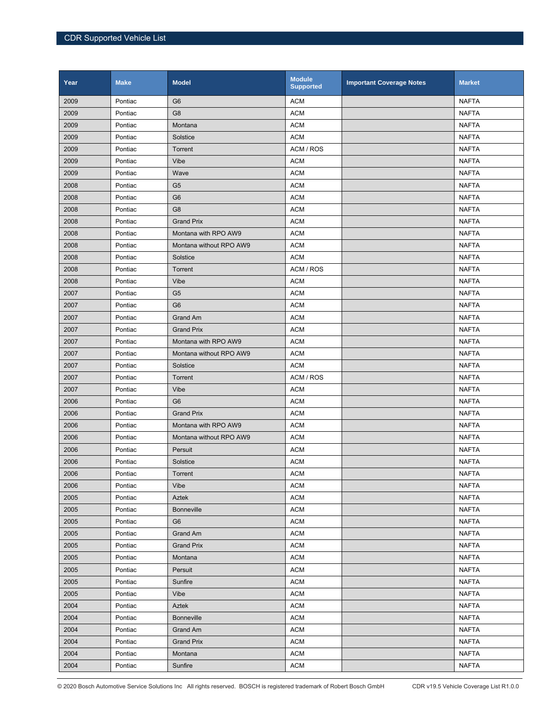| Year | <b>Make</b> | <b>Model</b>            | <b>Module</b><br><b>Supported</b> | <b>Important Coverage Notes</b> | <b>Market</b> |
|------|-------------|-------------------------|-----------------------------------|---------------------------------|---------------|
| 2009 | Pontiac     | G <sub>6</sub>          | <b>ACM</b>                        |                                 | <b>NAFTA</b>  |
| 2009 | Pontiac     | G <sub>8</sub>          | <b>ACM</b>                        |                                 | <b>NAFTA</b>  |
| 2009 | Pontiac     | Montana                 | <b>ACM</b>                        |                                 | <b>NAFTA</b>  |
| 2009 | Pontiac     | Solstice                | <b>ACM</b>                        |                                 | <b>NAFTA</b>  |
| 2009 | Pontiac     | Torrent                 | ACM / ROS                         |                                 | <b>NAFTA</b>  |
| 2009 | Pontiac     | Vibe                    | <b>ACM</b>                        |                                 | <b>NAFTA</b>  |
| 2009 | Pontiac     | Wave                    | <b>ACM</b>                        |                                 | <b>NAFTA</b>  |
| 2008 | Pontiac     | G <sub>5</sub>          | <b>ACM</b>                        |                                 | <b>NAFTA</b>  |
| 2008 | Pontiac     | G <sub>6</sub>          | <b>ACM</b>                        |                                 | <b>NAFTA</b>  |
| 2008 | Pontiac     | G <sub>8</sub>          | <b>ACM</b>                        |                                 | <b>NAFTA</b>  |
| 2008 | Pontiac     | <b>Grand Prix</b>       | <b>ACM</b>                        |                                 | <b>NAFTA</b>  |
| 2008 | Pontiac     | Montana with RPO AW9    | <b>ACM</b>                        |                                 | <b>NAFTA</b>  |
| 2008 | Pontiac     | Montana without RPO AW9 | <b>ACM</b>                        |                                 | <b>NAFTA</b>  |
| 2008 | Pontiac     | Solstice                | <b>ACM</b>                        |                                 | <b>NAFTA</b>  |
| 2008 | Pontiac     | Torrent                 | ACM / ROS                         |                                 | <b>NAFTA</b>  |
| 2008 | Pontiac     | Vibe                    | <b>ACM</b>                        |                                 | <b>NAFTA</b>  |
| 2007 | Pontiac     | G <sub>5</sub>          | <b>ACM</b>                        |                                 | <b>NAFTA</b>  |
| 2007 | Pontiac     | G <sub>6</sub>          | <b>ACM</b>                        |                                 | <b>NAFTA</b>  |
| 2007 | Pontiac     | <b>Grand Am</b>         | <b>ACM</b>                        |                                 | <b>NAFTA</b>  |
| 2007 | Pontiac     | <b>Grand Prix</b>       | <b>ACM</b>                        |                                 | <b>NAFTA</b>  |
| 2007 | Pontiac     | Montana with RPO AW9    | <b>ACM</b>                        |                                 | <b>NAFTA</b>  |
| 2007 | Pontiac     | Montana without RPO AW9 | <b>ACM</b>                        |                                 | <b>NAFTA</b>  |
| 2007 | Pontiac     | Solstice                | <b>ACM</b>                        |                                 | <b>NAFTA</b>  |
| 2007 | Pontiac     | Torrent                 | ACM / ROS                         |                                 | <b>NAFTA</b>  |
| 2007 | Pontiac     | Vibe                    | <b>ACM</b>                        |                                 | <b>NAFTA</b>  |
| 2006 | Pontiac     | G <sub>6</sub>          | <b>ACM</b>                        |                                 | <b>NAFTA</b>  |
| 2006 | Pontiac     | <b>Grand Prix</b>       | <b>ACM</b>                        |                                 | <b>NAFTA</b>  |
| 2006 | Pontiac     | Montana with RPO AW9    | <b>ACM</b>                        |                                 | <b>NAFTA</b>  |
| 2006 | Pontiac     | Montana without RPO AW9 | <b>ACM</b>                        |                                 | <b>NAFTA</b>  |
| 2006 | Pontiac     | Persuit                 | <b>ACM</b>                        |                                 | <b>NAFTA</b>  |
| 2006 | Pontiac     | Solstice                | <b>ACM</b>                        |                                 | <b>NAFTA</b>  |
| 2006 | Pontiac     | Torrent                 | <b>ACM</b>                        |                                 | <b>NAFTA</b>  |
| 2006 | Pontiac     | Vibe                    | <b>ACM</b>                        |                                 | <b>NAFTA</b>  |
| 2005 | Pontiac     | Aztek                   | <b>ACM</b>                        |                                 | <b>NAFTA</b>  |
| 2005 | Pontiac     | <b>Bonneville</b>       | <b>ACM</b>                        |                                 | NAFTA         |
| 2005 | Pontiac     | G <sub>6</sub>          | <b>ACM</b>                        |                                 | <b>NAFTA</b>  |
| 2005 | Pontiac     | Grand Am                | <b>ACM</b>                        |                                 | <b>NAFTA</b>  |
| 2005 | Pontiac     | <b>Grand Prix</b>       | <b>ACM</b>                        |                                 | <b>NAFTA</b>  |
| 2005 | Pontiac     | Montana                 | <b>ACM</b>                        |                                 | <b>NAFTA</b>  |
| 2005 | Pontiac     | Persuit                 | <b>ACM</b>                        |                                 | <b>NAFTA</b>  |
| 2005 | Pontiac     | Sunfire                 | <b>ACM</b>                        |                                 | <b>NAFTA</b>  |
| 2005 | Pontiac     | Vibe                    | <b>ACM</b>                        |                                 | <b>NAFTA</b>  |
| 2004 | Pontiac     | Aztek                   | <b>ACM</b>                        |                                 | <b>NAFTA</b>  |
| 2004 | Pontiac     | <b>Bonneville</b>       | <b>ACM</b>                        |                                 | <b>NAFTA</b>  |
| 2004 | Pontiac     | Grand Am                | <b>ACM</b>                        |                                 | <b>NAFTA</b>  |
| 2004 | Pontiac     | <b>Grand Prix</b>       | <b>ACM</b>                        |                                 | <b>NAFTA</b>  |
| 2004 | Pontiac     | Montana                 | <b>ACM</b>                        |                                 | <b>NAFTA</b>  |
| 2004 | Pontiac     | Sunfire                 | <b>ACM</b>                        |                                 | <b>NAFTA</b>  |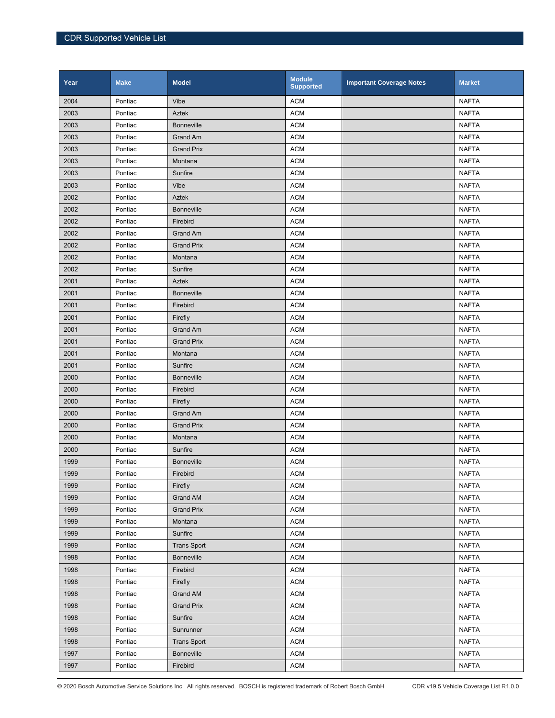| Year | <b>Make</b> | <b>Model</b>       | <b>Module</b><br><b>Supported</b> | <b>Important Coverage Notes</b> | <b>Market</b> |
|------|-------------|--------------------|-----------------------------------|---------------------------------|---------------|
| 2004 | Pontiac     | Vibe               | <b>ACM</b>                        |                                 | <b>NAFTA</b>  |
| 2003 | Pontiac     | Aztek              | <b>ACM</b>                        |                                 | <b>NAFTA</b>  |
| 2003 | Pontiac     | <b>Bonneville</b>  | <b>ACM</b>                        |                                 | <b>NAFTA</b>  |
| 2003 | Pontiac     | <b>Grand Am</b>    | <b>ACM</b>                        |                                 | <b>NAFTA</b>  |
| 2003 | Pontiac     | <b>Grand Prix</b>  | <b>ACM</b>                        |                                 | <b>NAFTA</b>  |
| 2003 | Pontiac     | Montana            | <b>ACM</b>                        |                                 | <b>NAFTA</b>  |
| 2003 | Pontiac     | Sunfire            | <b>ACM</b>                        |                                 | <b>NAFTA</b>  |
| 2003 | Pontiac     | Vibe               | <b>ACM</b>                        |                                 | <b>NAFTA</b>  |
| 2002 | Pontiac     | <b>Aztek</b>       | <b>ACM</b>                        |                                 | <b>NAFTA</b>  |
| 2002 | Pontiac     | <b>Bonneville</b>  | <b>ACM</b>                        |                                 | <b>NAFTA</b>  |
| 2002 | Pontiac     | Firebird           | <b>ACM</b>                        |                                 | <b>NAFTA</b>  |
| 2002 | Pontiac     | Grand Am           | <b>ACM</b>                        |                                 | <b>NAFTA</b>  |
| 2002 | Pontiac     | <b>Grand Prix</b>  | <b>ACM</b>                        |                                 | <b>NAFTA</b>  |
| 2002 | Pontiac     | Montana            | <b>ACM</b>                        |                                 | <b>NAFTA</b>  |
| 2002 | Pontiac     | Sunfire            | <b>ACM</b>                        |                                 | <b>NAFTA</b>  |
| 2001 | Pontiac     | Aztek              | <b>ACM</b>                        |                                 | <b>NAFTA</b>  |
| 2001 | Pontiac     | <b>Bonneville</b>  | <b>ACM</b>                        |                                 | <b>NAFTA</b>  |
| 2001 | Pontiac     | Firebird           | <b>ACM</b>                        |                                 | <b>NAFTA</b>  |
| 2001 | Pontiac     | Firefly            | <b>ACM</b>                        |                                 | <b>NAFTA</b>  |
| 2001 | Pontiac     | Grand Am           | <b>ACM</b>                        |                                 | <b>NAFTA</b>  |
| 2001 | Pontiac     | <b>Grand Prix</b>  | <b>ACM</b>                        |                                 | <b>NAFTA</b>  |
| 2001 | Pontiac     | Montana            | <b>ACM</b>                        |                                 | <b>NAFTA</b>  |
| 2001 | Pontiac     | Sunfire            | <b>ACM</b>                        |                                 | <b>NAFTA</b>  |
| 2000 | Pontiac     | <b>Bonneville</b>  | <b>ACM</b>                        |                                 | <b>NAFTA</b>  |
| 2000 | Pontiac     | Firebird           | <b>ACM</b>                        |                                 | <b>NAFTA</b>  |
| 2000 | Pontiac     | Firefly            | <b>ACM</b>                        |                                 | <b>NAFTA</b>  |
| 2000 | Pontiac     | Grand Am           | <b>ACM</b>                        |                                 | <b>NAFTA</b>  |
| 2000 | Pontiac     | <b>Grand Prix</b>  | <b>ACM</b>                        |                                 | <b>NAFTA</b>  |
| 2000 | Pontiac     | Montana            | <b>ACM</b>                        |                                 | <b>NAFTA</b>  |
| 2000 | Pontiac     | Sunfire            | <b>ACM</b>                        |                                 | <b>NAFTA</b>  |
| 1999 | Pontiac     | <b>Bonneville</b>  | <b>ACM</b>                        |                                 | <b>NAFTA</b>  |
| 1999 | Pontiac     | Firebird           | <b>ACM</b>                        |                                 | <b>NAFTA</b>  |
| 1999 | Pontiac     | Firefly            | <b>ACM</b>                        |                                 | <b>NAFTA</b>  |
| 1999 | Pontiac     | <b>Grand AM</b>    | <b>ACM</b>                        |                                 | <b>NAFTA</b>  |
| 1999 | Pontiac     | <b>Grand Prix</b>  | <b>ACM</b>                        |                                 | <b>NAFTA</b>  |
| 1999 | Pontiac     | Montana            | <b>ACM</b>                        |                                 | <b>NAFTA</b>  |
| 1999 | Pontiac     | Sunfire            | <b>ACM</b>                        |                                 | <b>NAFTA</b>  |
| 1999 | Pontiac     | <b>Trans Sport</b> | <b>ACM</b>                        |                                 | <b>NAFTA</b>  |
| 1998 | Pontiac     | <b>Bonneville</b>  | <b>ACM</b>                        |                                 | <b>NAFTA</b>  |
| 1998 | Pontiac     | Firebird           | <b>ACM</b>                        |                                 | <b>NAFTA</b>  |
| 1998 | Pontiac     | Firefly            | <b>ACM</b>                        |                                 | <b>NAFTA</b>  |
| 1998 | Pontiac     | Grand AM           | <b>ACM</b>                        |                                 | <b>NAFTA</b>  |
| 1998 | Pontiac     | <b>Grand Prix</b>  | <b>ACM</b>                        |                                 | <b>NAFTA</b>  |
| 1998 | Pontiac     | Sunfire            | <b>ACM</b>                        |                                 | <b>NAFTA</b>  |
| 1998 | Pontiac     | Sunrunner          | <b>ACM</b>                        |                                 | <b>NAFTA</b>  |
| 1998 | Pontiac     | <b>Trans Sport</b> | <b>ACM</b>                        |                                 | <b>NAFTA</b>  |
| 1997 | Pontiac     | <b>Bonneville</b>  | <b>ACM</b>                        |                                 | <b>NAFTA</b>  |
| 1997 | Pontiac     | Firebird           | <b>ACM</b>                        |                                 | <b>NAFTA</b>  |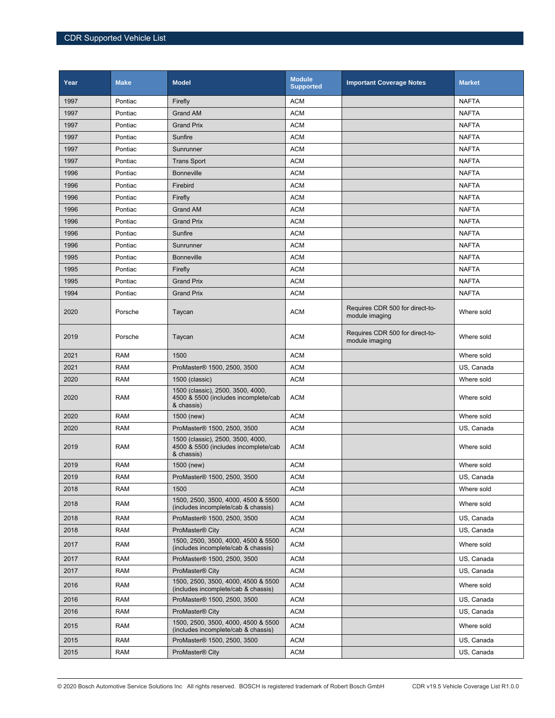| Year | <b>Make</b> | <b>Model</b>                                                                            | <b>Module</b><br><b>Supported</b> | <b>Important Coverage Notes</b>                   | <b>Market</b> |
|------|-------------|-----------------------------------------------------------------------------------------|-----------------------------------|---------------------------------------------------|---------------|
| 1997 | Pontiac     | Firefly                                                                                 | <b>ACM</b>                        |                                                   | <b>NAFTA</b>  |
| 1997 | Pontiac     | <b>Grand AM</b>                                                                         | <b>ACM</b>                        |                                                   | <b>NAFTA</b>  |
| 1997 | Pontiac     | <b>Grand Prix</b>                                                                       | <b>ACM</b>                        |                                                   | <b>NAFTA</b>  |
| 1997 | Pontiac     | Sunfire                                                                                 | <b>ACM</b>                        |                                                   | <b>NAFTA</b>  |
| 1997 | Pontiac     | Sunrunner                                                                               | <b>ACM</b>                        |                                                   | <b>NAFTA</b>  |
| 1997 | Pontiac     | <b>Trans Sport</b>                                                                      | <b>ACM</b>                        |                                                   | <b>NAFTA</b>  |
| 1996 | Pontiac     | <b>Bonneville</b>                                                                       | <b>ACM</b>                        |                                                   | <b>NAFTA</b>  |
| 1996 | Pontiac     | Firebird                                                                                | <b>ACM</b>                        |                                                   | <b>NAFTA</b>  |
| 1996 | Pontiac     | Firefly                                                                                 | <b>ACM</b>                        |                                                   | <b>NAFTA</b>  |
| 1996 | Pontiac     | <b>Grand AM</b>                                                                         | <b>ACM</b>                        |                                                   | <b>NAFTA</b>  |
| 1996 | Pontiac     | <b>Grand Prix</b>                                                                       | <b>ACM</b>                        |                                                   | <b>NAFTA</b>  |
| 1996 | Pontiac     | Sunfire                                                                                 | <b>ACM</b>                        |                                                   | <b>NAFTA</b>  |
| 1996 | Pontiac     | Sunrunner                                                                               | <b>ACM</b>                        |                                                   | <b>NAFTA</b>  |
| 1995 | Pontiac     | <b>Bonneville</b>                                                                       | <b>ACM</b>                        |                                                   | <b>NAFTA</b>  |
| 1995 | Pontiac     | Firefly                                                                                 | <b>ACM</b>                        |                                                   | <b>NAFTA</b>  |
| 1995 | Pontiac     | <b>Grand Prix</b>                                                                       | <b>ACM</b>                        |                                                   | <b>NAFTA</b>  |
| 1994 | Pontiac     | <b>Grand Prix</b>                                                                       | <b>ACM</b>                        |                                                   | <b>NAFTA</b>  |
| 2020 | Porsche     | Taycan                                                                                  | <b>ACM</b>                        | Requires CDR 500 for direct-to-<br>module imaging | Where sold    |
| 2019 | Porsche     | Taycan                                                                                  | <b>ACM</b>                        | Requires CDR 500 for direct-to-<br>module imaging | Where sold    |
| 2021 | <b>RAM</b>  | 1500                                                                                    | <b>ACM</b>                        |                                                   | Where sold    |
| 2021 | <b>RAM</b>  | ProMaster <sup>®</sup> 1500, 2500, 3500                                                 | <b>ACM</b>                        |                                                   | US, Canada    |
| 2020 | <b>RAM</b>  | 1500 (classic)                                                                          | <b>ACM</b>                        |                                                   | Where sold    |
| 2020 | <b>RAM</b>  | 1500 (classic), 2500, 3500, 4000,<br>4500 & 5500 (includes incomplete/cab<br>& chassis) | <b>ACM</b>                        |                                                   | Where sold    |
| 2020 | <b>RAM</b>  | 1500 (new)                                                                              | <b>ACM</b>                        |                                                   | Where sold    |
| 2020 | <b>RAM</b>  | ProMaster® 1500, 2500, 3500                                                             | <b>ACM</b>                        |                                                   | US, Canada    |
| 2019 | <b>RAM</b>  | 1500 (classic), 2500, 3500, 4000,<br>4500 & 5500 (includes incomplete/cab<br>& chassis) | <b>ACM</b>                        |                                                   | Where sold    |
| 2019 | <b>RAM</b>  | 1500 (new)                                                                              | <b>ACM</b>                        |                                                   | Where sold    |
| 2019 | <b>RAM</b>  | ProMaster® 1500, 2500, 3500                                                             | <b>ACM</b>                        |                                                   | US, Canada    |
| 2018 | <b>RAM</b>  | 1500                                                                                    | <b>ACM</b>                        |                                                   | Where sold    |
| 2018 | <b>RAM</b>  | 1500, 2500, 3500, 4000, 4500 & 5500<br>(includes incomplete/cab & chassis)              | <b>ACM</b>                        |                                                   | Where sold    |
| 2018 | <b>RAM</b>  | ProMaster® 1500, 2500, 3500                                                             | <b>ACM</b>                        |                                                   | US, Canada    |
| 2018 | <b>RAM</b>  | ProMaster <sup>®</sup> City                                                             | <b>ACM</b>                        |                                                   | US. Canada    |
| 2017 | <b>RAM</b>  | 1500, 2500, 3500, 4000, 4500 & 5500<br>(includes incomplete/cab & chassis)              | <b>ACM</b>                        |                                                   | Where sold    |
| 2017 | <b>RAM</b>  | ProMaster® 1500, 2500, 3500                                                             | <b>ACM</b>                        |                                                   | US, Canada    |
| 2017 | <b>RAM</b>  | ProMaster <sup>®</sup> City                                                             | <b>ACM</b>                        |                                                   | US, Canada    |
| 2016 | <b>RAM</b>  | 1500, 2500, 3500, 4000, 4500 & 5500<br>(includes incomplete/cab & chassis)              | <b>ACM</b>                        |                                                   | Where sold    |
| 2016 | <b>RAM</b>  | ProMaster® 1500, 2500, 3500                                                             | <b>ACM</b>                        |                                                   | US, Canada    |
| 2016 | <b>RAM</b>  | ProMaster <sup>®</sup> City                                                             | <b>ACM</b>                        |                                                   | US, Canada    |
| 2015 | RAM         | 1500, 2500, 3500, 4000, 4500 & 5500<br>(includes incomplete/cab & chassis)              | <b>ACM</b>                        |                                                   | Where sold    |
| 2015 | <b>RAM</b>  | ProMaster® 1500, 2500, 3500                                                             | <b>ACM</b>                        |                                                   | US, Canada    |
| 2015 | <b>RAM</b>  | ProMaster <sup>®</sup> City                                                             | <b>ACM</b>                        |                                                   | US, Canada    |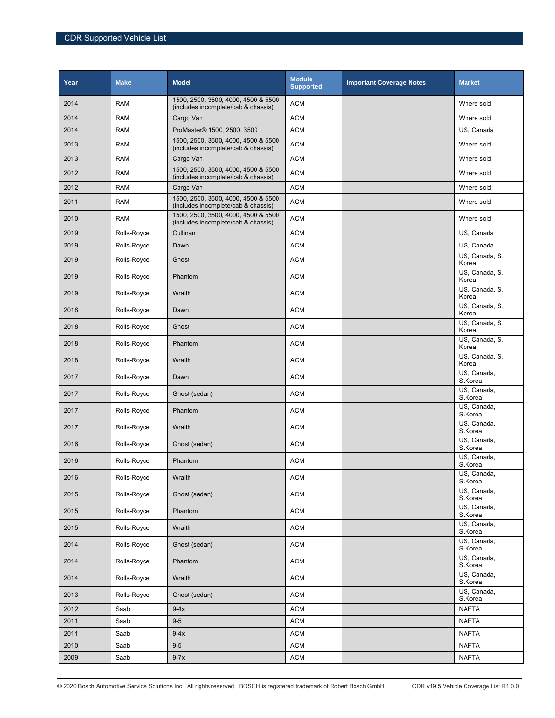| Year | <b>Make</b> | <b>Model</b>                                                               | <b>Module</b><br><b>Supported</b> | <b>Important Coverage Notes</b> | <b>Market</b>           |
|------|-------------|----------------------------------------------------------------------------|-----------------------------------|---------------------------------|-------------------------|
| 2014 | <b>RAM</b>  | 1500, 2500, 3500, 4000, 4500 & 5500<br>(includes incomplete/cab & chassis) | <b>ACM</b>                        |                                 | Where sold              |
| 2014 | <b>RAM</b>  | Cargo Van                                                                  | <b>ACM</b>                        |                                 | Where sold              |
| 2014 | <b>RAM</b>  | ProMaster <sup>®</sup> 1500, 2500, 3500                                    | <b>ACM</b>                        |                                 | US, Canada              |
| 2013 | <b>RAM</b>  | 1500, 2500, 3500, 4000, 4500 & 5500<br>(includes incomplete/cab & chassis) | <b>ACM</b>                        |                                 | Where sold              |
| 2013 | <b>RAM</b>  | Cargo Van                                                                  | <b>ACM</b>                        |                                 | Where sold              |
| 2012 | <b>RAM</b>  | 1500, 2500, 3500, 4000, 4500 & 5500<br>(includes incomplete/cab & chassis) | <b>ACM</b>                        |                                 | Where sold              |
| 2012 | <b>RAM</b>  | Cargo Van                                                                  | <b>ACM</b>                        |                                 | Where sold              |
| 2011 | <b>RAM</b>  | 1500, 2500, 3500, 4000, 4500 & 5500<br>(includes incomplete/cab & chassis) | <b>ACM</b>                        |                                 | Where sold              |
| 2010 | <b>RAM</b>  | 1500, 2500, 3500, 4000, 4500 & 5500<br>(includes incomplete/cab & chassis) | <b>ACM</b>                        |                                 | Where sold              |
| 2019 | Rolls-Royce | Cullinan                                                                   | <b>ACM</b>                        |                                 | US, Canada              |
| 2019 | Rolls-Royce | Dawn                                                                       | <b>ACM</b>                        |                                 | US, Canada              |
| 2019 | Rolls-Royce | Ghost                                                                      | <b>ACM</b>                        |                                 | US, Canada, S.<br>Korea |
| 2019 | Rolls-Royce | Phantom                                                                    | <b>ACM</b>                        |                                 | US, Canada, S.<br>Korea |
| 2019 | Rolls-Royce | Wraith                                                                     | <b>ACM</b>                        |                                 | US, Canada, S.<br>Korea |
| 2018 | Rolls-Royce | Dawn                                                                       | <b>ACM</b>                        |                                 | US, Canada, S.<br>Korea |
| 2018 | Rolls-Royce | Ghost                                                                      | <b>ACM</b>                        |                                 | US, Canada, S.<br>Korea |
| 2018 | Rolls-Royce | Phantom                                                                    | <b>ACM</b>                        |                                 | US, Canada, S.<br>Korea |
| 2018 | Rolls-Royce | Wraith                                                                     | <b>ACM</b>                        |                                 | US, Canada, S.<br>Korea |
| 2017 | Rolls-Royce | Dawn                                                                       | <b>ACM</b>                        |                                 | US, Canada,<br>S.Korea  |
| 2017 | Rolls-Royce | Ghost (sedan)                                                              | <b>ACM</b>                        |                                 | US, Canada,<br>S.Korea  |
| 2017 | Rolls-Royce | Phantom                                                                    | <b>ACM</b>                        |                                 | US, Canada,<br>S.Korea  |
| 2017 | Rolls-Royce | Wraith                                                                     | <b>ACM</b>                        |                                 | US, Canada,<br>S.Korea  |
| 2016 | Rolls-Royce | Ghost (sedan)                                                              | <b>ACM</b>                        |                                 | US, Canada,<br>S.Korea  |
| 2016 | Rolls-Royce | Phantom                                                                    | <b>ACM</b>                        |                                 | US, Canada,<br>S.Korea  |
| 2016 | Rolls-Royce | Wraith                                                                     | <b>ACM</b>                        |                                 | US, Canada,<br>S.Korea  |
| 2015 | Rolls-Royce | Ghost (sedan)                                                              | <b>ACM</b>                        |                                 | US, Canada,<br>S.Korea  |
| 2015 | Rolls-Royce | Phantom                                                                    | <b>ACM</b>                        |                                 | US, Canada,<br>S.Korea  |
| 2015 | Rolls-Royce | Wraith                                                                     | <b>ACM</b>                        |                                 | US, Canada,<br>S.Korea  |
| 2014 | Rolls-Royce | Ghost (sedan)                                                              | <b>ACM</b>                        |                                 | US, Canada,<br>S.Korea  |
| 2014 | Rolls-Royce | Phantom                                                                    | <b>ACM</b>                        |                                 | US, Canada,<br>S.Korea  |
| 2014 | Rolls-Royce | Wraith                                                                     | <b>ACM</b>                        |                                 | US. Canada.<br>S.Korea  |
| 2013 | Rolls-Royce | Ghost (sedan)                                                              | <b>ACM</b>                        |                                 | US, Canada,<br>S.Korea  |
| 2012 | Saab        | $9-4x$                                                                     | <b>ACM</b>                        |                                 | <b>NAFTA</b>            |
| 2011 | Saab        | $9-5$                                                                      | <b>ACM</b>                        |                                 | <b>NAFTA</b>            |
| 2011 | Saab        | $9-4x$                                                                     | <b>ACM</b>                        |                                 | <b>NAFTA</b>            |
| 2010 | Saab        | $9-5$                                                                      | <b>ACM</b>                        |                                 | <b>NAFTA</b>            |
| 2009 | Saab        | $9-7x$                                                                     | <b>ACM</b>                        |                                 | <b>NAFTA</b>            |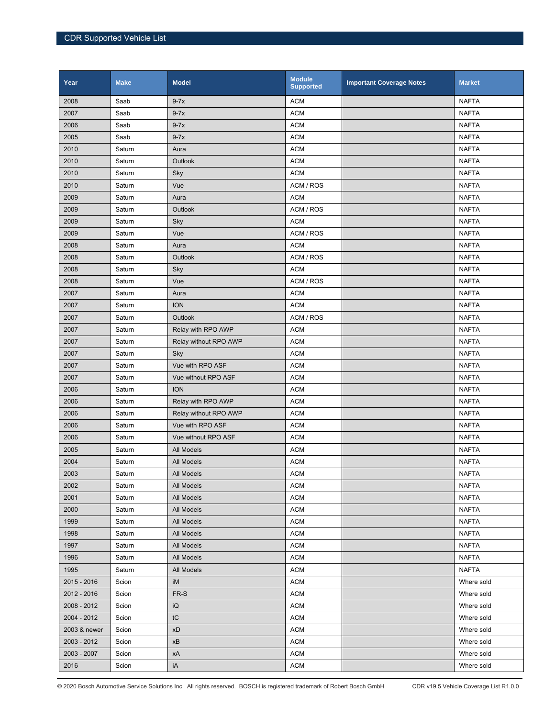| Year         | <b>Make</b> | <b>Model</b>          | <b>Module</b><br><b>Supported</b> | <b>Important Coverage Notes</b> | <b>Market</b> |
|--------------|-------------|-----------------------|-----------------------------------|---------------------------------|---------------|
| 2008         | Saab        | $9-7x$                | <b>ACM</b>                        |                                 | <b>NAFTA</b>  |
| 2007         | Saab        | $9-7x$                | <b>ACM</b>                        |                                 | <b>NAFTA</b>  |
| 2006         | Saab        | $9-7x$                | <b>ACM</b>                        |                                 | <b>NAFTA</b>  |
| 2005         | Saab        | $9-7x$                | <b>ACM</b>                        |                                 | <b>NAFTA</b>  |
| 2010         | Saturn      | Aura                  | <b>ACM</b>                        |                                 | <b>NAFTA</b>  |
| 2010         | Saturn      | <b>Outlook</b>        | <b>ACM</b>                        |                                 | <b>NAFTA</b>  |
| 2010         | Saturn      | Sky                   | <b>ACM</b>                        |                                 | <b>NAFTA</b>  |
| 2010         | Saturn      | Vue                   | ACM / ROS                         |                                 | <b>NAFTA</b>  |
| 2009         | Saturn      | Aura                  | <b>ACM</b>                        |                                 | <b>NAFTA</b>  |
| 2009         | Saturn      | <b>Outlook</b>        | ACM / ROS                         |                                 | <b>NAFTA</b>  |
| 2009         | Saturn      | Sky                   | <b>ACM</b>                        |                                 | <b>NAFTA</b>  |
| 2009         | Saturn      | Vue                   | ACM / ROS                         |                                 | <b>NAFTA</b>  |
| 2008         | Saturn      | Aura                  | <b>ACM</b>                        |                                 | <b>NAFTA</b>  |
| 2008         | Saturn      | <b>Outlook</b>        | ACM / ROS                         |                                 | <b>NAFTA</b>  |
| 2008         | Saturn      | Sky                   | <b>ACM</b>                        |                                 | <b>NAFTA</b>  |
| 2008         | Saturn      | Vue                   | ACM / ROS                         |                                 | <b>NAFTA</b>  |
| 2007         | Saturn      | Aura                  | <b>ACM</b>                        |                                 | <b>NAFTA</b>  |
| 2007         | Saturn      | <b>ION</b>            | <b>ACM</b>                        |                                 | <b>NAFTA</b>  |
| 2007         | Saturn      | <b>Outlook</b>        | ACM / ROS                         |                                 | <b>NAFTA</b>  |
| 2007         | Saturn      | Relay with RPO AWP    | <b>ACM</b>                        |                                 | <b>NAFTA</b>  |
| 2007         | Saturn      | Relay without RPO AWP | <b>ACM</b>                        |                                 | <b>NAFTA</b>  |
| 2007         | Saturn      | Sky                   | <b>ACM</b>                        |                                 | <b>NAFTA</b>  |
| 2007         | Saturn      | Vue with RPO ASF      | <b>ACM</b>                        |                                 | <b>NAFTA</b>  |
| 2007         | Saturn      | Vue without RPO ASF   | <b>ACM</b>                        |                                 | <b>NAFTA</b>  |
| 2006         | Saturn      | <b>ION</b>            | <b>ACM</b>                        |                                 | <b>NAFTA</b>  |
| 2006         | Saturn      | Relay with RPO AWP    | <b>ACM</b>                        |                                 | <b>NAFTA</b>  |
| 2006         | Saturn      | Relay without RPO AWP | <b>ACM</b>                        |                                 | <b>NAFTA</b>  |
| 2006         | Saturn      | Vue with RPO ASF      | <b>ACM</b>                        |                                 | <b>NAFTA</b>  |
| 2006         | Saturn      | Vue without RPO ASF   | <b>ACM</b>                        |                                 | <b>NAFTA</b>  |
| 2005         | Saturn      | <b>All Models</b>     | <b>ACM</b>                        |                                 | <b>NAFTA</b>  |
| 2004         | Saturn      | All Models            | <b>ACM</b>                        |                                 | <b>NAFTA</b>  |
| 2003         | Saturn      | All Models            | <b>ACM</b>                        |                                 | <b>NAFTA</b>  |
| 2002         | Saturn      | All Models            | <b>ACM</b>                        |                                 | <b>NAFTA</b>  |
| 2001         | Saturn      | All Models            | <b>ACM</b>                        |                                 | <b>NAFTA</b>  |
| 2000         | Saturn      | All Models            | <b>ACM</b>                        |                                 | <b>NAFTA</b>  |
| 1999         | Saturn      | All Models            | <b>ACM</b>                        |                                 | <b>NAFTA</b>  |
| 1998         | Saturn      | All Models            | <b>ACM</b>                        |                                 | <b>NAFTA</b>  |
| 1997         | Saturn      | All Models            | <b>ACM</b>                        |                                 | <b>NAFTA</b>  |
| 1996         | Saturn      | All Models            | <b>ACM</b>                        |                                 | <b>NAFTA</b>  |
| 1995         | Saturn      | All Models            | <b>ACM</b>                        |                                 | <b>NAFTA</b>  |
| 2015 - 2016  | Scion       | iM                    | <b>ACM</b>                        |                                 | Where sold    |
| 2012 - 2016  | Scion       | FR-S                  | <b>ACM</b>                        |                                 | Where sold    |
| 2008 - 2012  | Scion       | iQ                    | <b>ACM</b>                        |                                 | Where sold    |
| 2004 - 2012  | Scion       | tC                    | <b>ACM</b>                        |                                 | Where sold    |
| 2003 & newer | Scion       | xD                    | <b>ACM</b>                        |                                 | Where sold    |
| 2003 - 2012  | Scion       | хB                    | <b>ACM</b>                        |                                 | Where sold    |
| 2003 - 2007  | Scion       | хA                    | <b>ACM</b>                        |                                 | Where sold    |
| 2016         | Scion       | iA                    | <b>ACM</b>                        |                                 | Where sold    |

© 2020 Bosch Automotive Service Solutions Inc All rights reserved. BOSCH is registered trademark of Robert Bosch GmbH CDR v19.5 Vehicle Coverage List R1.0.0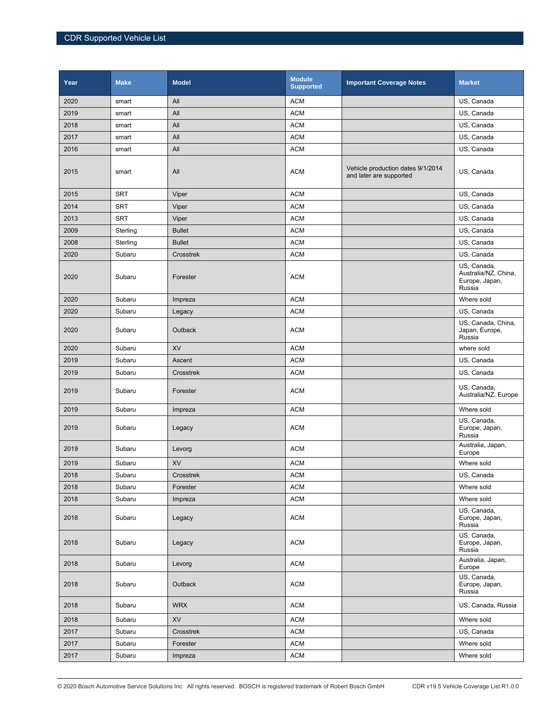| Year | <b>Make</b> | <b>Model</b>   | <b>Module</b><br><b>Supported</b> | <b>Important Coverage Notes</b>                              | <b>Market</b>                                                   |
|------|-------------|----------------|-----------------------------------|--------------------------------------------------------------|-----------------------------------------------------------------|
| 2020 | smart       | All            | <b>ACM</b>                        |                                                              | US, Canada                                                      |
| 2019 | smart       | All            | <b>ACM</b>                        |                                                              | US, Canada                                                      |
| 2018 | smart       | All            | <b>ACM</b>                        |                                                              | US, Canada                                                      |
| 2017 | smart       | All            | <b>ACM</b>                        |                                                              | US, Canada                                                      |
| 2016 | smart       | All            | <b>ACM</b>                        |                                                              | US, Canada                                                      |
| 2015 | smart       | All            | <b>ACM</b>                        | Vehicle production dates 9/1/2014<br>and later are supported | US, Canada                                                      |
| 2015 | <b>SRT</b>  | Viper          | <b>ACM</b>                        |                                                              | US, Canada                                                      |
| 2014 | <b>SRT</b>  | Viper          | <b>ACM</b>                        |                                                              | US, Canada                                                      |
| 2013 | <b>SRT</b>  | Viper          | <b>ACM</b>                        |                                                              | US, Canada                                                      |
| 2009 | Sterling    | <b>Bullet</b>  | <b>ACM</b>                        |                                                              | US, Canada                                                      |
| 2008 | Sterling    | <b>Bullet</b>  | <b>ACM</b>                        |                                                              | US, Canada                                                      |
| 2020 | Subaru      | Crosstrek      | <b>ACM</b>                        |                                                              | US, Canada                                                      |
| 2020 | Subaru      | Forester       | <b>ACM</b>                        |                                                              | US, Canada,<br>Australia/NZ, China,<br>Europe, Japan,<br>Russia |
| 2020 | Subaru      | Impreza        | <b>ACM</b>                        |                                                              | Where sold                                                      |
| 2020 | Subaru      | Legacy         | <b>ACM</b>                        |                                                              | US, Canada                                                      |
| 2020 | Subaru      | <b>Outback</b> | <b>ACM</b>                        |                                                              | US, Canada, China,<br>Japan, Europe,<br>Russia                  |
| 2020 | Subaru      | XV             | <b>ACM</b>                        |                                                              | where sold                                                      |
| 2019 | Subaru      | Ascent         | <b>ACM</b>                        |                                                              | US, Canada                                                      |
| 2019 | Subaru      | Crosstrek      | <b>ACM</b>                        |                                                              | US, Canada                                                      |
| 2019 | Subaru      | Forester       | <b>ACM</b>                        |                                                              | US, Canada,<br>Australia/NZ, Europe                             |
| 2019 | Subaru      | Impreza        | <b>ACM</b>                        |                                                              | Where sold                                                      |
| 2019 | Subaru      | Legacy         | <b>ACM</b>                        |                                                              | US, Canada,<br>Europe, Japan,<br>Russia                         |
| 2019 | Subaru      | Levorg         | <b>ACM</b>                        |                                                              | Australia, Japan,<br>Europe                                     |
| 2019 | Subaru      | <b>XV</b>      | <b>ACM</b>                        |                                                              | Where sold                                                      |
| 2018 | Subaru      | Crosstrek      | <b>ACM</b>                        |                                                              | US, Canada                                                      |
| 2018 | Subaru      | Forester       | <b>ACM</b>                        |                                                              | Where sold                                                      |
| 2018 | Subaru      | Impreza        | <b>ACM</b>                        |                                                              | Where sold                                                      |
| 2018 | Subaru      | Legacy         | <b>ACM</b>                        |                                                              | US, Canada,<br>Europe, Japan,<br>Russia                         |
| 2018 | Subaru      | Legacy         | <b>ACM</b>                        |                                                              | US, Canada,<br>Europe, Japan,<br>Russia                         |
| 2018 | Subaru      | Levorg         | <b>ACM</b>                        |                                                              | Australia, Japan,<br>Europe                                     |
| 2018 | Subaru      | Outback        | <b>ACM</b>                        |                                                              | US, Canada,<br>Europe, Japan,<br>Russia                         |
| 2018 | Subaru      | <b>WRX</b>     | <b>ACM</b>                        |                                                              | US, Canada, Russia                                              |
| 2018 | Subaru      | XV             | <b>ACM</b>                        |                                                              | Where sold                                                      |
| 2017 | Subaru      | Crosstrek      | ACM                               |                                                              | US, Canada                                                      |
| 2017 | Subaru      | Forester       | <b>ACM</b>                        |                                                              | Where sold                                                      |
| 2017 | Subaru      | Impreza        | <b>ACM</b>                        |                                                              | Where sold                                                      |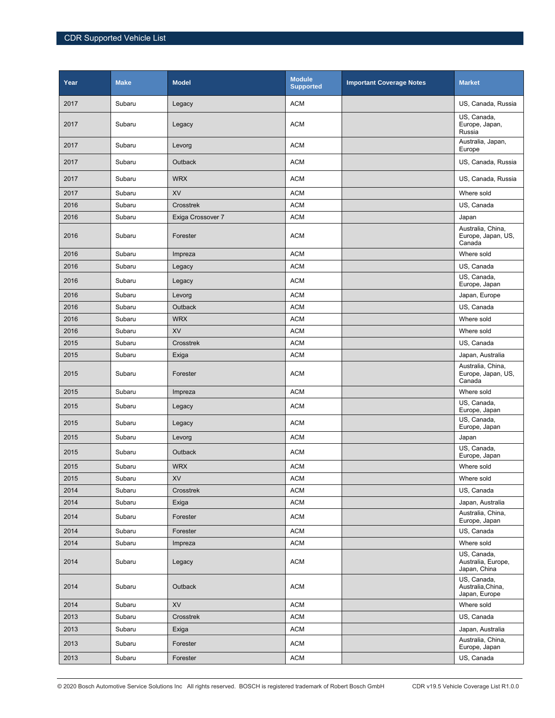| Year | <b>Make</b> | <b>Model</b>      | <b>Module</b><br><b>Supported</b> | <b>Important Coverage Notes</b> | <b>Market</b>                                     |
|------|-------------|-------------------|-----------------------------------|---------------------------------|---------------------------------------------------|
| 2017 | Subaru      | Legacy            | <b>ACM</b>                        |                                 | US, Canada, Russia                                |
| 2017 | Subaru      | Legacy            | <b>ACM</b>                        |                                 | US, Canada,<br>Europe, Japan,<br>Russia           |
| 2017 | Subaru      | Levorg            | <b>ACM</b>                        |                                 | Australia, Japan,<br>Europe                       |
| 2017 | Subaru      | <b>Outback</b>    | <b>ACM</b>                        |                                 | US, Canada, Russia                                |
| 2017 | Subaru      | <b>WRX</b>        | <b>ACM</b>                        |                                 | US, Canada, Russia                                |
| 2017 | Subaru      | <b>XV</b>         | <b>ACM</b>                        |                                 | Where sold                                        |
| 2016 | Subaru      | Crosstrek         | <b>ACM</b>                        |                                 | US, Canada                                        |
| 2016 | Subaru      | Exiga Crossover 7 | <b>ACM</b>                        |                                 | Japan                                             |
| 2016 | Subaru      | Forester          | <b>ACM</b>                        |                                 | Australia, China,<br>Europe, Japan, US,<br>Canada |
| 2016 | Subaru      | Impreza           | <b>ACM</b>                        |                                 | Where sold                                        |
| 2016 | Subaru      | Legacy            | <b>ACM</b>                        |                                 | US, Canada                                        |
| 2016 | Subaru      | Legacy            | <b>ACM</b>                        |                                 | US, Canada,<br>Europe, Japan                      |
| 2016 | Subaru      | Levorg            | <b>ACM</b>                        |                                 | Japan, Europe                                     |
| 2016 | Subaru      | <b>Outback</b>    | <b>ACM</b>                        |                                 | US, Canada                                        |
| 2016 | Subaru      | <b>WRX</b>        | <b>ACM</b>                        |                                 | Where sold                                        |
| 2016 | Subaru      | XV                | <b>ACM</b>                        |                                 | Where sold                                        |
| 2015 | Subaru      | Crosstrek         | <b>ACM</b>                        |                                 | US, Canada                                        |
| 2015 | Subaru      | Exiga             | <b>ACM</b>                        |                                 | Japan, Australia                                  |
| 2015 | Subaru      | Forester          | <b>ACM</b>                        |                                 | Australia, China,<br>Europe, Japan, US,<br>Canada |
| 2015 | Subaru      | Impreza           | <b>ACM</b>                        |                                 | Where sold                                        |
| 2015 | Subaru      | Legacy            | <b>ACM</b>                        |                                 | US, Canada,<br>Europe, Japan                      |
| 2015 | Subaru      | Legacy            | <b>ACM</b>                        |                                 | US, Canada,<br>Europe, Japan                      |
| 2015 | Subaru      | Levorg            | <b>ACM</b>                        |                                 | Japan                                             |
| 2015 | Subaru      | <b>Outback</b>    | <b>ACM</b>                        |                                 | US, Canada,<br>Europe, Japan                      |
| 2015 | Subaru      | <b>WRX</b>        | <b>ACM</b>                        |                                 | Where sold                                        |
| 2015 | Subaru      | XV                | ACM                               |                                 | Where sold                                        |
| 2014 | Subaru      | Crosstrek         | <b>ACM</b>                        |                                 | US, Canada                                        |
| 2014 | Subaru      | Exiga             | ACM                               |                                 | Japan, Australia                                  |
| 2014 | Subaru      | Forester          | ACM                               |                                 | Australia, China,<br>Europe, Japan                |
| 2014 | Subaru      | Forester          | <b>ACM</b>                        |                                 | US, Canada                                        |
| 2014 | Subaru      | Impreza           | ACM                               |                                 | Where sold                                        |
| 2014 | Subaru      | Legacy            | <b>ACM</b>                        |                                 | US, Canada,<br>Australia, Europe,<br>Japan, China |
| 2014 | Subaru      | Outback           | <b>ACM</b>                        |                                 | US, Canada,<br>Australia, China,<br>Japan, Europe |
| 2014 | Subaru      | XV                | <b>ACM</b>                        |                                 | Where sold                                        |
| 2013 | Subaru      | Crosstrek         | <b>ACM</b>                        |                                 | US, Canada                                        |
| 2013 | Subaru      | Exiga             | ACM                               |                                 | Japan, Australia                                  |
| 2013 | Subaru      | Forester          | ACM                               |                                 | Australia, China,<br>Europe, Japan                |
| 2013 | Subaru      | Forester          | <b>ACM</b>                        |                                 | US, Canada                                        |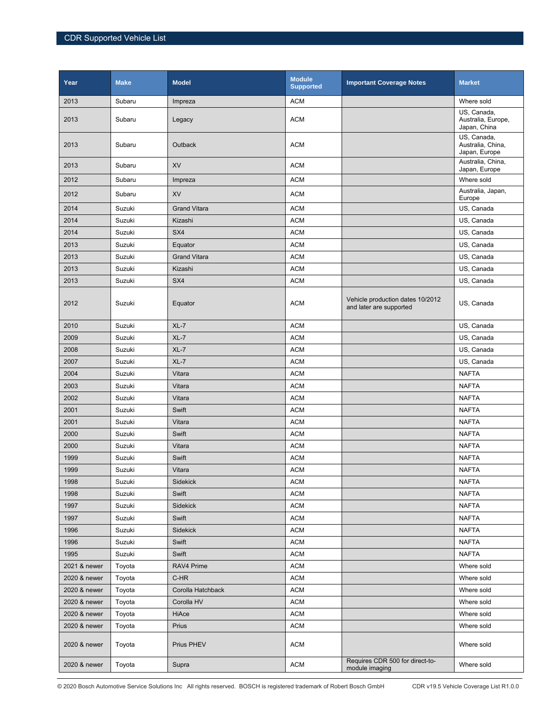| Year         | <b>Make</b> | <b>Model</b>        | <b>Module</b><br><b>Supported</b> | <b>Important Coverage Notes</b>                             | <b>Market</b>                                     |
|--------------|-------------|---------------------|-----------------------------------|-------------------------------------------------------------|---------------------------------------------------|
| 2013         | Subaru      | Impreza             | <b>ACM</b>                        |                                                             | Where sold                                        |
| 2013         | Subaru      | Legacy              | <b>ACM</b>                        |                                                             | US, Canada,<br>Australia, Europe,<br>Japan, China |
| 2013         | Subaru      | Outback             | <b>ACM</b>                        |                                                             | US, Canada,<br>Australia, China,<br>Japan, Europe |
| 2013         | Subaru      | XV                  | <b>ACM</b>                        |                                                             | Australia, China,<br>Japan, Europe                |
| 2012         | Subaru      | Impreza             | <b>ACM</b>                        |                                                             | Where sold                                        |
| 2012         | Subaru      | XV                  | <b>ACM</b>                        |                                                             | Australia, Japan,<br>Europe                       |
| 2014         | Suzuki      | <b>Grand Vitara</b> | <b>ACM</b>                        |                                                             | US, Canada                                        |
| 2014         | Suzuki      | Kizashi             | <b>ACM</b>                        |                                                             | US, Canada                                        |
| 2014         | Suzuki      | SX4                 | <b>ACM</b>                        |                                                             | US, Canada                                        |
| 2013         | Suzuki      | Equator             | <b>ACM</b>                        |                                                             | US, Canada                                        |
| 2013         | Suzuki      | <b>Grand Vitara</b> | <b>ACM</b>                        |                                                             | US, Canada                                        |
| 2013         | Suzuki      | Kizashi             | <b>ACM</b>                        |                                                             | US, Canada                                        |
| 2013         | Suzuki      | SX4                 | <b>ACM</b>                        |                                                             | US, Canada                                        |
| 2012         | Suzuki      | Equator             | <b>ACM</b>                        | Vehicle production dates 10/2012<br>and later are supported | US, Canada                                        |
| 2010         | Suzuki      | $XL-7$              | <b>ACM</b>                        |                                                             | US, Canada                                        |
| 2009         | Suzuki      | $XL-7$              | <b>ACM</b>                        |                                                             | US, Canada                                        |
| 2008         | Suzuki      | $XL-7$              | <b>ACM</b>                        |                                                             | US, Canada                                        |
| 2007         | Suzuki      | $XL-7$              | <b>ACM</b>                        |                                                             | US, Canada                                        |
| 2004         | Suzuki      | Vitara              | <b>ACM</b>                        |                                                             | <b>NAFTA</b>                                      |
| 2003         | Suzuki      | Vitara              | <b>ACM</b>                        |                                                             | <b>NAFTA</b>                                      |
| 2002         | Suzuki      | Vitara              | <b>ACM</b>                        |                                                             | NAFTA                                             |
| 2001         | Suzuki      | Swift               | <b>ACM</b>                        |                                                             | <b>NAFTA</b>                                      |
| 2001         | Suzuki      | Vitara              | <b>ACM</b>                        |                                                             | <b>NAFTA</b>                                      |
| 2000         | Suzuki      | Swift               | <b>ACM</b>                        |                                                             | <b>NAFTA</b>                                      |
| 2000         | Suzuki      | Vitara              | <b>ACM</b>                        |                                                             | <b>NAFTA</b>                                      |
| 1999         | Suzuki      | Swift               | <b>ACM</b>                        |                                                             | <b>NAFTA</b>                                      |
| 1999         | Suzuki      | Vitara              | <b>ACM</b>                        |                                                             | <b>NAFTA</b>                                      |
| 1998         | Suzuki      | Sidekick            | <b>ACM</b>                        |                                                             | <b>NAFTA</b>                                      |
| 1998         | Suzuki      | Swift               | <b>ACM</b>                        |                                                             | <b>NAFTA</b>                                      |
| 1997         | Suzuki      | Sidekick            | <b>ACM</b>                        |                                                             | <b>NAFTA</b>                                      |
| 1997         | Suzuki      | Swift               | ACM                               |                                                             | <b>NAFTA</b>                                      |
| 1996         | Suzuki      | Sidekick            | <b>ACM</b>                        |                                                             | <b>NAFTA</b>                                      |
| 1996         | Suzuki      | Swift               | <b>ACM</b>                        |                                                             | <b>NAFTA</b>                                      |
| 1995         | Suzuki      | Swift               | <b>ACM</b>                        |                                                             | <b>NAFTA</b>                                      |
| 2021 & newer | Toyota      | RAV4 Prime          | <b>ACM</b>                        |                                                             | Where sold                                        |
| 2020 & newer | Toyota      | C-HR                | <b>ACM</b>                        |                                                             | Where sold                                        |
| 2020 & newer | Toyota      | Corolla Hatchback   | <b>ACM</b>                        |                                                             | Where sold                                        |
| 2020 & newer | Toyota      | Corolla HV          | <b>ACM</b>                        |                                                             | Where sold                                        |
| 2020 & newer | Toyota      | HiAce               | <b>ACM</b>                        |                                                             | Where sold                                        |
| 2020 & newer | Toyota      | Prius               | <b>ACM</b>                        |                                                             | Where sold                                        |
| 2020 & newer | Toyota      | Prius PHEV          | <b>ACM</b>                        |                                                             | Where sold                                        |
| 2020 & newer | Toyota      | Supra               | ACM                               | Requires CDR 500 for direct-to-<br>module imaging           | Where sold                                        |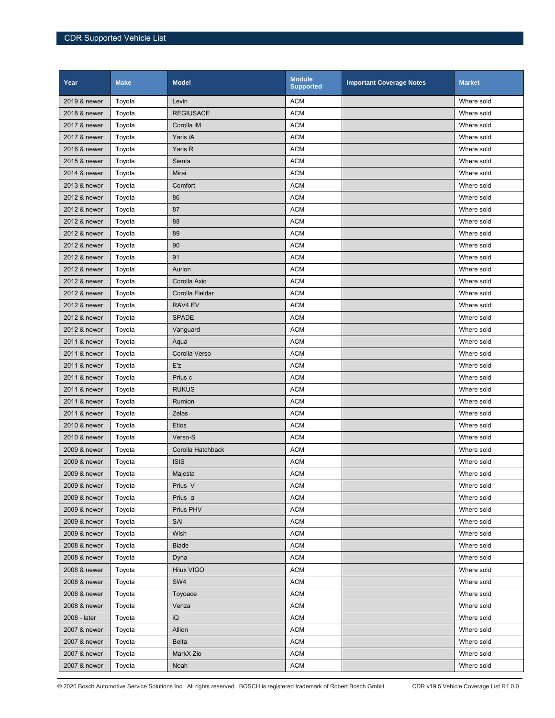| Year         | <b>Make</b> | <b>Model</b>      | <b>Module</b><br><b>Supported</b> | <b>Important Coverage Notes</b> | <b>Market</b> |
|--------------|-------------|-------------------|-----------------------------------|---------------------------------|---------------|
| 2019 & newer | Toyota      | Levin             | <b>ACM</b>                        |                                 | Where sold    |
| 2018 & newer | Toyota      | <b>REGIUSACE</b>  | <b>ACM</b>                        |                                 | Where sold    |
| 2017 & newer | Toyota      | Corolla iM        | <b>ACM</b>                        |                                 | Where sold    |
| 2017 & newer | Toyota      | Yaris iA          | <b>ACM</b>                        |                                 | Where sold    |
| 2016 & newer | Toyota      | Yaris R           | <b>ACM</b>                        |                                 | Where sold    |
| 2015 & newer | Toyota      | Sienta            | <b>ACM</b>                        |                                 | Where sold    |
| 2014 & newer | Toyota      | Mirai             | <b>ACM</b>                        |                                 | Where sold    |
| 2013 & newer | Toyota      | Comfort           | <b>ACM</b>                        |                                 | Where sold    |
| 2012 & newer | Toyota      | 86                | <b>ACM</b>                        |                                 | Where sold    |
| 2012 & newer | Toyota      | 87                | <b>ACM</b>                        |                                 | Where sold    |
| 2012 & newer | Toyota      | 88                | <b>ACM</b>                        |                                 | Where sold    |
| 2012 & newer | Toyota      | 89                | <b>ACM</b>                        |                                 | Where sold    |
| 2012 & newer | Toyota      | 90                | <b>ACM</b>                        |                                 | Where sold    |
| 2012 & newer | Toyota      | 91                | <b>ACM</b>                        |                                 | Where sold    |
| 2012 & newer | Toyota      | Aurion            | <b>ACM</b>                        |                                 | Where sold    |
| 2012 & newer | Toyota      | Corolla Axio      | <b>ACM</b>                        |                                 | Where sold    |
| 2012 & newer | Toyota      | Corolla Fieldar   | <b>ACM</b>                        |                                 | Where sold    |
| 2012 & newer | Toyota      | RAV4 EV           | <b>ACM</b>                        |                                 | Where sold    |
| 2012 & newer | Toyota      | <b>SPADE</b>      | <b>ACM</b>                        |                                 | Where sold    |
| 2012 & newer | Toyota      | Vanguard          | <b>ACM</b>                        |                                 | Where sold    |
| 2011 & newer | Toyota      | Aqua              | <b>ACM</b>                        |                                 | Where sold    |
| 2011 & newer | Toyota      | Corolla Verso     | <b>ACM</b>                        |                                 | Where sold    |
| 2011 & newer | Toyota      | E'z               | <b>ACM</b>                        |                                 | Where sold    |
| 2011 & newer | Toyota      | Prius c           | <b>ACM</b>                        |                                 | Where sold    |
| 2011 & newer | Toyota      | <b>RUKUS</b>      | <b>ACM</b>                        |                                 | Where sold    |
| 2011 & newer | Toyota      | Rumion            | <b>ACM</b>                        |                                 | Where sold    |
| 2011 & newer | Toyota      | Zelas             | <b>ACM</b>                        |                                 | Where sold    |
| 2010 & newer | Toyota      | Etios             | <b>ACM</b>                        |                                 | Where sold    |
| 2010 & newer | Toyota      | Verso-S           | <b>ACM</b>                        |                                 | Where sold    |
| 2009 & newer | Toyota      | Corolla Hatchback | <b>ACM</b>                        |                                 | Where sold    |
| 2009 & newer | Toyota      | <b>ISIS</b>       | <b>ACM</b>                        |                                 | Where sold    |
| 2009 & newer | Toyota      | Majesta           | <b>ACM</b>                        |                                 | Where sold    |
| 2009 & newer | Toyota      | Prius V           | <b>ACM</b>                        |                                 | Where sold    |
| 2009 & newer | Toyota      | Prius $\alpha$    | <b>ACM</b>                        |                                 | Where sold    |
| 2009 & newer | Toyota      | Prius PHV         | <b>ACM</b>                        |                                 | Where sold    |
| 2009 & newer | Toyota      | SAI               | <b>ACM</b>                        |                                 | Where sold    |
| 2009 & newer | Toyota      | Wish              | <b>ACM</b>                        |                                 | Where sold    |
| 2008 & newer | Toyota      | <b>Blade</b>      | <b>ACM</b>                        |                                 | Where sold    |
| 2008 & newer | Toyota      | Dyna              | <b>ACM</b>                        |                                 | Where sold    |
| 2008 & newer | Toyota      | Hilux VIGO        | <b>ACM</b>                        |                                 | Where sold    |
| 2008 & newer | Toyota      | SW4               | <b>ACM</b>                        |                                 | Where sold    |
| 2008 & newer | Toyota      | Toyoace           | <b>ACM</b>                        |                                 | Where sold    |
| 2008 & newer | Toyota      | Venza             | <b>ACM</b>                        |                                 | Where sold    |
| 2008 - later | Toyota      | iQ                | <b>ACM</b>                        |                                 | Where sold    |
| 2007 & newer | Toyota      | Allion            | <b>ACM</b>                        |                                 | Where sold    |
| 2007 & newer | Toyota      | <b>Belta</b>      | <b>ACM</b>                        |                                 | Where sold    |
| 2007 & newer | Toyota      | MarkX Zio         | <b>ACM</b>                        |                                 | Where sold    |
| 2007 & newer | Toyota      | Noah              | <b>ACM</b>                        |                                 | Where sold    |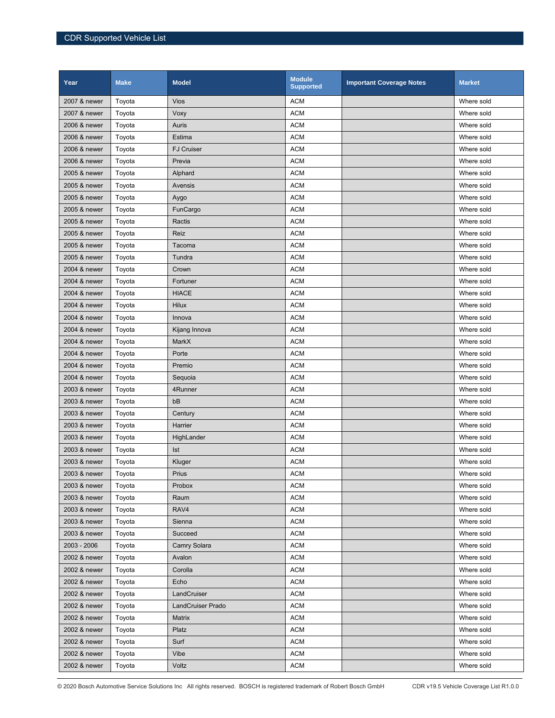| Year         | <b>Make</b> | <b>Model</b>             | <b>Module</b><br><b>Supported</b> | <b>Important Coverage Notes</b> | <b>Market</b> |
|--------------|-------------|--------------------------|-----------------------------------|---------------------------------|---------------|
| 2007 & newer | Toyota      | <b>Vios</b>              | <b>ACM</b>                        |                                 | Where sold    |
| 2007 & newer | Toyota      | Voxy                     | <b>ACM</b>                        |                                 | Where sold    |
| 2006 & newer | Toyota      | Auris                    | <b>ACM</b>                        |                                 | Where sold    |
| 2006 & newer | Toyota      | Estima                   | <b>ACM</b>                        |                                 | Where sold    |
| 2006 & newer | Toyota      | <b>FJ Cruiser</b>        | <b>ACM</b>                        |                                 | Where sold    |
| 2006 & newer | Toyota      | Previa                   | <b>ACM</b>                        |                                 | Where sold    |
| 2005 & newer | Toyota      | Alphard                  | <b>ACM</b>                        |                                 | Where sold    |
| 2005 & newer | Toyota      | Avensis                  | <b>ACM</b>                        |                                 | Where sold    |
| 2005 & newer | Toyota      | Aygo                     | <b>ACM</b>                        |                                 | Where sold    |
| 2005 & newer | Toyota      | FunCargo                 | <b>ACM</b>                        |                                 | Where sold    |
| 2005 & newer | Toyota      | Ractis                   | <b>ACM</b>                        |                                 | Where sold    |
| 2005 & newer | Toyota      | Reiz                     | <b>ACM</b>                        |                                 | Where sold    |
| 2005 & newer | Toyota      | Tacoma                   | <b>ACM</b>                        |                                 | Where sold    |
| 2005 & newer | Toyota      | Tundra                   | <b>ACM</b>                        |                                 | Where sold    |
| 2004 & newer | Toyota      | Crown                    | <b>ACM</b>                        |                                 | Where sold    |
| 2004 & newer | Toyota      | Fortuner                 | <b>ACM</b>                        |                                 | Where sold    |
| 2004 & newer | Toyota      | <b>HIACE</b>             | <b>ACM</b>                        |                                 | Where sold    |
| 2004 & newer | Toyota      | <b>Hilux</b>             | <b>ACM</b>                        |                                 | Where sold    |
| 2004 & newer | Toyota      | Innova                   | <b>ACM</b>                        |                                 | Where sold    |
| 2004 & newer | Toyota      | Kijang Innova            | <b>ACM</b>                        |                                 | Where sold    |
| 2004 & newer | Toyota      | MarkX                    | <b>ACM</b>                        |                                 | Where sold    |
| 2004 & newer | Toyota      | Porte                    | <b>ACM</b>                        |                                 | Where sold    |
| 2004 & newer | Toyota      | Premio                   | <b>ACM</b>                        |                                 | Where sold    |
| 2004 & newer | Toyota      | Sequoia                  | <b>ACM</b>                        |                                 | Where sold    |
| 2003 & newer | Toyota      | 4Runner                  | <b>ACM</b>                        |                                 | Where sold    |
| 2003 & newer | Toyota      | bB                       | <b>ACM</b>                        |                                 | Where sold    |
| 2003 & newer | Toyota      | Century                  | <b>ACM</b>                        |                                 | Where sold    |
| 2003 & newer | Toyota      | Harrier                  | <b>ACM</b>                        |                                 | Where sold    |
| 2003 & newer | Toyota      | HighLander               | <b>ACM</b>                        |                                 | Where sold    |
| 2003 & newer | Toyota      | Ist                      | <b>ACM</b>                        |                                 | Where sold    |
| 2003 & newer | Toyota      | Kluger                   | <b>ACM</b>                        |                                 | Where sold    |
| 2003 & newer | Toyota      | Prius                    | <b>ACM</b>                        |                                 | Where sold    |
| 2003 & newer | Toyota      | Probox                   | <b>ACM</b>                        |                                 | Where sold    |
| 2003 & newer | Toyota      | Raum                     | <b>ACM</b>                        |                                 | Where sold    |
| 2003 & newer | Toyota      | RAV4                     | <b>ACM</b>                        |                                 | Where sold    |
| 2003 & newer | Toyota      | Sienna                   | <b>ACM</b>                        |                                 | Where sold    |
| 2003 & newer | Toyota      | Succeed                  | <b>ACM</b>                        |                                 | Where sold    |
| 2003 - 2006  | Toyota      | Camry Solara             | <b>ACM</b>                        |                                 | Where sold    |
| 2002 & newer | Toyota      | Avalon                   | <b>ACM</b>                        |                                 | Where sold    |
| 2002 & newer | Toyota      | Corolla                  | <b>ACM</b>                        |                                 | Where sold    |
| 2002 & newer | Toyota      | Echo                     | <b>ACM</b>                        |                                 | Where sold    |
| 2002 & newer | Toyota      | LandCruiser              | <b>ACM</b>                        |                                 | Where sold    |
| 2002 & newer | Toyota      | <b>LandCruiser Prado</b> | <b>ACM</b>                        |                                 | Where sold    |
| 2002 & newer | Toyota      | Matrix                   | <b>ACM</b>                        |                                 | Where sold    |
| 2002 & newer | Toyota      | Platz                    | ACM                               |                                 | Where sold    |
| 2002 & newer | Toyota      | Surf                     | <b>ACM</b>                        |                                 | Where sold    |
| 2002 & newer | Toyota      | Vibe                     | <b>ACM</b>                        |                                 | Where sold    |
| 2002 & newer | Toyota      | Voltz                    | <b>ACM</b>                        |                                 | Where sold    |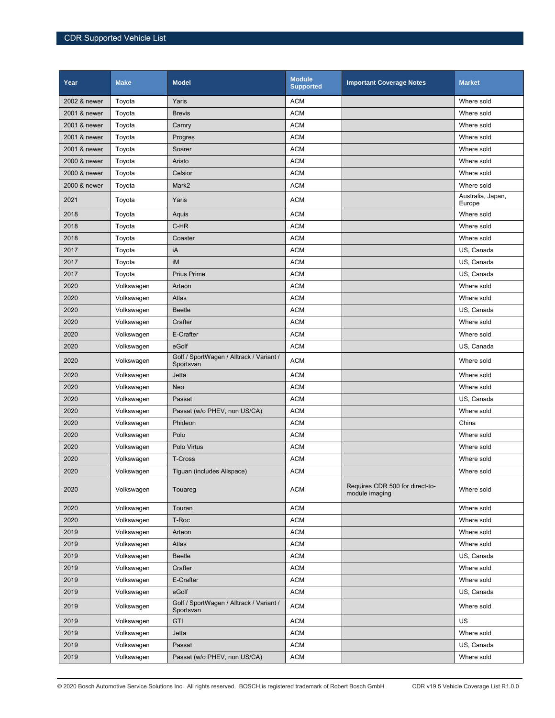| Year         | <b>Make</b> | <b>Model</b>                                          | <b>Module</b><br><b>Supported</b> | <b>Important Coverage Notes</b>                   | <b>Market</b>               |
|--------------|-------------|-------------------------------------------------------|-----------------------------------|---------------------------------------------------|-----------------------------|
| 2002 & newer | Toyota      | Yaris                                                 | <b>ACM</b>                        |                                                   | Where sold                  |
| 2001 & newer | Toyota      | <b>Brevis</b>                                         | <b>ACM</b>                        |                                                   | Where sold                  |
| 2001 & newer | Toyota      | Camry                                                 | <b>ACM</b>                        |                                                   | Where sold                  |
| 2001 & newer | Toyota      | Progres                                               | <b>ACM</b>                        |                                                   | Where sold                  |
| 2001 & newer | Toyota      | Soarer                                                | <b>ACM</b>                        |                                                   | Where sold                  |
| 2000 & newer | Toyota      | Aristo                                                | <b>ACM</b>                        |                                                   | Where sold                  |
| 2000 & newer | Toyota      | Celsior                                               | <b>ACM</b>                        |                                                   | Where sold                  |
| 2000 & newer | Toyota      | Mark2                                                 | <b>ACM</b>                        |                                                   | Where sold                  |
| 2021         | Toyota      | Yaris                                                 | <b>ACM</b>                        |                                                   | Australia, Japan,<br>Europe |
| 2018         | Toyota      | Aquis                                                 | <b>ACM</b>                        |                                                   | Where sold                  |
| 2018         | Toyota      | C-HR                                                  | <b>ACM</b>                        |                                                   | Where sold                  |
| 2018         | Toyota      | Coaster                                               | <b>ACM</b>                        |                                                   | Where sold                  |
| 2017         | Toyota      | iA                                                    | <b>ACM</b>                        |                                                   | US, Canada                  |
| 2017         | Toyota      | iM                                                    | <b>ACM</b>                        |                                                   | US, Canada                  |
| 2017         | Toyota      | <b>Prius Prime</b>                                    | <b>ACM</b>                        |                                                   | US, Canada                  |
| 2020         | Volkswagen  | Arteon                                                | <b>ACM</b>                        |                                                   | Where sold                  |
| 2020         | Volkswagen  | Atlas                                                 | <b>ACM</b>                        |                                                   | Where sold                  |
| 2020         | Volkswagen  | <b>Beetle</b>                                         | <b>ACM</b>                        |                                                   | US, Canada                  |
| 2020         | Volkswagen  | Crafter                                               | <b>ACM</b>                        |                                                   | Where sold                  |
| 2020         | Volkswagen  | E-Crafter                                             | <b>ACM</b>                        |                                                   | Where sold                  |
| 2020         | Volkswagen  | eGolf                                                 | <b>ACM</b>                        |                                                   | US, Canada                  |
| 2020         | Volkswagen  | Golf / SportWagen / Alltrack / Variant /<br>Sportsvan | <b>ACM</b>                        |                                                   | Where sold                  |
| 2020         | Volkswagen  | Jetta                                                 | <b>ACM</b>                        |                                                   | Where sold                  |
| 2020         | Volkswagen  | Neo                                                   | <b>ACM</b>                        |                                                   | Where sold                  |
| 2020         | Volkswagen  | Passat                                                | <b>ACM</b>                        |                                                   | US, Canada                  |
| 2020         | Volkswagen  | Passat (w/o PHEV, non US/CA)                          | <b>ACM</b>                        |                                                   | Where sold                  |
| 2020         | Volkswagen  | Phideon                                               | <b>ACM</b>                        |                                                   | China                       |
| 2020         | Volkswagen  | Polo                                                  | <b>ACM</b>                        |                                                   | Where sold                  |
| 2020         | Volkswagen  | Polo Virtus                                           | <b>ACM</b>                        |                                                   | Where sold                  |
| 2020         | Volkswagen  | <b>T-Cross</b>                                        | <b>ACM</b>                        |                                                   | Where sold                  |
| 2020         | Volkswagen  | Tiguan (includes Allspace)                            | <b>ACM</b>                        |                                                   | Where sold                  |
| 2020         | Volkswagen  | Touareg                                               | <b>ACM</b>                        | Requires CDR 500 for direct-to-<br>module imaging | Where sold                  |
| 2020         | Volkswagen  | Touran                                                | <b>ACM</b>                        |                                                   | Where sold                  |
| 2020         | Volkswagen  | T-Roc                                                 | <b>ACM</b>                        |                                                   | Where sold                  |
| 2019         | Volkswagen  | Arteon                                                | <b>ACM</b>                        |                                                   | Where sold                  |
| 2019         | Volkswagen  | Atlas                                                 | <b>ACM</b>                        |                                                   | Where sold                  |
| 2019         | Volkswagen  | Beetle                                                | <b>ACM</b>                        |                                                   | US, Canada                  |
| 2019         | Volkswagen  | Crafter                                               | <b>ACM</b>                        |                                                   | Where sold                  |
| 2019         | Volkswagen  | E-Crafter                                             | <b>ACM</b>                        |                                                   | Where sold                  |
| 2019         | Volkswagen  | eGolf                                                 | <b>ACM</b>                        |                                                   | US, Canada                  |
| 2019         | Volkswagen  | Golf / SportWagen / Alltrack / Variant /<br>Sportsvan | <b>ACM</b>                        |                                                   | Where sold                  |
| 2019         | Volkswagen  | <b>GTI</b>                                            | <b>ACM</b>                        |                                                   | US                          |
| 2019         | Volkswagen  | Jetta                                                 | <b>ACM</b>                        |                                                   | Where sold                  |
| 2019         | Volkswagen  | Passat                                                | <b>ACM</b>                        |                                                   | US, Canada                  |
| 2019         | Volkswagen  | Passat (w/o PHEV, non US/CA)                          | <b>ACM</b>                        |                                                   | Where sold                  |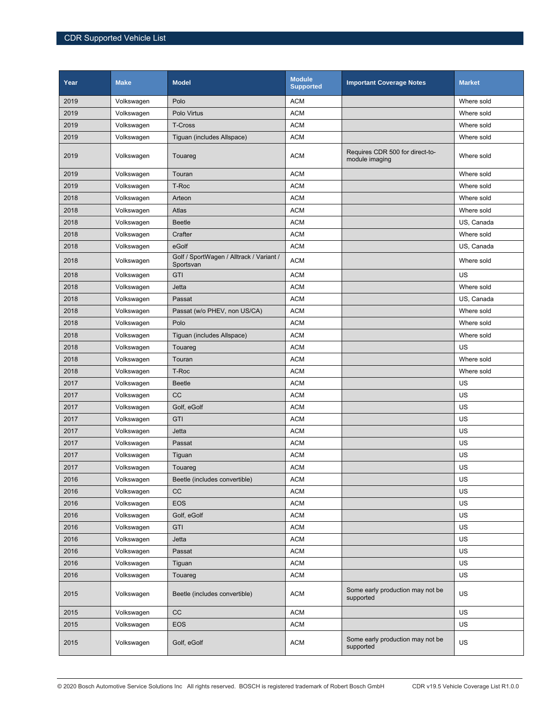| Year | <b>Make</b> | <b>Model</b>                                          | <b>Module</b><br><b>Supported</b> | <b>Important Coverage Notes</b>                   | <b>Market</b> |
|------|-------------|-------------------------------------------------------|-----------------------------------|---------------------------------------------------|---------------|
| 2019 | Volkswagen  | Polo                                                  | <b>ACM</b>                        |                                                   | Where sold    |
| 2019 | Volkswagen  | Polo Virtus                                           | <b>ACM</b>                        |                                                   | Where sold    |
| 2019 | Volkswagen  | <b>T-Cross</b>                                        | <b>ACM</b>                        |                                                   | Where sold    |
| 2019 | Volkswagen  | Tiguan (includes Allspace)                            | <b>ACM</b>                        |                                                   | Where sold    |
| 2019 | Volkswagen  | Touareg                                               | <b>ACM</b>                        | Requires CDR 500 for direct-to-<br>module imaging | Where sold    |
| 2019 | Volkswagen  | Touran                                                | <b>ACM</b>                        |                                                   | Where sold    |
| 2019 | Volkswagen  | T-Roc                                                 | <b>ACM</b>                        |                                                   | Where sold    |
| 2018 | Volkswagen  | Arteon                                                | <b>ACM</b>                        |                                                   | Where sold    |
| 2018 | Volkswagen  | Atlas                                                 | <b>ACM</b>                        |                                                   | Where sold    |
| 2018 | Volkswagen  | <b>Beetle</b>                                         | <b>ACM</b>                        |                                                   | US, Canada    |
| 2018 | Volkswagen  | Crafter                                               | <b>ACM</b>                        |                                                   | Where sold    |
| 2018 | Volkswagen  | eGolf                                                 | <b>ACM</b>                        |                                                   | US, Canada    |
| 2018 | Volkswagen  | Golf / SportWagen / Alltrack / Variant /<br>Sportsvan | <b>ACM</b>                        |                                                   | Where sold    |
| 2018 | Volkswagen  | <b>GTI</b>                                            | <b>ACM</b>                        |                                                   | US            |
| 2018 | Volkswagen  | Jetta                                                 | <b>ACM</b>                        |                                                   | Where sold    |
| 2018 | Volkswagen  | Passat                                                | <b>ACM</b>                        |                                                   | US, Canada    |
| 2018 | Volkswagen  | Passat (w/o PHEV, non US/CA)                          | <b>ACM</b>                        |                                                   | Where sold    |
| 2018 | Volkswagen  | Polo                                                  | <b>ACM</b>                        |                                                   | Where sold    |
| 2018 | Volkswagen  | Tiguan (includes Allspace)                            | <b>ACM</b>                        |                                                   | Where sold    |
| 2018 | Volkswagen  | Touareg                                               | <b>ACM</b>                        |                                                   | US            |
| 2018 | Volkswagen  | Touran                                                | <b>ACM</b>                        |                                                   | Where sold    |
| 2018 | Volkswagen  | T-Roc                                                 | <b>ACM</b>                        |                                                   | Where sold    |
| 2017 | Volkswagen  | <b>Beetle</b>                                         | <b>ACM</b>                        |                                                   | US            |
| 2017 | Volkswagen  | <b>CC</b>                                             | <b>ACM</b>                        |                                                   | US            |
| 2017 | Volkswagen  | Golf, eGolf                                           | <b>ACM</b>                        |                                                   | US            |
| 2017 | Volkswagen  | GTI                                                   | <b>ACM</b>                        |                                                   | US            |
| 2017 | Volkswagen  | Jetta                                                 | <b>ACM</b>                        |                                                   | US            |
| 2017 | Volkswagen  | Passat                                                | <b>ACM</b>                        |                                                   | US            |
| 2017 | Volkswagen  | Tiguan                                                | <b>ACM</b>                        |                                                   | US            |
| 2017 | Volkswagen  | Touareg                                               | <b>ACM</b>                        |                                                   | US            |
| 2016 | Volkswagen  | Beetle (includes convertible)                         | <b>ACM</b>                        |                                                   | US            |
| 2016 | Volkswagen  | CC                                                    | <b>ACM</b>                        |                                                   | US            |
| 2016 | Volkswagen  | EOS                                                   | <b>ACM</b>                        |                                                   | US            |
| 2016 | Volkswagen  | Golf, eGolf                                           | <b>ACM</b>                        |                                                   | US            |
| 2016 | Volkswagen  | <b>GTI</b>                                            | <b>ACM</b>                        |                                                   | US            |
| 2016 | Volkswagen  | Jetta                                                 | <b>ACM</b>                        |                                                   | US            |
| 2016 | Volkswagen  | Passat                                                | <b>ACM</b>                        |                                                   | US            |
| 2016 | Volkswagen  | Tiguan                                                | <b>ACM</b>                        |                                                   | US            |
| 2016 | Volkswagen  | Touareg                                               | <b>ACM</b>                        |                                                   | US            |
| 2015 | Volkswagen  | Beetle (includes convertible)                         | <b>ACM</b>                        | Some early production may not be<br>supported     | US            |
| 2015 | Volkswagen  | $_{\rm CC}$                                           | <b>ACM</b>                        |                                                   | US            |
| 2015 | Volkswagen  | EOS                                                   | <b>ACM</b>                        |                                                   | US            |
| 2015 | Volkswagen  | Golf, eGolf                                           | <b>ACM</b>                        | Some early production may not be<br>supported     | US            |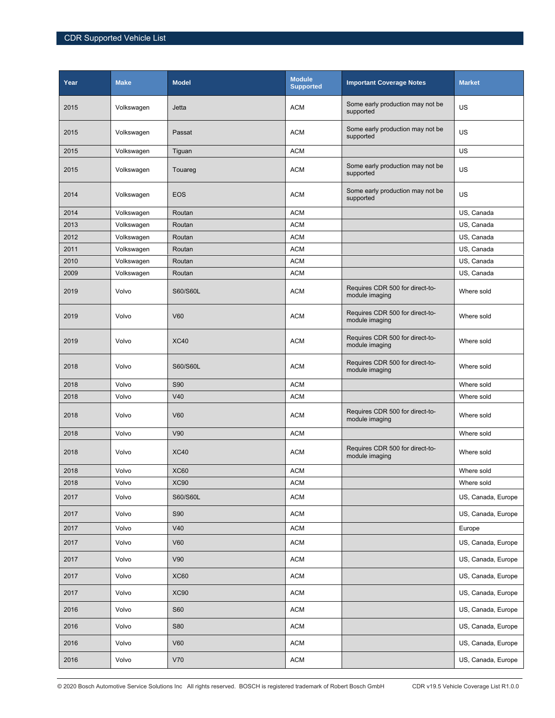| Year | <b>Make</b> | <b>Model</b> | <b>Module</b><br><b>Supported</b> | <b>Important Coverage Notes</b>                   | <b>Market</b>      |
|------|-------------|--------------|-----------------------------------|---------------------------------------------------|--------------------|
| 2015 | Volkswagen  | Jetta        | <b>ACM</b>                        | Some early production may not be<br>supported     | US                 |
| 2015 | Volkswagen  | Passat       | <b>ACM</b>                        | Some early production may not be<br>supported     | US                 |
| 2015 | Volkswagen  | Tiguan       | <b>ACM</b>                        |                                                   | US                 |
| 2015 | Volkswagen  | Touareg      | <b>ACM</b>                        | Some early production may not be<br>supported     | US                 |
| 2014 | Volkswagen  | <b>EOS</b>   | <b>ACM</b>                        | Some early production may not be<br>supported     | US                 |
| 2014 | Volkswagen  | Routan       | <b>ACM</b>                        |                                                   | US, Canada         |
| 2013 | Volkswagen  | Routan       | <b>ACM</b>                        |                                                   | US, Canada         |
| 2012 | Volkswagen  | Routan       | <b>ACM</b>                        |                                                   | US, Canada         |
| 2011 | Volkswagen  | Routan       | <b>ACM</b>                        |                                                   | US, Canada         |
| 2010 | Volkswagen  | Routan       | <b>ACM</b>                        |                                                   | US, Canada         |
| 2009 | Volkswagen  | Routan       | <b>ACM</b>                        |                                                   | US, Canada         |
| 2019 | Volvo       | S60/S60L     | <b>ACM</b>                        | Requires CDR 500 for direct-to-<br>module imaging | Where sold         |
| 2019 | Volvo       | <b>V60</b>   | <b>ACM</b>                        | Requires CDR 500 for direct-to-<br>module imaging | Where sold         |
| 2019 | Volvo       | <b>XC40</b>  | <b>ACM</b>                        | Requires CDR 500 for direct-to-<br>module imaging | Where sold         |
| 2018 | Volvo       | S60/S60L     | <b>ACM</b>                        | Requires CDR 500 for direct-to-<br>module imaging | Where sold         |
| 2018 | Volvo       | <b>S90</b>   | <b>ACM</b>                        |                                                   | Where sold         |
| 2018 | Volvo       | V40          | <b>ACM</b>                        |                                                   | Where sold         |
| 2018 | Volvo       | <b>V60</b>   | <b>ACM</b>                        | Requires CDR 500 for direct-to-<br>module imaging | Where sold         |
| 2018 | Volvo       | V90          | <b>ACM</b>                        |                                                   | Where sold         |
| 2018 | Volvo       | <b>XC40</b>  | <b>ACM</b>                        | Requires CDR 500 for direct-to-<br>module imaging | Where sold         |
| 2018 | Volvo       | <b>XC60</b>  | <b>ACM</b>                        |                                                   | Where sold         |
| 2018 | Volvo       | <b>XC90</b>  | <b>ACM</b>                        |                                                   | Where sold         |
| 2017 | Volvo       | S60/S60L     | <b>ACM</b>                        |                                                   | US, Canada, Europe |
| 2017 | Volvo       | <b>S90</b>   | <b>ACM</b>                        |                                                   | US, Canada, Europe |
| 2017 | Volvo       | V40          | <b>ACM</b>                        |                                                   | Europe             |
| 2017 | Volvo       | <b>V60</b>   | <b>ACM</b>                        |                                                   | US, Canada, Europe |
| 2017 | Volvo       | V90          | <b>ACM</b>                        |                                                   | US, Canada, Europe |
| 2017 | Volvo       | XC60         | <b>ACM</b>                        |                                                   | US, Canada, Europe |
| 2017 | Volvo       | <b>XC90</b>  | <b>ACM</b>                        |                                                   | US, Canada, Europe |
| 2016 | Volvo       | <b>S60</b>   | <b>ACM</b>                        |                                                   | US, Canada, Europe |
| 2016 | Volvo       | S80          | <b>ACM</b>                        |                                                   | US, Canada, Europe |
| 2016 | Volvo       | V60          | <b>ACM</b>                        |                                                   | US, Canada, Europe |
| 2016 | Volvo       | V70          | <b>ACM</b>                        |                                                   | US, Canada, Europe |